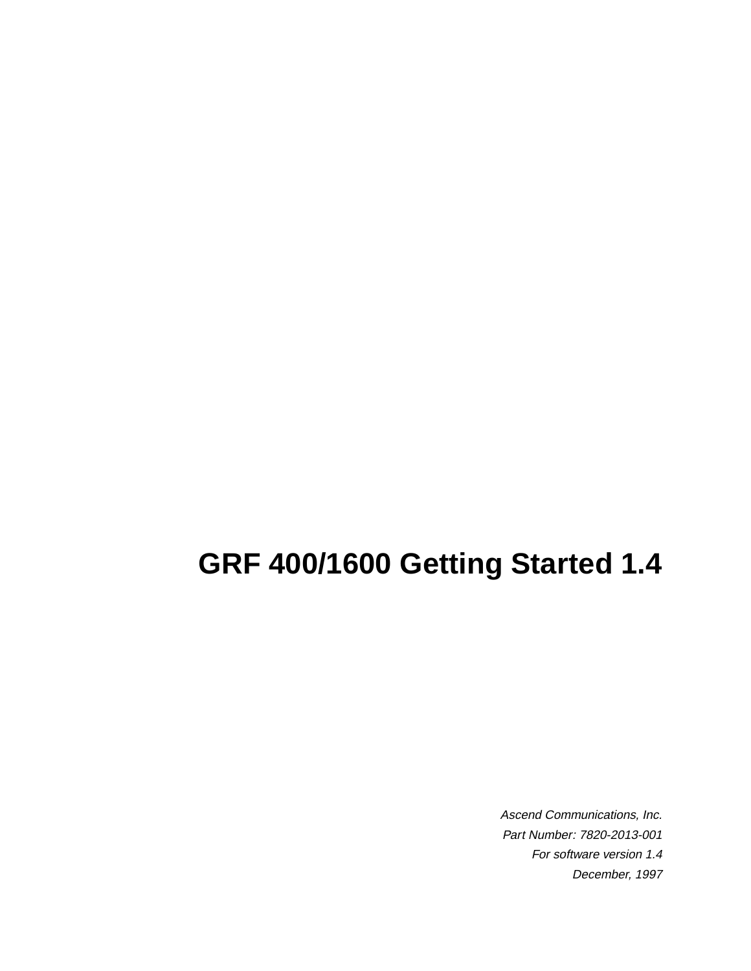# **GRF 400/1600 Getting Started 1.4**

Ascend Communications, Inc. Part Number: 7820-2013-001 For software version 1.4 December, 1997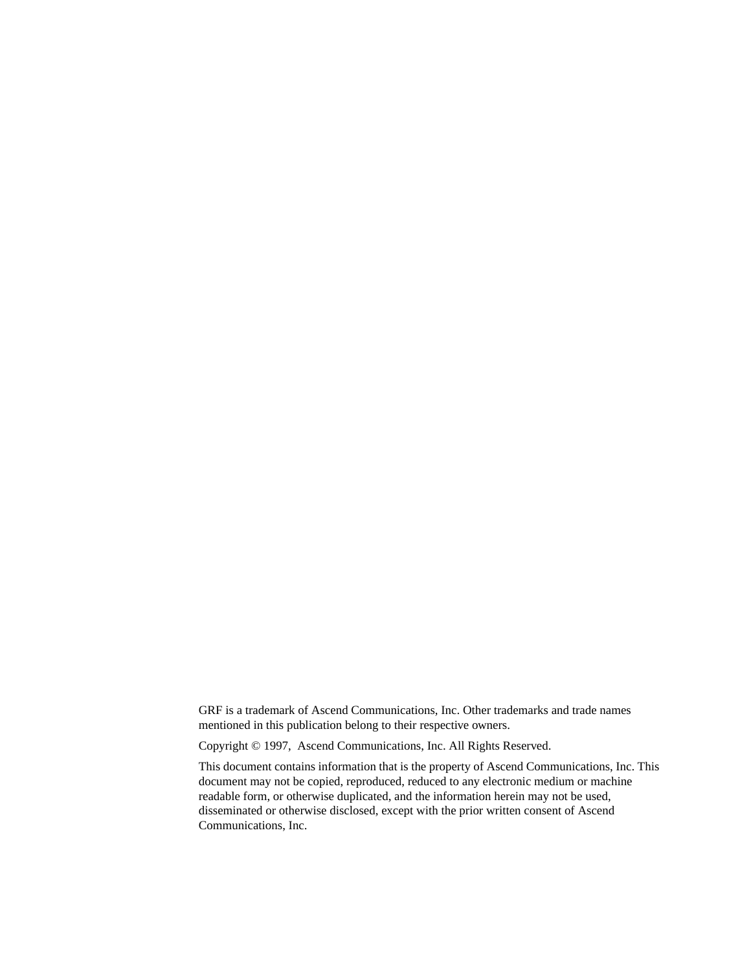GRF is a trademark of Ascend Communications, Inc. Other trademarks and trade names mentioned in this publication belong to their respective owners.

Copyright © 1997, Ascend Communications, Inc. All Rights Reserved.

This document contains information that is the property of Ascend Communications, Inc. This document may not be copied, reproduced, reduced to any electronic medium or machine readable form, or otherwise duplicated, and the information herein may not be used, disseminated or otherwise disclosed, except with the prior written consent of Ascend Communications, Inc.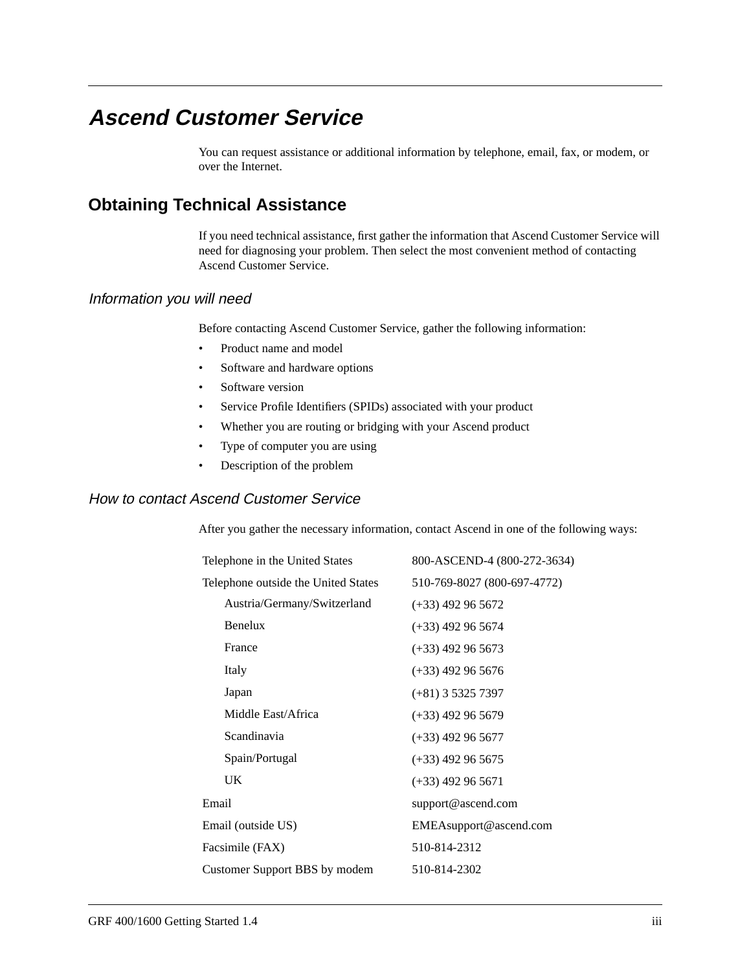## <span id="page-2-0"></span>**Ascend Customer Service**

You can request assistance or additional information by telephone, email, fax, or modem, or over the Internet.

### **Obtaining Technical Assistance**

If you need technical assistance, first gather the information that Ascend Customer Service will need for diagnosing your problem. Then select the most convenient method of contacting Ascend Customer Service.

#### Information you will need

Before contacting Ascend Customer Service, gather the following information:

- Product name and model
- Software and hardware options
- Software version
- Service Profile Identifiers (SPIDs) associated with your product
- Whether you are routing or bridging with your Ascend product
- Type of computer you are using
- Description of the problem

#### How to contact Ascend Customer Service

After you gather the necessary information, contact Ascend in one of the following ways:

| Telephone in the United States      | 800-ASCEND-4 (800-272-3634) |
|-------------------------------------|-----------------------------|
| Telephone outside the United States | 510-769-8027 (800-697-4772) |
| Austria/Germany/Switzerland         | $(+33)$ 492 96 5672         |
| Benelux                             | $(+33)$ 492 96 5674         |
| France                              | $(+33)$ 492 96 5673         |
| Italy                               | $(+33)$ 492 96 5676         |
| Japan                               | $(+81)$ 3 5325 7397         |
| Middle East/Africa                  | $(+33)$ 492 96 5679         |
| Scandinavia                         | $(+33)$ 492 96 5677         |
| Spain/Portugal                      | $(+33)$ 492 96 5675         |
| <b>UK</b>                           | $(+33)$ 492 96 5671         |
| Email                               | support@ascend.com          |
| Email (outside US)                  | EMEAsupport@ascend.com      |
| Facsimile (FAX)                     | 510-814-2312                |
| Customer Support BBS by modem       | 510-814-2302                |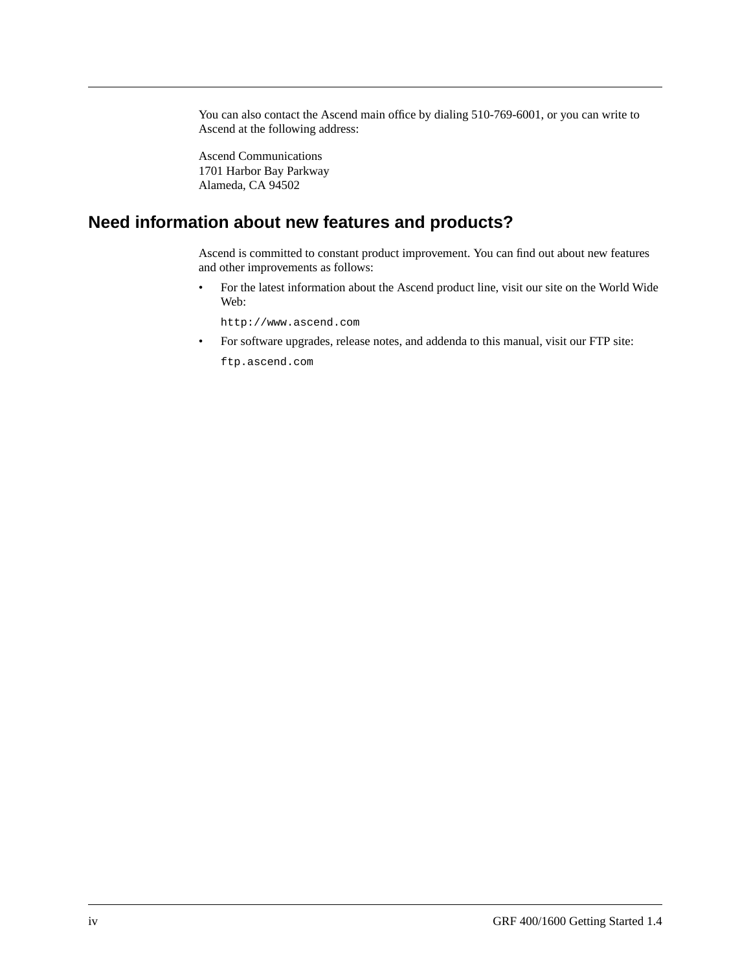You can also contact the Ascend main office by dialing 510-769-6001, or you can write to Ascend at the following address:

Ascend Communications 1701 Harbor Bay Parkway Alameda, CA 94502

#### **Need information about new features and products?**

Ascend is committed to constant product improvement. You can find out about new features and other improvements as follows:

• For the latest information about the Ascend product line, visit our site on the World Wide Web:

http://www.ascend.com

• For software upgrades, release notes, and addenda to this manual, visit our FTP site:

ftp.ascend.com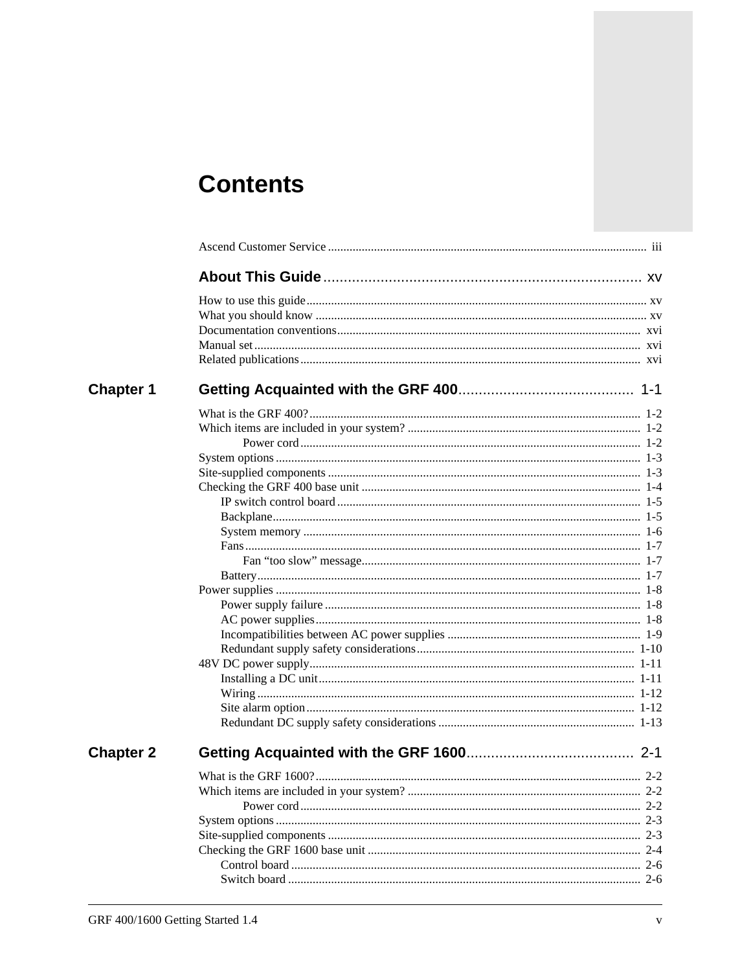# **Contents**

| <b>Chapter 1</b> |         |
|------------------|---------|
|                  |         |
|                  |         |
|                  |         |
|                  |         |
|                  |         |
|                  |         |
|                  |         |
|                  |         |
|                  |         |
|                  |         |
|                  |         |
|                  |         |
|                  |         |
|                  |         |
|                  |         |
|                  |         |
|                  |         |
|                  |         |
|                  |         |
|                  |         |
|                  |         |
|                  |         |
| <b>Chapter 2</b> |         |
|                  |         |
|                  | $2 - 2$ |
|                  |         |
|                  |         |
|                  |         |
|                  |         |
|                  |         |
|                  |         |
|                  |         |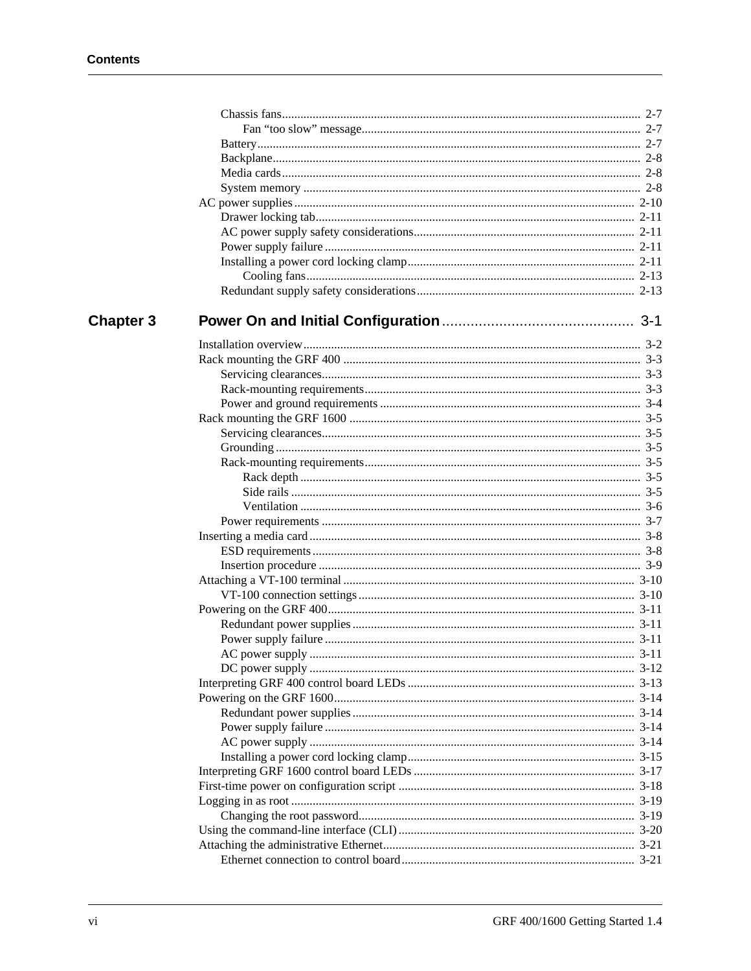| <b>Chapter 3</b> |  |
|------------------|--|
|                  |  |
|                  |  |
|                  |  |
|                  |  |
|                  |  |
|                  |  |
|                  |  |
|                  |  |
|                  |  |
|                  |  |
|                  |  |
|                  |  |
|                  |  |
|                  |  |
|                  |  |
|                  |  |
|                  |  |
|                  |  |
|                  |  |
|                  |  |
|                  |  |
|                  |  |
|                  |  |
|                  |  |
|                  |  |
|                  |  |
|                  |  |
|                  |  |
|                  |  |
|                  |  |
|                  |  |
|                  |  |
|                  |  |
|                  |  |
|                  |  |
|                  |  |
|                  |  |
|                  |  |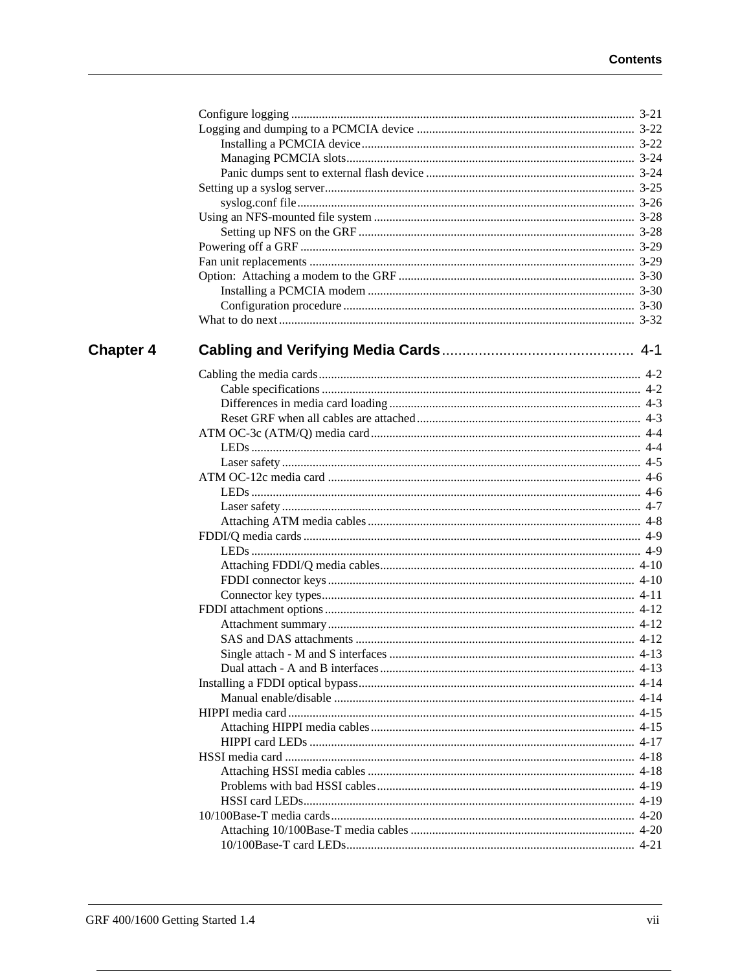| <b>Chapter 4</b> |  |
|------------------|--|
|                  |  |
|                  |  |
|                  |  |
|                  |  |
|                  |  |
|                  |  |
|                  |  |
|                  |  |
|                  |  |
|                  |  |
|                  |  |
|                  |  |
|                  |  |
|                  |  |
|                  |  |
|                  |  |
|                  |  |
|                  |  |
|                  |  |
|                  |  |
|                  |  |
|                  |  |
|                  |  |
|                  |  |
|                  |  |
|                  |  |
|                  |  |
|                  |  |
|                  |  |
|                  |  |
|                  |  |
|                  |  |
|                  |  |
|                  |  |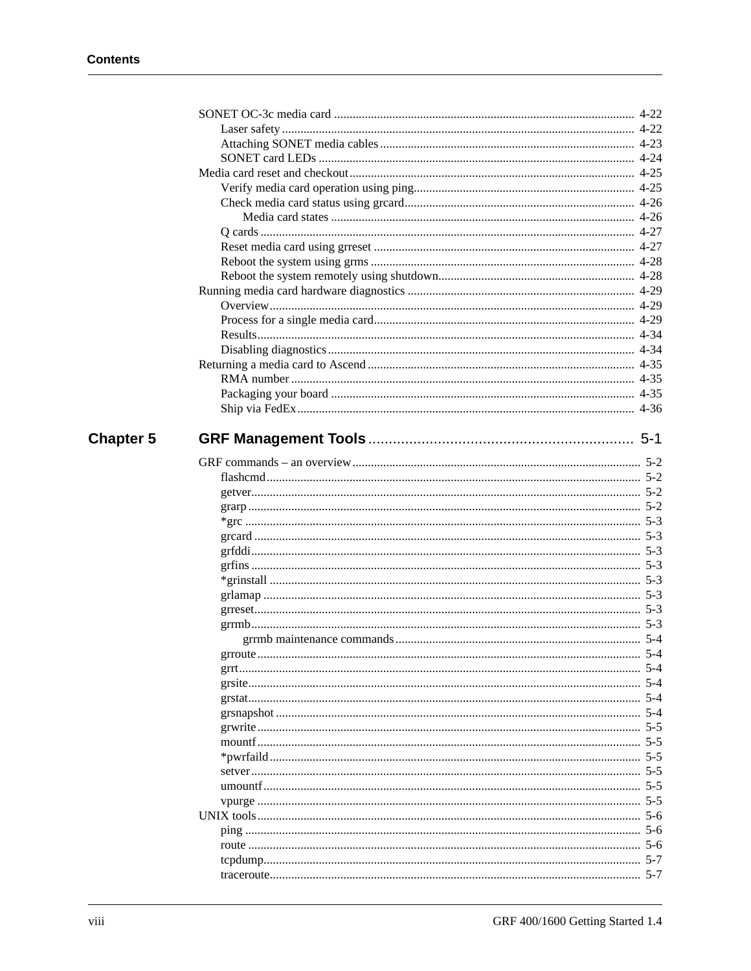| <b>Chapter 5</b> |          | $5-1$ |
|------------------|----------|-------|
|                  |          |       |
|                  |          |       |
|                  |          |       |
|                  |          |       |
|                  |          |       |
|                  |          |       |
|                  |          |       |
|                  |          |       |
|                  |          |       |
|                  |          |       |
|                  |          |       |
|                  |          |       |
|                  |          |       |
|                  |          |       |
|                  | grroute. | -5-4  |
|                  |          |       |
|                  |          |       |
|                  |          |       |
|                  |          |       |
|                  |          |       |
|                  |          |       |
|                  |          |       |
|                  |          |       |
|                  |          |       |
|                  |          |       |
|                  |          |       |
|                  |          |       |
|                  |          |       |
|                  |          |       |
|                  |          |       |
|                  |          |       |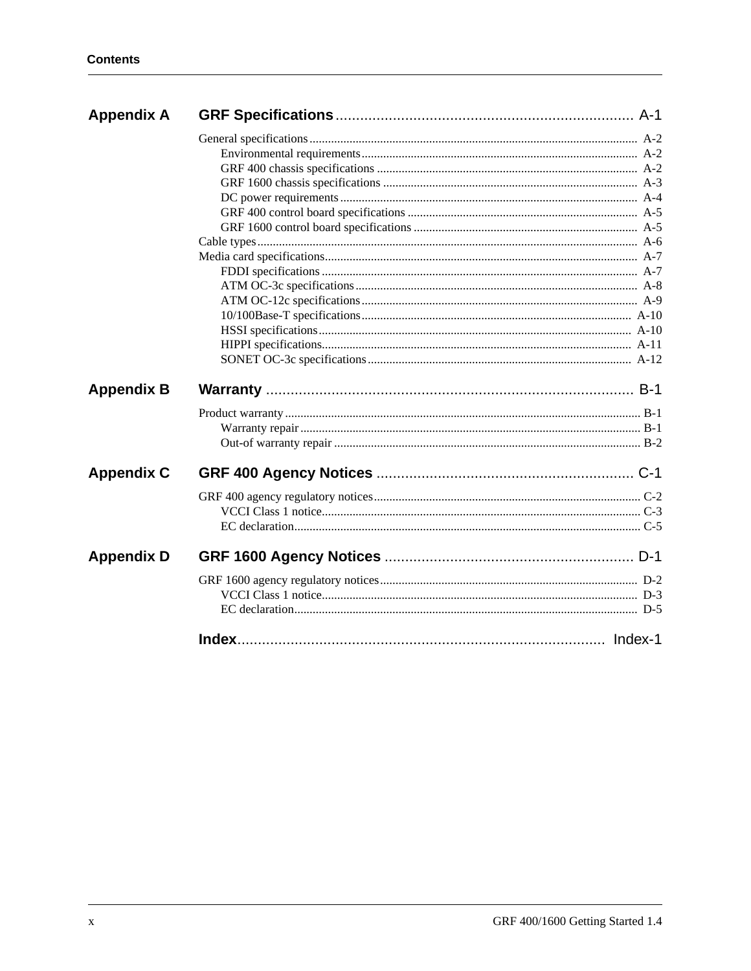| <b>Appendix A</b> |  |
|-------------------|--|
|                   |  |
|                   |  |
|                   |  |
|                   |  |
|                   |  |
|                   |  |
|                   |  |
|                   |  |
|                   |  |
|                   |  |
|                   |  |
|                   |  |
|                   |  |
|                   |  |
|                   |  |
|                   |  |
| <b>Appendix B</b> |  |
|                   |  |
|                   |  |
|                   |  |
| <b>Appendix C</b> |  |
|                   |  |
|                   |  |
|                   |  |
| <b>Appendix D</b> |  |
|                   |  |
|                   |  |
|                   |  |
|                   |  |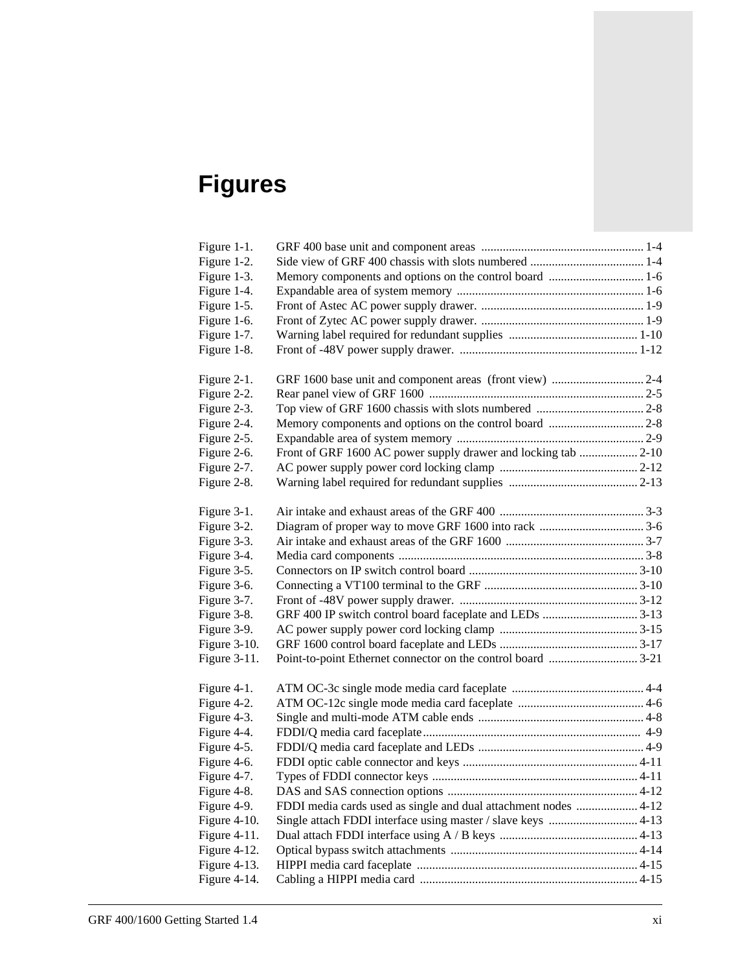# **Figures**

| Figure 1-1.     |                                                                 |  |
|-----------------|-----------------------------------------------------------------|--|
| Figure 1-2.     |                                                                 |  |
| Figure 1-3.     |                                                                 |  |
| Figure 1-4.     |                                                                 |  |
| Figure 1-5.     |                                                                 |  |
| Figure 1-6.     |                                                                 |  |
| Figure 1-7.     |                                                                 |  |
| Figure 1-8.     |                                                                 |  |
|                 |                                                                 |  |
| Figure 2-1.     |                                                                 |  |
| Figure 2-2.     |                                                                 |  |
| Figure 2-3.     |                                                                 |  |
| Figure 2-4.     |                                                                 |  |
| Figure 2-5.     |                                                                 |  |
| Figure 2-6.     | Front of GRF 1600 AC power supply drawer and locking tab  2-10  |  |
| Figure 2-7.     |                                                                 |  |
| Figure 2-8.     |                                                                 |  |
|                 |                                                                 |  |
| Figure 3-1.     |                                                                 |  |
| Figure 3-2.     |                                                                 |  |
| Figure 3-3.     |                                                                 |  |
| Figure 3-4.     |                                                                 |  |
| Figure 3-5.     |                                                                 |  |
| Figure 3-6.     |                                                                 |  |
| Figure 3-7.     |                                                                 |  |
| Figure 3-8.     |                                                                 |  |
| Figure 3-9.     |                                                                 |  |
| Figure 3-10.    |                                                                 |  |
| Figure 3-11.    |                                                                 |  |
| Figure 4-1.     |                                                                 |  |
| Figure 4-2.     |                                                                 |  |
| Figure 4-3.     |                                                                 |  |
| Figure 4-4.     |                                                                 |  |
| Figure 4-5.     |                                                                 |  |
| Figure 4-6.     |                                                                 |  |
| Figure 4-7.     |                                                                 |  |
| Figure 4-8.     |                                                                 |  |
| Figure 4-9.     | FDDI media cards used as single and dual attachment nodes  4-12 |  |
| Figure 4-10.    |                                                                 |  |
| Figure $4-11$ . |                                                                 |  |
| Figure 4-12.    |                                                                 |  |
| Figure 4-13.    |                                                                 |  |
| Figure 4-14.    |                                                                 |  |
|                 |                                                                 |  |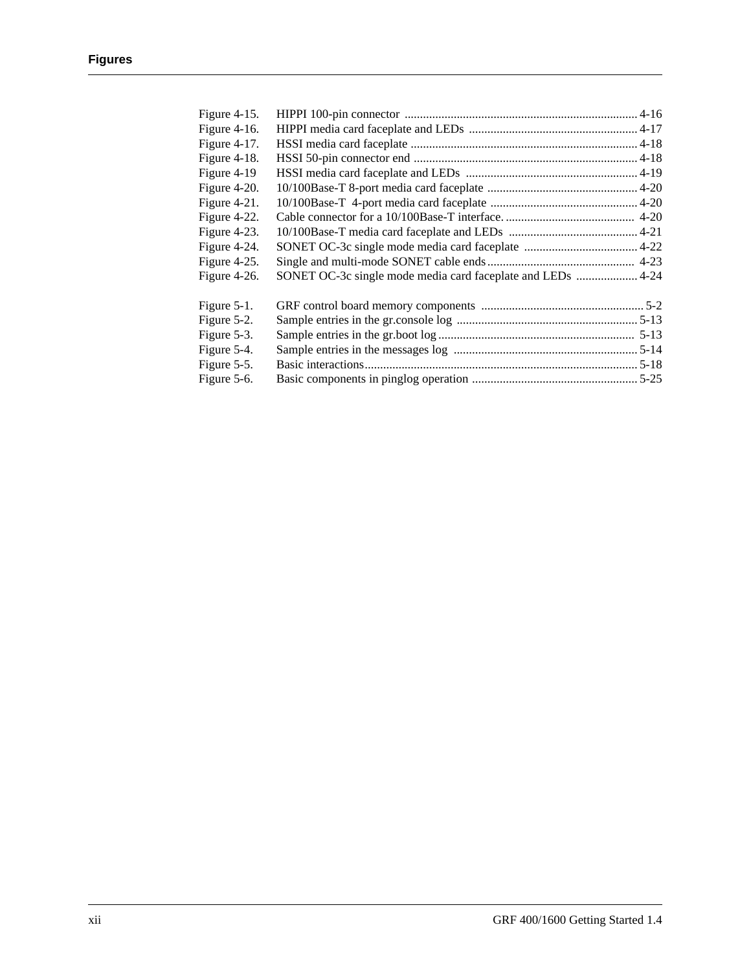| Figure 4-15.    |                                                             |  |
|-----------------|-------------------------------------------------------------|--|
| Figure $4-16$ . |                                                             |  |
| Figure 4-17.    |                                                             |  |
| Figure 4-18.    |                                                             |  |
| Figure 4-19     |                                                             |  |
| Figure 4-20.    |                                                             |  |
| Figure 4-21.    |                                                             |  |
| Figure 4-22.    |                                                             |  |
| Figure 4-23.    |                                                             |  |
| Figure 4-24.    |                                                             |  |
| Figure 4-25.    |                                                             |  |
| Figure $4-26$ . | SONET OC-3c single mode media card faceplate and LEDs  4-24 |  |
| Figure $5-1$ .  |                                                             |  |
| Figure 5-2.     |                                                             |  |
| Figure 5-3.     |                                                             |  |
| Figure 5-4.     |                                                             |  |
| Figure 5-5.     |                                                             |  |
| Figure 5-6.     |                                                             |  |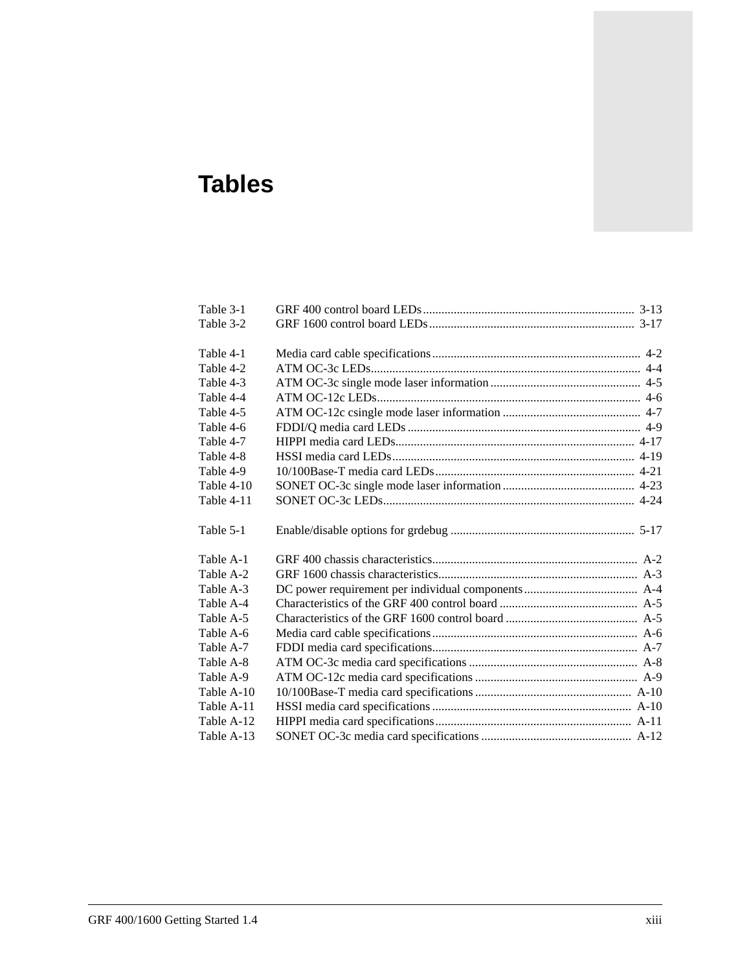# **Tables**

| Table 3-1  |  |
|------------|--|
| Table 3-2  |  |
| Table 4-1  |  |
| Table 4-2  |  |
| Table 4-3  |  |
| Table 4-4  |  |
| Table 4-5  |  |
| Table 4-6  |  |
| Table 4-7  |  |
| Table 4-8  |  |
| Table 4-9  |  |
| Table 4-10 |  |
| Table 4-11 |  |
| Table 5-1  |  |
| Table A-1  |  |
| Table A-2  |  |
| Table A-3  |  |
| Table A-4  |  |
| Table A-5  |  |
| Table A-6  |  |
| Table A-7  |  |
| Table A-8  |  |
| Table A-9  |  |
| Table A-10 |  |
| Table A-11 |  |
| Table A-12 |  |
| Table A-13 |  |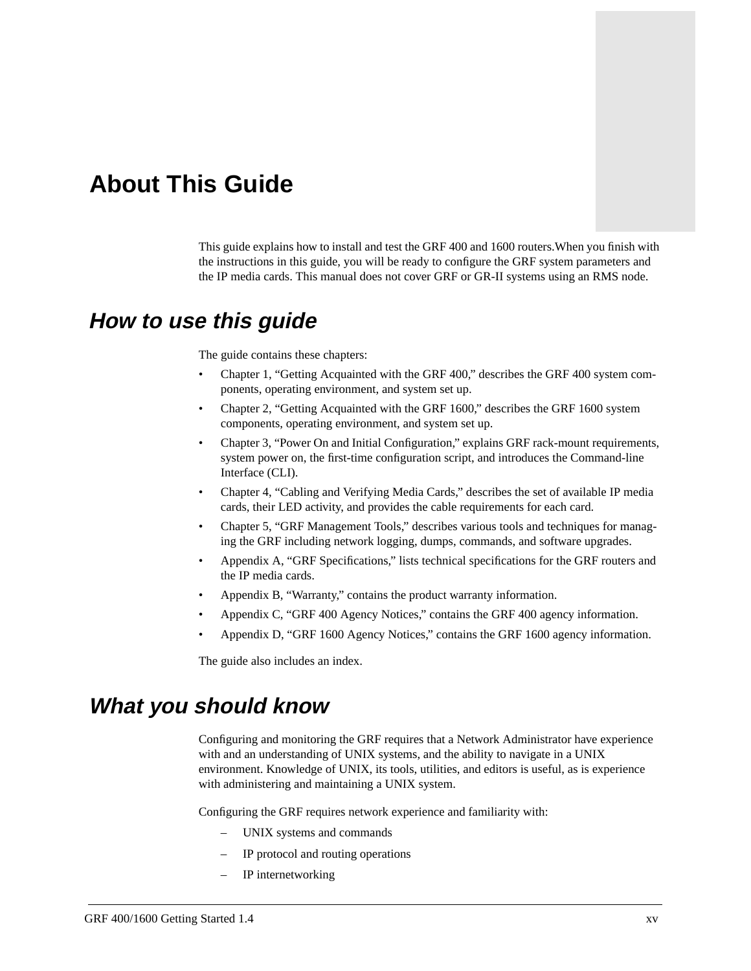## <span id="page-14-0"></span>**About This Guide**

This guide explains how to install and test the GRF 400 and 1600 routers.When you finish with the instructions in this guide, you will be ready to configure the GRF system parameters and the IP media cards. This manual does not cover GRF or GR-II systems using an RMS node.

### **How to use this guide**

The guide contains these chapters:

- Chapter 1, "Getting Acquainted with the GRF 400," describes the GRF 400 system components, operating environment, and system set up.
- Chapter 2, "Getting Acquainted with the GRF 1600," describes the GRF 1600 system components, operating environment, and system set up.
- Chapter 3, "Power On and Initial Configuration," explains GRF rack-mount requirements, system power on, the first-time configuration script, and introduces the Command-line Interface (CLI).
- Chapter 4, "Cabling and Verifying Media Cards," describes the set of available IP media cards, their LED activity, and provides the cable requirements for each card.
- Chapter 5, "GRF Management Tools," describes various tools and techniques for managing the GRF including network logging, dumps, commands, and software upgrades.
- Appendix A, "GRF Specifications," lists technical specifications for the GRF routers and the IP media cards.
- Appendix B, "Warranty," contains the product warranty information.
- Appendix C, "GRF 400 Agency Notices," contains the GRF 400 agency information.
- Appendix D, "GRF 1600 Agency Notices," contains the GRF 1600 agency information.

The guide also includes an index.

### **What you should know**

Configuring and monitoring the GRF requires that a Network Administrator have experience with and an understanding of UNIX systems, and the ability to navigate in a UNIX environment. Knowledge of UNIX, its tools, utilities, and editors is useful, as is experience with administering and maintaining a UNIX system.

Configuring the GRF requires network experience and familiarity with:

- UNIX systems and commands
- IP protocol and routing operations
- IP internetworking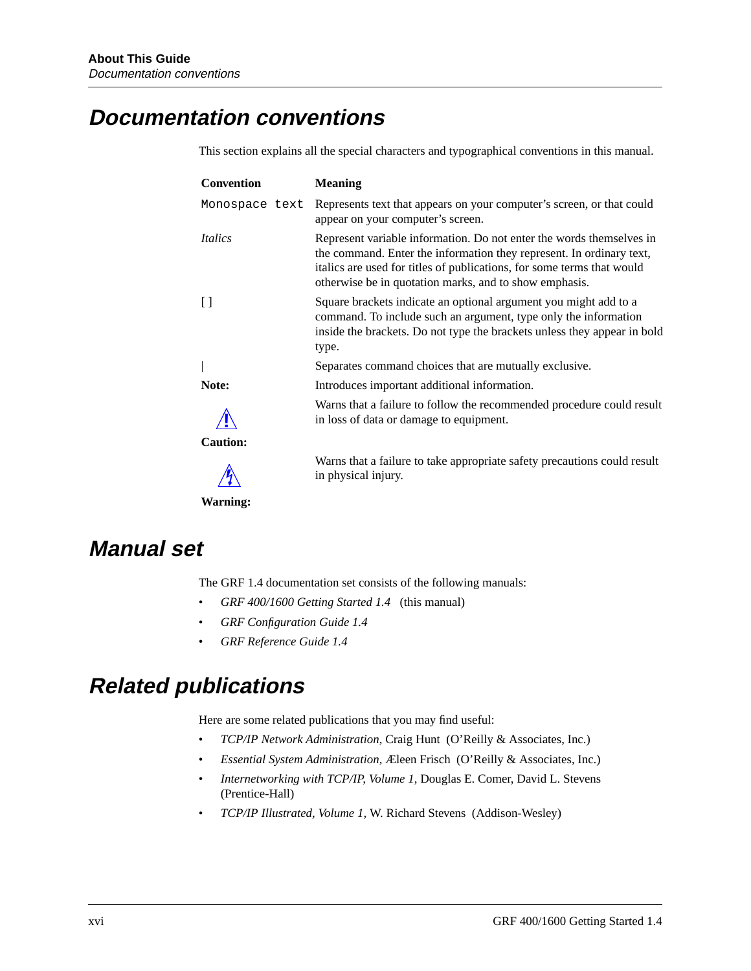### <span id="page-15-0"></span>**Documentation conventions**

This section explains all the special characters and typographical conventions in this manual.

| Convention                   | <b>Meaning</b>                                                                                                                                                                                                                                                                   |
|------------------------------|----------------------------------------------------------------------------------------------------------------------------------------------------------------------------------------------------------------------------------------------------------------------------------|
| Monospace text               | Represents text that appears on your computer's screen, or that could<br>appear on your computer's screen.                                                                                                                                                                       |
| <i><u><b>Italics</b></u></i> | Represent variable information. Do not enter the words themselves in<br>the command. Enter the information they represent. In ordinary text,<br>italics are used for titles of publications, for some terms that would<br>otherwise be in quotation marks, and to show emphasis. |
|                              | Square brackets indicate an optional argument you might add to a<br>command. To include such an argument, type only the information<br>inside the brackets. Do not type the brackets unless they appear in bold<br>type.                                                         |
|                              | Separates command choices that are mutually exclusive.                                                                                                                                                                                                                           |
| Note:                        | Introduces important additional information.                                                                                                                                                                                                                                     |
|                              | Warns that a failure to follow the recommended procedure could result<br>in loss of data or damage to equipment.                                                                                                                                                                 |
| <b>Caution:</b>              |                                                                                                                                                                                                                                                                                  |
|                              | Warns that a failure to take appropriate safety precautions could result<br>in physical injury.                                                                                                                                                                                  |
| <b>Warning:</b>              |                                                                                                                                                                                                                                                                                  |

### **Manual set**

The GRF 1.4 documentation set consists of the following manuals:

- *GRF 400/1600 Getting Started 1.4* (this manual)
- *GRF Configuration Guide 1.4*
- *GRF Reference Guide 1.4*

### **Related publications**

Here are some related publications that you may find useful:

- *TCP/IP Network Administration*, Craig Hunt (O'Reilly & Associates, Inc.)
- *Essential System Administration,* Æleen Frisch (O'Reilly & Associates, Inc.)
- *Internetworking with TCP/IP, Volume 1,* Douglas E. Comer, David L. Stevens (Prentice-Hall)
- *TCP/IP Illustrated, Volume 1,* W. Richard Stevens (Addison-Wesley)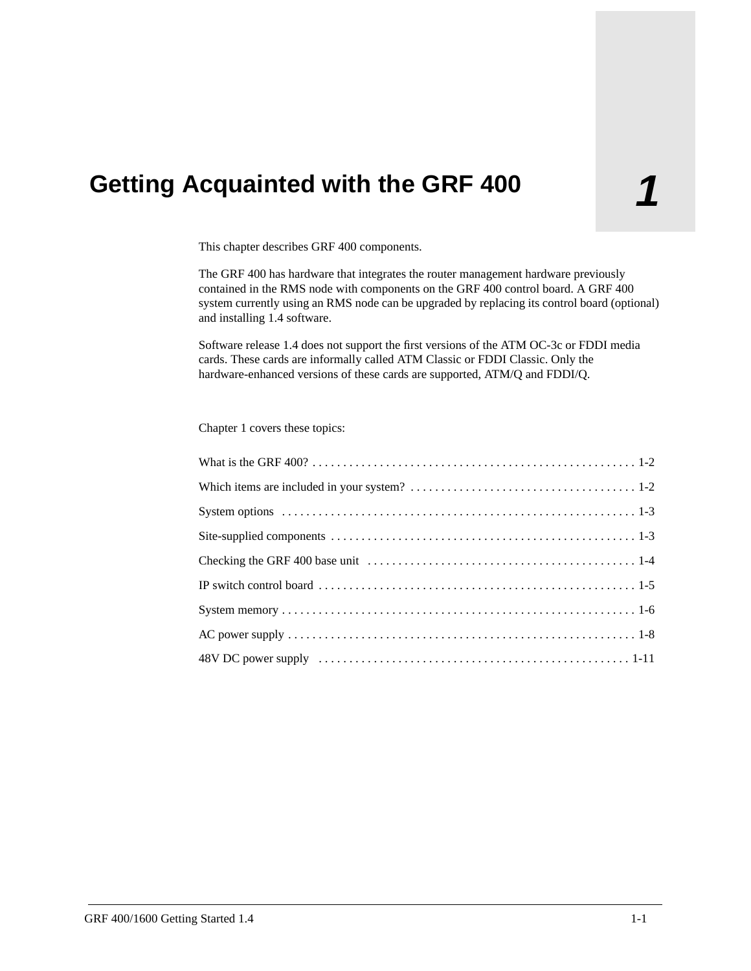# <span id="page-16-0"></span>**1 Getting Acquainted with the GRF 400**

This chapter describes GRF 400 components.

The GRF 400 has hardware that integrates the router management hardware previously contained in the RMS node with components on the GRF 400 control board. A GRF 400 system currently using an RMS node can be upgraded by replacing its control board (optional) and installing 1.4 software.

Software release 1.4 does not support the first versions of the ATM OC-3c or FDDI media cards. These cards are informally called ATM Classic or FDDI Classic. Only the hardware-enhanced versions of these cards are supported, ATM/Q and FDDI/Q.

Chapter 1 covers these topics: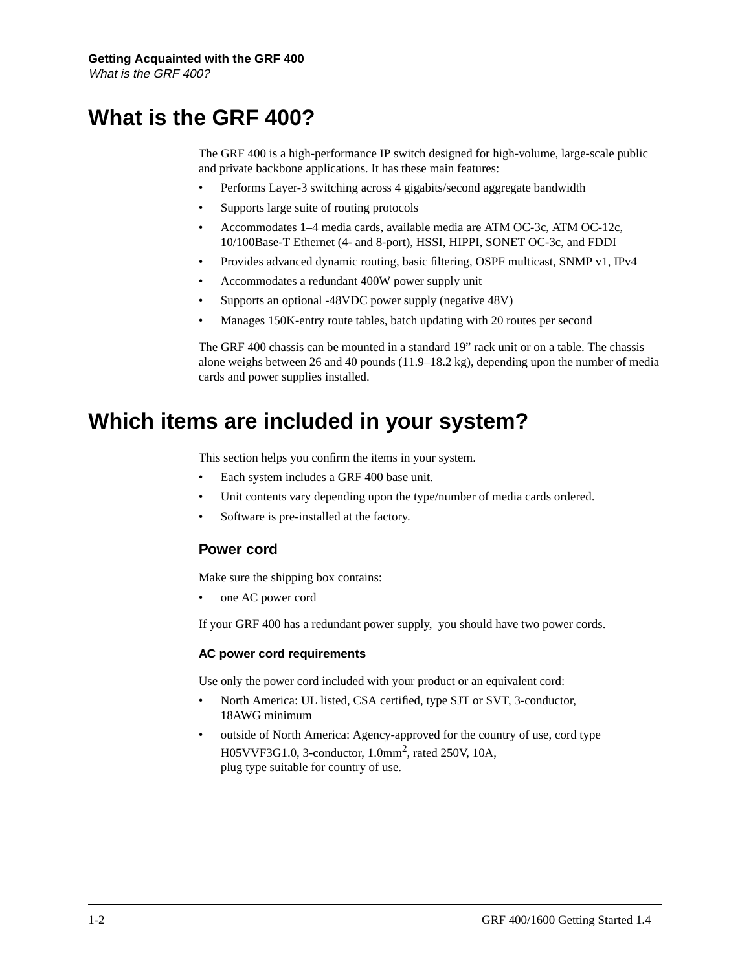### <span id="page-17-0"></span>**What is the GRF 400?**

The GRF 400 is a high-performance IP switch designed for high-volume, large-scale public and private backbone applications. It has these main features:

- Performs Layer-3 switching across 4 gigabits/second aggregate bandwidth
- Supports large suite of routing protocols
- Accommodates 1–4 media cards, available media are ATM OC-3c, ATM OC-12c, 10/100Base-T Ethernet (4- and 8-port), HSSI, HIPPI, SONET OC-3c, and FDDI
- Provides advanced dynamic routing, basic filtering, OSPF multicast, SNMP v1, IPv4
- Accommodates a redundant 400W power supply unit
- Supports an optional -48VDC power supply (negative 48V)
- Manages 150K-entry route tables, batch updating with 20 routes per second

The GRF 400 chassis can be mounted in a standard 19" rack unit or on a table. The chassis alone weighs between 26 and 40 pounds (11.9–18.2 kg), depending upon the number of media cards and power supplies installed.

### **Which items are included in your system?**

This section helps you confirm the items in your system.

- Each system includes a GRF 400 base unit.
- Unit contents vary depending upon the type/number of media cards ordered.
- Software is pre-installed at the factory.

#### **Power cord**

Make sure the shipping box contains:

• one AC power cord

If your GRF 400 has a redundant power supply, you should have two power cords.

#### **AC power cord requirements**

Use only the power cord included with your product or an equivalent cord:

- North America: UL listed, CSA certified, type SJT or SVT, 3-conductor, 18AWG minimum
- outside of North America: Agency-approved for the country of use, cord type H05VVF3G1.0, 3-conductor, 1.0mm2, rated 250V, 10A, plug type suitable for country of use.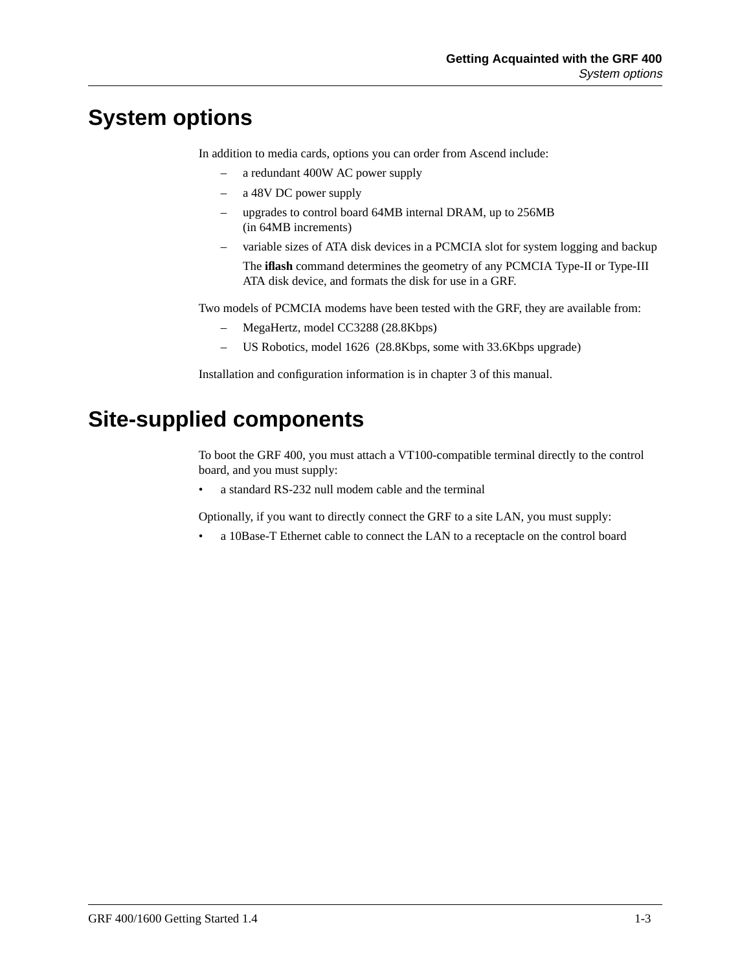## <span id="page-18-0"></span>**System options**

In addition to media cards, options you can order from Ascend include:

- a redundant 400W AC power supply
- a 48V DC power supply
- upgrades to control board 64MB internal DRAM, up to 256MB (in 64MB increments)
- variable sizes of ATA disk devices in a PCMCIA slot for system logging and backup The **iflash** command determines the geometry of any PCMCIA Type-II or Type-III ATA disk device, and formats the disk for use in a GRF.

Two models of PCMCIA modems have been tested with the GRF, they are available from:

- MegaHertz, model CC3288 (28.8Kbps)
- US Robotics, model 1626 (28.8Kbps, some with 33.6Kbps upgrade)

Installation and configuration information is in chapter 3 of this manual.

## **Site-supplied components**

To boot the GRF 400, you must attach a VT100-compatible terminal directly to the control board, and you must supply:

a standard RS-232 null modem cable and the terminal

Optionally, if you want to directly connect the GRF to a site LAN, you must supply:

• a 10Base-T Ethernet cable to connect the LAN to a receptacle on the control board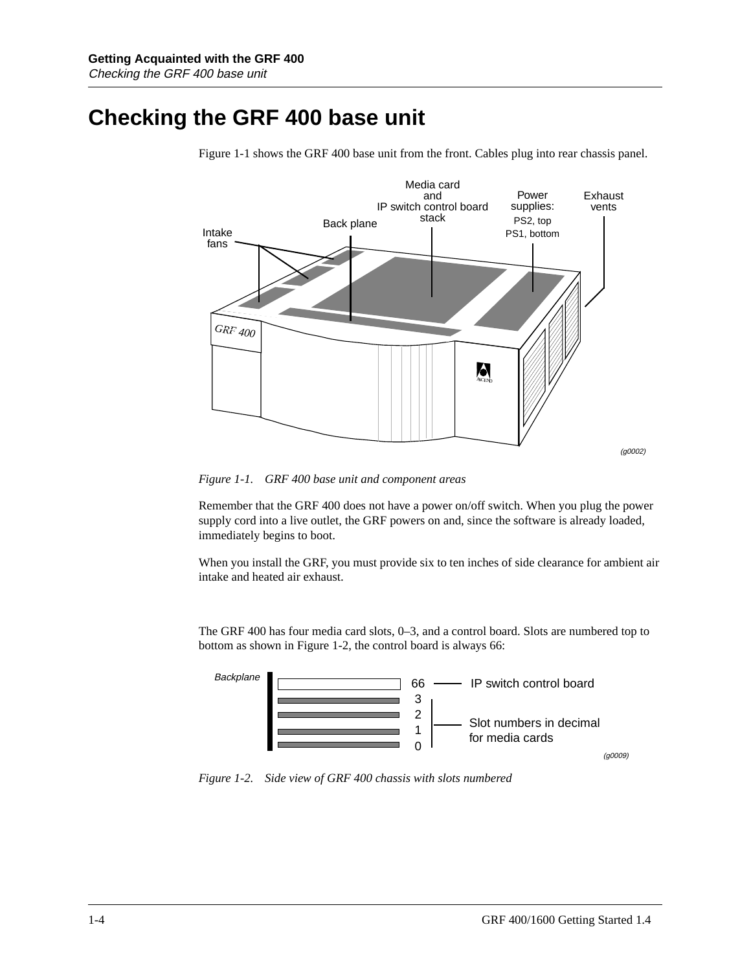## <span id="page-19-0"></span>**Checking the GRF 400 base unit**



Figure 1-1 shows the GRF 400 base unit from the front. Cables plug into rear chassis panel.

*Figure 1-1. GRF 400 base unit and component areas*

Remember that the GRF 400 does not have a power on/off switch. When you plug the power supply cord into a live outlet, the GRF powers on and, since the software is already loaded, immediately begins to boot.

When you install the GRF, you must provide six to ten inches of side clearance for ambient air intake and heated air exhaust.

The GRF 400 has four media card slots, 0–3, and a control board. Slots are numbered top to bottom as shown in Figure 1-2, the control board is always 66:



*Figure 1-2. Side view of GRF 400 chassis with slots numbered*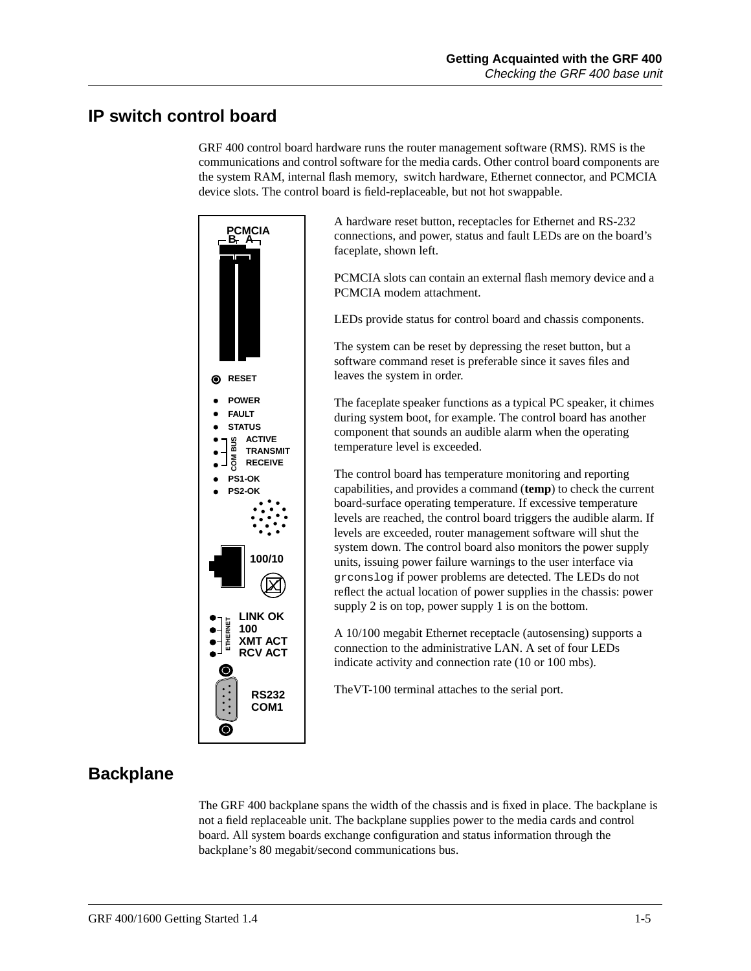#### <span id="page-20-0"></span>**IP switch control board**

GRF 400 control board hardware runs the router management software (RMS). RMS is the communications and control software for the media cards. Other control board components are the system RAM, internal flash memory, switch hardware, Ethernet connector, and PCMCIA device slots. The control board is field-replaceable, but not hot swappable.



A hardware reset button, receptacles for Ethernet and RS-232 connections, and power, status and fault LEDs are on the board's faceplate, shown left.

PCMCIA slots can contain an external flash memory device and a PCMCIA modem attachment.

LEDs provide status for control board and chassis components.

The system can be reset by depressing the reset button, but a software command reset is preferable since it saves files and leaves the system in order.

The faceplate speaker functions as a typical PC speaker, it chimes during system boot, for example. The control board has another component that sounds an audible alarm when the operating temperature level is exceeded.

The control board has temperature monitoring and reporting capabilities, and provides a command (**temp**) to check the current board-surface operating temperature. If excessive temperature levels are reached, the control board triggers the audible alarm. If levels are exceeded, router management software will shut the system down. The control board also monitors the power supply units, issuing power failure warnings to the user interface via grconslog if power problems are detected. The LEDs do not reflect the actual location of power supplies in the chassis: power supply 2 is on top, power supply 1 is on the bottom.

A 10/100 megabit Ethernet receptacle (autosensing) supports a connection to the administrative LAN. A set of four LEDs indicate activity and connection rate (10 or 100 mbs).

TheVT-100 terminal attaches to the serial port.

### **Backplane**

The GRF 400 backplane spans the width of the chassis and is fixed in place. The backplane is not a field replaceable unit. The backplane supplies power to the media cards and control board. All system boards exchange configuration and status information through the backplane's 80 megabit/second communications bus.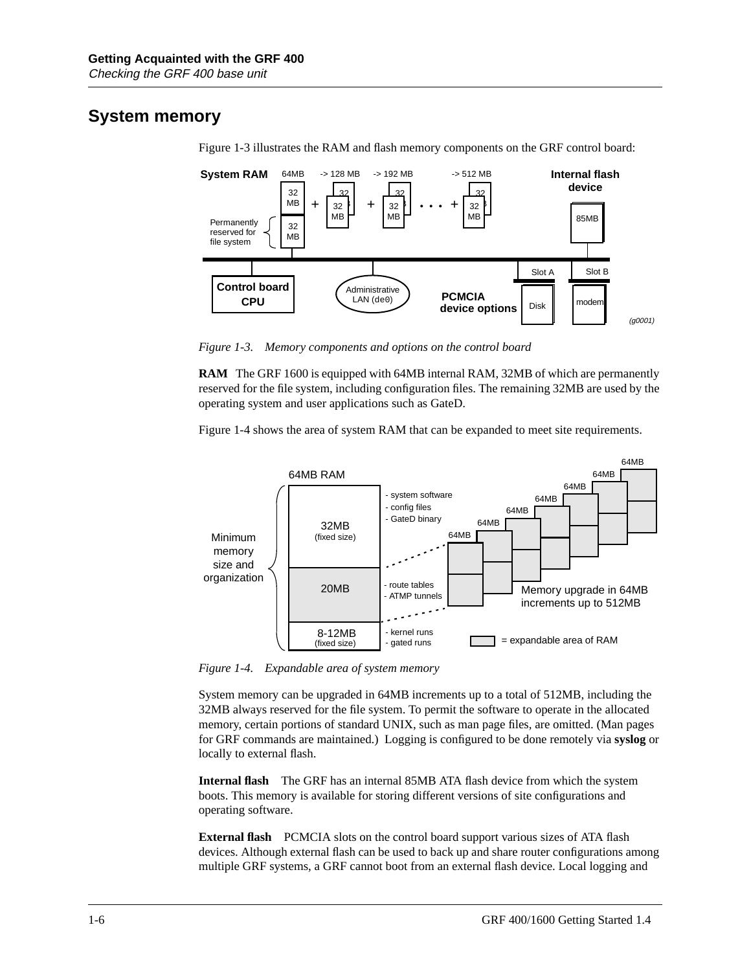### <span id="page-21-0"></span>**System memory**



Figure 1-3 illustrates the RAM and flash memory components on the GRF control board:

*Figure 1-3. Memory components and options on the control board*

**RAM** The GRF 1600 is equipped with 64MB internal RAM, 32MB of which are permanently reserved for the file system, including configuration files. The remaining 32MB are used by the operating system and user applications such as GateD.

Figure 1-4 shows the area of system RAM that can be expanded to meet site requirements.



*Figure 1-4. Expandable area of system memory*

System memory can be upgraded in 64MB increments up to a total of 512MB, including the 32MB always reserved for the file system. To permit the software to operate in the allocated memory, certain portions of standard UNIX, such as man page files, are omitted. (Man pages for GRF commands are maintained.) Logging is configured to be done remotely via **syslog** or locally to external flash.

**Internal flash** The GRF has an internal 85MB ATA flash device from which the system boots. This memory is available for storing different versions of site configurations and operating software.

**External flash** PCMCIA slots on the control board support various sizes of ATA flash devices. Although external flash can be used to back up and share router configurations among multiple GRF systems, a GRF cannot boot from an external flash device. Local logging and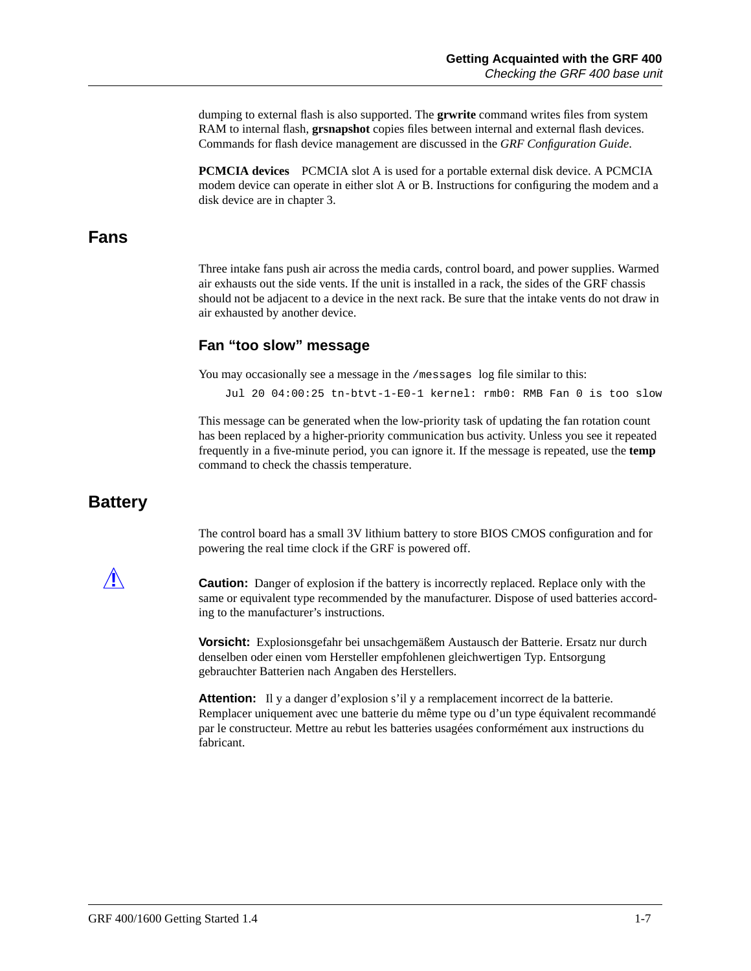<span id="page-22-0"></span>dumping to external flash is also supported. The **grwrite** command writes files from system RAM to internal flash, **grsnapshot** copies files between internal and external flash devices. Commands for flash device management are discussed in the *GRF Configuration Guide*.

**PCMCIA devices** PCMCIA slot A is used for a portable external disk device. A PCMCIA modem device can operate in either slot A or B. Instructions for configuring the modem and a disk device are in chapter 3.

#### **Fans**

Three intake fans push air across the media cards, control board, and power supplies. Warmed air exhausts out the side vents. If the unit is installed in a rack, the sides of the GRF chassis should not be adjacent to a device in the next rack. Be sure that the intake vents do not draw in air exhausted by another device.

#### **Fan "too slow" message**

You may occasionally see a message in the /messages log file similar to this:

Jul 20 04:00:25 tn-btvt-1-E0-1 kernel: rmb0: RMB Fan 0 is too slow

This message can be generated when the low-priority task of updating the fan rotation count has been replaced by a higher-priority communication bus activity. Unless you see it repeated frequently in a five-minute period, you can ignore it. If the message is repeated, use the **temp** command to check the chassis temperature.

#### **Battery**

The control board has a small 3V lithium battery to store BIOS CMOS configuration and for powering the real time clock if the GRF is powered off.

**Caution:** Danger of explosion if the battery is incorrectly replaced. Replace only with the same or equivalent type recommended by the manufacturer. Dispose of used batteries according to the manufacturer's instructions.

**Vorsicht:** Explosionsgefahr bei unsachgemäßem Austausch der Batterie. Ersatz nur durch denselben oder einen vom Hersteller empfohlenen gleichwertigen Typ. Entsorgung gebrauchter Batterien nach Angaben des Herstellers.

**Attention:** Il y a danger d'explosion s'il y a remplacement incorrect de la batterie. Remplacer uniquement avec une batterie du même type ou d'un type équivalent recommandé par le constructeur. Mettre au rebut les batteries usagées conformément aux instructions du fabricant.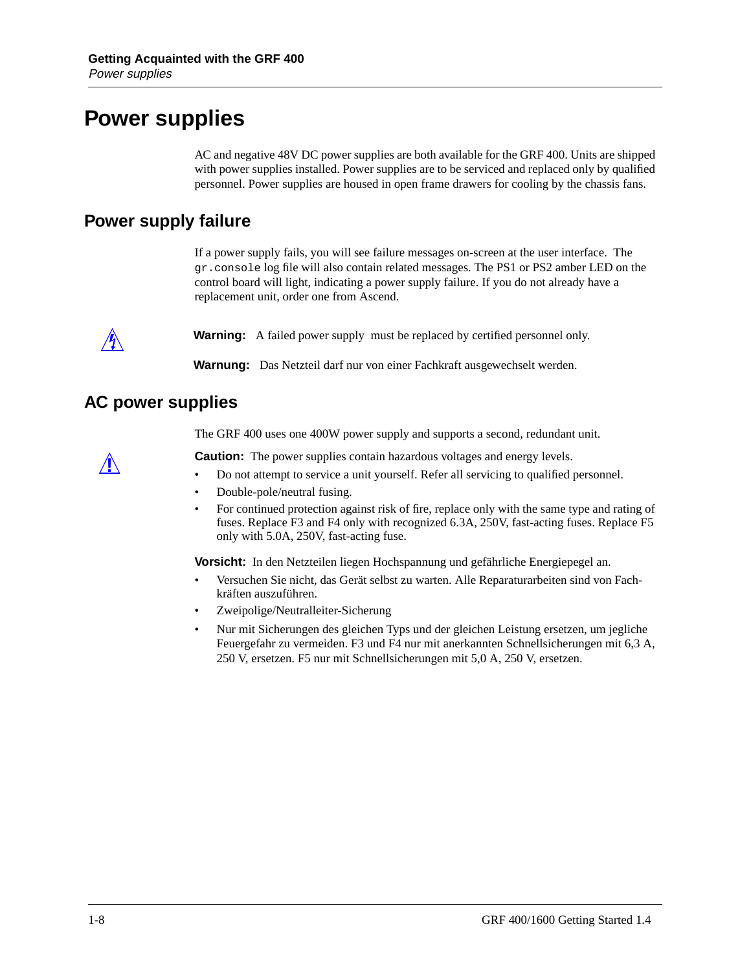### <span id="page-23-0"></span>**Power supplies**

AC and negative 48V DC power supplies are both available for the GRF 400. Units are shipped with power supplies installed. Power supplies are to be serviced and replaced only by qualified personnel. Power supplies are housed in open frame drawers for cooling by the chassis fans.

#### **Power supply failure**

If a power supply fails, you will see failure messages on-screen at the user interface. The gr.console log file will also contain related messages. The PS1 or PS2 amber LED on the control board will light, indicating a power supply failure. If you do not already have a replacement unit, order one from Ascend.



**Warning:** A failed power supply must be replaced by certified personnel only.

**Warnung:** Das Netzteil darf nur von einer Fachkraft ausgewechselt werden.

#### **AC power supplies**

The GRF 400 uses one 400W power supply and supports a second, redundant unit.

**Paution:** The power supplies contain hazardous voltages and energy levels.<br> **Paution:** Do not attempt to service a unit vourself. Refer all servicing to qualified

- Do not attempt to service a unit yourself. Refer all servicing to qualified personnel.
- Double-pole/neutral fusing.
- For continued protection against risk of fire, replace only with the same type and rating of fuses. Replace F3 and F4 only with recognized 6.3A, 250V, fast-acting fuses. Replace F5 only with 5.0A, 250V, fast-acting fuse.

**Vorsicht:** In den Netzteilen liegen Hochspannung und gefährliche Energiepegel an.

- Versuchen Sie nicht, das Gerät selbst zu warten. Alle Reparaturarbeiten sind von Fachkräften auszuführen.
- Zweipolige/Neutralleiter-Sicherung
- Nur mit Sicherungen des gleichen Typs und der gleichen Leistung ersetzen, um jegliche Feuergefahr zu vermeiden. F3 und F4 nur mit anerkannten Schnellsicherungen mit 6,3 A, 250 V, ersetzen. F5 nur mit Schnellsicherungen mit 5,0 A, 250 V, ersetzen.

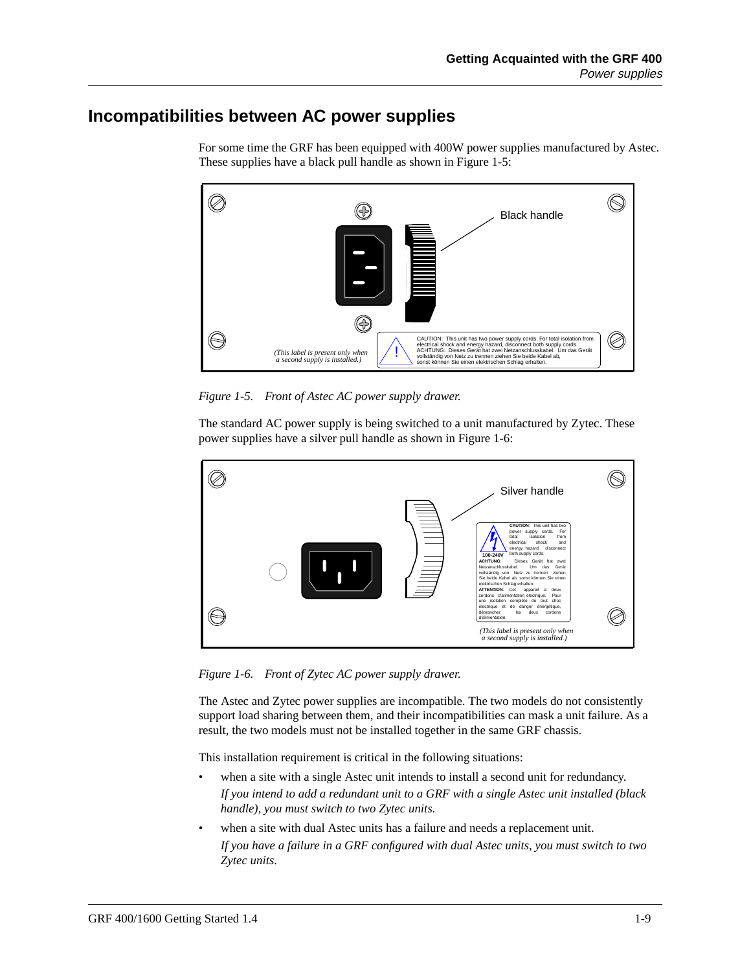### <span id="page-24-0"></span>**Incompatibilities between AC power supplies**



For some time the GRF has been equipped with 400W power supplies manufactured by Astec. These supplies have a black pull handle as shown in Figure 1-5:

*Figure 1-5. Front of Astec AC power supply drawer.*

The standard AC power supply is being switched to a unit manufactured by Zytec. These power supplies have a silver pull handle as shown in Figure 1-6:



*Figure 1-6. Front of Zytec AC power supply drawer.*

The Astec and Zytec power supplies are incompatible. The two models do not consistently support load sharing between them, and their incompatibilities can mask a unit failure. As a result, the two models must not be installed together in the same GRF chassis.

This installation requirement is critical in the following situations:

- when a site with a single Astec unit intends to install a second unit for redundancy. *If you intend to add a redundant unit to a GRF with a single Astec unit installed (black handle), you must switch to two Zytec units.*
- when a site with dual Astec units has a failure and needs a replacement unit. *If you have a failure in a GRF configured with dual Astec units, you must switch to two Zytec units.*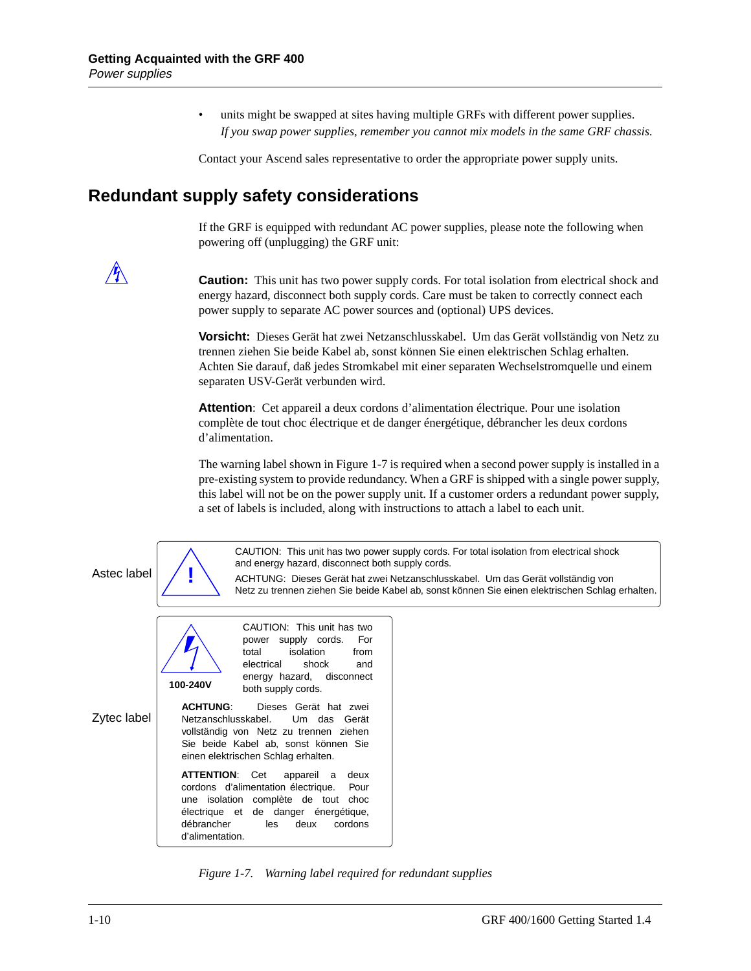units might be swapped at sites having multiple GRFs with different power supplies. *If you swap power supplies, remember you cannot mix models in the same GRF chassis.*

Contact your Ascend sales representative to order the appropriate power supply units.

#### <span id="page-25-0"></span>**Redundant supply safety considerations**

If the GRF is equipped with redundant AC power supplies, please note the following when powering off (unplugging) the GRF unit:

**Caution:** This unit has two power supply cords. For total isolation from electrical shock and energy hazard, disconnect both supply cords. Care must be taken to correctly connect each power supply to separate AC power sources and (optional) UPS devices.

**Vorsicht:** Dieses Gerät hat zwei Netzanschlusskabel. Um das Gerät vollständig von Netz zu trennen ziehen Sie beide Kabel ab, sonst können Sie einen elektrischen Schlag erhalten. Achten Sie darauf, daß jedes Stromkabel mit einer separaten Wechselstromquelle und einem separaten USV-Gerät verbunden wird.

**Attention**: Cet appareil a deux cordons d'alimentation électrique. Pour une isolation complète de tout choc électrique et de danger énergétique, débrancher les deux cordons d'alimentation.

The warning label shown in Figure 1-7 is required when a second power supply is installed in a pre-existing system to provide redundancy. When a GRF is shipped with a single power supply, this label will not be on the power supply unit. If a customer orders a redundant power supply, a set of labels is included, along with instructions to attach a label to each unit.

CAUTION: This unit has two power supply cords. For total isolation from electrical shock and energy hazard, disconnect both supply cords.

ACHTUNG: Dieses Gerät hat zwei Netzanschlusskabel. Um das Gerät vollständig von Netz zu trennen ziehen Sie beide Kabel ab, sonst können Sie einen elektrischen Schlag erhalten.

**!**

Astec label

Zytec label

CAUTION: This unit has two power supply cords. For total isolation from electrical shock and energy hazard, disconnect both supply cords. **100-240V ACHTUNG**: Dieses Gerät hat zwei

Netzanschlusskabel. Um das Gerät vollständig von Netz zu trennen ziehen Sie beide Kabel ab, sonst können Sie einen elektrischen Schlag erhalten.

**ATTENTION**: Cet appareil a deux cordons d'alimentation électrique. Pour une isolation complète de tout choc électrique et de danger énergétique, débrancher les deux cordons d'alimentation.

*Figure 1-7. Warning label required for redundant supplies*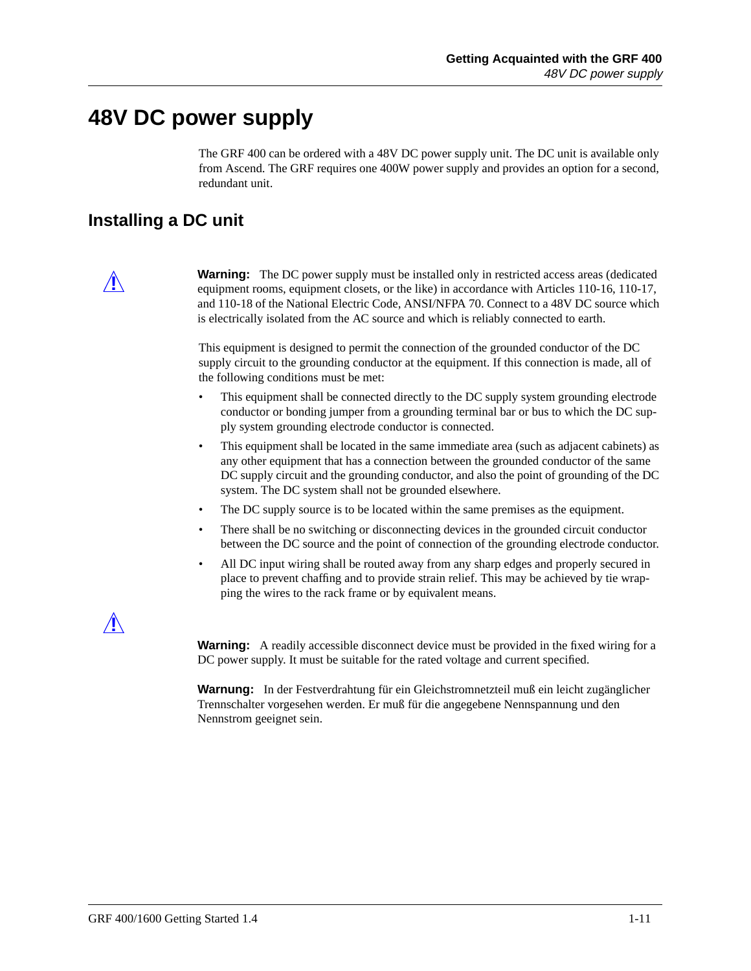### <span id="page-26-0"></span>**48V DC power supply**

The GRF 400 can be ordered with a 48V DC power supply unit. The DC unit is available only from Ascend. The GRF requires one 400W power supply and provides an option for a second, redundant unit.

#### **Installing a DC unit**



**Warning:** The DC power supply must be installed only in restricted access areas (dedicated  $\sim$  110.16, 110.17, 120.17, 120.17, 120.17, 120.17, 120.17, 120.17, 120.17, 120.17, 120.17, 120.17, 120.17, 120.17, 120.17, 120.1 equipment rooms, equipment closets, or the like) in accordance with Articles 110-16, 110-17, and 110-18 of the National Electric Code, ANSI/NFPA 70. Connect to a 48V DC source which is electrically isolated from the AC source and which is reliably connected to earth.

> This equipment is designed to permit the connection of the grounded conductor of the DC supply circuit to the grounding conductor at the equipment. If this connection is made, all of the following conditions must be met:

- This equipment shall be connected directly to the DC supply system grounding electrode conductor or bonding jumper from a grounding terminal bar or bus to which the DC supply system grounding electrode conductor is connected.
- This equipment shall be located in the same immediate area (such as adjacent cabinets) as any other equipment that has a connection between the grounded conductor of the same DC supply circuit and the grounding conductor, and also the point of grounding of the DC system. The DC system shall not be grounded elsewhere.
- The DC supply source is to be located within the same premises as the equipment.
- There shall be no switching or disconnecting devices in the grounded circuit conductor between the DC source and the point of connection of the grounding electrode conductor.
- All DC input wiring shall be routed away from any sharp edges and properly secured in place to prevent chaffing and to provide strain relief. This may be achieved by tie wrapping the wires to the rack frame or by equivalent means.



**Warning:** A readily accessible disconnect device must be provided in the fixed wiring for a DC power supply. It must be suitable for the rated voltage and current specified.

**Warnung:** In der Festverdrahtung für ein Gleichstromnetzteil muß ein leicht zugänglicher Trennschalter vorgesehen werden. Er muß für die angegebene Nennspannung und den Nennstrom geeignet sein.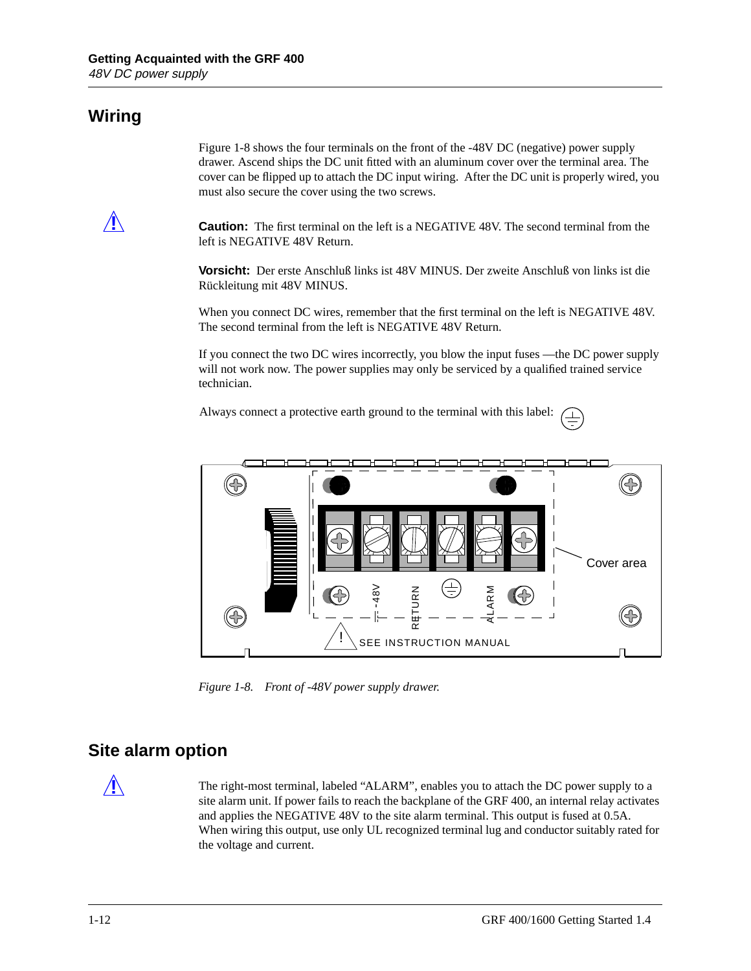### <span id="page-27-0"></span>**Wiring**

Figure 1-8 shows the four terminals on the front of the -48V DC (negative) power supply drawer. Ascend ships the DC unit fitted with an aluminum cover over the terminal area. The cover can be flipped up to attach the DC input wiring. After the DC unit is properly wired, you must also secure the cover using the two screws.

**Caution:** The first terminal on the left is a NEGATIVE 48V. The second terminal from the left is NEGATIVE 48V Return.

**Vorsicht:** Der erste Anschluß links ist 48V MINUS. Der zweite Anschluß von links ist die Rückleitung mit 48V MINUS.

When you connect DC wires, remember that the first terminal on the left is NEGATIVE 48V. The second terminal from the left is NEGATIVE 48V Return.

If you connect the two DC wires incorrectly, you blow the input fuses —the DC power supply will not work now. The power supplies may only be serviced by a qualified trained service technician.

Always connect a protective earth ground to the terminal with this label:



*Figure 1-8. Front of -48V power supply drawer.*

#### **Site alarm option**

**!** The right-most terminal, labeled "ALARM", enables you to attach the DC power supply to a site alarm unit. If power fails to reach the backplane of the GRF 400, an internal relay activates and applies the NEGATIVE 48V to the site alarm terminal. This output is fused at 0.5A. When wiring this output, use only UL recognized terminal lug and conductor suitably rated for the voltage and current.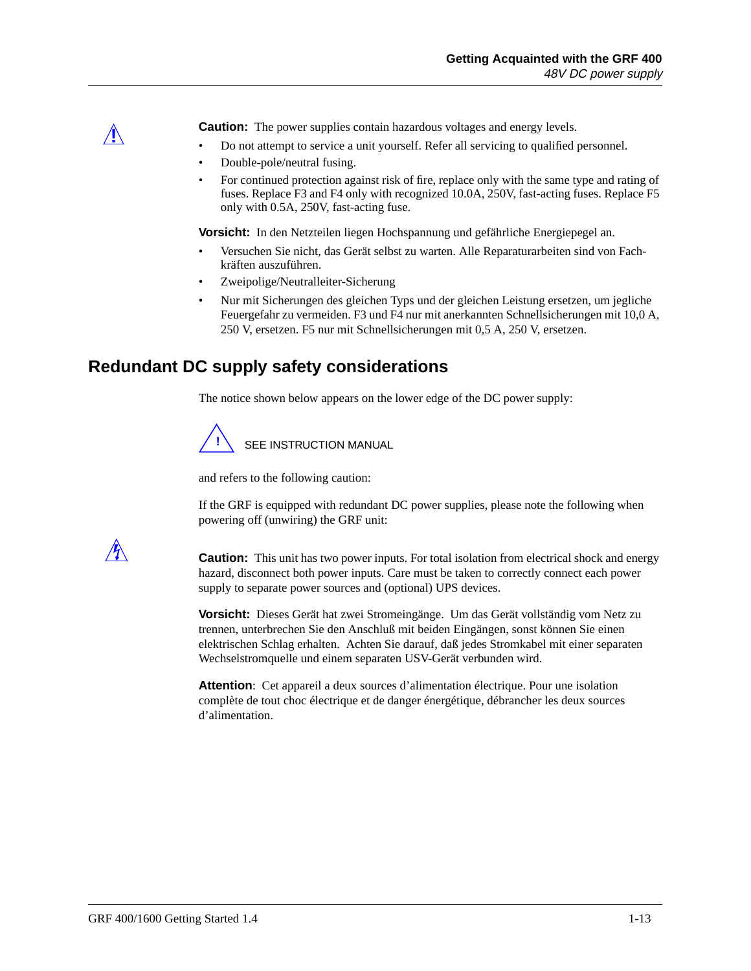<span id="page-28-0"></span>**Caution:** The power supplies contain hazardous voltages and energy levels.

- Do not attempt to service a unit yourself. Refer all servicing to qualified personnel.
- Double-pole/neutral fusing.
- For continued protection against risk of fire, replace only with the same type and rating of fuses. Replace F3 and F4 only with recognized 10.0A, 250V, fast-acting fuses. Replace F5 only with 0.5A, 250V, fast-acting fuse.

**Vorsicht:** In den Netzteilen liegen Hochspannung und gefährliche Energiepegel an.

- Versuchen Sie nicht, das Gerät selbst zu warten. Alle Reparaturarbeiten sind von Fachkräften auszuführen.
- Zweipolige/Neutralleiter-Sicherung
- Nur mit Sicherungen des gleichen Typs und der gleichen Leistung ersetzen, um jegliche Feuergefahr zu vermeiden. F3 und F4 nur mit anerkannten Schnellsicherungen mit 10,0 A, 250 V, ersetzen. F5 nur mit Schnellsicherungen mit 0,5 A, 250 V, ersetzen.

#### **Redundant DC supply safety considerations**

The notice shown below appears on the lower edge of the DC power supply:



and refers to the following caution:

If the GRF is equipped with redundant DC power supplies, please note the following when powering off (unwiring) the GRF unit:



**Caution:** This unit has two power inputs. For total isolation from electrical shock and energy hazard, disconnect both power inputs. Care must be taken to correctly connect each power supply to separate power sources and (optional) UPS devices.

**Vorsicht:** Dieses Gerät hat zwei Stromeingänge. Um das Gerät vollständig vom Netz zu trennen, unterbrechen Sie den Anschluß mit beiden Eingängen, sonst können Sie einen elektrischen Schlag erhalten. Achten Sie darauf, daß jedes Stromkabel mit einer separaten Wechselstromquelle und einem separaten USV-Gerät verbunden wird.

**Attention**: Cet appareil a deux sources d'alimentation électrique. Pour une isolation complète de tout choc électrique et de danger énergétique, débrancher les deux sources d'alimentation.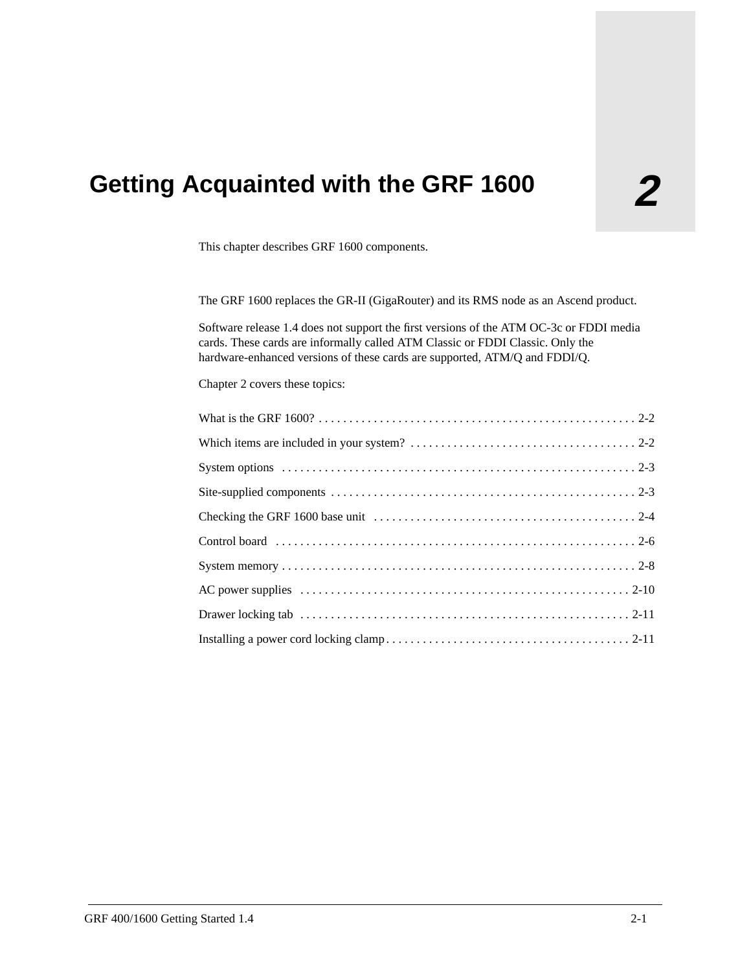# <span id="page-30-0"></span>**2 Getting Acquainted with the GRF 1600**

This chapter describes GRF 1600 components.

The GRF 1600 replaces the GR-II (GigaRouter) and its RMS node as an Ascend product.

Software release 1.4 does not support the first versions of the ATM OC-3c or FDDI media cards. These cards are informally called ATM Classic or FDDI Classic. Only the hardware-enhanced versions of these cards are supported, ATM/Q and FDDI/Q.

Chapter 2 covers these topics: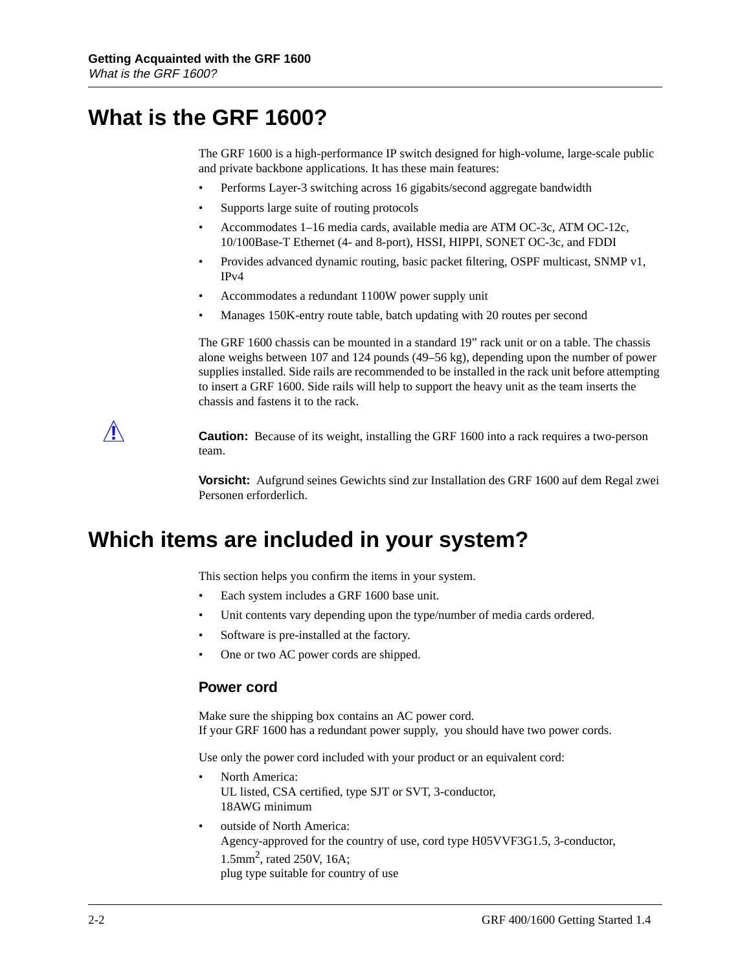### <span id="page-31-0"></span>**What is the GRF 1600?**

The GRF 1600 is a high-performance IP switch designed for high-volume, large-scale public and private backbone applications. It has these main features:

- Performs Layer-3 switching across 16 gigabits/second aggregate bandwidth
- Supports large suite of routing protocols
- Accommodates 1–16 media cards, available media are ATM OC-3c, ATM OC-12c, 10/100Base-T Ethernet (4- and 8-port), HSSI, HIPPI, SONET OC-3c, and FDDI
- Provides advanced dynamic routing, basic packet filtering, OSPF multicast, SNMP v1, IPv4
- Accommodates a redundant 1100W power supply unit
- Manages 150K-entry route table, batch updating with 20 routes per second

The GRF 1600 chassis can be mounted in a standard 19" rack unit or on a table. The chassis alone weighs between 107 and 124 pounds (49–56 kg), depending upon the number of power supplies installed. Side rails are recommended to be installed in the rack unit before attempting to insert a GRF 1600. Side rails will help to support the heavy unit as the team inserts the chassis and fastens it to the rack.

**1. Caution:** Because of its weight, installing the GRF 1600 into a rack requires a two-person team.

> **Vorsicht:** Aufgrund seines Gewichts sind zur Installation des GRF 1600 auf dem Regal zwei Personen erforderlich.

### **Which items are included in your system?**

This section helps you confirm the items in your system.

- Each system includes a GRF 1600 base unit.
- Unit contents vary depending upon the type/number of media cards ordered.
- Software is pre-installed at the factory.
- One or two AC power cords are shipped.

#### **Power cord**

Make sure the shipping box contains an AC power cord. If your GRF 1600 has a redundant power supply, you should have two power cords.

Use only the power cord included with your product or an equivalent cord:

- North America: UL listed, CSA certified, type SJT or SVT, 3-conductor, 18AWG minimum
- outside of North America: Agency-approved for the country of use, cord type H05VVF3G1.5, 3-conductor, 1.5mm2, rated 250V, 16A; plug type suitable for country of use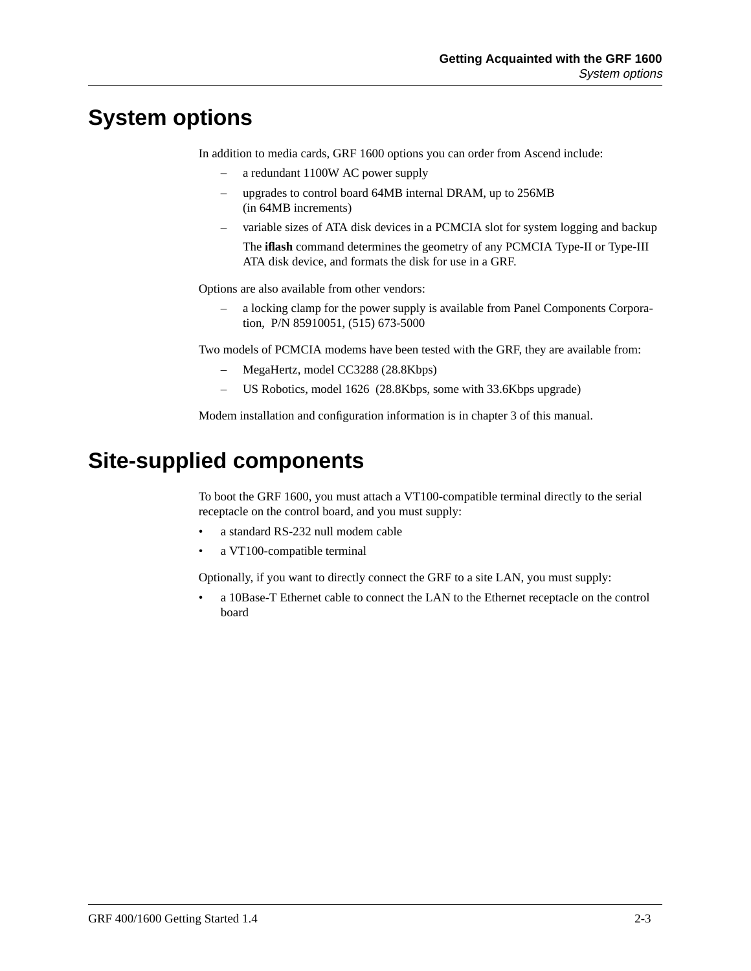## <span id="page-32-0"></span>**System options**

In addition to media cards, GRF 1600 options you can order from Ascend include:

- a redundant 1100W AC power supply
- upgrades to control board 64MB internal DRAM, up to 256MB (in 64MB increments)
- variable sizes of ATA disk devices in a PCMCIA slot for system logging and backup The **iflash** command determines the geometry of any PCMCIA Type-II or Type-III ATA disk device, and formats the disk for use in a GRF.

Options are also available from other vendors:

– a locking clamp for the power supply is available from Panel Components Corporation, P/N 85910051, (515) 673-5000

Two models of PCMCIA modems have been tested with the GRF, they are available from:

- MegaHertz, model CC3288 (28.8Kbps)
- US Robotics, model 1626 (28.8Kbps, some with 33.6Kbps upgrade)

Modem installation and configuration information is in chapter 3 of this manual.

## **Site-supplied components**

To boot the GRF 1600, you must attach a VT100-compatible terminal directly to the serial receptacle on the control board, and you must supply:

- a standard RS-232 null modem cable
- a VT100-compatible terminal

Optionally, if you want to directly connect the GRF to a site LAN, you must supply:

• a 10Base-T Ethernet cable to connect the LAN to the Ethernet receptacle on the control board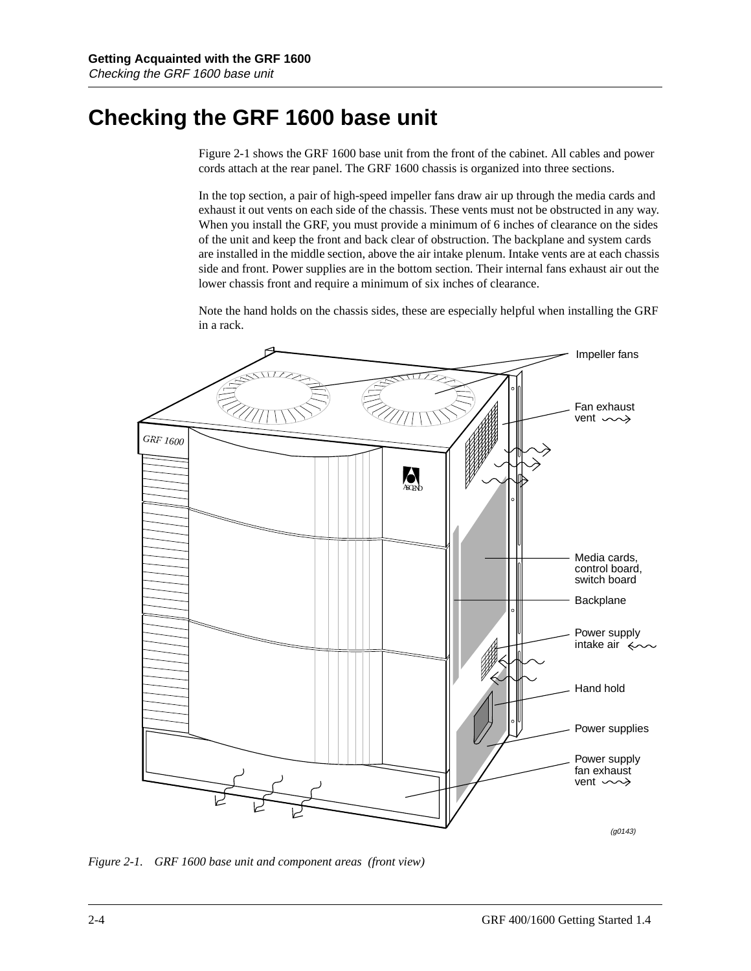## <span id="page-33-0"></span>**Checking the GRF 1600 base unit**

Figure 2-1 shows the GRF 1600 base unit from the front of the cabinet. All cables and power cords attach at the rear panel. The GRF 1600 chassis is organized into three sections.

In the top section, a pair of high-speed impeller fans draw air up through the media cards and exhaust it out vents on each side of the chassis. These vents must not be obstructed in any way. When you install the GRF, you must provide a minimum of 6 inches of clearance on the sides of the unit and keep the front and back clear of obstruction. The backplane and system cards are installed in the middle section, above the air intake plenum. Intake vents are at each chassis side and front. Power supplies are in the bottom section. Their internal fans exhaust air out the lower chassis front and require a minimum of six inches of clearance.

Note the hand holds on the chassis sides, these are especially helpful when installing the GRF in a rack.



*Figure 2-1. GRF 1600 base unit and component areas (front view)*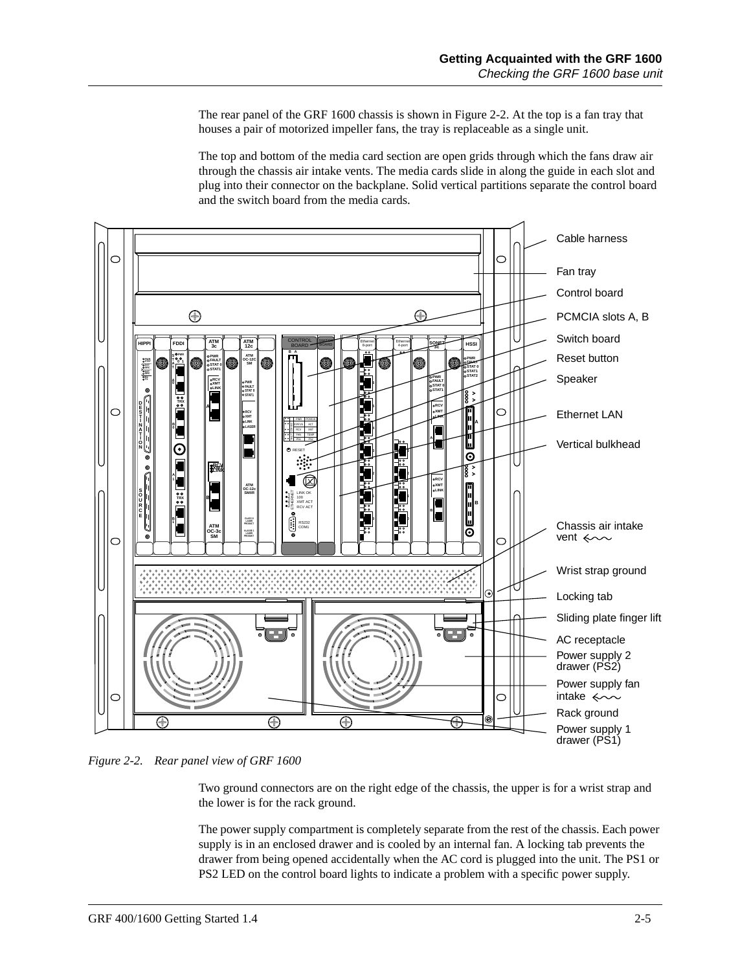The rear panel of the GRF 1600 chassis is shown in Figure 2-2. At the top is a fan tray that houses a pair of motorized impeller fans, the tray is replaceable as a single unit.

The top and bottom of the media card section are open grids through which the fans draw air through the chassis air intake vents. The media cards slide in along the guide in each slot and plug into their connector on the backplane. Solid vertical partitions separate the control board and the switch board from the media cards.



*Figure 2-2. Rear panel view of GRF 1600*

Two ground connectors are on the right edge of the chassis, the upper is for a wrist strap and the lower is for the rack ground.

The power supply compartment is completely separate from the rest of the chassis. Each power supply is in an enclosed drawer and is cooled by an internal fan. A locking tab prevents the drawer from being opened accidentally when the AC cord is plugged into the unit. The PS1 or PS2 LED on the control board lights to indicate a problem with a specific power supply.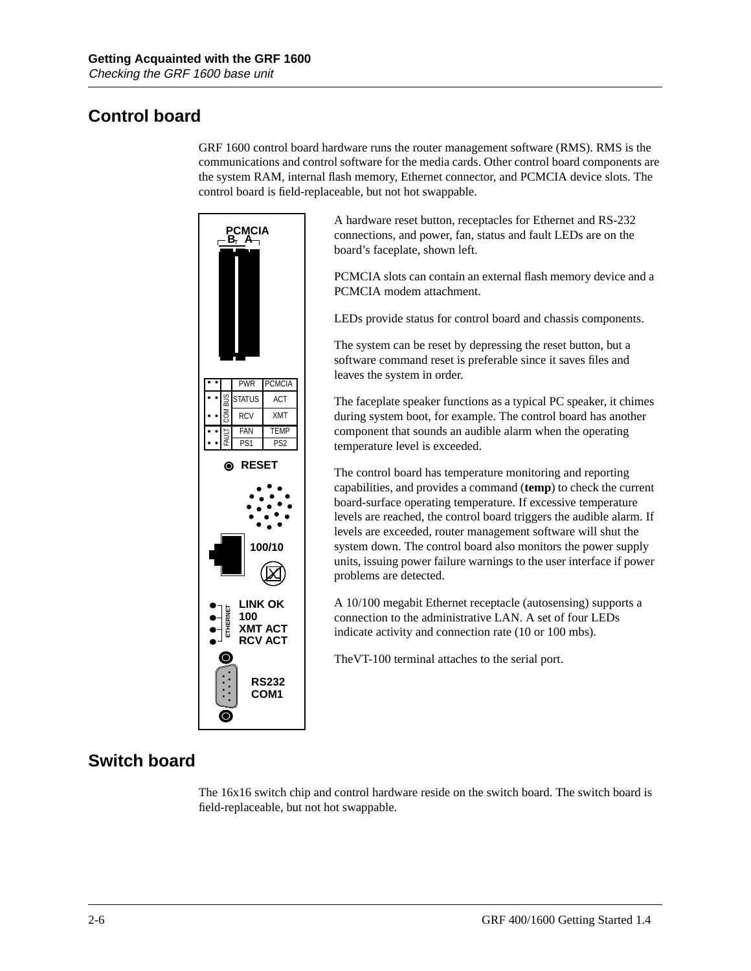### <span id="page-35-0"></span>**Control board**

GRF 1600 control board hardware runs the router management software (RMS). RMS is the communications and control software for the media cards. Other control board components are the system RAM, internal flash memory, Ethernet connector, and PCMCIA device slots. The control board is field-replaceable, but not hot swappable.



A hardware reset button, receptacles for Ethernet and RS-232 connections, and power, fan, status and fault LEDs are on the board's faceplate, shown left.

PCMCIA slots can contain an external flash memory device and a PCMCIA modem attachment.

LEDs provide status for control board and chassis components.

The system can be reset by depressing the reset button, but a software command reset is preferable since it saves files and leaves the system in order.

The faceplate speaker functions as a typical PC speaker, it chimes during system boot, for example. The control board has another component that sounds an audible alarm when the operating temperature level is exceeded.

The control board has temperature monitoring and reporting capabilities, and provides a command (**temp**) to check the current board-surface operating temperature. If excessive temperature levels are reached, the control board triggers the audible alarm. If levels are exceeded, router management software will shut the system down. The control board also monitors the power supply units, issuing power failure warnings to the user interface if power problems are detected.

A 10/100 megabit Ethernet receptacle (autosensing) supports a connection to the administrative LAN. A set of four LEDs indicate activity and connection rate (10 or 100 mbs).

TheVT-100 terminal attaches to the serial port.

### **Switch board**

The 16x16 switch chip and control hardware reside on the switch board. The switch board is field-replaceable, but not hot swappable.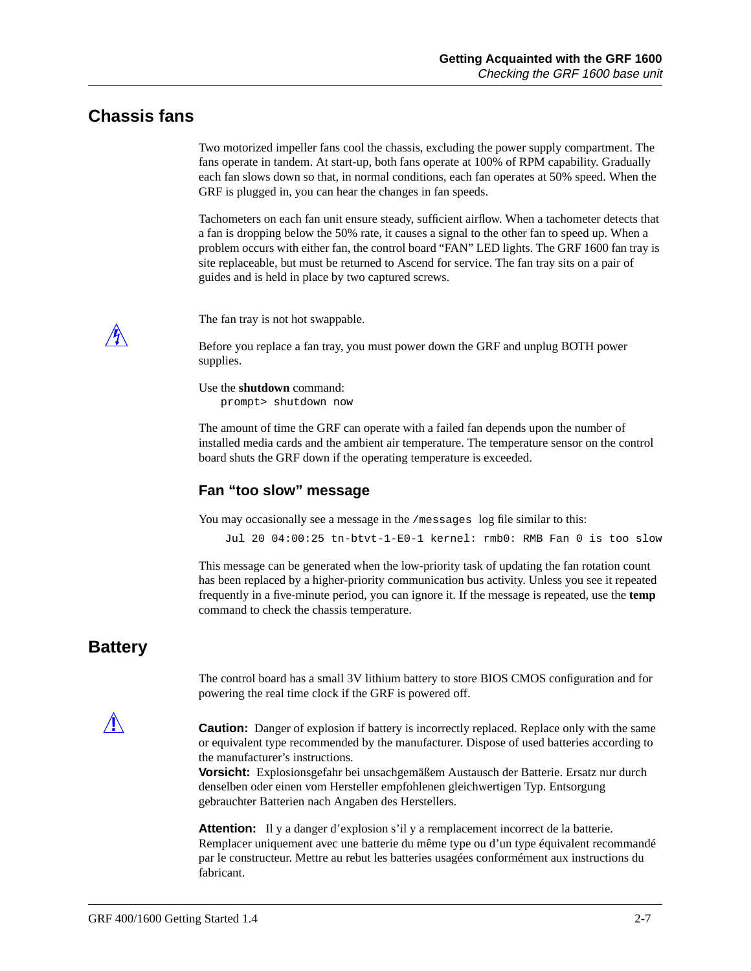#### **Chassis fans**

Two motorized impeller fans cool the chassis, excluding the power supply compartment. The fans operate in tandem. At start-up, both fans operate at 100% of RPM capability. Gradually each fan slows down so that, in normal conditions, each fan operates at 50% speed. When the GRF is plugged in, you can hear the changes in fan speeds.

Tachometers on each fan unit ensure steady, sufficient airflow. When a tachometer detects that a fan is dropping below the 50% rate, it causes a signal to the other fan to speed up. When a problem occurs with either fan, the control board "FAN" LED lights. The GRF 1600 fan tray is site replaceable, but must be returned to Ascend for service. The fan tray sits on a pair of guides and is held in place by two captured screws.

The fan tray is not hot swappable.

Before you replace a fan tray, you must power down the GRF and unplug BOTH power supplies.

Use the **shutdown** command: prompt> shutdown now

The amount of time the GRF can operate with a failed fan depends upon the number of installed media cards and the ambient air temperature. The temperature sensor on the control board shuts the GRF down if the operating temperature is exceeded.

#### **Fan "too slow" message**

You may occasionally see a message in the /messages log file similar to this:

Jul 20 04:00:25 tn-btvt-1-E0-1 kernel: rmb0: RMB Fan 0 is too slow

This message can be generated when the low-priority task of updating the fan rotation count has been replaced by a higher-priority communication bus activity. Unless you see it repeated frequently in a five-minute period, you can ignore it. If the message is repeated, use the **temp** command to check the chassis temperature.

#### **Battery**

The control board has a small 3V lithium battery to store BIOS CMOS configuration and for powering the real time clock if the GRF is powered off.

**Caution:** Danger of explosion if battery is incorrectly replaced. Replace only with the same or equivalent type recommended by the manufacturer. Dispose of used batteries according to the manufacturer's instructions.

**Vorsicht:** Explosionsgefahr bei unsachgemäßem Austausch der Batterie. Ersatz nur durch denselben oder einen vom Hersteller empfohlenen gleichwertigen Typ. Entsorgung gebrauchter Batterien nach Angaben des Herstellers.

**Attention:** Il y a danger d'explosion s'il y a remplacement incorrect de la batterie. Remplacer uniquement avec une batterie du même type ou d'un type équivalent recommandé par le constructeur. Mettre au rebut les batteries usagées conformément aux instructions du fabricant.

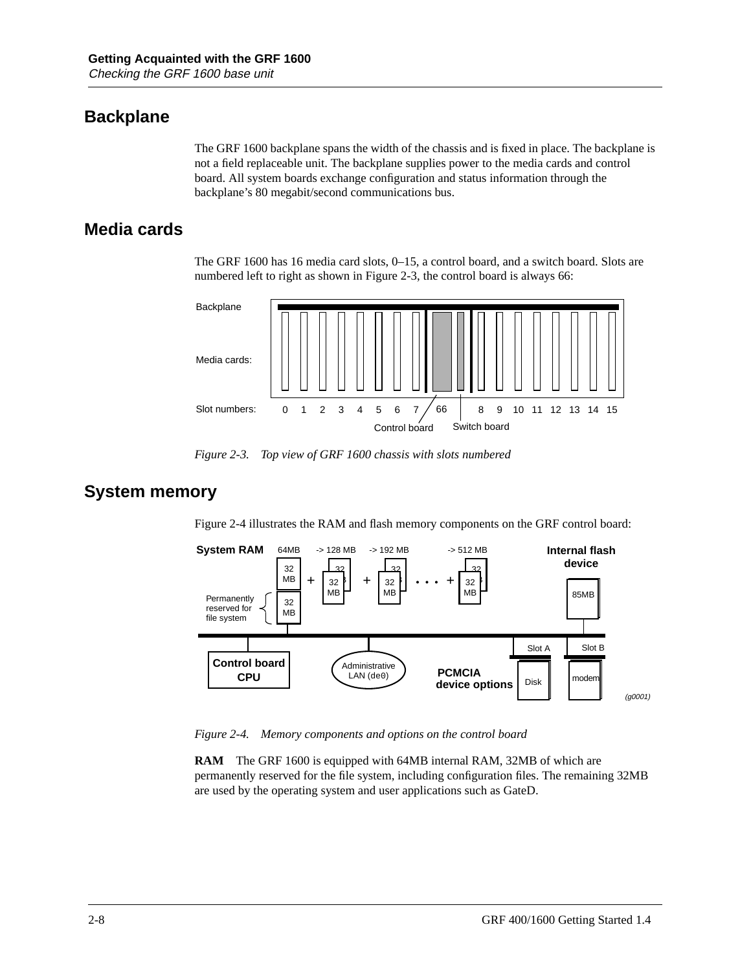### **Backplane**

The GRF 1600 backplane spans the width of the chassis and is fixed in place. The backplane is not a field replaceable unit. The backplane supplies power to the media cards and control board. All system boards exchange configuration and status information through the backplane's 80 megabit/second communications bus.

#### **Media cards**

The GRF 1600 has 16 media card slots, 0–15, a control board, and a switch board. Slots are numbered left to right as shown in Figure 2-3, the control board is always 66:



*Figure 2-3. Top view of GRF 1600 chassis with slots numbered*

#### **System memory**

Figure 2-4 illustrates the RAM and flash memory components on the GRF control board:



*Figure 2-4. Memory components and options on the control board*

**RAM** The GRF 1600 is equipped with 64MB internal RAM, 32MB of which are permanently reserved for the file system, including configuration files. The remaining 32MB are used by the operating system and user applications such as GateD.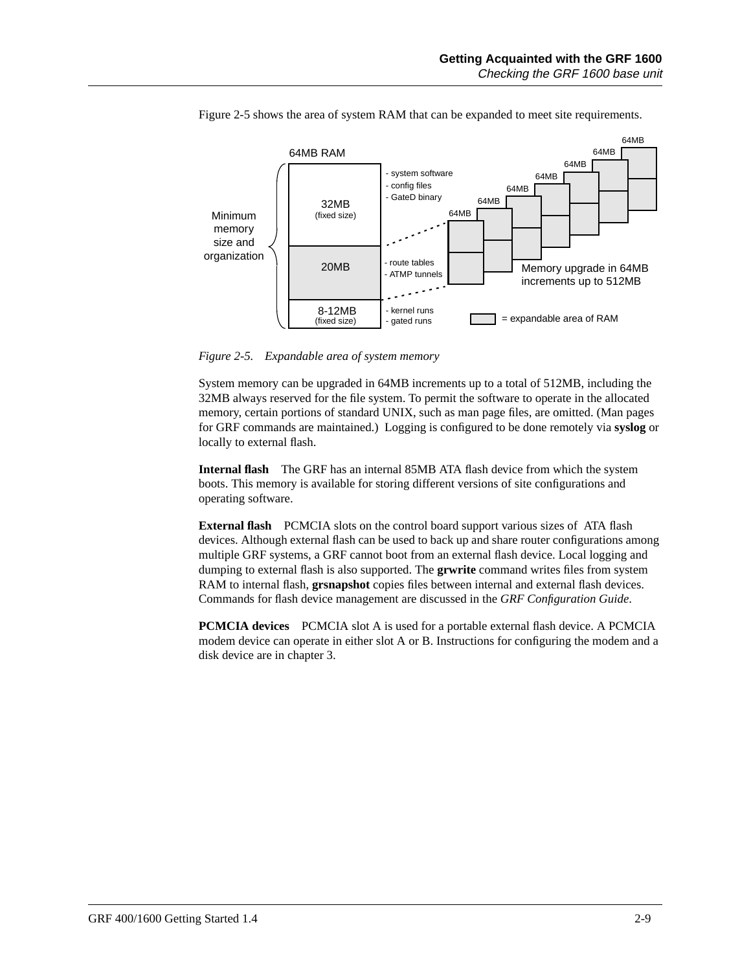

Figure 2-5 shows the area of system RAM that can be expanded to meet site requirements.

*Figure 2-5. Expandable area of system memory*

System memory can be upgraded in 64MB increments up to a total of 512MB, including the 32MB always reserved for the file system. To permit the software to operate in the allocated memory, certain portions of standard UNIX, such as man page files, are omitted. (Man pages for GRF commands are maintained.) Logging is configured to be done remotely via **syslog** or locally to external flash.

**Internal flash** The GRF has an internal 85MB ATA flash device from which the system boots. This memory is available for storing different versions of site configurations and operating software.

**External flash** PCMCIA slots on the control board support various sizes of ATA flash devices. Although external flash can be used to back up and share router configurations among multiple GRF systems, a GRF cannot boot from an external flash device. Local logging and dumping to external flash is also supported. The **grwrite** command writes files from system RAM to internal flash, **grsnapshot** copies files between internal and external flash devices. Commands for flash device management are discussed in the *GRF Configuration Guide*.

**PCMCIA devices** PCMCIA slot A is used for a portable external flash device. A PCMCIA modem device can operate in either slot A or B. Instructions for configuring the modem and a disk device are in chapter 3.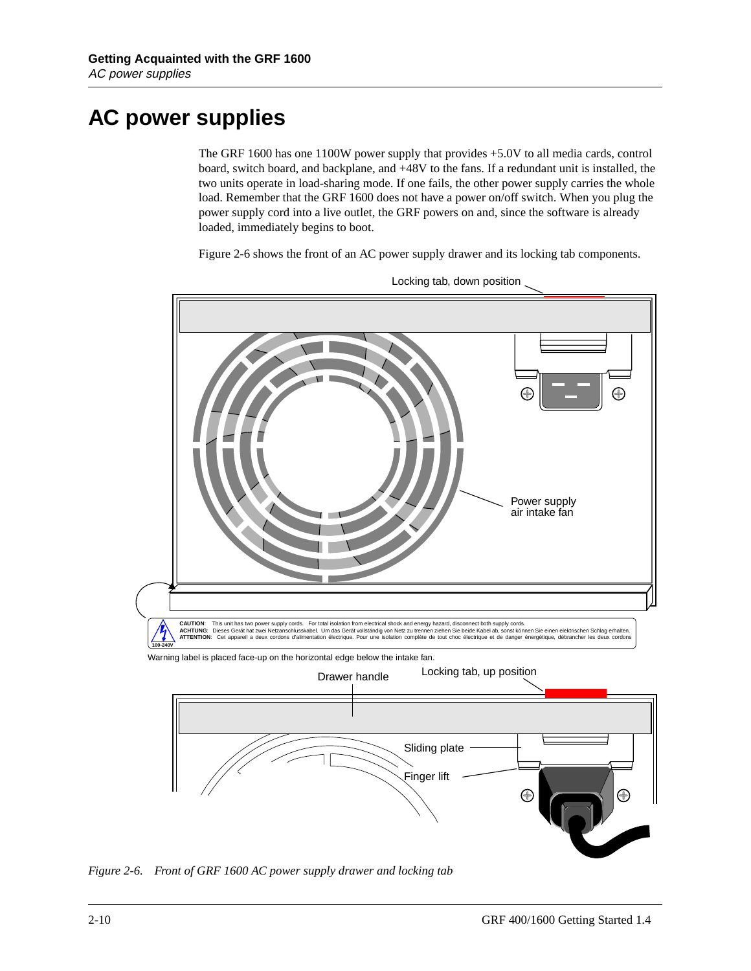# <span id="page-39-0"></span>**AC power supplies**

The GRF 1600 has one 1100W power supply that provides +5.0V to all media cards, control board, switch board, and backplane, and +48V to the fans. If a redundant unit is installed, the two units operate in load-sharing mode. If one fails, the other power supply carries the whole load. Remember that the GRF 1600 does not have a power on/off switch. When you plug the power supply cord into a live outlet, the GRF powers on and, since the software is already loaded, immediately begins to boot.

Figure 2-6 shows the front of an AC power supply drawer and its locking tab components.



Locking tab, down position

*Figure 2-6. Front of GRF 1600 AC power supply drawer and locking tab*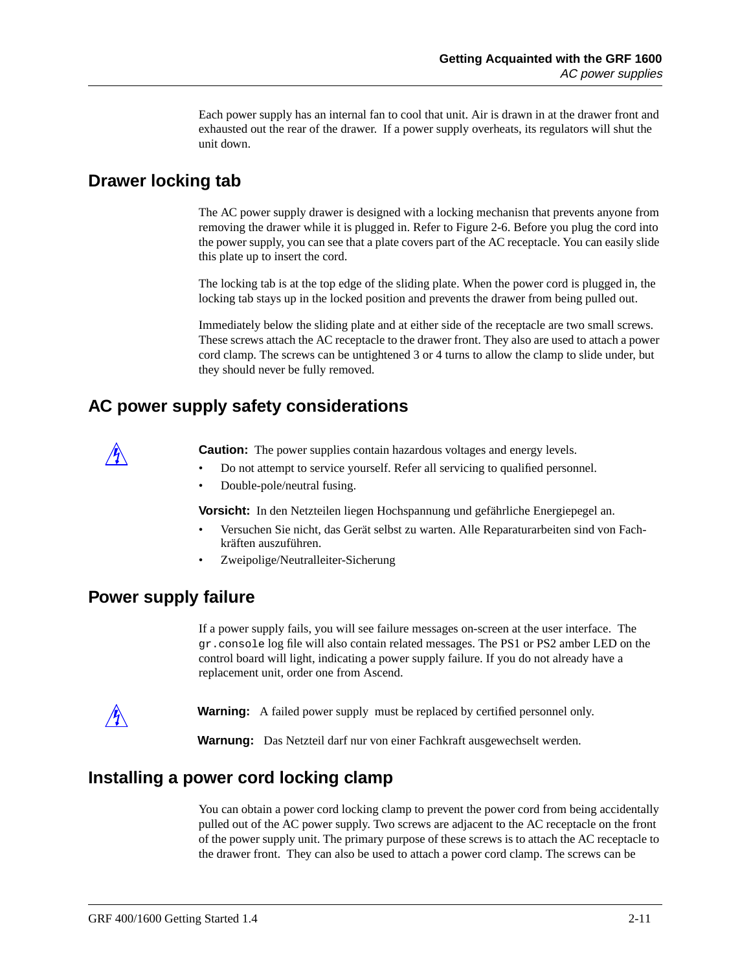Each power supply has an internal fan to cool that unit. Air is drawn in at the drawer front and exhausted out the rear of the drawer. If a power supply overheats, its regulators will shut the unit down.

#### **Drawer locking tab**

The AC power supply drawer is designed with a locking mechanisn that prevents anyone from removing the drawer while it is plugged in. Refer to [Figure 2-6.](#page-39-0) Before you plug the cord into the power supply, you can see that a plate covers part of the AC receptacle. You can easily slide this plate up to insert the cord.

The locking tab is at the top edge of the sliding plate. When the power cord is plugged in, the locking tab stays up in the locked position and prevents the drawer from being pulled out.

Immediately below the sliding plate and at either side of the receptacle are two small screws. These screws attach the AC receptacle to the drawer front. They also are used to attach a power cord clamp. The screws can be untightened 3 or 4 turns to allow the clamp to slide under, but they should never be fully removed.

### **AC power supply safety considerations**



**Caution:** The power supplies contain hazardous voltages and energy levels.

- Do not attempt to service yourself. Refer all servicing to qualified personnel.
- Double-pole/neutral fusing.

**Vorsicht:** In den Netzteilen liegen Hochspannung und gefährliche Energiepegel an.

- Versuchen Sie nicht, das Gerät selbst zu warten. Alle Reparaturarbeiten sind von Fachkräften auszuführen.
- Zweipolige/Neutralleiter-Sicherung

#### **Power supply failure**

If a power supply fails, you will see failure messages on-screen at the user interface. The gr.console log file will also contain related messages. The PS1 or PS2 amber LED on the control board will light, indicating a power supply failure. If you do not already have a replacement unit, order one from Ascend.

**Warning:** A failed power supply must be replaced by certified personnel only.

**Warnung:** Das Netzteil darf nur von einer Fachkraft ausgewechselt werden.

#### **Installing a power cord locking clamp**

You can obtain a power cord locking clamp to prevent the power cord from being accidentally pulled out of the AC power supply. Two screws are adjacent to the AC receptacle on the front of the power supply unit. The primary purpose of these screws is to attach the AC receptacle to the drawer front. They can also be used to attach a power cord clamp. The screws can be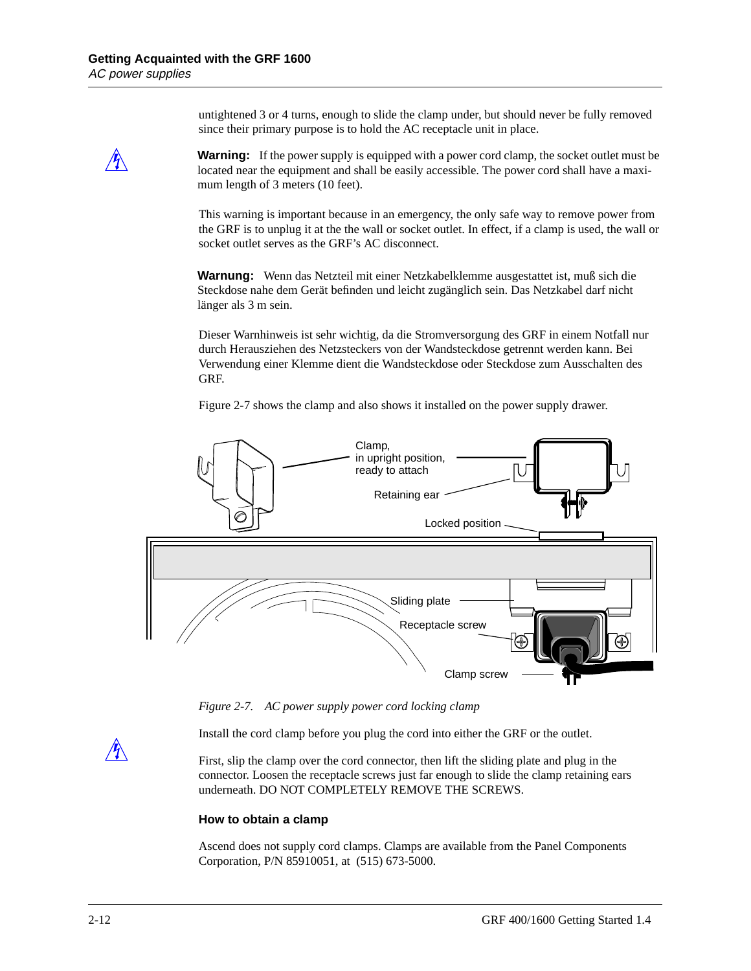untightened 3 or 4 turns, enough to slide the clamp under, but should never be fully removed since their primary purpose is to hold the AC receptacle unit in place.

**Warning:** If the power supply is equipped with a power cord clamp, the socket outlet must be located near the equipment and shall be easily accessible. The power cord shall have a maximum length of 3 meters (10 feet).

This warning is important because in an emergency, the only safe way to remove power from the GRF is to unplug it at the the wall or socket outlet. In effect, if a clamp is used, the wall or socket outlet serves as the GRF's AC disconnect.

**Warnung:** Wenn das Netzteil mit einer Netzkabelklemme ausgestattet ist, muß sich die Steckdose nahe dem Gerät befinden und leicht zugänglich sein. Das Netzkabel darf nicht länger als 3 m sein.

Dieser Warnhinweis ist sehr wichtig, da die Stromversorgung des GRF in einem Notfall nur durch Herausziehen des Netzsteckers von der Wandsteckdose getrennt werden kann. Bei Verwendung einer Klemme dient die Wandsteckdose oder Steckdose zum Ausschalten des GRF.

Figure 2-7 shows the clamp and also shows it installed on the power supply drawer.



*Figure 2-7. AC power supply power cord locking clamp*

Install the cord clamp before you plug the cord into either the GRF or the outlet.

First, slip the clamp over the cord connector, then lift the sliding plate and plug in the connector. Loosen the receptacle screws just far enough to slide the clamp retaining ears underneath. DO NOT COMPLETELY REMOVE THE SCREWS.

#### **How to obtain a clamp**

Ascend does not supply cord clamps. Clamps are available from the Panel Components Corporation, P/N 85910051, at (515) 673-5000.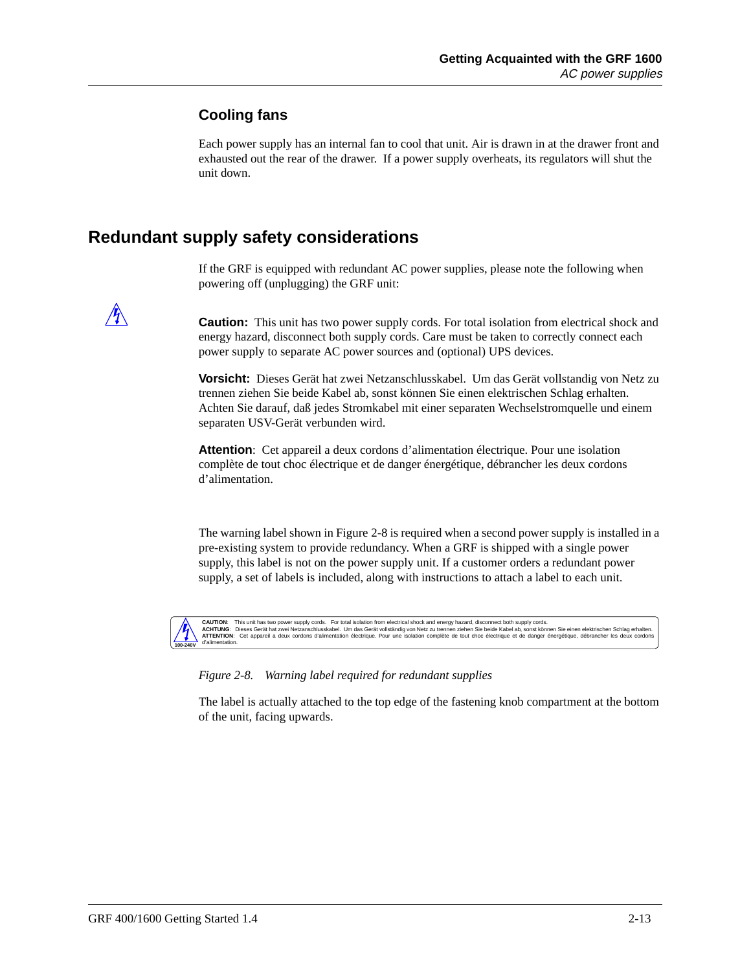#### **Cooling fans**

Each power supply has an internal fan to cool that unit. Air is drawn in at the drawer front and exhausted out the rear of the drawer. If a power supply overheats, its regulators will shut the unit down.

### **Redundant supply safety considerations**

If the GRF is equipped with redundant AC power supplies, please note the following when powering off (unplugging) the GRF unit:



**Caution:** This unit has two power supply cords. For total isolation from electrical shock and energy hazard, disconnect both supply cords. Care must be taken to correctly connect each power supply to separate AC power sources and (optional) UPS devices.

**Vorsicht:** Dieses Gerät hat zwei Netzanschlusskabel. Um das Gerät vollstandig von Netz zu trennen ziehen Sie beide Kabel ab, sonst können Sie einen elektrischen Schlag erhalten. Achten Sie darauf, daß jedes Stromkabel mit einer separaten Wechselstromquelle und einem separaten USV-Gerät verbunden wird.

**Attention**: Cet appareil a deux cordons d'alimentation électrique. Pour une isolation complète de tout choc électrique et de danger énergétique, débrancher les deux cordons d'alimentation.

The warning label shown in Figure 2-8 is required when a second power supply is installed in a pre-existing system to provide redundancy. When a GRF is shipped with a single power supply, this label is not on the power supply unit. If a customer orders a redundant power supply, a set of labels is included, along with instructions to attach a label to each unit.



CAUTION: This unit has two power supply cords. For total isolation from electrical shock and energy hazard, disconnect both supply cords. hay had the state had the state had the state had the state had the state had t **ATTENTION**: Cet appareil a deux cordons d'alimentation électrique. Pour une isolation complète de tout choc électrique et de danger énergétique, débrancher les deux cordons

*Figure 2-8. Warning label required for redundant supplies*

The label is actually attached to the top edge of the fastening knob compartment at the bottom of the unit, facing upwards.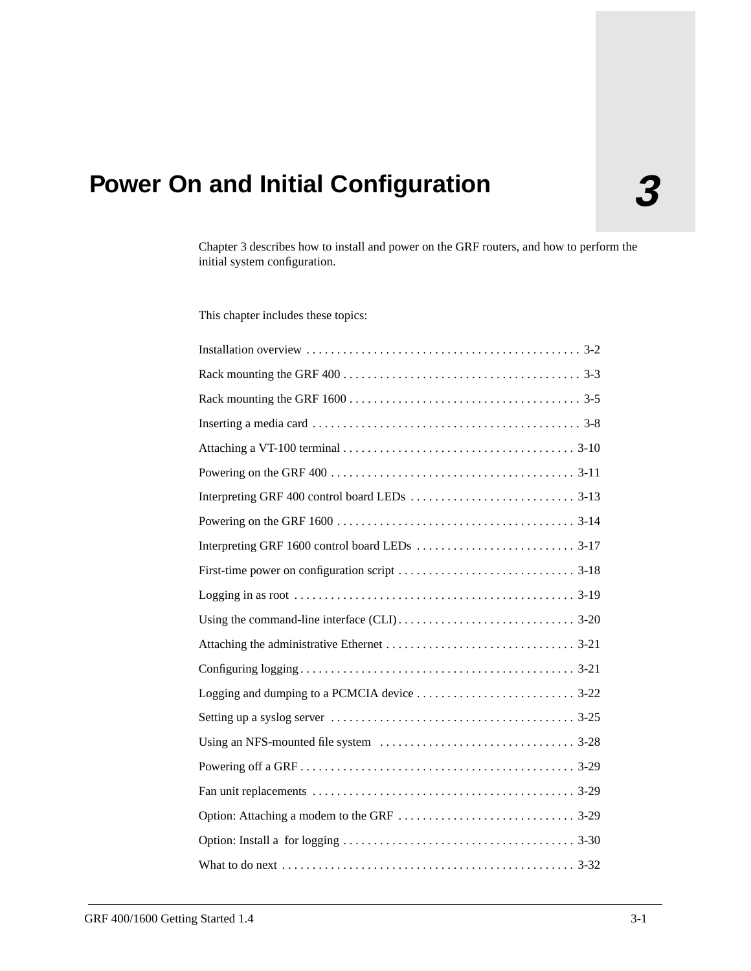# **3 Power On and Initial Configuration**

Chapter 3 describes how to install and power on the GRF routers, and how to perform the initial system configuration.

This chapter includes these topics: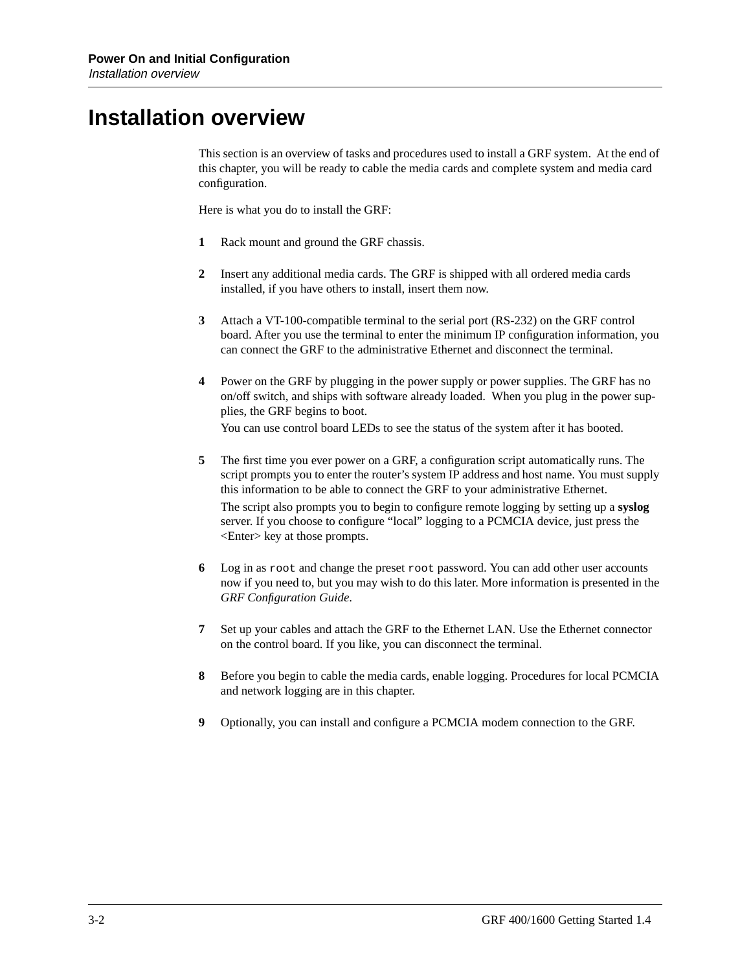### **Installation overview**

This section is an overview of tasks and procedures used to install a GRF system. At the end of this chapter, you will be ready to cable the media cards and complete system and media card configuration.

Here is what you do to install the GRF:

- **1** Rack mount and ground the GRF chassis.
- **2** Insert any additional media cards. The GRF is shipped with all ordered media cards installed, if you have others to install, insert them now.
- **3** Attach a VT-100-compatible terminal to the serial port (RS-232) on the GRF control board. After you use the terminal to enter the minimum IP configuration information, you can connect the GRF to the administrative Ethernet and disconnect the terminal.
- **4** Power on the GRF by plugging in the power supply or power supplies. The GRF has no on/off switch, and ships with software already loaded. When you plug in the power supplies, the GRF begins to boot. You can use control board LEDs to see the status of the system after it has booted.

- **5** The first time you ever power on a GRF, a configuration script automatically runs. The script prompts you to enter the router's system IP address and host name. You must supply this information to be able to connect the GRF to your administrative Ethernet. The script also prompts you to begin to configure remote logging by setting up a **syslog** server. If you choose to configure "local" logging to a PCMCIA device, just press the <Enter> key at those prompts.
- **6** Log in as root and change the preset root password. You can add other user accounts now if you need to, but you may wish to do this later. More information is presented in the *GRF Configuration Guide*.
- **7** Set up your cables and attach the GRF to the Ethernet LAN. Use the Ethernet connector on the control board. If you like, you can disconnect the terminal.
- **8** Before you begin to cable the media cards, enable logging. Procedures for local PCMCIA and network logging are in this chapter.
- **9** Optionally, you can install and configure a PCMCIA modem connection to the GRF.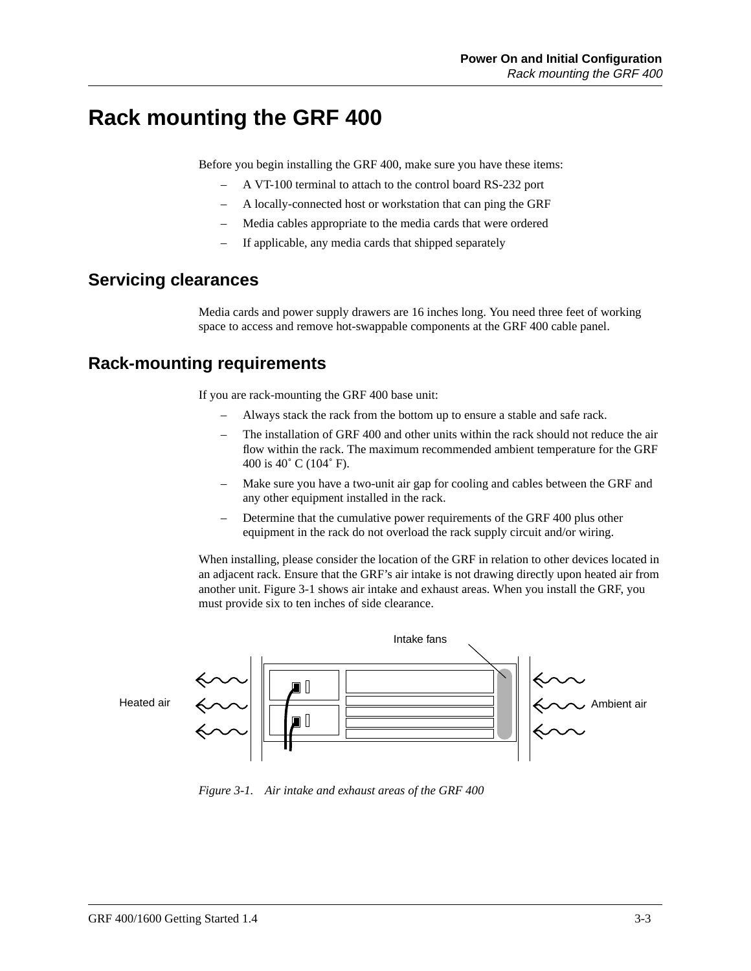### **Rack mounting the GRF 400**

Before you begin installing the GRF 400, make sure you have these items:

- A VT-100 terminal to attach to the control board RS-232 port
- A locally-connected host or workstation that can ping the GRF
- Media cables appropriate to the media cards that were ordered
- If applicable, any media cards that shipped separately

#### **Servicing clearances**

Media cards and power supply drawers are 16 inches long. You need three feet of working space to access and remove hot-swappable components at the GRF 400 cable panel.

#### **Rack-mounting requirements**

If you are rack-mounting the GRF 400 base unit:

- Always stack the rack from the bottom up to ensure a stable and safe rack.
- The installation of GRF 400 and other units within the rack should not reduce the air flow within the rack. The maximum recommended ambient temperature for the GRF 400 is 40˚ C (104˚ F).
- Make sure you have a two-unit air gap for cooling and cables between the GRF and any other equipment installed in the rack.
- Determine that the cumulative power requirements of the GRF 400 plus other equipment in the rack do not overload the rack supply circuit and/or wiring.

When installing, please consider the location of the GRF in relation to other devices located in an adjacent rack. Ensure that the GRF's air intake is not drawing directly upon heated air from another unit. Figure 3-1 shows air intake and exhaust areas. When you install the GRF, you must provide six to ten inches of side clearance.



*Figure 3-1. Air intake and exhaust areas of the GRF 400*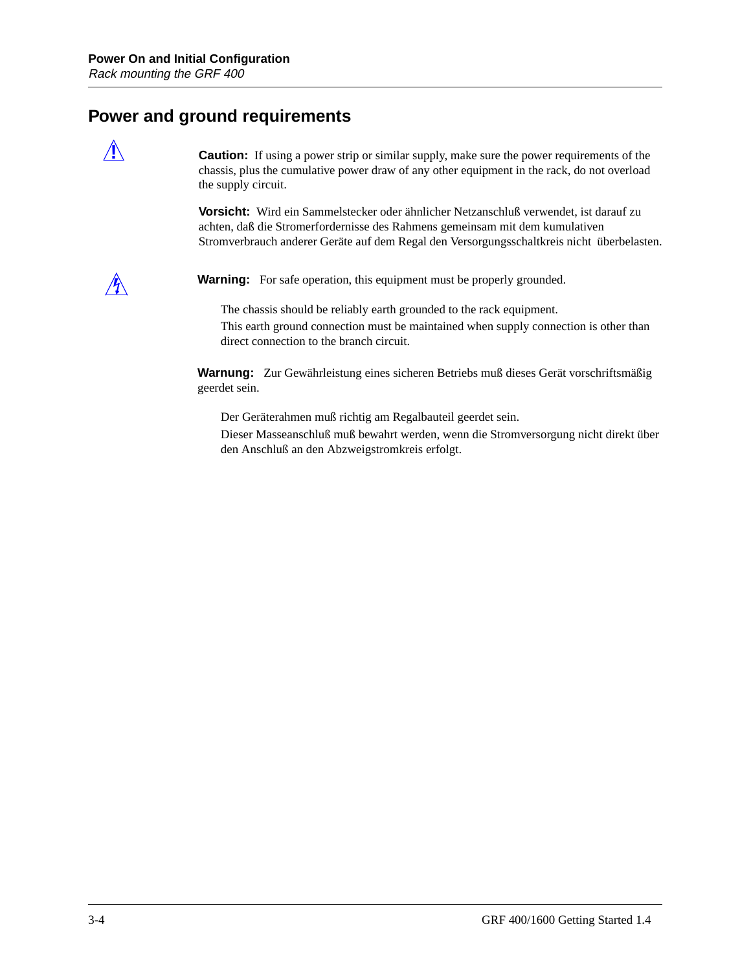### **Power and ground requirements**

**2 Caution:** If using a power strip or similar supply, make sure the power requirements of the chassis, plus the cumulative power draw of any other equipment in the rack, do not overload the supply circuit.

> **Vorsicht:** Wird ein Sammelstecker oder ähnlicher Netzanschluß verwendet, ist darauf zu achten, daß die Stromerfordernisse des Rahmens gemeinsam mit dem kumulativen Stromverbrauch anderer Geräte auf dem Regal den Versorgungsschaltkreis nicht überbelasten.



**Warning:** For safe operation, this equipment must be properly grounded.

The chassis should be reliably earth grounded to the rack equipment. This earth ground connection must be maintained when supply connection is other than direct connection to the branch circuit.

**Warnung:** Zur Gewährleistung eines sicheren Betriebs muß dieses Gerät vorschriftsmäßig geerdet sein.

Der Geräterahmen muß richtig am Regalbauteil geerdet sein.

Dieser Masseanschluß muß bewahrt werden, wenn die Stromversorgung nicht direkt über den Anschluß an den Abzweigstromkreis erfolgt.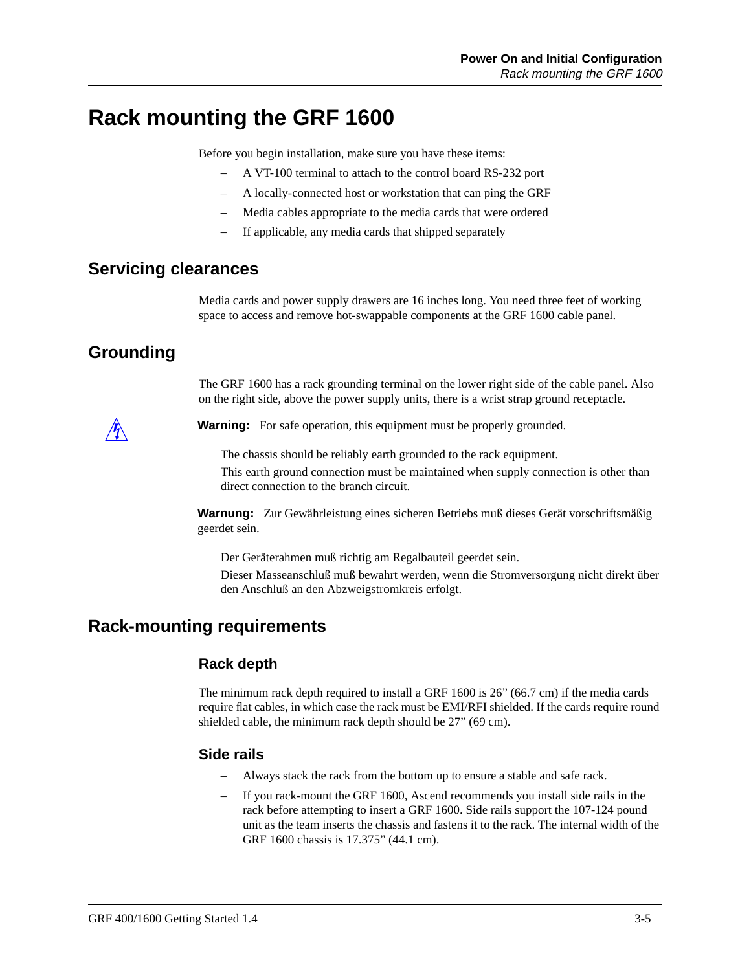### **Rack mounting the GRF 1600**

Before you begin installation, make sure you have these items:

- A VT-100 terminal to attach to the control board RS-232 port
- A locally-connected host or workstation that can ping the GRF
- Media cables appropriate to the media cards that were ordered
- If applicable, any media cards that shipped separately

#### **Servicing clearances**

Media cards and power supply drawers are 16 inches long. You need three feet of working space to access and remove hot-swappable components at the GRF 1600 cable panel.

### **Grounding**

The GRF 1600 has a rack grounding terminal on the lower right side of the cable panel. Also on the right side, above the power supply units, there is a wrist strap ground receptacle.



**Warning:** For safe operation, this equipment must be properly grounded.

The chassis should be reliably earth grounded to the rack equipment. This earth ground connection must be maintained when supply connection is other than direct connection to the branch circuit.

**Warnung:** Zur Gewährleistung eines sicheren Betriebs muß dieses Gerät vorschriftsmäßig geerdet sein.

Der Geräterahmen muß richtig am Regalbauteil geerdet sein. Dieser Masseanschluß muß bewahrt werden, wenn die Stromversorgung nicht direkt über den Anschluß an den Abzweigstromkreis erfolgt.

#### **Rack-mounting requirements**

#### **Rack depth**

The minimum rack depth required to install a GRF 1600 is 26" (66.7 cm) if the media cards require flat cables, in which case the rack must be EMI/RFI shielded. If the cards require round shielded cable, the minimum rack depth should be 27" (69 cm).

#### **Side rails**

- Always stack the rack from the bottom up to ensure a stable and safe rack.
- If you rack-mount the GRF 1600, Ascend recommends you install side rails in the rack before attempting to insert a GRF 1600. Side rails support the 107-124 pound unit as the team inserts the chassis and fastens it to the rack. The internal width of the GRF 1600 chassis is 17.375" (44.1 cm).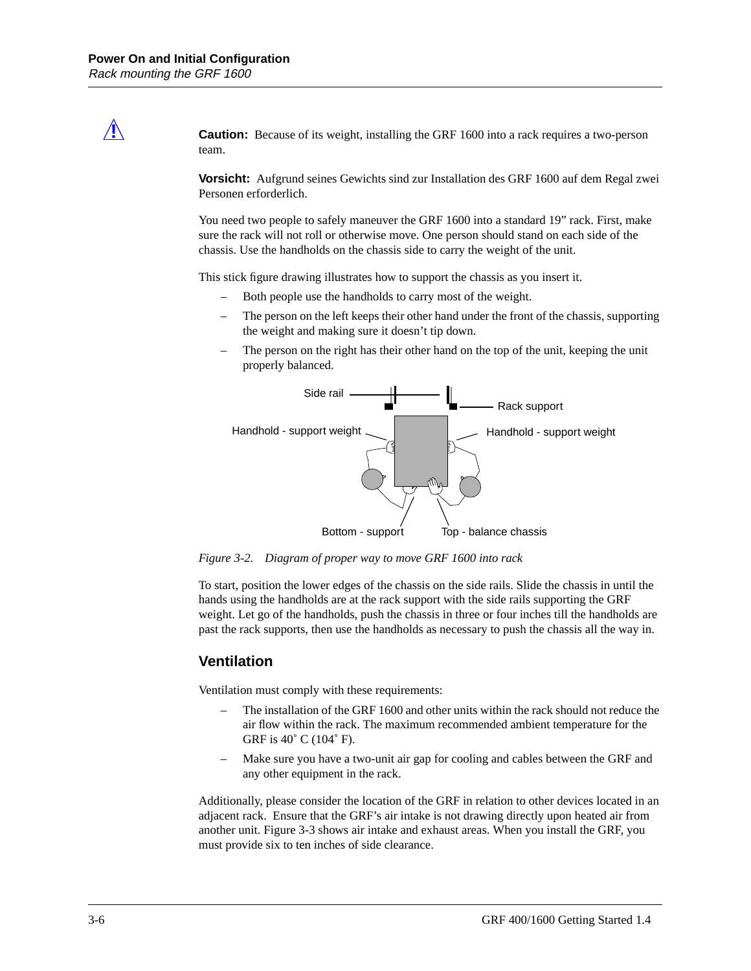**Caution:** Because of its weight, installing the GRF 1600 into a rack requires a two-person team.

**Vorsicht:** Aufgrund seines Gewichts sind zur Installation des GRF 1600 auf dem Regal zwei Personen erforderlich.

You need two people to safely maneuver the GRF 1600 into a standard 19" rack. First, make sure the rack will not roll or otherwise move. One person should stand on each side of the chassis. Use the handholds on the chassis side to carry the weight of the unit.

This stick figure drawing illustrates how to support the chassis as you insert it.

- Both people use the handholds to carry most of the weight.
- The person on the left keeps their other hand under the front of the chassis, supporting the weight and making sure it doesn't tip down.
- The person on the right has their other hand on the top of the unit, keeping the unit properly balanced.



*Figure 3-2. Diagram of proper way to move GRF 1600 into rack*

To start, position the lower edges of the chassis on the side rails. Slide the chassis in until the hands using the handholds are at the rack support with the side rails supporting the GRF weight. Let go of the handholds, push the chassis in three or four inches till the handholds are past the rack supports, then use the handholds as necessary to push the chassis all the way in.

#### **Ventilation**

Ventilation must comply with these requirements:

- The installation of the GRF 1600 and other units within the rack should not reduce the air flow within the rack. The maximum recommended ambient temperature for the GRF is 40˚ C (104˚ F).
- Make sure you have a two-unit air gap for cooling and cables between the GRF and any other equipment in the rack.

Additionally, please consider the location of the GRF in relation to other devices located in an adjacent rack. Ensure that the GRF's air intake is not drawing directly upon heated air from another unit. [Figure 3-3](#page-50-0) shows air intake and exhaust areas. When you install the GRF, you must provide six to ten inches of side clearance.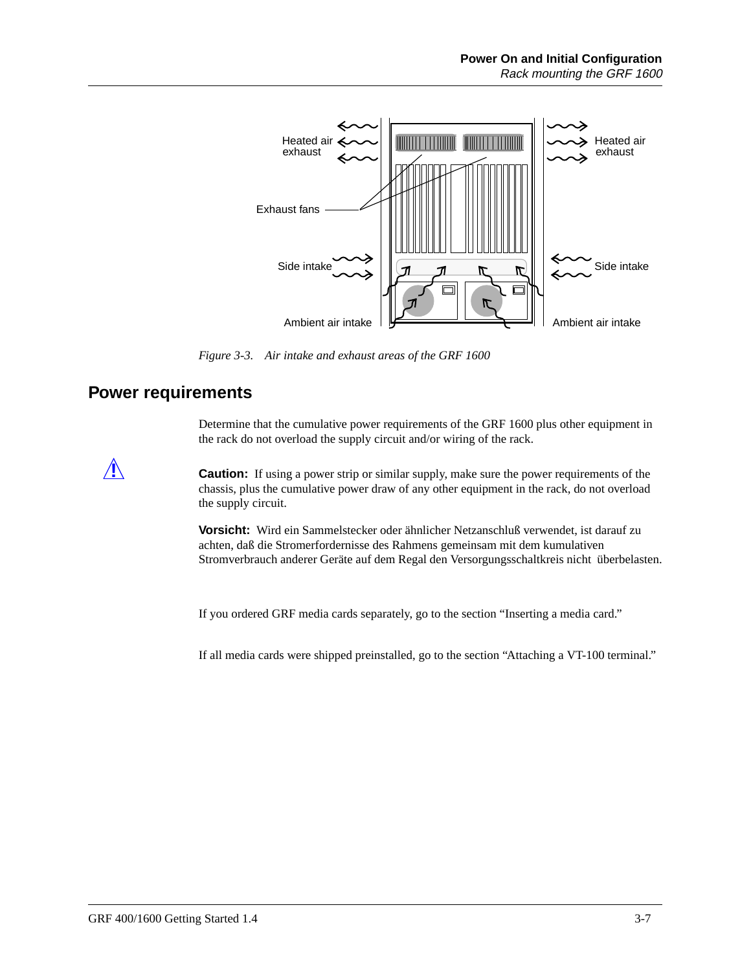<span id="page-50-0"></span>

*Figure 3-3. Air intake and exhaust areas of the GRF 1600*

#### **Power requirements**

Determine that the cumulative power requirements of the GRF 1600 plus other equipment in the rack do not overload the supply circuit and/or wiring of the rack.

**Caution:** If using a power strip or similar supply, make sure the power requirements of the chassis, plus the cumulative power draw of any other equipment in the rack, do not overload the supply circuit.

> **Vorsicht:** Wird ein Sammelstecker oder ähnlicher Netzanschluß verwendet, ist darauf zu achten, daß die Stromerfordernisse des Rahmens gemeinsam mit dem kumulativen Stromverbrauch anderer Geräte auf dem Regal den Versorgungsschaltkreis nicht überbelasten.

If you ordered GRF media cards separately, go to the section "Inserting a media card."

If all media cards were shipped preinstalled, go to the section "Attaching a VT-100 terminal."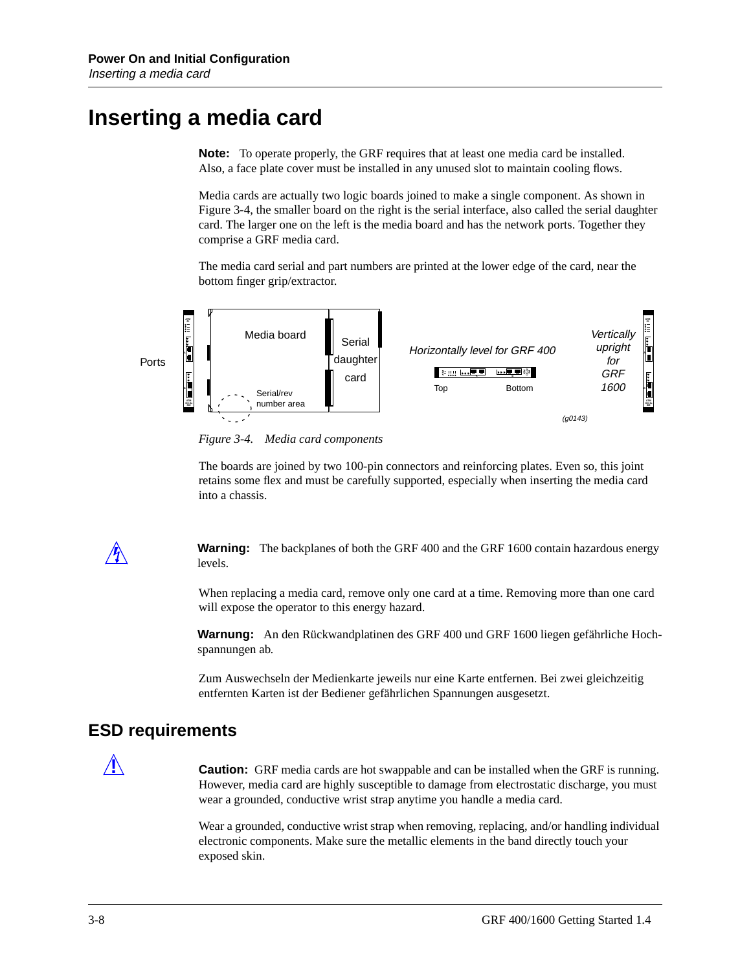### **Inserting a media card**

**Note:** To operate properly, the GRF requires that at least one media card be installed. Also, a face plate cover must be installed in any unused slot to maintain cooling flows.

Media cards are actually two logic boards joined to make a single component. As shown in Figure 3-4, the smaller board on the right is the serial interface, also called the serial daughter card. The larger one on the left is the media board and has the network ports. Together they comprise a GRF media card.

The media card serial and part numbers are printed at the lower edge of the card, near the bottom finger grip/extractor.



*Figure 3-4. Media card components*

The boards are joined by two 100-pin connectors and reinforcing plates. Even so, this joint retains some flex and must be carefully supported, especially when inserting the media card into a chassis.

**Warning:** The backplanes of both the GRF 400 and the GRF 1600 contain hazardous energy levels.

When replacing a media card, remove only one card at a time. Removing more than one card will expose the operator to this energy hazard.

**Warnung:** An den Rückwandplatinen des GRF 400 und GRF 1600 liegen gefährliche Hochspannungen ab.

Zum Auswechseln der Medienkarte jeweils nur eine Karte entfernen. Bei zwei gleichzeitig entfernten Karten ist der Bediener gefährlichen Spannungen ausgesetzt.

#### **ESD requirements**

**Caution:** GRF media cards are hot swappable and can be installed when the GRF is running. However, media card are highly susceptible to damage from electrostatic discharge, you must wear a grounded, conductive wrist strap anytime you handle a media card.

Wear a grounded, conductive wrist strap when removing, replacing, and/or handling individual electronic components. Make sure the metallic elements in the band directly touch your exposed skin.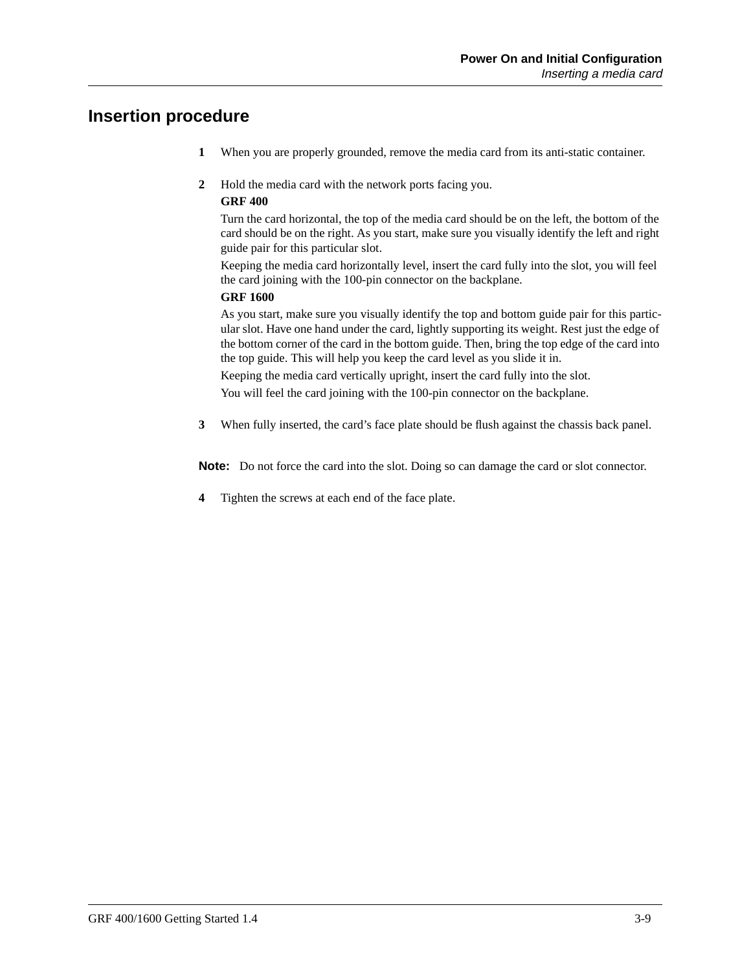#### **Insertion procedure**

- **1** When you are properly grounded, remove the media card from its anti-static container.
- **2** Hold the media card with the network ports facing you.

#### **GRF 400**

Turn the card horizontal, the top of the media card should be on the left, the bottom of the card should be on the right. As you start, make sure you visually identify the left and right guide pair for this particular slot.

Keeping the media card horizontally level, insert the card fully into the slot, you will feel the card joining with the 100-pin connector on the backplane.

#### **GRF 1600**

As you start, make sure you visually identify the top and bottom guide pair for this particular slot. Have one hand under the card, lightly supporting its weight. Rest just the edge of the bottom corner of the card in the bottom guide. Then, bring the top edge of the card into the top guide. This will help you keep the card level as you slide it in.

Keeping the media card vertically upright, insert the card fully into the slot. You will feel the card joining with the 100-pin connector on the backplane.

**3** When fully inserted, the card's face plate should be flush against the chassis back panel.

**Note:** Do not force the card into the slot. Doing so can damage the card or slot connector.

**4** Tighten the screws at each end of the face plate.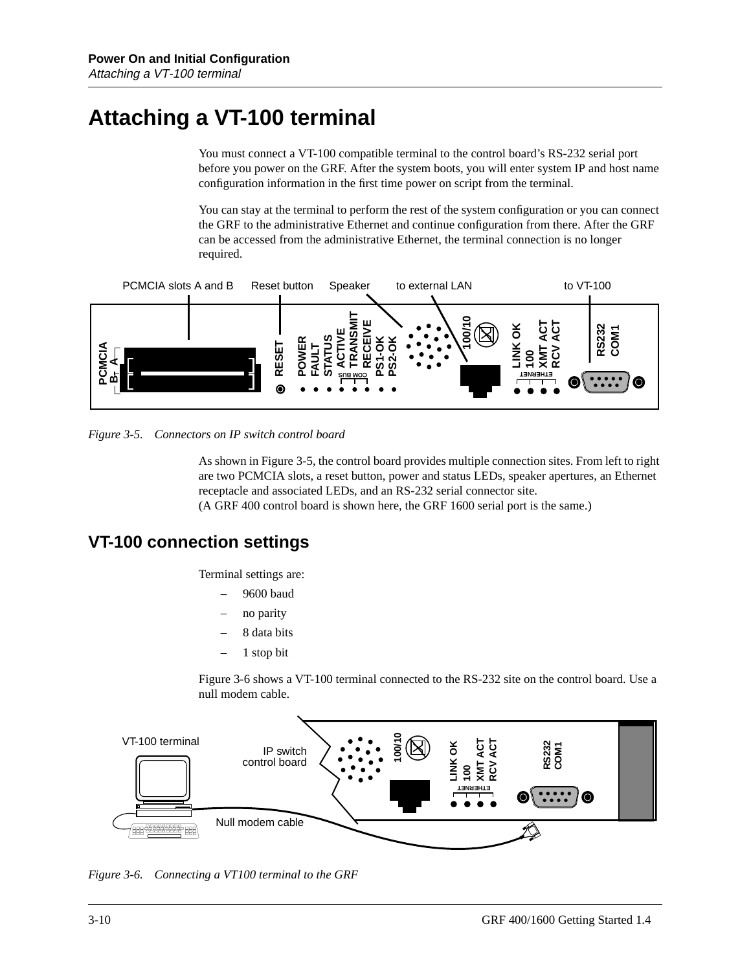# **Attaching a VT-100 terminal**

You must connect a VT-100 compatible terminal to the control board's RS-232 serial port before you power on the GRF. After the system boots, you will enter system IP and host name configuration information in the first time power on script from the terminal.

You can stay at the terminal to perform the rest of the system configuration or you can connect the GRF to the administrative Ethernet and continue configuration from there. After the GRF can be accessed from the administrative Ethernet, the terminal connection is no longer required.



*Figure 3-5. Connectors on IP switch control board*

As shown in Figure 3-5, the control board provides multiple connection sites. From left to right are two PCMCIA slots, a reset button, power and status LEDs, speaker apertures, an Ethernet receptacle and associated LEDs, and an RS-232 serial connector site. (A GRF 400 control board is shown here, the GRF 1600 serial port is the same.)

#### **VT-100 connection settings**

Terminal settings are:

- 9600 baud
- no parity
- 8 data bits
- 1 stop bit

Figure 3-6 shows a VT-100 terminal connected to the RS-232 site on the control board. Use a null modem cable.



*Figure 3-6. Connecting a VT100 terminal to the GRF*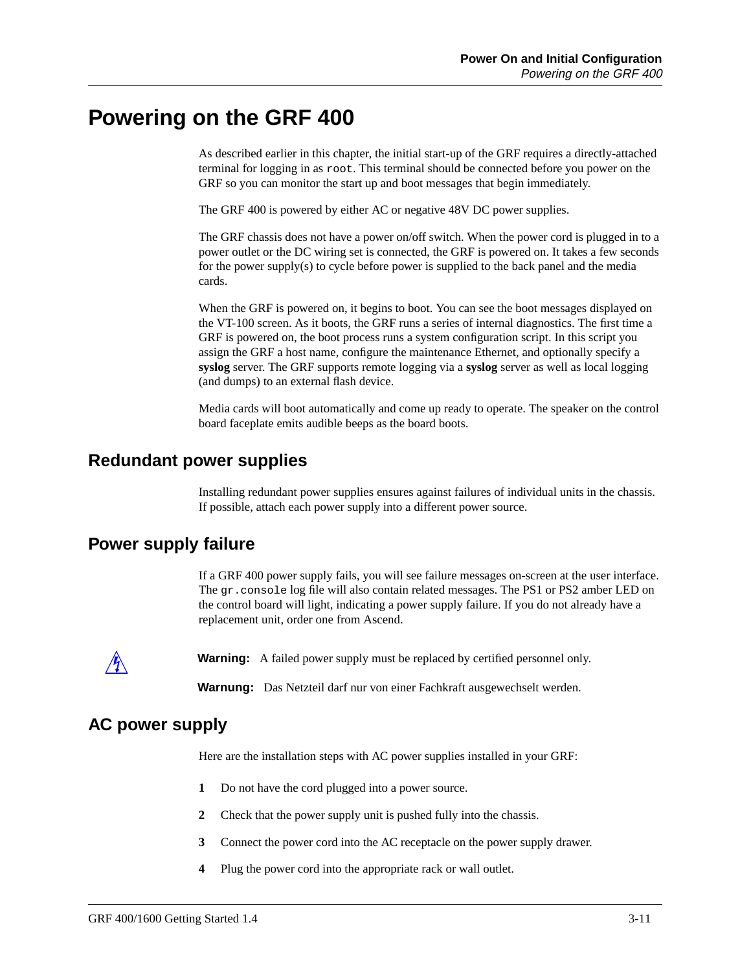### **Powering on the GRF 400**

As described earlier in this chapter, the initial start-up of the GRF requires a directly-attached terminal for logging in as root. This terminal should be connected before you power on the GRF so you can monitor the start up and boot messages that begin immediately.

The GRF 400 is powered by either AC or negative 48V DC power supplies.

The GRF chassis does not have a power on/off switch. When the power cord is plugged in to a power outlet or the DC wiring set is connected, the GRF is powered on. It takes a few seconds for the power supply(s) to cycle before power is supplied to the back panel and the media cards.

When the GRF is powered on, it begins to boot. You can see the boot messages displayed on the VT-100 screen. As it boots, the GRF runs a series of internal diagnostics. The first time a GRF is powered on, the boot process runs a system configuration script. In this script you assign the GRF a host name, configure the maintenance Ethernet, and optionally specify a **syslog** server. The GRF supports remote logging via a **syslog** server as well as local logging (and dumps) to an external flash device.

Media cards will boot automatically and come up ready to operate. The speaker on the control board faceplate emits audible beeps as the board boots.

#### **Redundant power supplies**

Installing redundant power supplies ensures against failures of individual units in the chassis. If possible, attach each power supply into a different power source.

#### **Power supply failure**

If a GRF 400 power supply fails, you will see failure messages on-screen at the user interface. The gr.console log file will also contain related messages. The PS1 or PS2 amber LED on the control board will light, indicating a power supply failure. If you do not already have a replacement unit, order one from Ascend.



**Warning:** A failed power supply must be replaced by certified personnel only.

**Warnung:** Das Netzteil darf nur von einer Fachkraft ausgewechselt werden.

#### **AC power supply**

Here are the installation steps with AC power supplies installed in your GRF:

- **1** Do not have the cord plugged into a power source.
- **2** Check that the power supply unit is pushed fully into the chassis.
- **3** Connect the power cord into the AC receptacle on the power supply drawer.
- **4** Plug the power cord into the appropriate rack or wall outlet.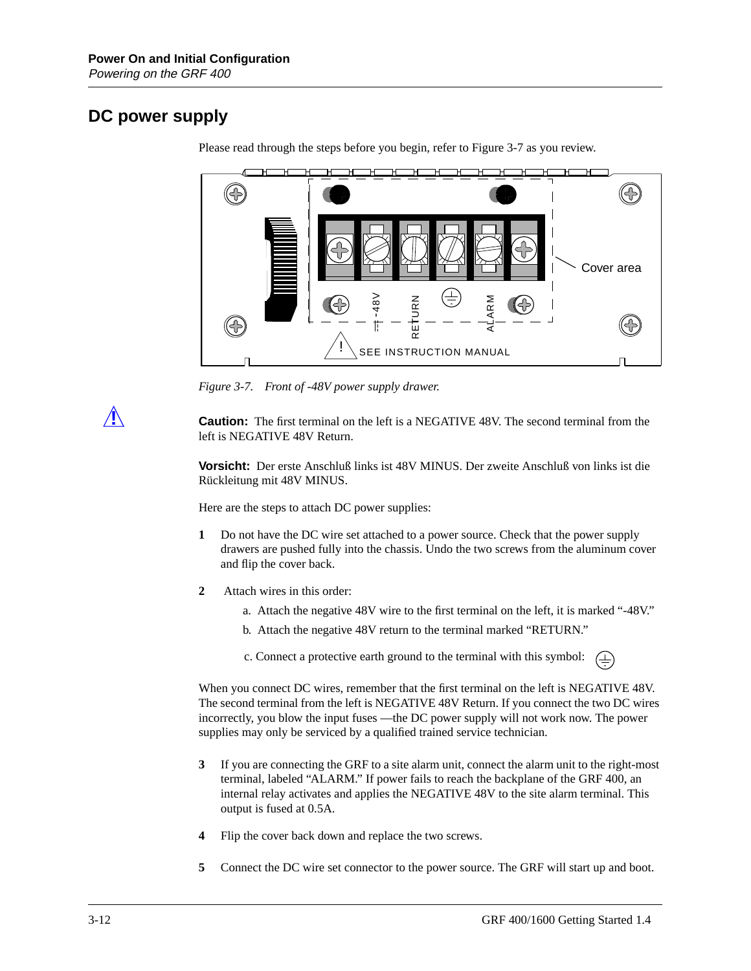### **DC power supply**



Please read through the steps before you begin, refer to Figure 3-7 as you review.

*Figure 3-7. Front of -48V power supply drawer.*

**Caution:** The first terminal on the left is a NEGATIVE 48V. The second terminal from the left is NEGATIVE 48V Return.

**Vorsicht:** Der erste Anschluß links ist 48V MINUS. Der zweite Anschluß von links ist die Rückleitung mit 48V MINUS.

Here are the steps to attach DC power supplies:

- **1** Do not have the DC wire set attached to a power source. Check that the power supply drawers are pushed fully into the chassis. Undo the two screws from the aluminum cover and flip the cover back.
- **2** Attach wires in this order:
	- a. Attach the negative 48V wire to the first terminal on the left, it is marked "-48V."
	- b. Attach the negative 48V return to the terminal marked "RETURN."
	- c. Connect a protective earth ground to the terminal with this symbol: $(\pm)$

When you connect DC wires, remember that the first terminal on the left is NEGATIVE 48V. The second terminal from the left is NEGATIVE 48V Return. If you connect the two DC wires incorrectly, you blow the input fuses —the DC power supply will not work now. The power supplies may only be serviced by a qualified trained service technician.

- **3** If you are connecting the GRF to a site alarm unit, connect the alarm unit to the right-most terminal, labeled "ALARM." If power fails to reach the backplane of the GRF 400, an internal relay activates and applies the NEGATIVE 48V to the site alarm terminal. This output is fused at 0.5A.
- **4** Flip the cover back down and replace the two screws.
- **5** Connect the DC wire set connector to the power source. The GRF will start up and boot.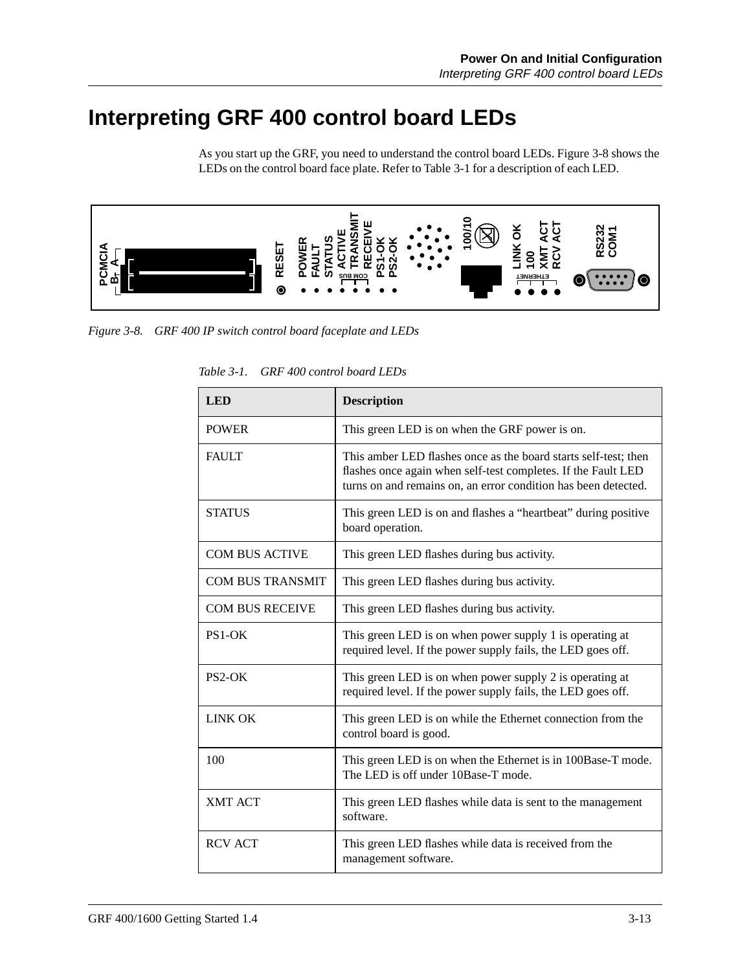# **Interpreting GRF 400 control board LEDs**

As you start up the GRF, you need to understand the control board LEDs. Figure 3-8 shows the LEDs on the control board face plate. Refer to Table 3-1 for a description of each LED.



*Figure 3-8. GRF 400 IP switch control board faceplate and LEDs*

| <b>LED</b>              | <b>Description</b>                                                                                                                                                                                 |
|-------------------------|----------------------------------------------------------------------------------------------------------------------------------------------------------------------------------------------------|
| <b>POWER</b>            | This green LED is on when the GRF power is on.                                                                                                                                                     |
| <b>FAULT</b>            | This amber LED flashes once as the board starts self-test; then<br>flashes once again when self-test completes. If the Fault LED<br>turns on and remains on, an error condition has been detected. |
| <b>STATUS</b>           | This green LED is on and flashes a "heartbeat" during positive<br>board operation.                                                                                                                 |
| <b>COM BUS ACTIVE</b>   | This green LED flashes during bus activity.                                                                                                                                                        |
| <b>COM BUS TRANSMIT</b> | This green LED flashes during bus activity.                                                                                                                                                        |
| <b>COM BUS RECEIVE</b>  | This green LED flashes during bus activity.                                                                                                                                                        |
| $PS1-OK$                | This green LED is on when power supply 1 is operating at<br>required level. If the power supply fails, the LED goes off.                                                                           |
| $PS2-OK$                | This green LED is on when power supply 2 is operating at<br>required level. If the power supply fails, the LED goes off.                                                                           |
| <b>LINK OK</b>          | This green LED is on while the Ethernet connection from the<br>control board is good.                                                                                                              |
| 100                     | This green LED is on when the Ethernet is in 100Base-T mode.<br>The LED is off under 10Base-T mode.                                                                                                |
| <b>XMT ACT</b>          | This green LED flashes while data is sent to the management<br>software.                                                                                                                           |
| <b>RCV ACT</b>          | This green LED flashes while data is received from the<br>management software.                                                                                                                     |

*Table 3-1. GRF 400 control board LEDs*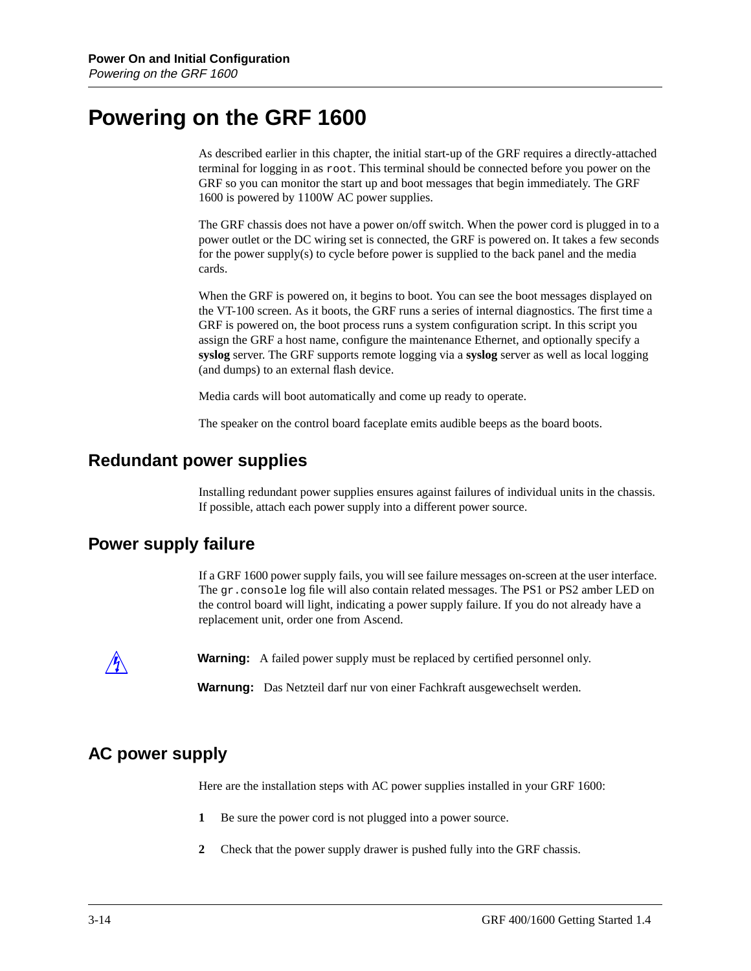### **Powering on the GRF 1600**

As described earlier in this chapter, the initial start-up of the GRF requires a directly-attached terminal for logging in as root. This terminal should be connected before you power on the GRF so you can monitor the start up and boot messages that begin immediately. The GRF 1600 is powered by 1100W AC power supplies.

The GRF chassis does not have a power on/off switch. When the power cord is plugged in to a power outlet or the DC wiring set is connected, the GRF is powered on. It takes a few seconds for the power supply(s) to cycle before power is supplied to the back panel and the media cards.

When the GRF is powered on, it begins to boot. You can see the boot messages displayed on the VT-100 screen. As it boots, the GRF runs a series of internal diagnostics. The first time a GRF is powered on, the boot process runs a system configuration script. In this script you assign the GRF a host name, configure the maintenance Ethernet, and optionally specify a **syslog** server. The GRF supports remote logging via a **syslog** server as well as local logging (and dumps) to an external flash device.

Media cards will boot automatically and come up ready to operate.

The speaker on the control board faceplate emits audible beeps as the board boots.

#### **Redundant power supplies**

Installing redundant power supplies ensures against failures of individual units in the chassis. If possible, attach each power supply into a different power source.

#### **Power supply failure**

If a GRF 1600 power supply fails, you will see failure messages on-screen at the user interface. The gr.console log file will also contain related messages. The PS1 or PS2 amber LED on the control board will light, indicating a power supply failure. If you do not already have a replacement unit, order one from Ascend.

**Warning:** A failed power supply must be replaced by certified personnel only.

**Warnung:** Das Netzteil darf nur von einer Fachkraft ausgewechselt werden.

### **AC power supply**

Here are the installation steps with AC power supplies installed in your GRF 1600:

- **1** Be sure the power cord is not plugged into a power source.
- **2** Check that the power supply drawer is pushed fully into the GRF chassis.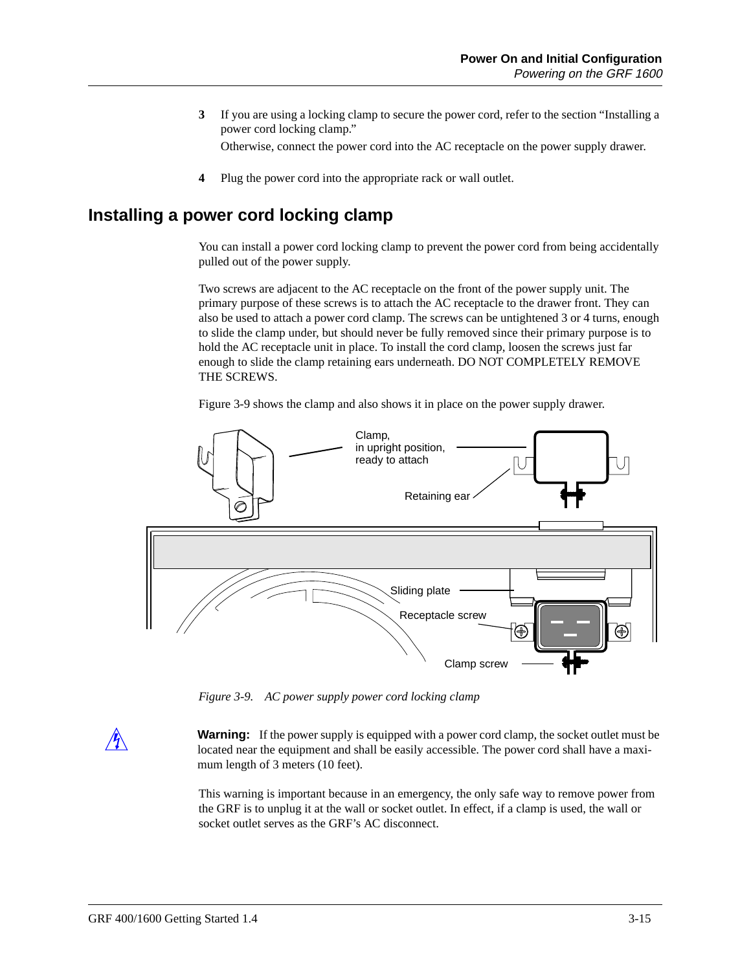- **3** If you are using a locking clamp to secure the power cord, refer to the section "Installing a power cord locking clamp." Otherwise, connect the power cord into the AC receptacle on the power supply drawer.
- **4** Plug the power cord into the appropriate rack or wall outlet.

#### **Installing a power cord locking clamp**

You can install a power cord locking clamp to prevent the power cord from being accidentally pulled out of the power supply.

Two screws are adjacent to the AC receptacle on the front of the power supply unit. The primary purpose of these screws is to attach the AC receptacle to the drawer front. They can also be used to attach a power cord clamp. The screws can be untightened 3 or 4 turns, enough to slide the clamp under, but should never be fully removed since their primary purpose is to hold the AC receptacle unit in place. To install the cord clamp, loosen the screws just far enough to slide the clamp retaining ears underneath. DO NOT COMPLETELY REMOVE THE SCREWS.

Figure 3-9 shows the clamp and also shows it in place on the power supply drawer.



*Figure 3-9. AC power supply power cord locking clamp*

**Warning:** If the power supply is equipped with a power cord clamp, the socket outlet must be located near the equipment and shall be easily accessible. The power cord shall have a maximum length of 3 meters (10 feet).

This warning is important because in an emergency, the only safe way to remove power from the GRF is to unplug it at the wall or socket outlet. In effect, if a clamp is used, the wall or socket outlet serves as the GRF's AC disconnect.

 $\mathcal{A}$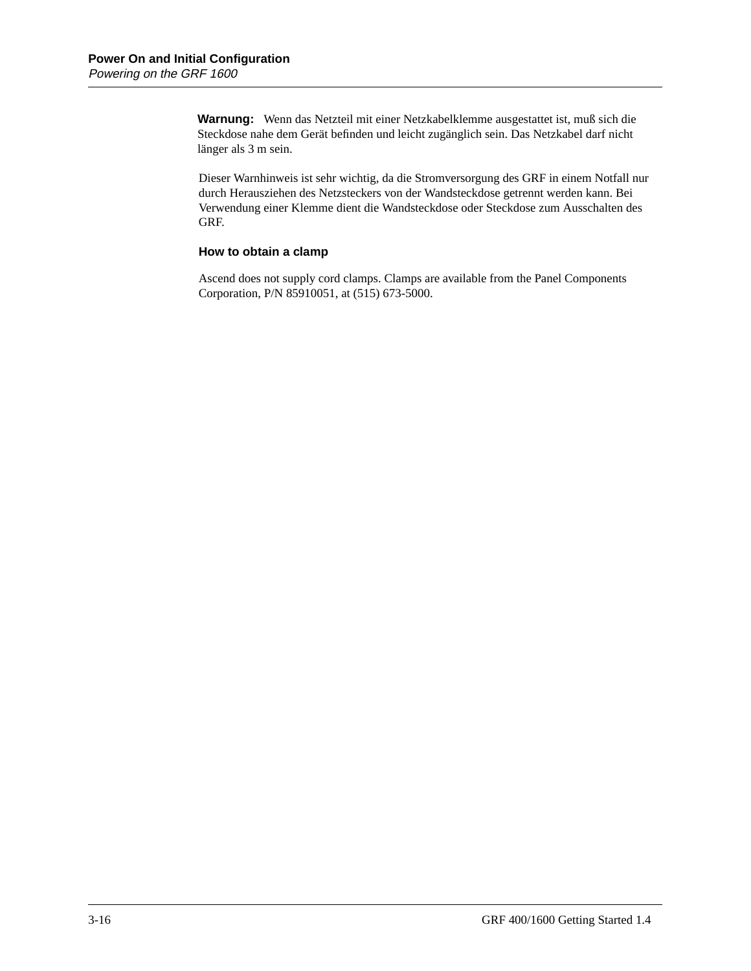**Warnung:** Wenn das Netzteil mit einer Netzkabelklemme ausgestattet ist, muß sich die Steckdose nahe dem Gerät befinden und leicht zugänglich sein. Das Netzkabel darf nicht länger als 3 m sein.

Dieser Warnhinweis ist sehr wichtig, da die Stromversorgung des GRF in einem Notfall nur durch Herausziehen des Netzsteckers von der Wandsteckdose getrennt werden kann. Bei Verwendung einer Klemme dient die Wandsteckdose oder Steckdose zum Ausschalten des GRF.

#### **How to obtain a clamp**

Ascend does not supply cord clamps. Clamps are available from the Panel Components Corporation, P/N 85910051, at (515) 673-5000.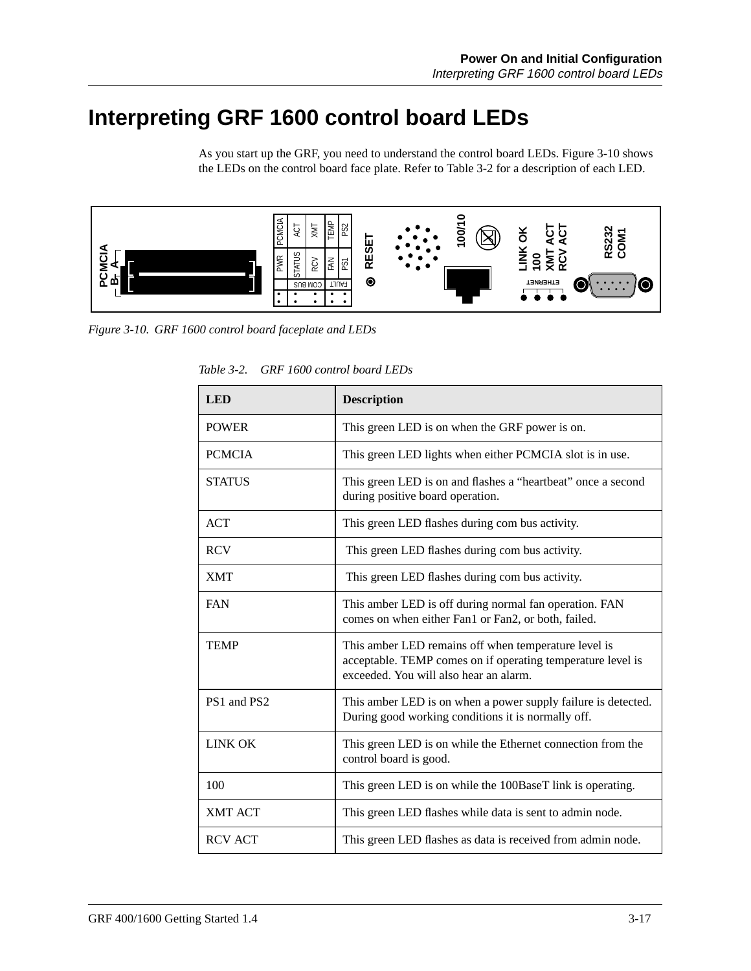# **Interpreting GRF 1600 control board LEDs**

As you start up the GRF, you need to understand the control board LEDs. Figure 3-10 shows the LEDs on the control board face plate. Refer to Table 3-2 for a description of each LED.



| <b>LED</b>     | <b>Description</b>                                                                                                                                            |  |
|----------------|---------------------------------------------------------------------------------------------------------------------------------------------------------------|--|
| <b>POWER</b>   | This green LED is on when the GRF power is on.                                                                                                                |  |
| <b>PCMCIA</b>  | This green LED lights when either PCMCIA slot is in use.                                                                                                      |  |
| <b>STATUS</b>  | This green LED is on and flashes a "heartbeat" once a second<br>during positive board operation.                                                              |  |
| <b>ACT</b>     | This green LED flashes during com bus activity.                                                                                                               |  |
| <b>RCV</b>     | This green LED flashes during com bus activity.                                                                                                               |  |
| <b>XMT</b>     | This green LED flashes during com bus activity.                                                                                                               |  |
| <b>FAN</b>     | This amber LED is off during normal fan operation. FAN<br>comes on when either Fan1 or Fan2, or both, failed.                                                 |  |
| <b>TEMP</b>    | This amber LED remains off when temperature level is<br>acceptable. TEMP comes on if operating temperature level is<br>exceeded. You will also hear an alarm. |  |
| PS1 and PS2    | This amber LED is on when a power supply failure is detected.<br>During good working conditions it is normally off.                                           |  |
| <b>LINK OK</b> | This green LED is on while the Ethernet connection from the<br>control board is good.                                                                         |  |
| 100            | This green LED is on while the 100BaseT link is operating.                                                                                                    |  |
| <b>XMT ACT</b> | This green LED flashes while data is sent to admin node.                                                                                                      |  |
| <b>RCV ACT</b> | This green LED flashes as data is received from admin node.                                                                                                   |  |

*Table 3-2. GRF 1600 control board LEDs*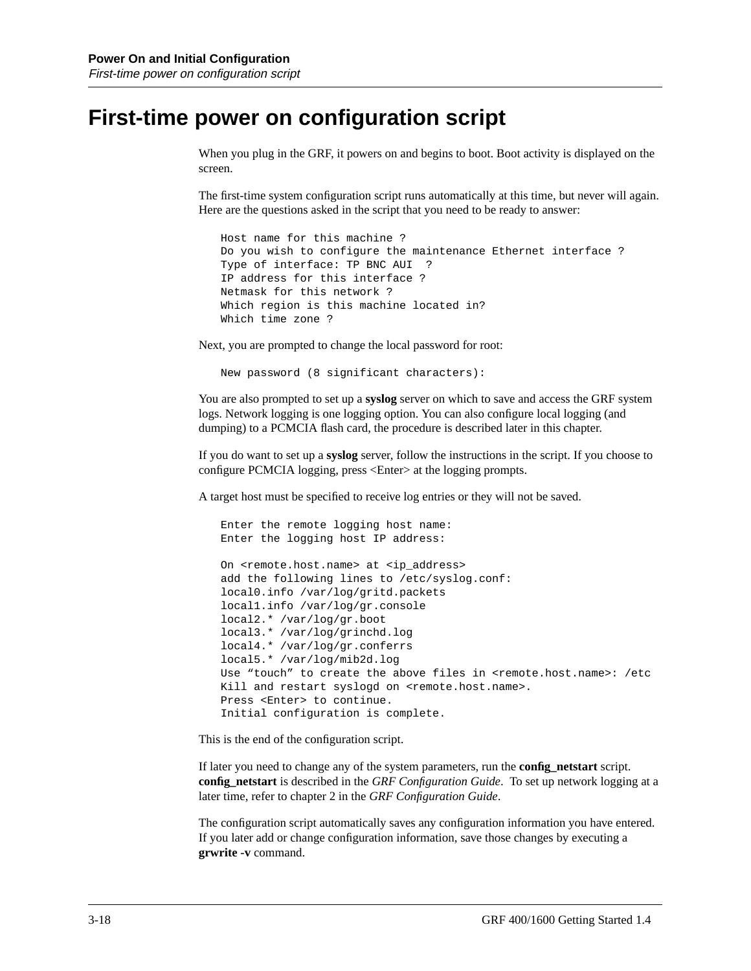### **First-time power on configuration script**

When you plug in the GRF, it powers on and begins to boot. Boot activity is displayed on the screen.

The first-time system configuration script runs automatically at this time, but never will again. Here are the questions asked in the script that you need to be ready to answer:

```
Host name for this machine ?
Do you wish to configure the maintenance Ethernet interface ?
Type of interface: TP BNC AUI ?
IP address for this interface ?
Netmask for this network ?
Which region is this machine located in?
Which time zone ?
```
Next, you are prompted to change the local password for root:

New password (8 significant characters):

You are also prompted to set up a **syslog** server on which to save and access the GRF system logs. Network logging is one logging option. You can also configure local logging (and dumping) to a PCMCIA flash card, the procedure is described later in this chapter.

If you do want to set up a **syslog** server, follow the instructions in the script. If you choose to configure PCMCIA logging, press <Enter> at the logging prompts.

A target host must be specified to receive log entries or they will not be saved.

```
Enter the remote logging host name:
Enter the logging host IP address:
On <remote.host.name> at <ip_address>
add the following lines to /etc/syslog.conf:
local0.info /var/log/gritd.packets
local1.info /var/log/gr.console
local2.* /var/log/gr.boot
local3.* /var/log/grinchd.log
local4.* /var/log/gr.conferrs
local5.* /var/log/mib2d.log
Use "touch" to create the above files in <remote.host.name>: /etc
Kill and restart syslogd on <remote.host.name>.
Press <Enter> to continue.
Initial configuration is complete.
```
This is the end of the configuration script.

If later you need to change any of the system parameters, run the **config\_netstart** script. **config\_netstart** is described in the *GRF Configuration Guide*. To set up network logging at a later time, refer to chapter 2 in the *GRF Configuration Guide*.

The configuration script automatically saves any configuration information you have entered. If you later add or change configuration information, save those changes by executing a **grwrite -v** command.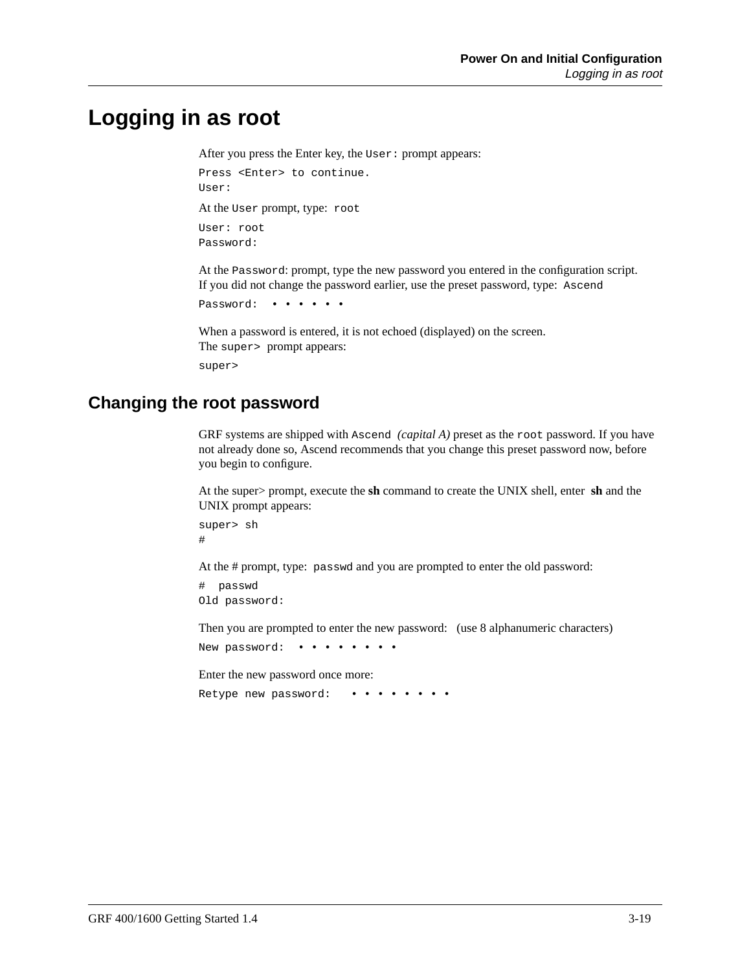### **Logging in as root**

After you press the Enter key, the User: prompt appears:

```
Press <Enter> to continue.
User:
At the User prompt, type: root
User: root
```
Password:

At the Password: prompt, type the new password you entered in the configuration script. If you did not change the password earlier, use the preset password, type: Ascend

```
Password: • • •
```
When a password is entered, it is not echoed (displayed) on the screen. The super > prompt appears: super>

### **Changing the root password**

GRF systems are shipped with Ascend *(capital A)* preset as the root password. If you have not already done so, Ascend recommends that you change this preset password now, before you begin to configure.

At the super> prompt, execute the **sh** command to create the UNIX shell, enter **sh** and the UNIX prompt appears:

super> sh #

At the # prompt, type: passwd and you are prompted to enter the old password:

# passwd Old password:

Then you are prompted to enter the new password: (use 8 alphanumeric characters)

New password: • • • • • • • •

Enter the new password once more:

Retype new password: ••••••••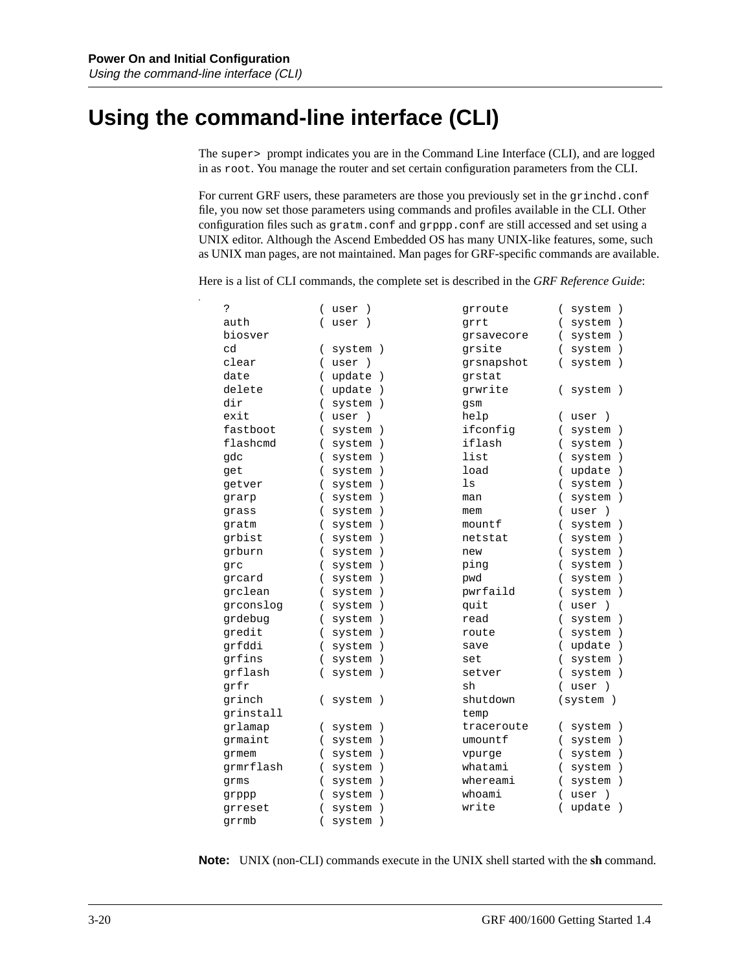### **Using the command-line interface (CLI)**

The super> prompt indicates you are in the Command Line Interface (CLI), and are logged in as root. You manage the router and set certain configuration parameters from the CLI.

For current GRF users, these parameters are those you previously set in the grinchd.conf file, you now set those parameters using commands and profiles available in the CLI. Other configuration files such as gratm.conf and grppp.conf are still accessed and set using a UNIX editor. Although the Ascend Embedded OS has many UNIX-like features, some, such as UNIX man pages, are not maintained. Man pages for GRF-specific commands are available.

Here is a list of CLI commands, the complete set is described in the *GRF Reference Guide*:

| Ċ.        | user<br>$\rightarrow$                 | grroute    | system )                                |
|-----------|---------------------------------------|------------|-----------------------------------------|
| auth      | user<br>$\left($<br>$\rightarrow$     | grrt       | system)<br>$\left($                     |
| biosver   |                                       | qrsavecore | system)<br>$\left($                     |
| cd        | system )<br>$\left($                  | qrsite     | system)<br>$\left($                     |
| clear     | user)                                 | grsnapshot | system)                                 |
| date      | update<br>$\rightarrow$               | qrstat     |                                         |
| delete    | update<br>$\lambda$                   | grwrite    | system )                                |
| dir       | system                                | gsm        |                                         |
| exit      | user<br>$\rightarrow$                 | help       | user<br>$\overline{ }$<br>$\rightarrow$ |
| fastboot  | system<br>$\lambda$                   | ifconfig   | system )                                |
| flashcmd  | system<br>$\lambda$                   | iflash     | system)                                 |
| gdc       | system<br>$\lambda$                   | list       | system)                                 |
| get       | system<br>$\rightarrow$               | load       | update<br>$\rightarrow$                 |
| getver    | system<br>$\lambda$                   | ls         | system)                                 |
| grarp     | system<br>$\lambda$                   | man        | system)                                 |
| qrass     | system<br>$\lambda$                   | mem        | user<br>$\rightarrow$                   |
| qratm     | system<br>$\lambda$                   | mountf     | system)                                 |
| qrbist    | system                                | netstat    | system<br>$\rightarrow$                 |
| qrburn    | system                                | new        | system<br>$\rightarrow$                 |
| qrc       | system<br>$\lambda$                   | ping       | system)                                 |
| qrcard    | system<br>$\lambda$                   | pwd        | system)                                 |
| qrclean   | system<br>$\lambda$                   | pwrfaild   | system)                                 |
| grconslog | system<br>$\overline{ }$<br>$\lambda$ | quit       | user<br>$\rightarrow$<br>(              |
| grdebug   | system<br>$\overline{ }$<br>$\lambda$ | read       | system)<br>(                            |
| gredit    | system<br>$\left($<br>$\lambda$       | route      | system)                                 |
| grfddi    | system<br>$\lambda$                   | save       | update<br>$\rightarrow$                 |
| grfins    | system<br>$\lambda$                   | set        | system)                                 |
| grflash   | system<br>$\rightarrow$               | setver     | system)                                 |
| grfr      |                                       | sh         | user<br>$\rightarrow$                   |
| qrinch    | system )                              | shutdown   | (system)                                |
| qrinstall |                                       | temp       |                                         |
| qrlamap   | system<br>$\rightarrow$               | traceroute | system )                                |
| qrmaint   | system<br>$\lambda$                   | umountf    | system)                                 |
| qrmem     | system<br>$\lambda$                   | vpurge     | system<br>$\rightarrow$                 |
| grmrflash | system<br>$\lambda$<br>$\overline{ }$ | whatami    | system<br>$\rightarrow$                 |
| qrms      | system<br>$\lambda$                   | whereami   | system<br>$\rightarrow$                 |
| grppp     | system                                | whoami     | user<br>$\rightarrow$                   |
| qrreset   | system                                | write      | update<br>$\rightarrow$                 |
| qrrmb     | system<br>$\lambda$                   |            |                                         |

**Note:** UNIX (non-CLI) commands execute in the UNIX shell started with the **sh** command.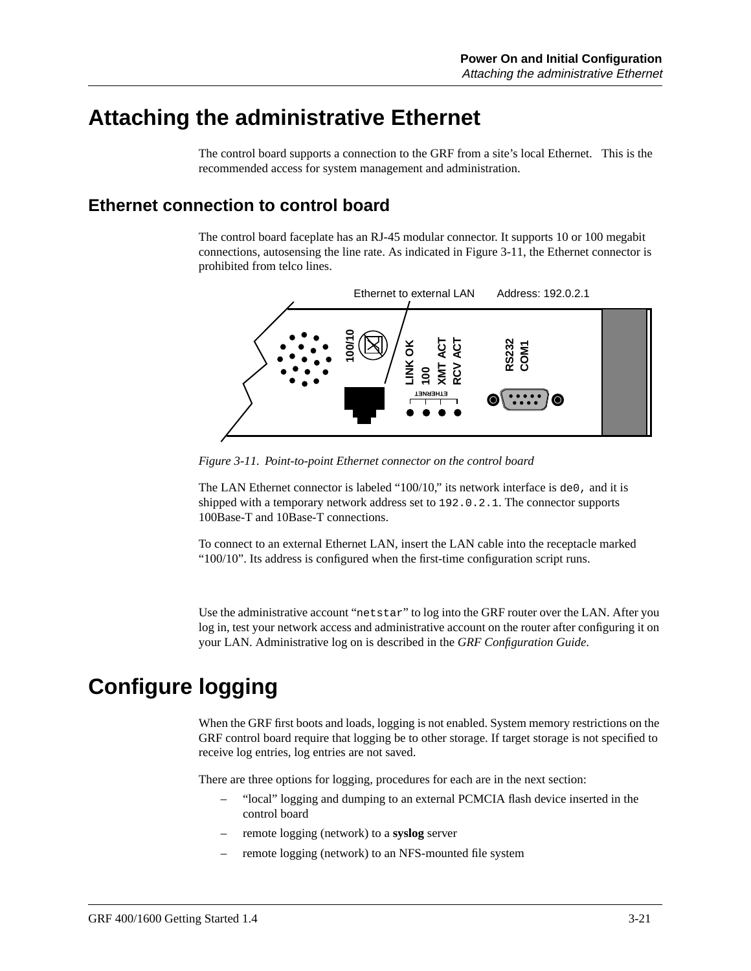### **Attaching the administrative Ethernet**

The control board supports a connection to the GRF from a site's local Ethernet. This is the recommended access for system management and administration.

#### **Ethernet connection to control board**

The control board faceplate has an RJ-45 modular connector. It supports 10 or 100 megabit connections, autosensing the line rate. As indicated in Figure 3-11, the Ethernet connector is prohibited from telco lines.



*Figure 3-11. Point-to-point Ethernet connector on the control board*

The LAN Ethernet connector is labeled "100/10," its network interface is de0, and it is shipped with a temporary network address set to 192.0.2.1. The connector supports 100Base-T and 10Base-T connections.

To connect to an external Ethernet LAN, insert the LAN cable into the receptacle marked "100/10". Its address is configured when the first-time configuration script runs.

Use the administrative account "netstar" to log into the GRF router over the LAN. After you log in, test your network access and administrative account on the router after configuring it on your LAN. Administrative log on is described in the *GRF Configuration Guide*.

# **Configure logging**

When the GRF first boots and loads, logging is not enabled. System memory restrictions on the GRF control board require that logging be to other storage. If target storage is not specified to receive log entries, log entries are not saved.

There are three options for logging, procedures for each are in the next section:

- "local" logging and dumping to an external PCMCIA flash device inserted in the control board
- remote logging (network) to a **syslog** server
-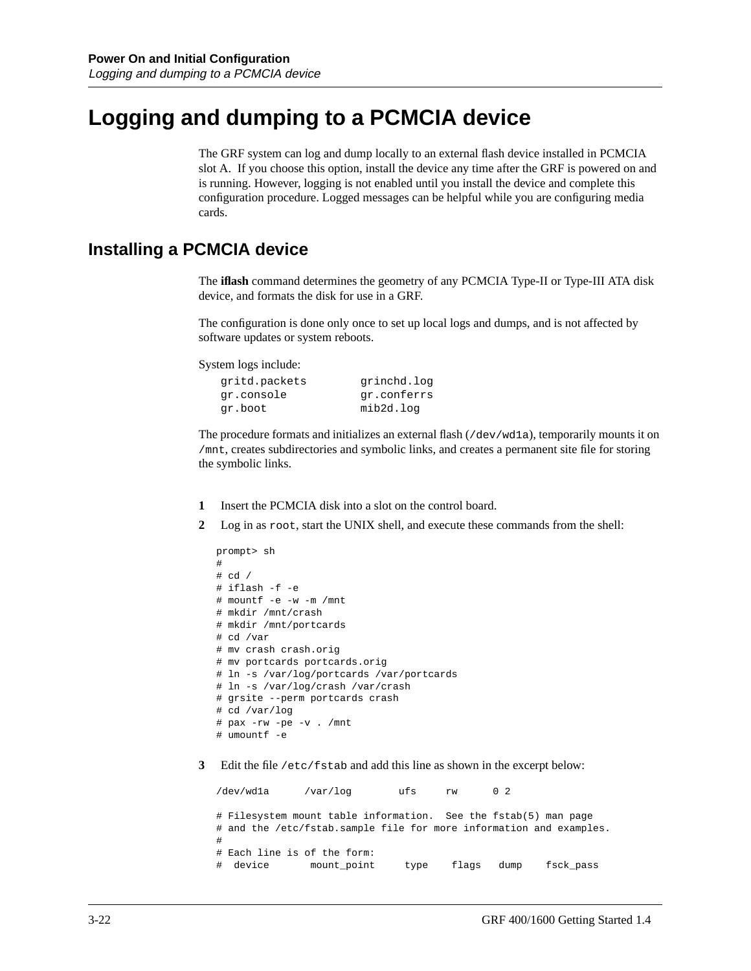# **Logging and dumping to a PCMCIA device**

The GRF system can log and dump locally to an external flash device installed in PCMCIA slot A. If you choose this option, install the device any time after the GRF is powered on and is running. However, logging is not enabled until you install the device and complete this configuration procedure. Logged messages can be helpful while you are configuring media cards.

#### **Installing a PCMCIA device**

The **iflash** command determines the geometry of any PCMCIA Type-II or Type-III ATA disk device, and formats the disk for use in a GRF.

The configuration is done only once to set up local logs and dumps, and is not affected by software updates or system reboots.

System logs include:

| gritd.packets | grinchd.log |
|---------------|-------------|
| gr.console    | gr.conferrs |
| gr.boot       | mib2d.log   |

The procedure formats and initializes an external flash (/dev/wd1a), temporarily mounts it on /mnt, creates subdirectories and symbolic links, and creates a permanent site file for storing the symbolic links.

- **1** Insert the PCMCIA disk into a slot on the control board.
- **2** Log in as root, start the UNIX shell, and execute these commands from the shell:

```
prompt> sh
#
# cd /
# iflash -f -e
# mountf -e -w -m /mnt
# mkdir /mnt/crash
# mkdir /mnt/portcards
# cd /var
# mv crash crash.orig
# mv portcards portcards.orig
# ln -s /var/log/portcards /var/portcards
# ln -s /var/log/crash /var/crash
# grsite --perm portcards crash
# cd /var/log
# pax -rw -pe -v . /mnt
# umountf -e
```
**3** Edit the file /etc/fstab and add this line as shown in the excerpt below:

```
/dev/wd1a /var/log ufs rw 0 2
# Filesystem mount table information. See the fstab(5) man page
# and the /etc/fstab.sample file for more information and examples.
#
# Each line is of the form:
# device mount_point type flags dump fsck_pass
```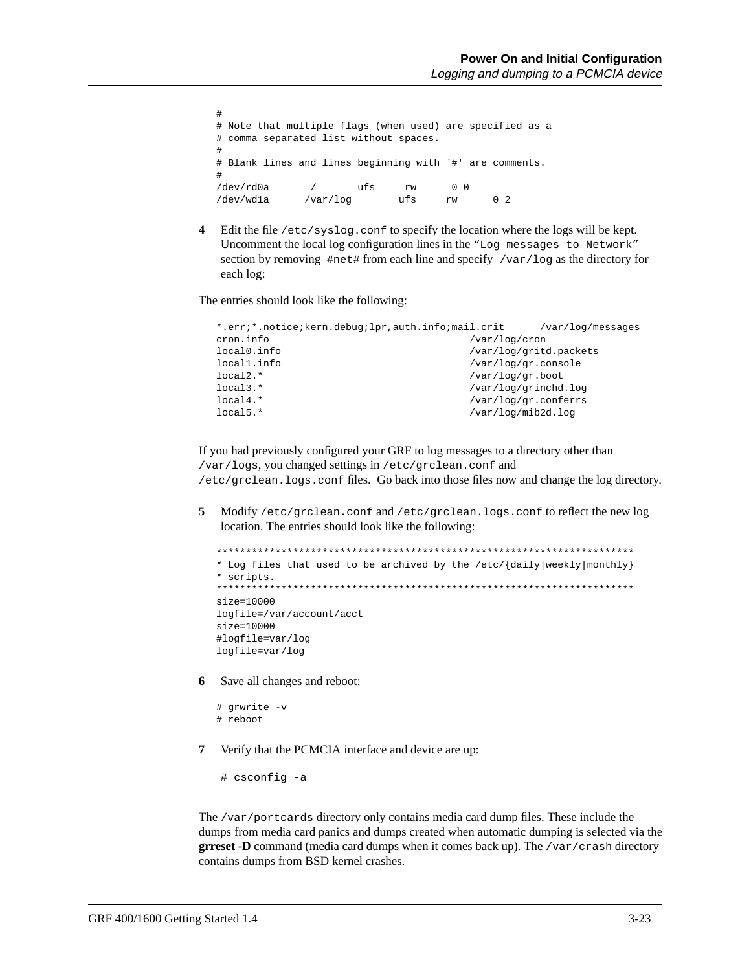```
#
# Note that multiple flags (when used) are specified as a
# comma separated list without spaces.
#
# Blank lines and lines beginning with `#' are comments.
#
/dev/rd0a / ufs rw 0 0
/dev/wd1a /var/log ufs rw 0 2
```
**4** Edit the file /etc/syslog.conf to specify the location where the logs will be kept. Uncomment the local log configuration lines in the "Log messages to Network" section by removing  $\#net\#$  from each line and specify /var/log as the directory for each log:

The entries should look like the following:

```
*.err;*.notice;kern.debug;lpr,auth.info;mail.crit /var/log/messages
cron.info /var/log/cron
local0.info /var/log/gritd.packets<br>local1.info /var/log/gr.console
                                /var/log/gr.console
local2.* /var/log/gr.boot
local3.* /var/log/grinchd.log<br>local4.* /var/log/grinchd.log
                                /var/log/gr.conferrs
local5.* /var/log/mib2d.log
```
If you had previously configured your GRF to log messages to a directory other than /var/logs, you changed settings in /etc/grclean.conf and /etc/grclean.logs.conf files. Go back into those files now and change the log directory.

**5** Modify /etc/grclean.conf and /etc/grclean.logs.conf to reflect the new log location. The entries should look like the following:

```
***********************************************************************
* Log files that used to be archived by the /etc/{daily|weekly|monthly}
* scripts.
***********************************************************************
size=10000
logfile=/var/account/acct
size=10000
#logfile=var/log
logfile=var/log
```
**6** Save all changes and reboot:

```
# grwrite -v
# reboot
```
**7** Verify that the PCMCIA interface and device are up:

# csconfig -a

The /var/portcards directory only contains media card dump files. These include the dumps from media card panics and dumps created when automatic dumping is selected via the **grreset -D** command (media card dumps when it comes back up). The /var/crash directory contains dumps from BSD kernel crashes.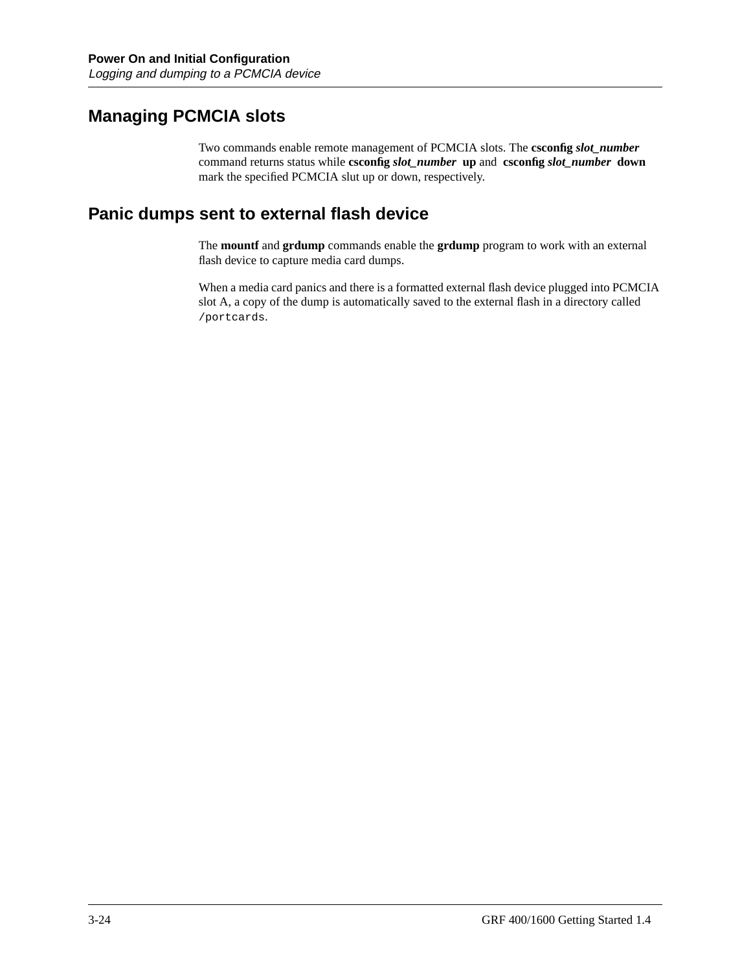### **Managing PCMCIA slots**

Two commands enable remote management of PCMCIA slots. The **csconfig** *slot\_number* command returns status while **csconfig** *slot\_number* **up** and **csconfig** *slot\_number* **down** mark the specified PCMCIA slut up or down, respectively.

#### **Panic dumps sent to external flash device**

The **mountf** and **grdump** commands enable the **grdump** program to work with an external flash device to capture media card dumps.

When a media card panics and there is a formatted external flash device plugged into PCMCIA slot A, a copy of the dump is automatically saved to the external flash in a directory called /portcards.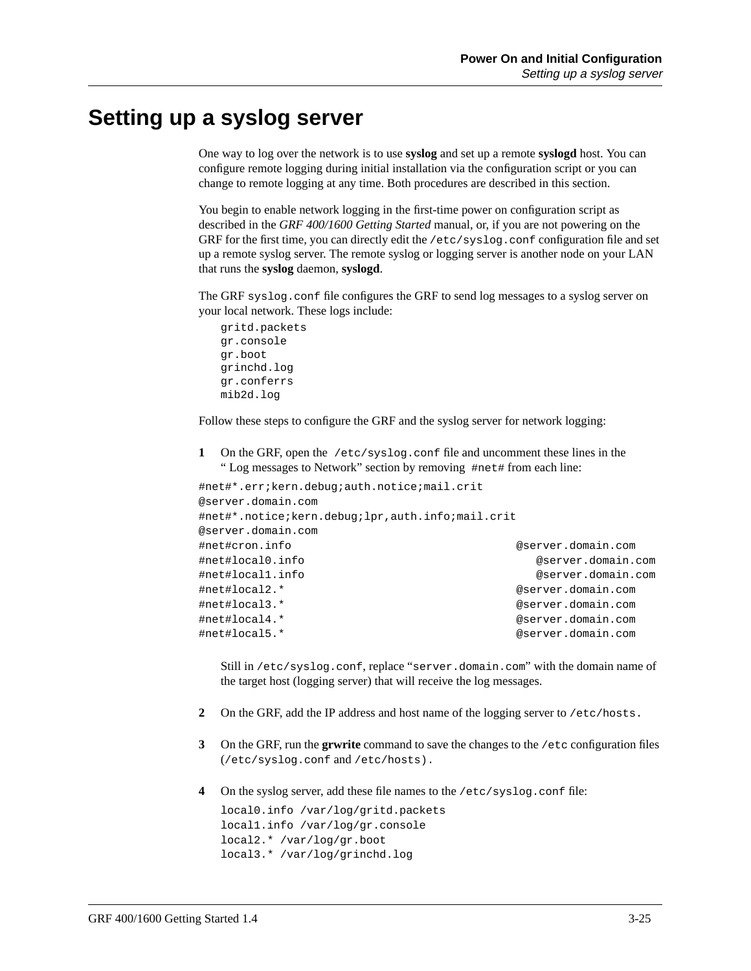### **Setting up a syslog server**

One way to log over the network is to use **syslog** and set up a remote **syslogd** host. You can configure remote logging during initial installation via the configuration script or you can change to remote logging at any time. Both procedures are described in this section.

You begin to enable network logging in the first-time power on configuration script as described in the *GRF 400/1600 Getting Started* manual, or, if you are not powering on the GRF for the first time, you can directly edit the /etc/syslog.conf configuration file and set up a remote syslog server. The remote syslog or logging server is another node on your LAN that runs the **syslog** daemon, **syslogd**.

The GRF syslog.conf file configures the GRF to send log messages to a syslog server on your local network. These logs include:

```
gritd.packets
gr.console
gr.boot
grinchd.log
gr.conferrs
mib2d.log
```
Follow these steps to configure the GRF and the syslog server for network logging:

**1** On the GRF, open the /etc/syslog.conf file and uncomment these lines in the " Log messages to Network" section by removing #net# from each line:

```
#net#*.err;kern.debug;auth.notice;mail.crit
@server.domain.com
#net#*.notice;kern.debug;lpr,auth.info;mail.crit
@server.domain.com
#net#cron.info @server.domain.com
#net#local0.info @server.domain.com
#net#local1.info @server.domain.com
#net#local2.* @server.domain.com
#net#local3.* @server.domain.com
#net#local4.* @server.domain.com
#net#local5.* @server.domain.com
```
Still in /etc/syslog.conf, replace "server.domain.com" with the domain name of the target host (logging server) that will receive the log messages.

- **2** On the GRF, add the IP address and host name of the logging server to /etc/hosts.
- **3** On the GRF, run the **grwrite** command to save the changes to the /etc configuration files (/etc/syslog.conf and /etc/hosts).
- **4** On the syslog server, add these file names to the /etc/syslog.conf file:

```
local0.info /var/log/gritd.packets
local1.info /var/log/gr.console
local2.* /var/log/gr.boot
local3.* /var/log/grinchd.log
```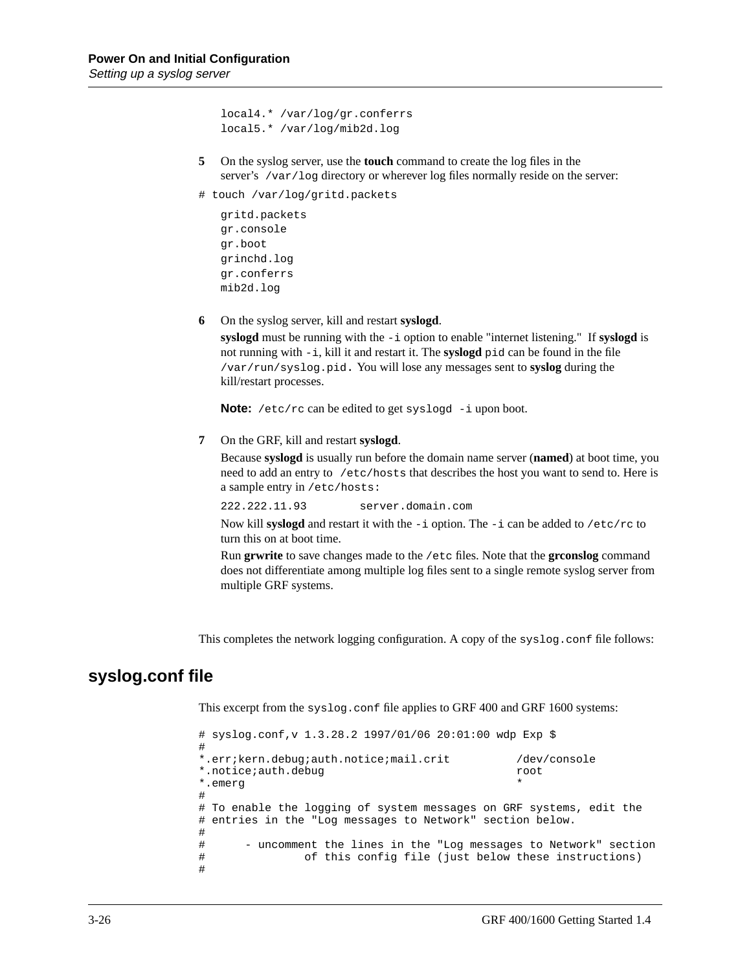```
local4.* /var/log/gr.conferrs
local5.* /var/log/mib2d.log
```
- **5** On the syslog server, use the **touch** command to create the log files in the server's /var/log directory or wherever log files normally reside on the server:
- # touch /var/log/gritd.packets

```
gritd.packets
gr.console
gr.boot
grinchd.log
gr.conferrs
mib2d.log
```
**6** On the syslog server, kill and restart **syslogd**.

**syslogd** must be running with the -i option to enable "internet listening." If **syslogd** is not running with -i, kill it and restart it. The **syslogd** pid can be found in the file /var/run/syslog.pid. You will lose any messages sent to **syslog** during the kill/restart processes.

**Note:** /etc/rc can be edited to get syslogd -i upon boot.

**7** On the GRF, kill and restart **syslogd**.

Because **syslogd** is usually run before the domain name server (**named**) at boot time, you need to add an entry to /etc/hosts that describes the host you want to send to. Here is a sample entry in /etc/hosts:

222.222.11.93 server.domain.com

Now kill **syslogd** and restart it with the  $-i$  option. The  $-i$  can be added to  $/$ etc/rc to turn this on at boot time.

Run **grwrite** to save changes made to the /etc files. Note that the **grconslog** command does not differentiate among multiple log files sent to a single remote syslog server from multiple GRF systems.

This completes the network logging configuration. A copy of the syslog.conf file follows:

#### **syslog.conf file**

This excerpt from the syslog.conf file applies to GRF 400 and GRF 1600 systems:

```
# syslog.conf,v 1.3.28.2 1997/01/06 20:01:00 wdp Exp $
#
*.err;kern.debug;auth.notice;mail.crit /dev/console
*.notice;auth.debug root
*.emerg *
#
# To enable the logging of system messages on GRF systems, edit the
# entries in the "Log messages to Network" section below.
#
# - uncomment the lines in the "Log messages to Network" section
# of this config file (just below these instructions)
#
```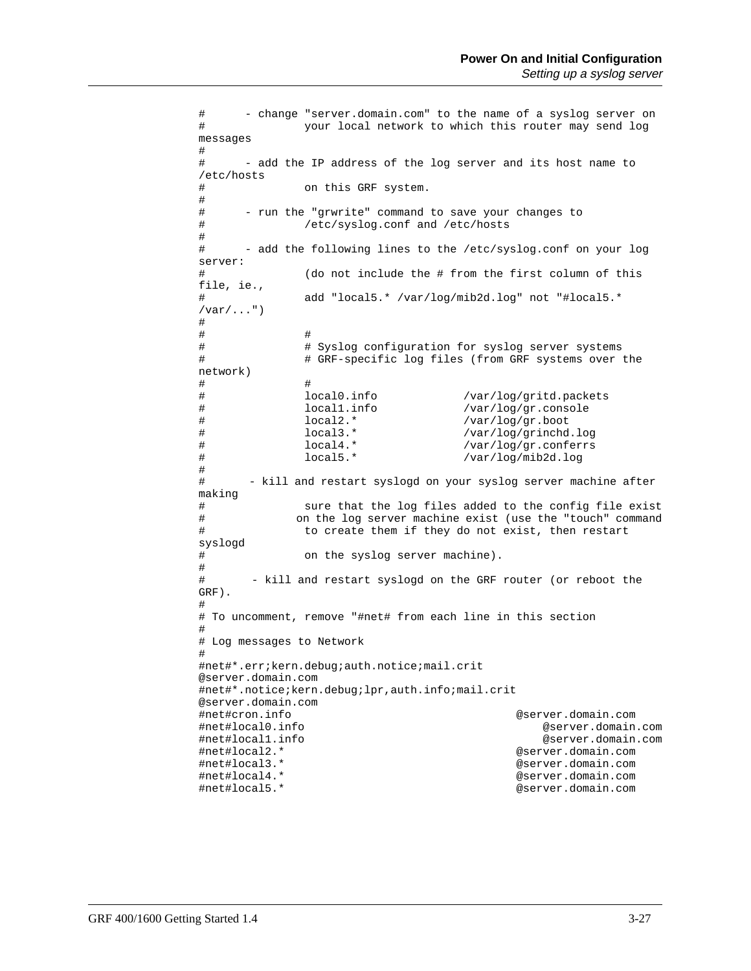# - change "server.domain.com" to the name of a syslog server on # your local network to which this router may send log messages # # - add the IP address of the log server and its host name to /etc/hosts on this GRF system. # # - run the "grwrite" command to save your changes to # /etc/syslog.conf and /etc/hosts # # - add the following lines to the /etc/syslog.conf on your log server: # (do not include the # from the first column of this file, ie., # add "local5.\* /var/log/mib2d.log" not "#local5.\*  $/var/$ ...")  $\begin{array}{c} \# \\ \# \end{array}$ # # # # Syslog configuration for syslog server systems # # GRF-specific log files (from GRF systems over the network) # # # local0.info /var/log/gritd.packets /var/log/gr.console # local2.\* /var/log/gr.boot<br># local3.\* /var/log/grinchd # local3.\* /var/log/grinchd.log /var/log/gr.conferrs # local5.\* /var/log/mib2d.log # # - kill and restart syslogd on your syslog server machine after making # sure that the log files added to the config file exist<br># on the log server machine exist (use the "touch" command on the log server machine exist (use the "touch" command # to create them if they do not exist, then restart syslogd # on the syslog server machine). # # - kill and restart syslogd on the GRF router (or reboot the GRF). # # To uncomment, remove "#net# from each line in this section # # Log messages to Network # #net#\*.err;kern.debug;auth.notice;mail.crit @server.domain.com #net#\*.notice;kern.debug;lpr,auth.info;mail.crit @server.domain.com #net#cron.info @server.domain.com #net#local0.info @server.domain.com #net#local1.info @server.domain.com #net#local2.\* @server.domain.com #net#local3.\* @server.domain.com @server.domain.com #net#local5.\* @server.domain.com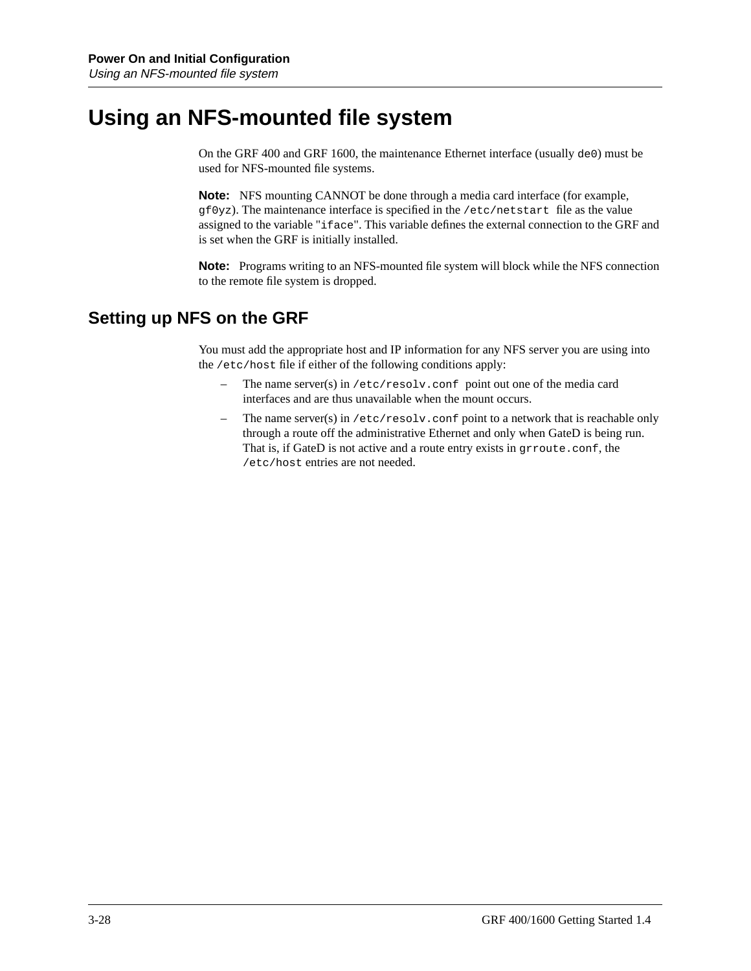# **Using an NFS-mounted file system**

On the GRF 400 and GRF 1600, the maintenance Ethernet interface (usually de0) must be used for NFS-mounted file systems.

**Note:** NFS mounting CANNOT be done through a media card interface (for example,  $qf0yz$ ). The maintenance interface is specified in the /etc/netstart file as the value assigned to the variable "iface". This variable defines the external connection to the GRF and is set when the GRF is initially installed.

**Note:** Programs writing to an NFS-mounted file system will block while the NFS connection to the remote file system is dropped.

### **Setting up NFS on the GRF**

You must add the appropriate host and IP information for any NFS server you are using into the /etc/host file if either of the following conditions apply:

- The name server(s) in /etc/resolv.conf point out one of the media card interfaces and are thus unavailable when the mount occurs.
- The name server(s) in  $/etc/resolv$ .conf point to a network that is reachable only through a route off the administrative Ethernet and only when GateD is being run. That is, if GateD is not active and a route entry exists in grroute.conf, the /etc/host entries are not needed.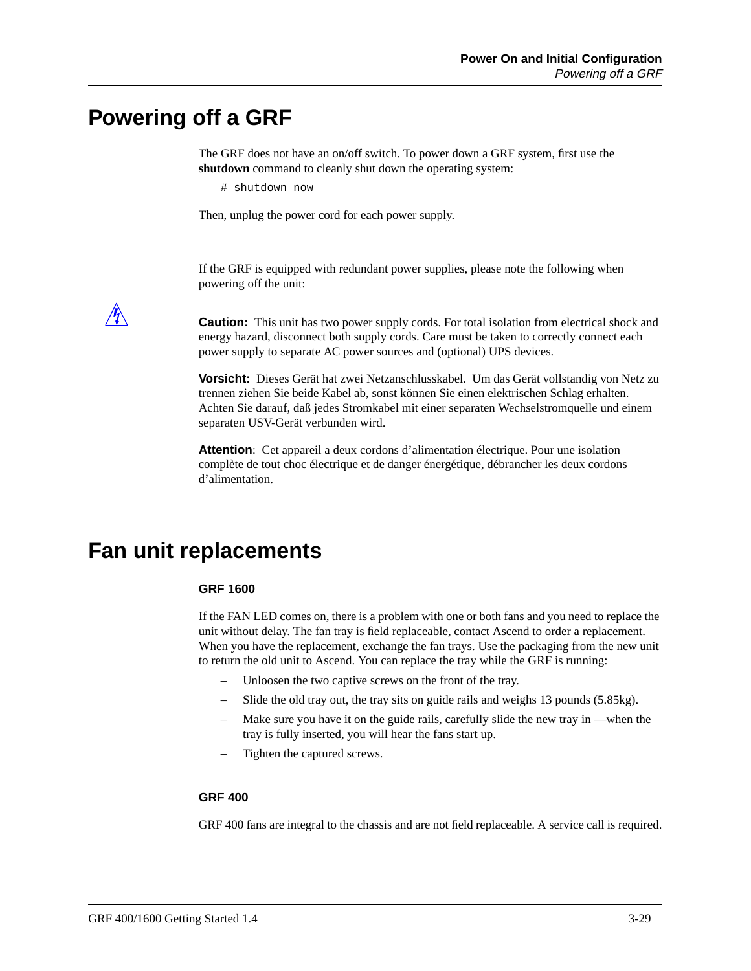## **Powering off a GRF**

The GRF does not have an on/off switch. To power down a GRF system, first use the **shutdown** command to cleanly shut down the operating system:

# shutdown now

Then, unplug the power cord for each power supply.

If the GRF is equipped with redundant power supplies, please note the following when powering off the unit:

**Caution:** This unit has two power supply cords. For total isolation from electrical shock and energy hazard, disconnect both supply cords. Care must be taken to correctly connect each power supply to separate AC power sources and (optional) UPS devices.

**Vorsicht:** Dieses Gerät hat zwei Netzanschlusskabel. Um das Gerät vollstandig von Netz zu trennen ziehen Sie beide Kabel ab, sonst können Sie einen elektrischen Schlag erhalten. Achten Sie darauf, daß jedes Stromkabel mit einer separaten Wechselstromquelle und einem separaten USV-Gerät verbunden wird.

**Attention**: Cet appareil a deux cordons d'alimentation électrique. Pour une isolation complète de tout choc électrique et de danger énergétique, débrancher les deux cordons d'alimentation.

## **Fan unit replacements**

#### **GRF 1600**

If the FAN LED comes on, there is a problem with one or both fans and you need to replace the unit without delay. The fan tray is field replaceable, contact Ascend to order a replacement. When you have the replacement, exchange the fan trays. Use the packaging from the new unit to return the old unit to Ascend. You can replace the tray while the GRF is running:

- Unloosen the two captive screws on the front of the tray.
- Slide the old tray out, the tray sits on guide rails and weighs 13 pounds (5.85kg).
- Make sure you have it on the guide rails, carefully slide the new tray in —when the tray is fully inserted, you will hear the fans start up.
- Tighten the captured screws.

#### **GRF 400**

GRF 400 fans are integral to the chassis and are not field replaceable. A service call is required.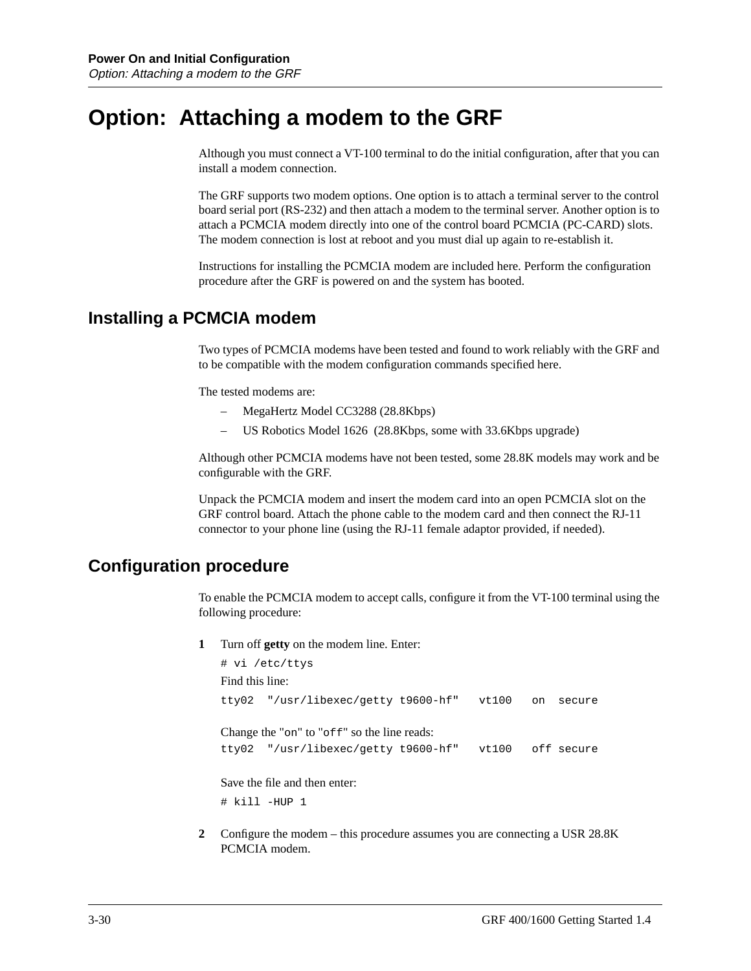## **Option: Attaching a modem to the GRF**

Although you must connect a VT-100 terminal to do the initial configuration, after that you can install a modem connection.

The GRF supports two modem options. One option is to attach a terminal server to the control board serial port (RS-232) and then attach a modem to the terminal server. Another option is to attach a PCMCIA modem directly into one of the control board PCMCIA (PC-CARD) slots. The modem connection is lost at reboot and you must dial up again to re-establish it.

Instructions for installing the PCMCIA modem are included here. Perform the configuration procedure after the GRF is powered on and the system has booted.

### **Installing a PCMCIA modem**

Two types of PCMCIA modems have been tested and found to work reliably with the GRF and to be compatible with the modem configuration commands specified here.

The tested modems are:

- MegaHertz Model CC3288 (28.8Kbps)
- US Robotics Model 1626 (28.8Kbps, some with 33.6Kbps upgrade)

Although other PCMCIA modems have not been tested, some 28.8K models may work and be configurable with the GRF.

Unpack the PCMCIA modem and insert the modem card into an open PCMCIA slot on the GRF control board. Attach the phone cable to the modem card and then connect the RJ-11 connector to your phone line (using the RJ-11 female adaptor provided, if needed).

## **Configuration procedure**

To enable the PCMCIA modem to accept calls, configure it from the VT-100 terminal using the following procedure:

**1** Turn off **getty** on the modem line. Enter:

 $H = \sqrt{2}$  *v*  $\sqrt{2}$  *v*  $\sqrt{2}$  *v*  $\sqrt{2}$  *v*  $\sqrt{2}$ 

|                 | # V1 /etc/ttys                                       |       |    |        |
|-----------------|------------------------------------------------------|-------|----|--------|
| Find this line: |                                                      |       |    |        |
|                 | tty02 "/usr/libexec/getty t9600-hf"                  | vt100 | on | secure |
|                 | Change the "on" to "off" so the line reads:          |       |    |        |
|                 | tty02 "/usr/libexec/getty t9600-hf" vt100 off secure |       |    |        |
|                 | Save the file and then enter:                        |       |    |        |
|                 | # kill -HUP 1                                        |       |    |        |

**2** Configure the modem – this procedure assumes you are connecting a USR 28.8K PCMCIA modem.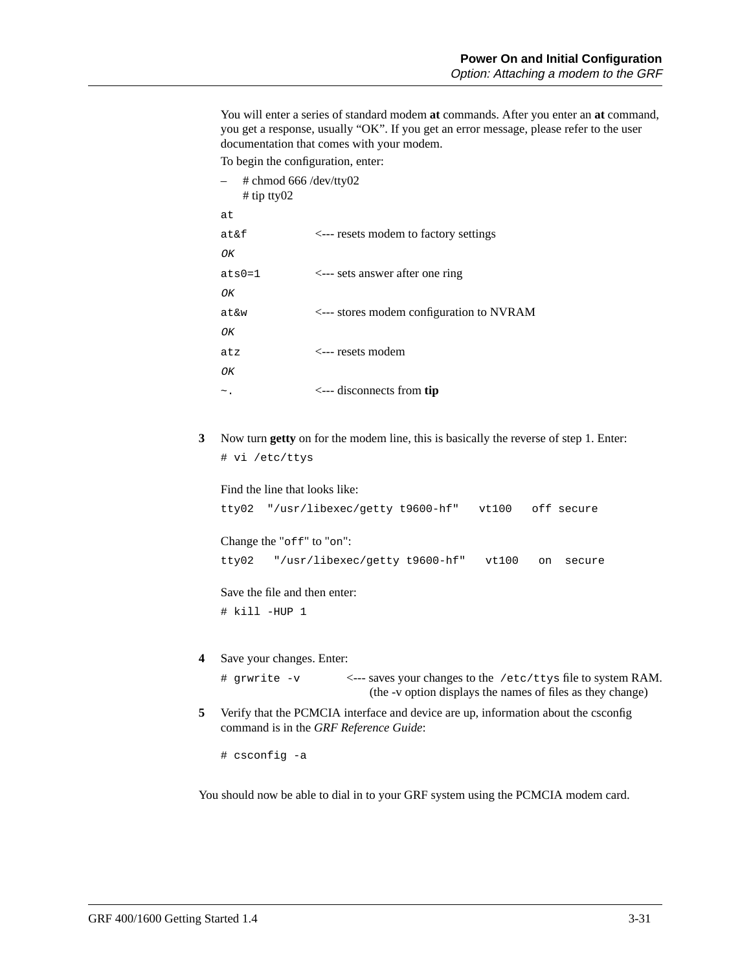You will enter a series of standard modem **at** commands. After you enter an **at** command, you get a response, usually "OK". If you get an error message, please refer to the user documentation that comes with your modem. To begin the configuration, enter:

– # chmod 666 /dev/tty02 # tip tty02 at at&f <--- resets modem to factory settings OK ats0=1 <--- sets answer after one ring OK at&w <--- stores modem configuration to NVRAM  $\overline{OK}$ atz <--- resets modem  $\bigcap K$ ~. <--- disconnects from **tip**

**3** Now turn **getty** on for the modem line, this is basically the reverse of step 1. Enter: # vi /etc/ttys

Find the line that looks like: tty02 "/usr/libexec/getty t9600-hf" vt100 off secure

Change the "off" to "on":

tty02 "/usr/libexec/getty t9600-hf" vt100 on secure

Save the file and then enter: # kill -HUP 1

**4** Save your changes. Enter:

# grwrite -v <--- saves your changes to the /etc/ttys file to system RAM. (the -v option displays the names of files as they change)

**5** Verify that the PCMCIA interface and device are up, information about the csconfig command is in the *GRF Reference Guide*:

# csconfig -a

You should now be able to dial in to your GRF system using the PCMCIA modem card.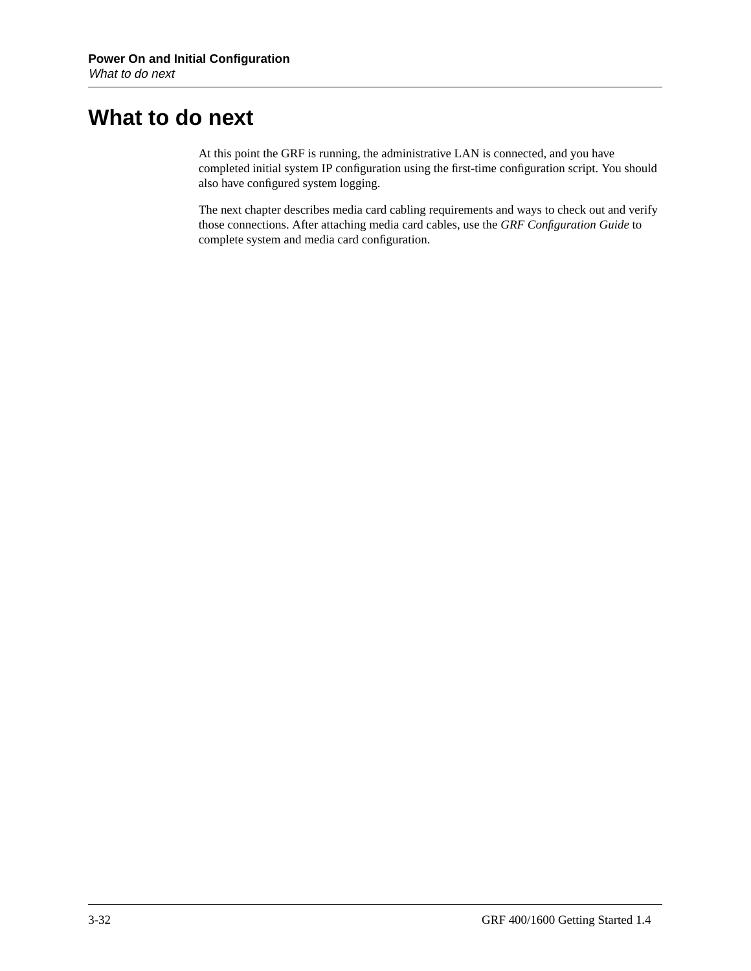## **What to do next**

At this point the GRF is running, the administrative LAN is connected, and you have completed initial system IP configuration using the first-time configuration script. You should also have configured system logging.

The next chapter describes media card cabling requirements and ways to check out and verify those connections. After attaching media card cables, use the *GRF Configuration Guide* to complete system and media card configuration.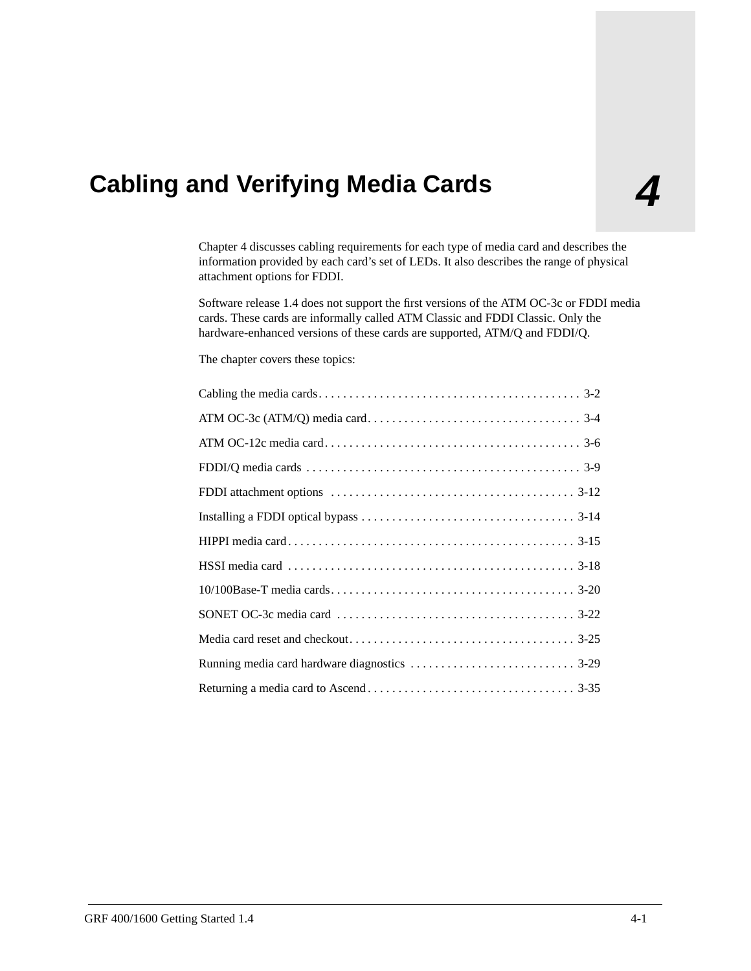# **4 Cabling and Verifying Media Cards**

Chapter 4 discusses cabling requirements for each type of media card and describes the information provided by each card's set of LEDs. It also describes the range of physical attachment options for FDDI.

Software release 1.4 does not support the first versions of the ATM OC-3c or FDDI media cards. These cards are informally called ATM Classic and FDDI Classic. Only the hardware-enhanced versions of these cards are supported, ATM/Q and FDDI/Q.

The chapter covers these topics: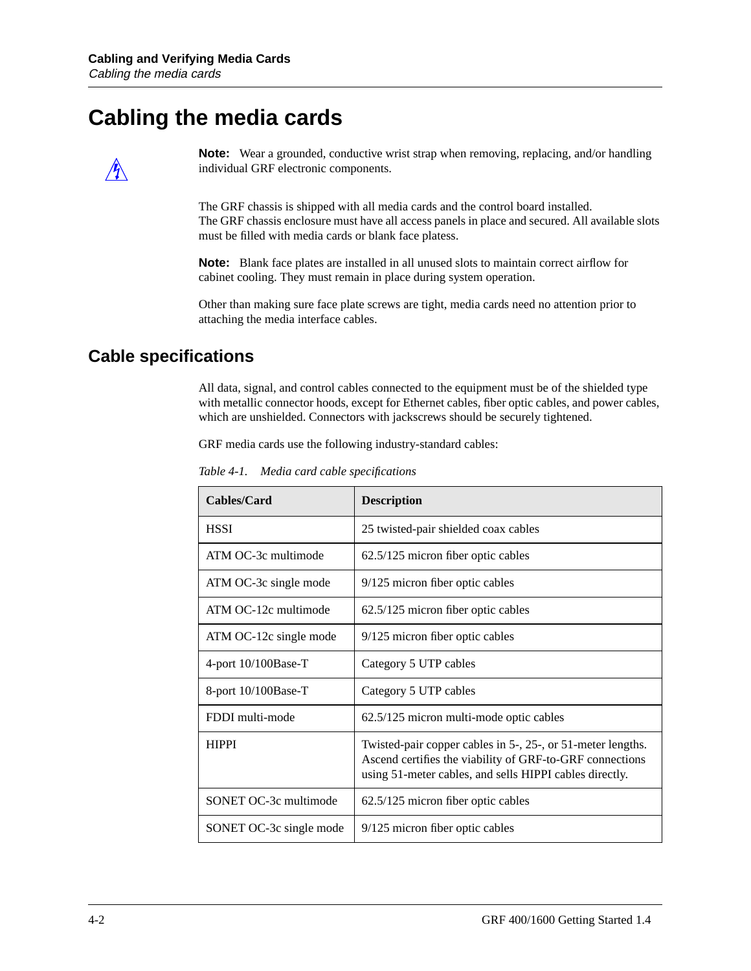## **Cabling the media cards**



**Note:** Wear a grounded, conductive wrist strap when removing, replacing, and/or handling individual GRF electronic components.

The GRF chassis is shipped with all media cards and the control board installed. The GRF chassis enclosure must have all access panels in place and secured. All available slots must be filled with media cards or blank face platess.

**Note:** Blank face plates are installed in all unused slots to maintain correct airflow for cabinet cooling. They must remain in place during system operation.

Other than making sure face plate screws are tight, media cards need no attention prior to attaching the media interface cables.

### **Cable specifications**

All data, signal, and control cables connected to the equipment must be of the shielded type with metallic connector hoods, except for Ethernet cables, fiber optic cables, and power cables, which are unshielded. Connectors with jackscrews should be securely tightened.

GRF media cards use the following industry-standard cables:

| Cables/Card             | <b>Description</b>                                                                                                                                                                 |
|-------------------------|------------------------------------------------------------------------------------------------------------------------------------------------------------------------------------|
| <b>HSSI</b>             | 25 twisted-pair shielded coax cables                                                                                                                                               |
| ATM OC-3c multimode     | 62.5/125 micron fiber optic cables                                                                                                                                                 |
| ATM OC-3c single mode   | 9/125 micron fiber optic cables                                                                                                                                                    |
| ATM OC-12c multimode    | 62.5/125 micron fiber optic cables                                                                                                                                                 |
| ATM OC-12c single mode  | 9/125 micron fiber optic cables                                                                                                                                                    |
| 4-port $10/100$ Base-T  | Category 5 UTP cables                                                                                                                                                              |
| 8-port $10/100$ Base-T  | Category 5 UTP cables                                                                                                                                                              |
| FDDI multi-mode         | 62.5/125 micron multi-mode optic cables                                                                                                                                            |
| <b>HIPPI</b>            | Twisted-pair copper cables in 5-, 25-, or 51-meter lengths.<br>Ascend certifies the viability of GRF-to-GRF connections<br>using 51-meter cables, and sells HIPPI cables directly. |
| SONET OC-3c multimode   | 62.5/125 micron fiber optic cables                                                                                                                                                 |
| SONET OC-3c single mode | 9/125 micron fiber optic cables                                                                                                                                                    |

*Table 4-1. Media card cable specifications*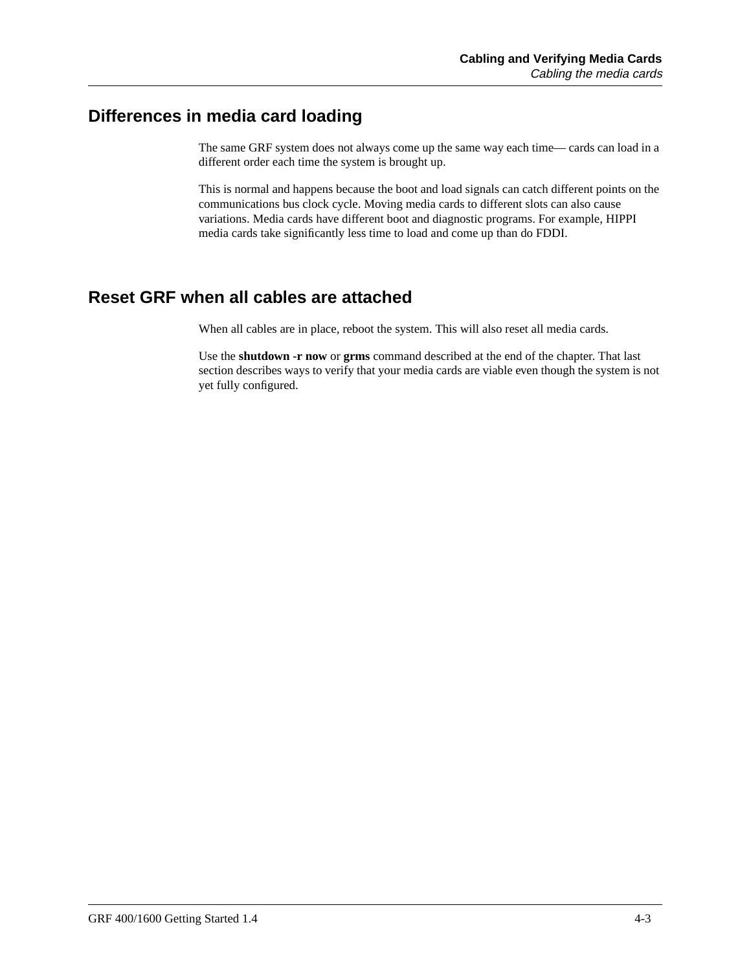## **Differences in media card loading**

The same GRF system does not always come up the same way each time— cards can load in a different order each time the system is brought up.

This is normal and happens because the boot and load signals can catch different points on the communications bus clock cycle. Moving media cards to different slots can also cause variations. Media cards have different boot and diagnostic programs. For example, HIPPI media cards take significantly less time to load and come up than do FDDI.

## **Reset GRF when all cables are attached**

When all cables are in place, reboot the system. This will also reset all media cards.

Use the **shutdown -r now** or **grms** command described at the end of the chapter. That last section describes ways to verify that your media cards are viable even though the system is not yet fully configured.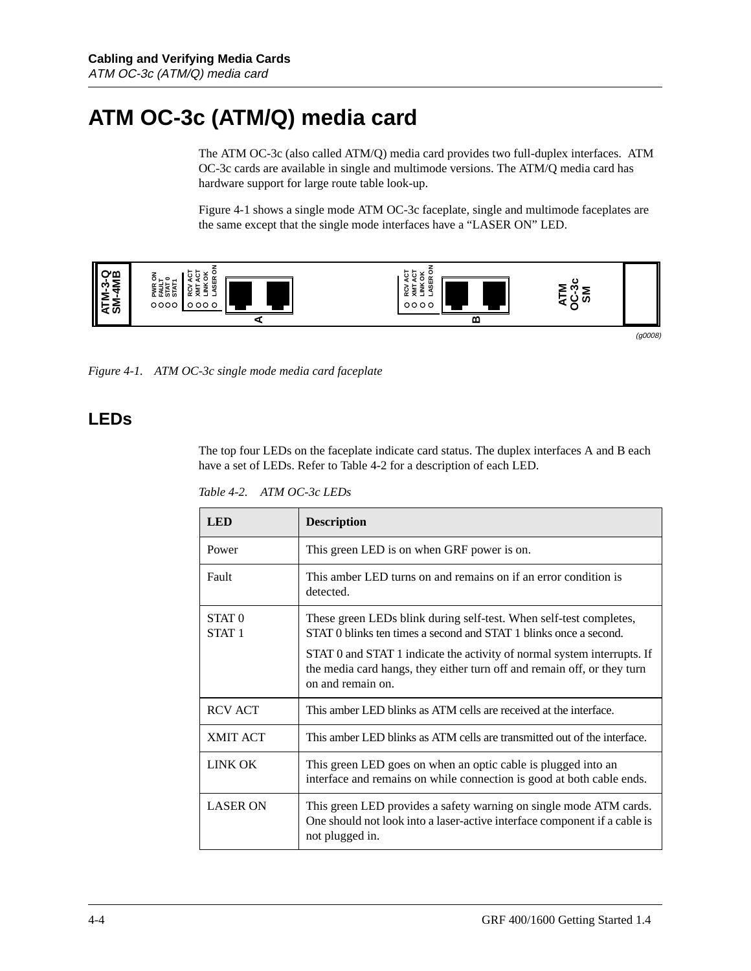## **ATM OC-3c (ATM/Q) media card**

The ATM OC-3c (also called ATM/Q) media card provides two full-duplex interfaces. ATM OC-3c cards are available in single and multimode versions. The ATM/Q media card has hardware support for large route table look-up.

Figure 4-1 shows a single mode ATM OC-3c faceplate, single and multimode faceplates are the same except that the single mode interfaces have a "LASER ON" LED.



(g0008)

*Figure 4-1. ATM OC-3c single mode media card faceplate*

### **LEDs**

The top four LEDs on the faceplate indicate card status. The duplex interfaces A and B each have a set of LEDs. Refer to Table 4-2 for a description of each LED.

*Table 4-2. ATM OC-3c LEDs*

| <b>LED</b>                             | <b>Description</b>                                                                                                                                                      |
|----------------------------------------|-------------------------------------------------------------------------------------------------------------------------------------------------------------------------|
| Power                                  | This green LED is on when GRF power is on.                                                                                                                              |
| Fault                                  | This amber LED turns on and remains on if an error condition is<br>detected.                                                                                            |
| STAT <sub>0</sub><br>STAT <sub>1</sub> | These green LEDs blink during self-test. When self-test completes,<br>STAT 0 blinks ten times a second and STAT 1 blinks once a second.                                 |
|                                        | STAT 0 and STAT 1 indicate the activity of normal system interrupts. If<br>the media card hangs, they either turn off and remain off, or they turn<br>on and remain on. |
| <b>RCV ACT</b>                         | This amber LED blinks as ATM cells are received at the interface.                                                                                                       |
| <b>XMIT ACT</b>                        | This amber LED blinks as ATM cells are transmitted out of the interface.                                                                                                |
| <b>LINK OK</b>                         | This green LED goes on when an optic cable is plugged into an<br>interface and remains on while connection is good at both cable ends.                                  |
| <b>LASER ON</b>                        | This green LED provides a safety warning on single mode ATM cards.<br>One should not look into a laser-active interface component if a cable is<br>not plugged in.      |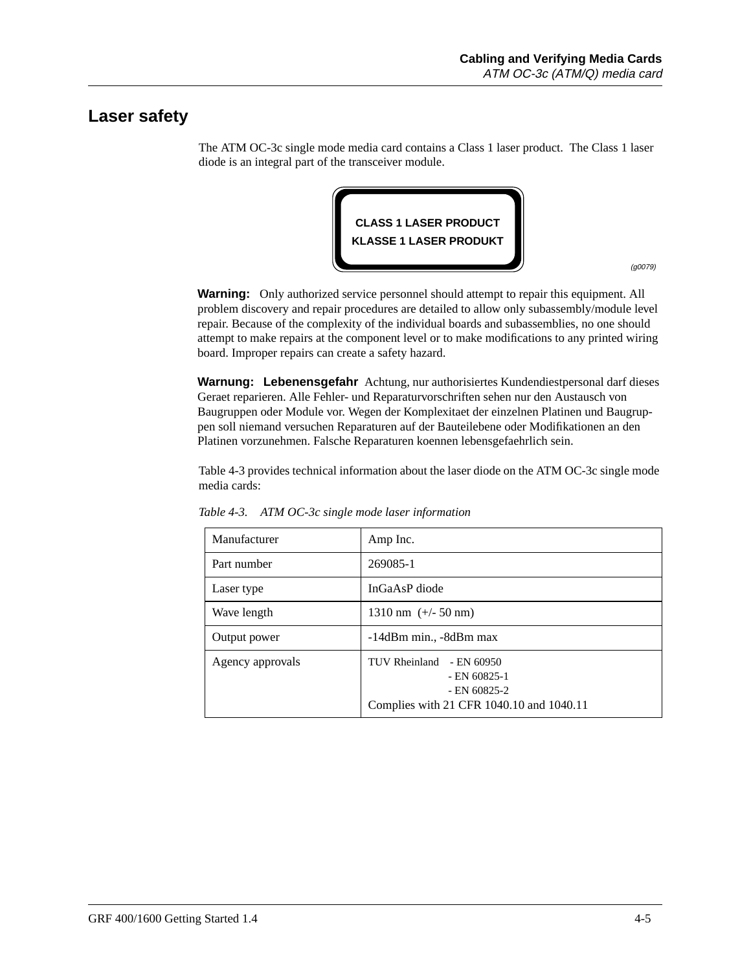### **Laser safety**

The ATM OC-3c single mode media card contains a Class 1 laser product. The Class 1 laser diode is an integral part of the transceiver module.



(g0079)

**Warning:** Only authorized service personnel should attempt to repair this equipment. All problem discovery and repair procedures are detailed to allow only subassembly/module level repair. Because of the complexity of the individual boards and subassemblies, no one should attempt to make repairs at the component level or to make modifications to any printed wiring board. Improper repairs can create a safety hazard.

**Warnung: Lebenensgefahr** Achtung, nur authorisiertes Kundendiestpersonal darf dieses Geraet reparieren. Alle Fehler- und Reparaturvorschriften sehen nur den Austausch von Baugruppen oder Module vor. Wegen der Komplexitaet der einzelnen Platinen und Baugruppen soll niemand versuchen Reparaturen auf der Bauteilebene oder Modifikationen an den Platinen vorzunehmen. Falsche Reparaturen koennen lebensgefaehrlich sein.

Table 4-3 provides technical information about the laser diode on the ATM OC-3c single mode media cards:

| Manufacturer     | Amp Inc.                                                                                                    |
|------------------|-------------------------------------------------------------------------------------------------------------|
| Part number      | 269085-1                                                                                                    |
| Laser type       | InGaAsP diode                                                                                               |
| Wave length      | $1310 \text{ nm}$ (+/- 50 nm)                                                                               |
| Output power     | -14dBm min., -8dBm max                                                                                      |
| Agency approvals | TUV Rheinland<br>- EN 60950<br>$-$ EN 60825-1<br>$-$ EN 60825-2<br>Complies with 21 CFR 1040.10 and 1040.11 |

*Table 4-3. ATM OC-3c single mode laser information*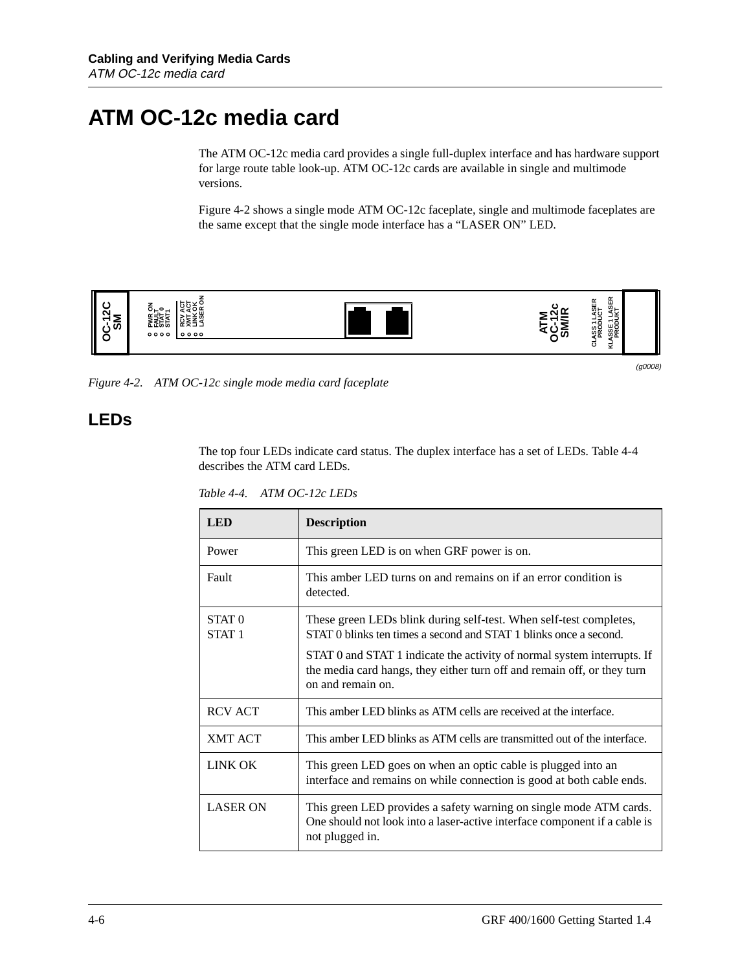## **ATM OC-12c media card**

The ATM OC-12c media card provides a single full-duplex interface and has hardware support for large route table look-up. ATM OC-12c cards are available in single and multimode versions.

Figure 4-2 shows a single mode ATM OC-12c faceplate, single and multimode faceplates are the same except that the single mode interface has a "LASER ON" LED.



*Figure 4-2. ATM OC-12c single mode media card faceplate*

### **LEDs**

The top four LEDs indicate card status. The duplex interface has a set of LEDs. Table 4-4 describes the ATM card LEDs.

*Table 4-4. ATM OC-12c LEDs*

| <b>LED</b>                             | <b>Description</b>                                                                                                                                                      |
|----------------------------------------|-------------------------------------------------------------------------------------------------------------------------------------------------------------------------|
| Power                                  | This green LED is on when GRF power is on.                                                                                                                              |
| Fault                                  | This amber LED turns on and remains on if an error condition is<br>detected.                                                                                            |
| STAT <sub>0</sub><br>STAT <sub>1</sub> | These green LEDs blink during self-test. When self-test completes,<br>STAT 0 blinks ten times a second and STAT 1 blinks once a second.                                 |
|                                        | STAT 0 and STAT 1 indicate the activity of normal system interrupts. If<br>the media card hangs, they either turn off and remain off, or they turn<br>on and remain on. |
| <b>RCV ACT</b>                         | This amber LED blinks as ATM cells are received at the interface.                                                                                                       |
| <b>XMT ACT</b>                         | This amber LED blinks as ATM cells are transmitted out of the interface.                                                                                                |
| <b>LINK OK</b>                         | This green LED goes on when an optic cable is plugged into an<br>interface and remains on while connection is good at both cable ends.                                  |
| <b>LASER ON</b>                        | This green LED provides a safety warning on single mode ATM cards.<br>One should not look into a laser-active interface component if a cable is<br>not plugged in.      |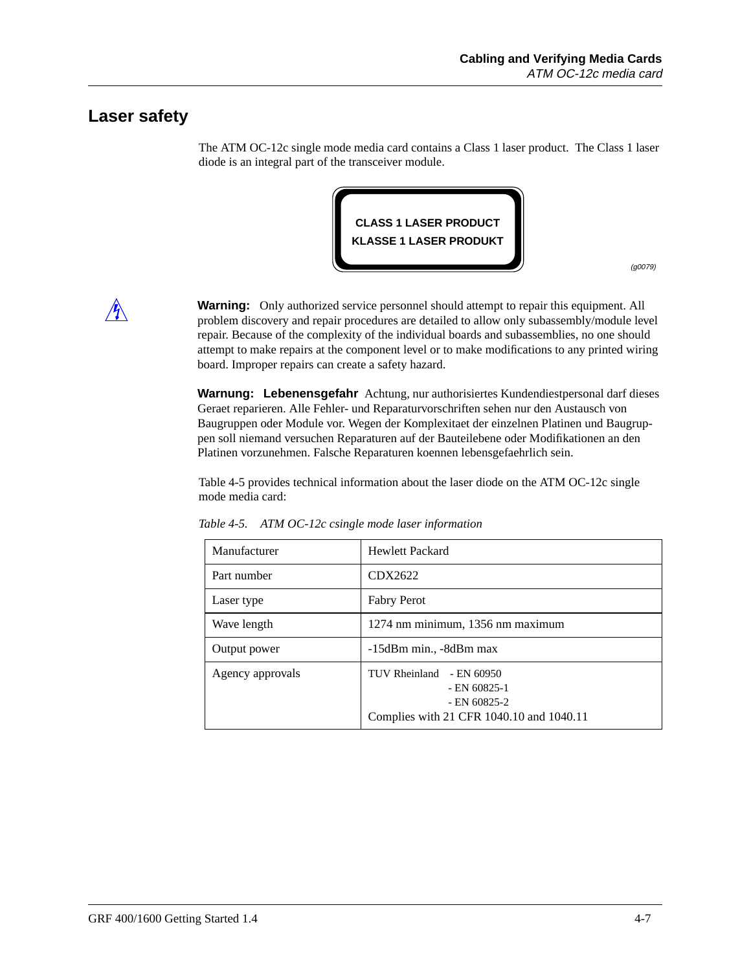### **Laser safety**

The ATM OC-12c single mode media card contains a Class 1 laser product. The Class 1 laser diode is an integral part of the transceiver module.



(g0079)



**Warning:** Only authorized service personnel should attempt to repair this equipment. All problem discovery and repair procedures are detailed to allow only subassembly/module level repair. Because of the complexity of the individual boards and subassemblies, no one should attempt to make repairs at the component level or to make modifications to any printed wiring board. Improper repairs can create a safety hazard.

**Warnung: Lebenensgefahr** Achtung, nur authorisiertes Kundendiestpersonal darf dieses Geraet reparieren. Alle Fehler- und Reparaturvorschriften sehen nur den Austausch von Baugruppen oder Module vor. Wegen der Komplexitaet der einzelnen Platinen und Baugruppen soll niemand versuchen Reparaturen auf der Bauteilebene oder Modifikationen an den Platinen vorzunehmen. Falsche Reparaturen koennen lebensgefaehrlich sein.

Table 4-5 provides technical information about the laser diode on the ATM OC-12c single mode media card:

| Manufacturer     | <b>Hewlett Packard</b>                                                                                   |
|------------------|----------------------------------------------------------------------------------------------------------|
| Part number      | CDX2622                                                                                                  |
| Laser type       | <b>Fabry Perot</b>                                                                                       |
| Wave length      | 1274 nm minimum, 1356 nm maximum                                                                         |
| Output power     | -15dBm min., -8dBm max                                                                                   |
| Agency approvals | TUV Rheinland - EN 60950<br>$-$ EN 60825-1<br>$-$ EN 60825-2<br>Complies with 21 CFR 1040.10 and 1040.11 |

*Table 4-5. ATM OC-12c csingle mode laser information*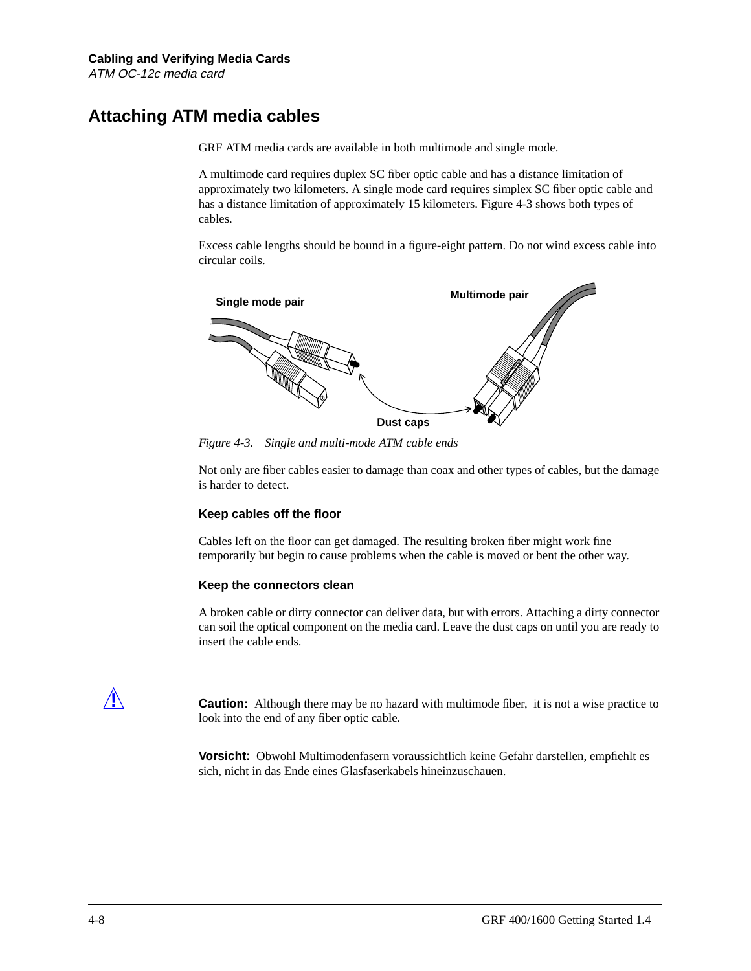## **Attaching ATM media cables**

GRF ATM media cards are available in both multimode and single mode.

A multimode card requires duplex SC fiber optic cable and has a distance limitation of approximately two kilometers. A single mode card requires simplex SC fiber optic cable and has a distance limitation of approximately 15 kilometers. Figure 4-3 shows both types of cables.

Excess cable lengths should be bound in a figure-eight pattern. Do not wind excess cable into circular coils.



*Figure 4-3. Single and multi-mode ATM cable ends*

Not only are fiber cables easier to damage than coax and other types of cables, but the damage is harder to detect.

#### **Keep cables off the floor**

Cables left on the floor can get damaged. The resulting broken fiber might work fine temporarily but begin to cause problems when the cable is moved or bent the other way.

#### **Keep the connectors clean**

A broken cable or dirty connector can deliver data, but with errors. Attaching a dirty connector can soil the optical component on the media card. Leave the dust caps on until you are ready to insert the cable ends.



**Caution:** Although there may be no hazard with multimode fiber, it is not a wise practice to look into the end of any fiber optic cable.

**Vorsicht:** Obwohl Multimodenfasern voraussichtlich keine Gefahr darstellen, empfiehlt es sich, nicht in das Ende eines Glasfaserkabels hineinzuschauen.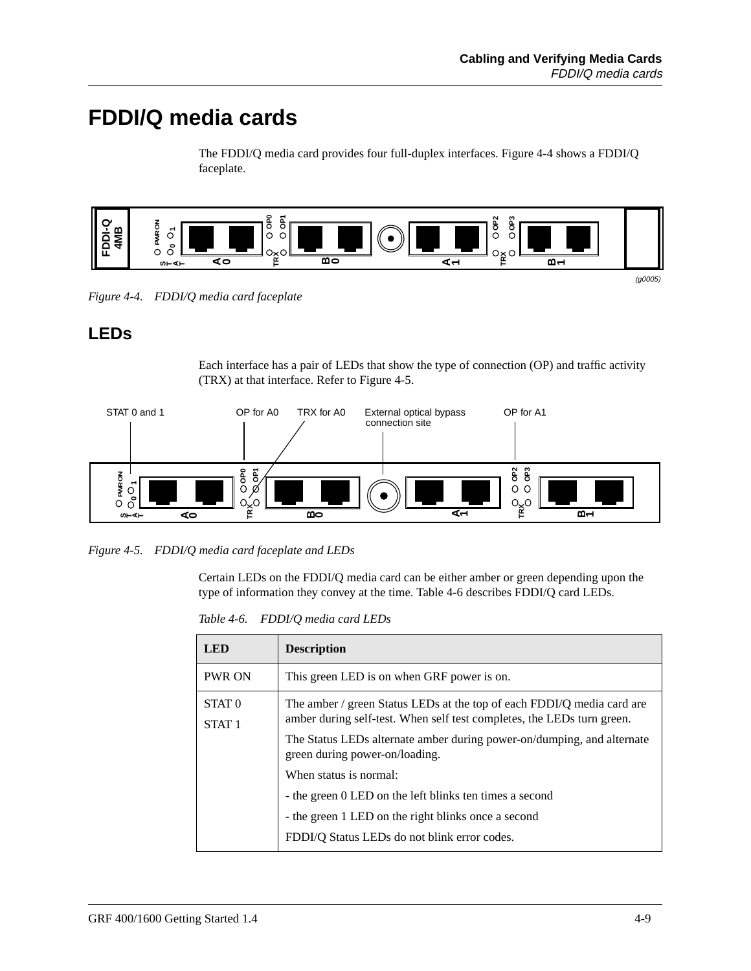## **FDDI/Q media cards**

The FDDI/Q media card provides four full-duplex interfaces. Figure 4-4 shows a FDDI/Q faceplate.



*Figure 4-4. FDDI/Q media card faceplate*

## **LEDs**

Each interface has a pair of LEDs that show the type of connection (OP) and traffic activity (TRX) at that interface. Refer to Figure 4-5.



*Figure 4-5. FDDI/Q media card faceplate and LEDs*

Certain LEDs on the FDDI/Q media card can be either amber or green depending upon the type of information they convey at the time. Table 4-6 describes FDDI/Q card LEDs.

*Table 4-6. FDDI/Q media card LEDs*

| <b>LED</b>                             | <b>Description</b>                                                                                                                               |
|----------------------------------------|--------------------------------------------------------------------------------------------------------------------------------------------------|
| <b>PWR ON</b>                          | This green LED is on when GRF power is on.                                                                                                       |
| STAT <sub>0</sub><br>STAT <sub>1</sub> | The amber / green Status LEDs at the top of each FDDI/Q media card are<br>amber during self-test. When self test completes, the LEDs turn green. |
|                                        | The Status LEDs alternate amber during power-on/dumping, and alternate<br>green during power-on/loading.                                         |
|                                        | When status is normal:                                                                                                                           |
|                                        | - the green 0 LED on the left blinks ten times a second                                                                                          |
|                                        | - the green 1 LED on the right blinks once a second                                                                                              |
|                                        | FDDI/Q Status LEDs do not blink error codes.                                                                                                     |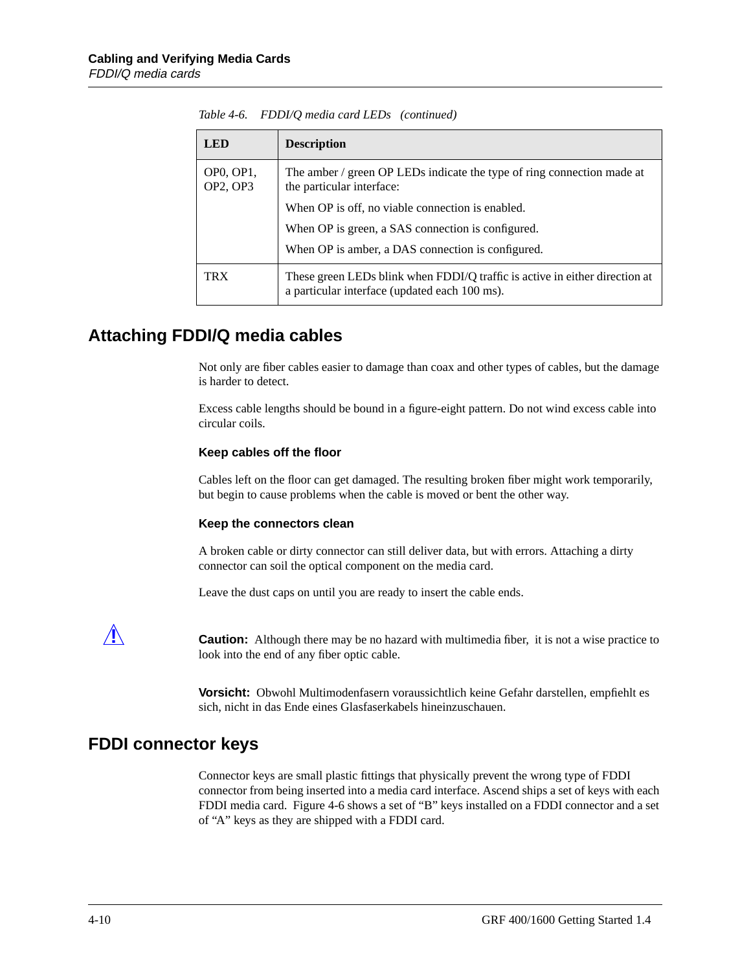| LED.                                          | <b>Description</b>                                                                                                           |
|-----------------------------------------------|------------------------------------------------------------------------------------------------------------------------------|
| OP <sub>0</sub> , OP <sub>1</sub><br>OP2, OP3 | The amber / green OP LEDs indicate the type of ring connection made at<br>the particular interface:                          |
|                                               | When OP is off, no viable connection is enabled.                                                                             |
|                                               | When OP is green, a SAS connection is configured.                                                                            |
|                                               | When OP is amber, a DAS connection is configured.                                                                            |
| TRX                                           | These green LEDs blink when FDDI/Q traffic is active in either direction at<br>a particular interface (updated each 100 ms). |

|  |  | Table 4-6. FDDI/Q media card LEDs (continued) |  |
|--|--|-----------------------------------------------|--|
|--|--|-----------------------------------------------|--|

## **Attaching FDDI/Q media cables**

Not only are fiber cables easier to damage than coax and other types of cables, but the damage is harder to detect.

Excess cable lengths should be bound in a figure-eight pattern. Do not wind excess cable into circular coils.

#### **Keep cables off the floor**

Cables left on the floor can get damaged. The resulting broken fiber might work temporarily, but begin to cause problems when the cable is moved or bent the other way.

#### **Keep the connectors clean**

A broken cable or dirty connector can still deliver data, but with errors. Attaching a dirty connector can soil the optical component on the media card.

Leave the dust caps on until you are ready to insert the cable ends.



**2.1. Caution:** Although there may be no hazard with multimedia fiber, it is not a wise practice to look into the end of any fiber optic cable.

> **Vorsicht:** Obwohl Multimodenfasern voraussichtlich keine Gefahr darstellen, empfiehlt es sich, nicht in das Ende eines Glasfaserkabels hineinzuschauen.

### **FDDI connector keys**

Connector keys are small plastic fittings that physically prevent the wrong type of FDDI connector from being inserted into a media card interface. Ascend ships a set of keys with each FDDI media card. [Figure 4-6](#page-86-0) shows a set of "B" keys installed on a FDDI connector and a set of "A" keys as they are shipped with a FDDI card.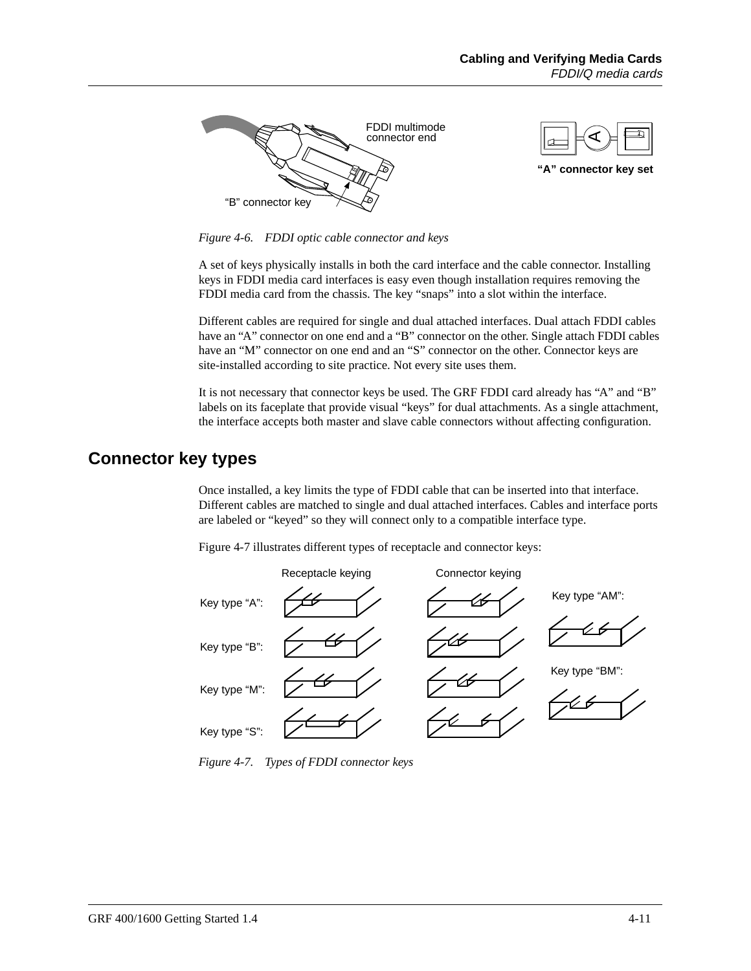<span id="page-86-0"></span>

*Figure 4-6. FDDI optic cable connector and keys*

A set of keys physically installs in both the card interface and the cable connector. Installing keys in FDDI media card interfaces is easy even though installation requires removing the FDDI media card from the chassis. The key "snaps" into a slot within the interface.

Different cables are required for single and dual attached interfaces. Dual attach FDDI cables have an "A" connector on one end and a "B" connector on the other. Single attach FDDI cables have an "M" connector on one end and an "S" connector on the other. Connector keys are site-installed according to site practice. Not every site uses them.

It is not necessary that connector keys be used. The GRF FDDI card already has "A" and "B" labels on its faceplate that provide visual "keys" for dual attachments. As a single attachment, the interface accepts both master and slave cable connectors without affecting configuration.

### **Connector key types**

Once installed, a key limits the type of FDDI cable that can be inserted into that interface. Different cables are matched to single and dual attached interfaces. Cables and interface ports are labeled or "keyed" so they will connect only to a compatible interface type.

Figure 4-7 illustrates different types of receptacle and connector keys:



*Figure 4-7. Types of FDDI connector keys*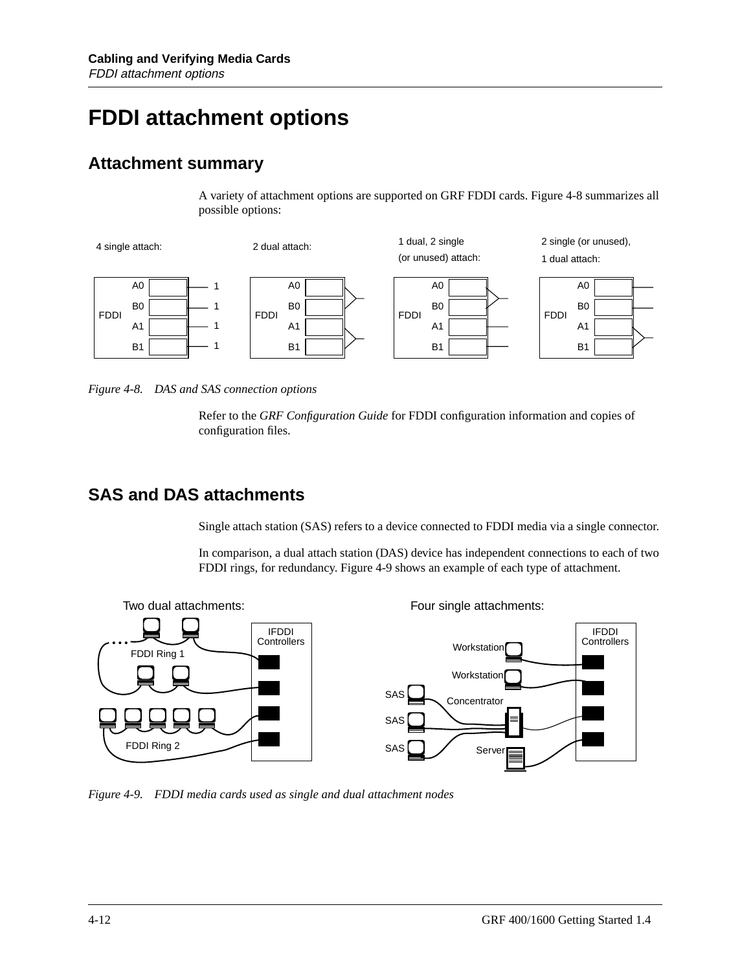## **FDDI attachment options**

## **Attachment summary**

A variety of attachment options are supported on GRF FDDI cards. Figure 4-8 summarizes all possible options:



*Figure 4-8. DAS and SAS connection options*

Refer to the *GRF Configuration Guide* for FDDI configuration information and copies of configuration files.

## **SAS and DAS attachments**

Single attach station (SAS) refers to a device connected to FDDI media via a single connector.

In comparison, a dual attach station (DAS) device has independent connections to each of two FDDI rings, for redundancy. Figure 4-9 shows an example of each type of attachment.



*Figure 4-9. FDDI media cards used as single and dual attachment nodes*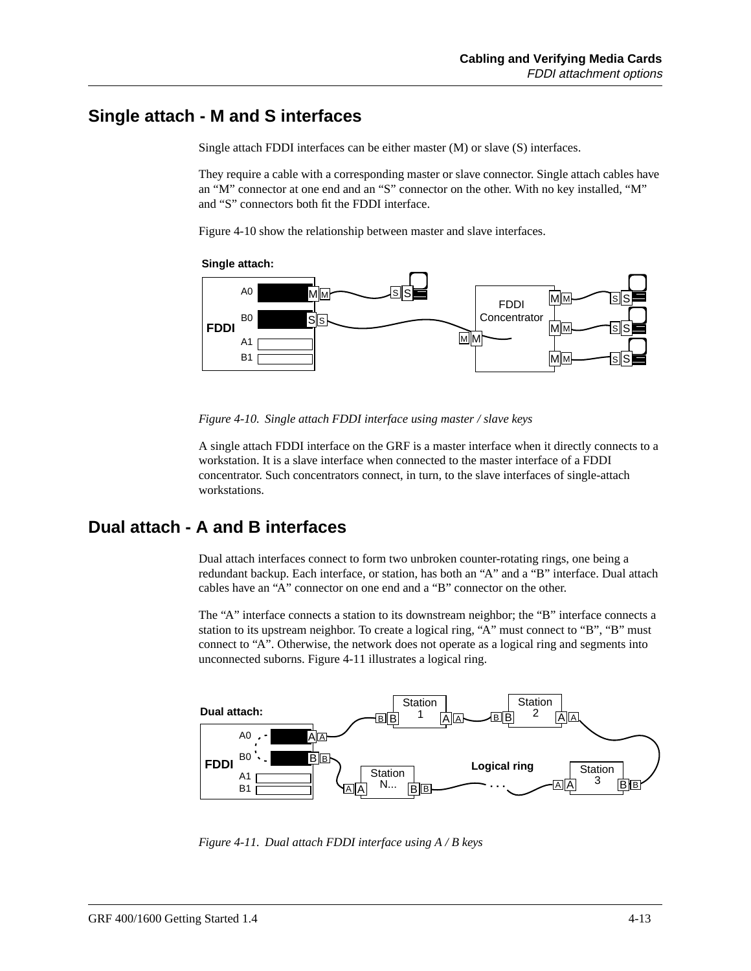## **Single attach - M and S interfaces**

Single attach FDDI interfaces can be either master (M) or slave (S) interfaces.

They require a cable with a corresponding master or slave connector. Single attach cables have an "M" connector at one end and an "S" connector on the other. With no key installed, "M" and "S" connectors both fit the FDDI interface.

Figure 4-10 show the relationship between master and slave interfaces.

**Single attach:**



*Figure 4-10. Single attach FDDI interface using master / slave keys*

A single attach FDDI interface on the GRF is a master interface when it directly connects to a workstation. It is a slave interface when connected to the master interface of a FDDI concentrator. Such concentrators connect, in turn, to the slave interfaces of single-attach workstations.

## **Dual attach - A and B interfaces**

Dual attach interfaces connect to form two unbroken counter-rotating rings, one being a redundant backup. Each interface, or station, has both an "A" and a "B" interface. Dual attach cables have an "A" connector on one end and a "B" connector on the other.

The "A" interface connects a station to its downstream neighbor; the "B" interface connects a station to its upstream neighbor. To create a logical ring, "A" must connect to "B", "B" must connect to "A". Otherwise, the network does not operate as a logical ring and segments into unconnected suborns. Figure 4-11 illustrates a logical ring.



*Figure 4-11. Dual attach FDDI interface using A / B keys*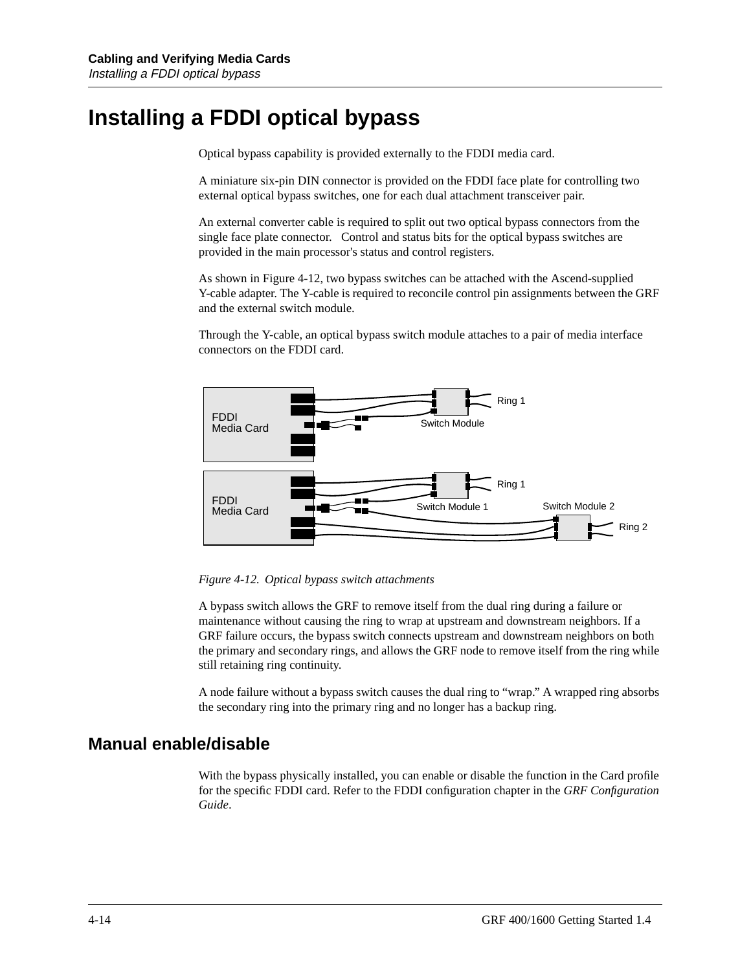## **Installing a FDDI optical bypass**

Optical bypass capability is provided externally to the FDDI media card.

A miniature six-pin DIN connector is provided on the FDDI face plate for controlling two external optical bypass switches, one for each dual attachment transceiver pair.

An external converter cable is required to split out two optical bypass connectors from the single face plate connector. Control and status bits for the optical bypass switches are provided in the main processor's status and control registers.

As shown in Figure 4-12, two bypass switches can be attached with the Ascend-supplied Y-cable adapter. The Y-cable is required to reconcile control pin assignments between the GRF and the external switch module.

Through the Y-cable, an optical bypass switch module attaches to a pair of media interface connectors on the FDDI card.



*Figure 4-12. Optical bypass switch attachments*

A bypass switch allows the GRF to remove itself from the dual ring during a failure or maintenance without causing the ring to wrap at upstream and downstream neighbors. If a GRF failure occurs, the bypass switch connects upstream and downstream neighbors on both the primary and secondary rings, and allows the GRF node to remove itself from the ring while still retaining ring continuity.

A node failure without a bypass switch causes the dual ring to "wrap." A wrapped ring absorbs the secondary ring into the primary ring and no longer has a backup ring.

### **Manual enable/disable**

With the bypass physically installed, you can enable or disable the function in the Card profile for the specific FDDI card. Refer to the FDDI configuration chapter in the *GRF Configuration Guide*.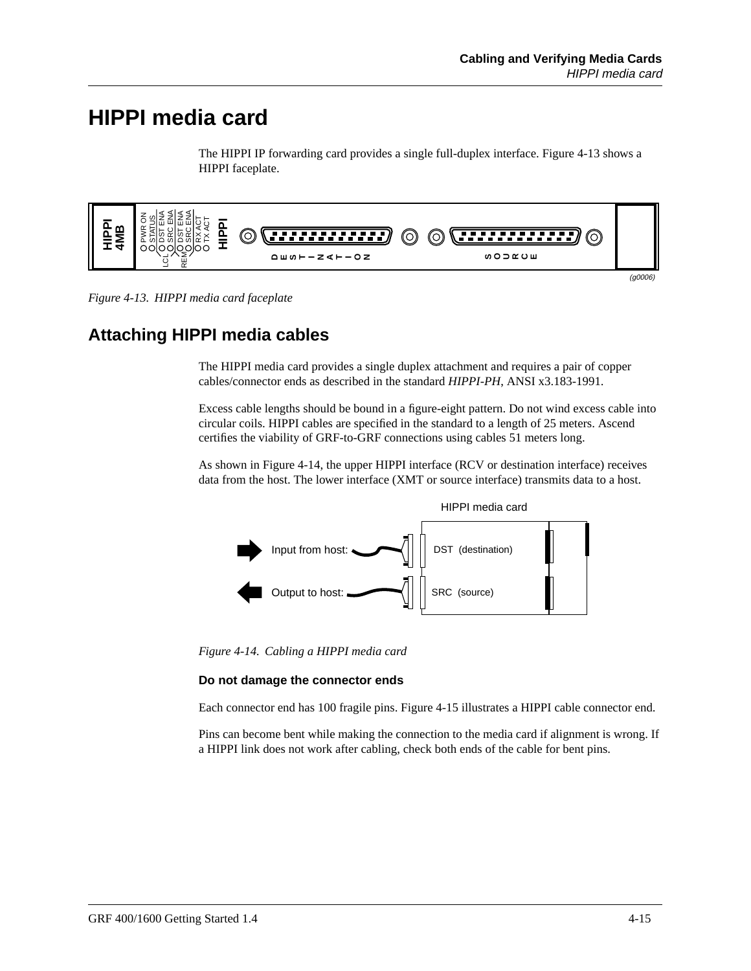## **HIPPI media card**

The HIPPI IP forwarding card provides a single full-duplex interface. Figure 4-13 shows a HIPPI faceplate.



*Figure 4-13. HIPPI media card faceplate*

## **Attaching HIPPI media cables**

The HIPPI media card provides a single duplex attachment and requires a pair of copper cables/connector ends as described in the standard *HIPPI-PH*, ANSI x3.183-1991.

Excess cable lengths should be bound in a figure-eight pattern. Do not wind excess cable into circular coils. HIPPI cables are specified in the standard to a length of 25 meters. Ascend certifies the viability of GRF-to-GRF connections using cables 51 meters long.

As shown in Figure 4-14, the upper HIPPI interface (RCV or destination interface) receives data from the host. The lower interface (XMT or source interface) transmits data to a host.



*Figure 4-14. Cabling a HIPPI media card*

#### **Do not damage the connector ends**

Each connector end has 100 fragile pins. [Figure 4-15](#page-91-0) illustrates a HIPPI cable connector end.

Pins can become bent while making the connection to the media card if alignment is wrong. If a HIPPI link does not work after cabling, check both ends of the cable for bent pins.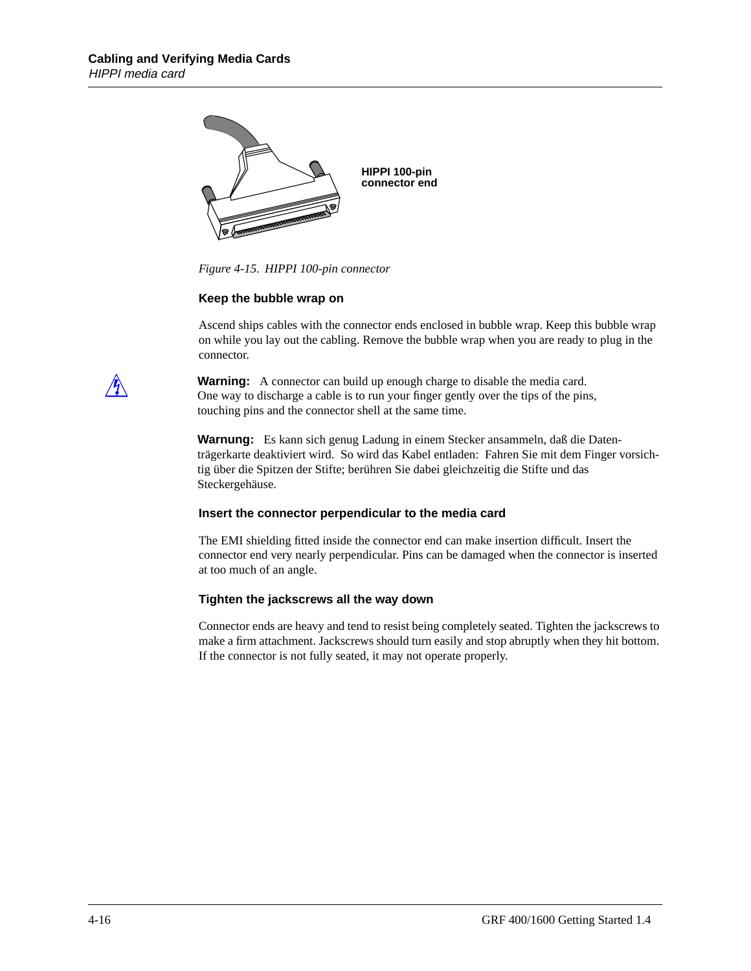<span id="page-91-0"></span>

*Figure 4-15. HIPPI 100-pin connector*

#### **Keep the bubble wrap on**

Ascend ships cables with the connector ends enclosed in bubble wrap. Keep this bubble wrap on while you lay out the cabling. Remove the bubble wrap when you are ready to plug in the connector.



**Warning:** A connector can build up enough charge to disable the media card. One way to discharge a cable is to run your finger gently over the tips of the pins, touching pins and the connector shell at the same time.

**Warnung:** Es kann sich genug Ladung in einem Stecker ansammeln, daß die Datenträgerkarte deaktiviert wird. So wird das Kabel entladen: Fahren Sie mit dem Finger vorsichtig über die Spitzen der Stifte; berühren Sie dabei gleichzeitig die Stifte und das Steckergehäuse.

#### **Insert the connector perpendicular to the media card**

The EMI shielding fitted inside the connector end can make insertion difficult. Insert the connector end very nearly perpendicular. Pins can be damaged when the connector is inserted at too much of an angle.

#### **Tighten the jackscrews all the way down**

Connector ends are heavy and tend to resist being completely seated. Tighten the jackscrews to make a firm attachment. Jackscrews should turn easily and stop abruptly when they hit bottom. If the connector is not fully seated, it may not operate properly.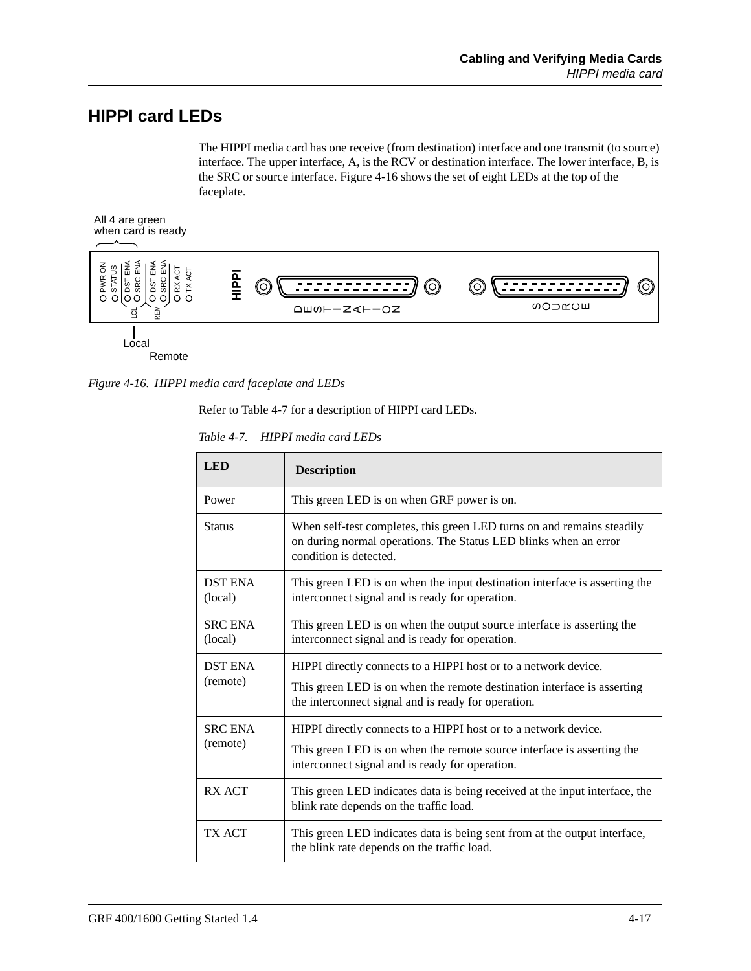## **HIPPI card LEDs**

The HIPPI media card has one receive (from destination) interface and one transmit (to source) interface. The upper interface, A, is the RCV or destination interface. The lower interface, B, is the SRC or source interface. Figure 4-16 shows the set of eight LEDs at the top of the faceplate.



*Figure 4-16. HIPPI media card faceplate and LEDs*

Refer to Table 4-7 for a description of HIPPI card LEDs.

| Table 4-7. HIPPI media card LEDs |  |  |  |
|----------------------------------|--|--|--|
|----------------------------------|--|--|--|

| <b>LED</b>                 | <b>Description</b>                                                                                                                                                                                |
|----------------------------|---------------------------------------------------------------------------------------------------------------------------------------------------------------------------------------------------|
| Power                      | This green LED is on when GRF power is on.                                                                                                                                                        |
| <b>Status</b>              | When self-test completes, this green LED turns on and remains steadily<br>on during normal operations. The Status LED blinks when an error<br>condition is detected.                              |
| <b>DST ENA</b><br>(local)  | This green LED is on when the input destination interface is asserting the<br>interconnect signal and is ready for operation.                                                                     |
| <b>SRC ENA</b><br>(local)  | This green LED is on when the output source interface is asserting the<br>interconnect signal and is ready for operation.                                                                         |
| <b>DST ENA</b><br>(remote) | HIPPI directly connects to a HIPPI host or to a network device.<br>This green LED is on when the remote destination interface is asserting<br>the interconnect signal and is ready for operation. |
| <b>SRC ENA</b><br>(remote) | HIPPI directly connects to a HIPPI host or to a network device.<br>This green LED is on when the remote source interface is asserting the<br>interconnect signal and is ready for operation.      |
| <b>RX ACT</b>              | This green LED indicates data is being received at the input interface, the<br>blink rate depends on the traffic load.                                                                            |
| TX ACT                     | This green LED indicates data is being sent from at the output interface,<br>the blink rate depends on the traffic load.                                                                          |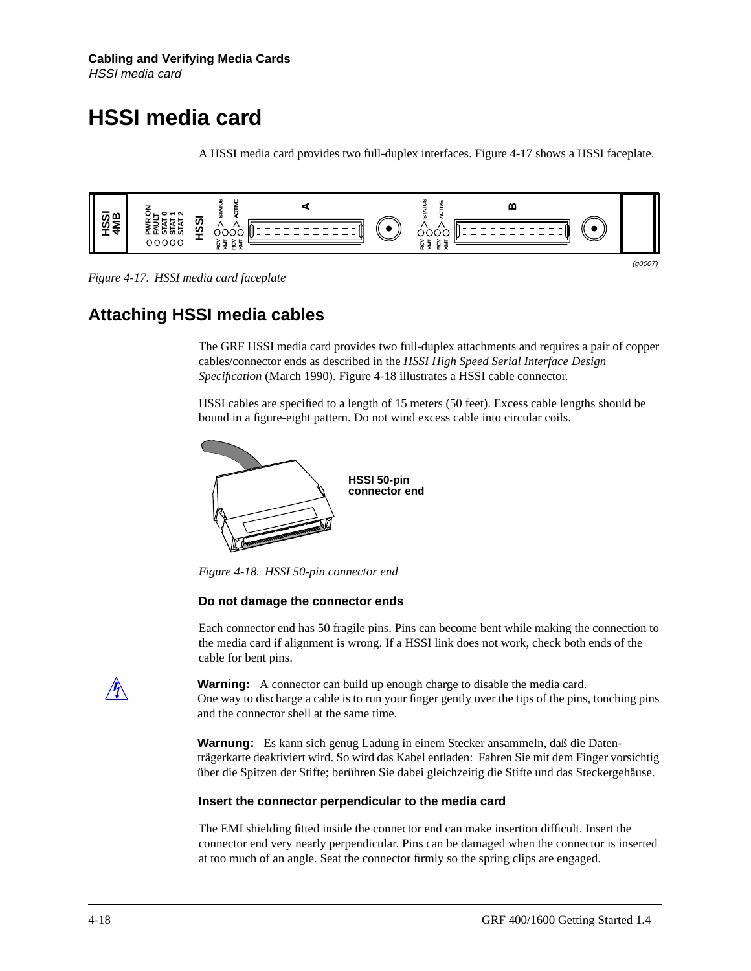## **HSSI media card**

A HSSI media card provides two full-duplex interfaces. Figure 4-17 shows a HSSI faceplate.



*Figure 4-17. HSSI media card faceplate*

## **Attaching HSSI media cables**

The GRF HSSI media card provides two full-duplex attachments and requires a pair of copper cables/connector ends as described in the *HSSI High Speed Serial Interface Design Specification* (March 1990). Figure 4-18 illustrates a HSSI cable connector.

HSSI cables are specified to a length of 15 meters (50 feet). Excess cable lengths should be bound in a figure-eight pattern. Do not wind excess cable into circular coils.



*Figure 4-18. HSSI 50-pin connector end*

#### **Do not damage the connector ends**

Each connector end has 50 fragile pins. Pins can become bent while making the connection to the media card if alignment is wrong. If a HSSI link does not work, check both ends of the cable for bent pins.

**Warning:** A connector can build up enough charge to disable the media card. One way to discharge a cable is to run your finger gently over the tips of the pins, touching pins and the connector shell at the same time.

**Warnung:** Es kann sich genug Ladung in einem Stecker ansammeln, daß die Datenträgerkarte deaktiviert wird. So wird das Kabel entladen: Fahren Sie mit dem Finger vorsichtig über die Spitzen der Stifte; berühren Sie dabei gleichzeitig die Stifte und das Steckergehäuse.

#### **Insert the connector perpendicular to the media card**

The EMI shielding fitted inside the connector end can make insertion difficult. Insert the connector end very nearly perpendicular. Pins can be damaged when the connector is inserted at too much of an angle. Seat the connector firmly so the spring clips are engaged.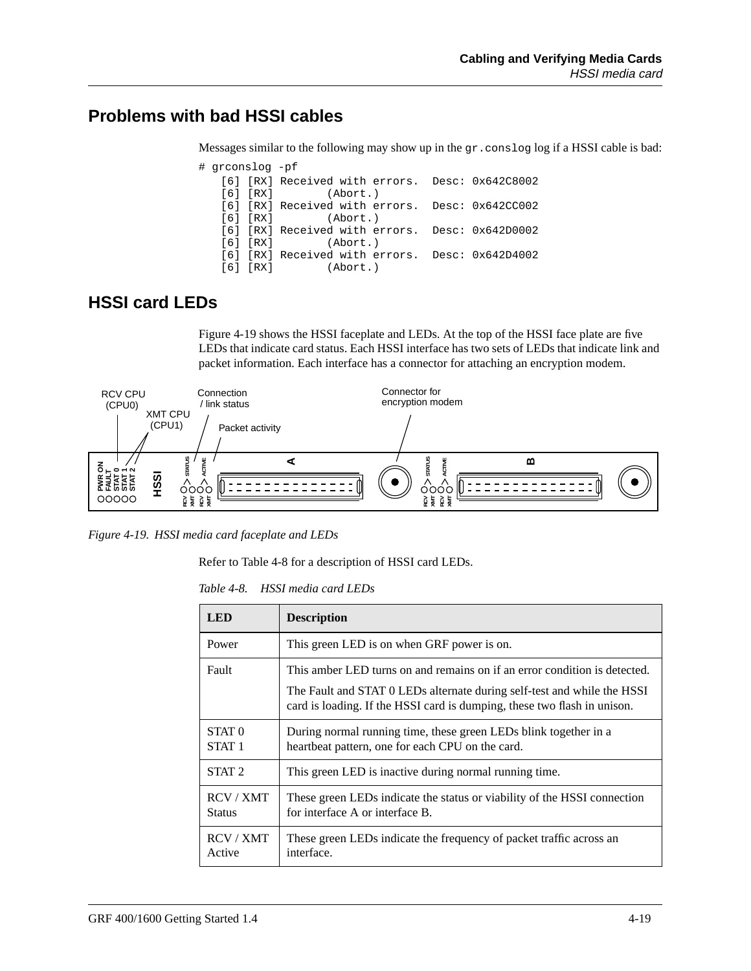## **Problems with bad HSSI cables**

Messages similar to the following may show up in the gr.conslog log if a HSSI cable is bad:

| # grconslog -pf |  |                                                 |  |
|-----------------|--|-------------------------------------------------|--|
|                 |  | [6] [RX] Received with errors. Desc: 0x642C8002 |  |
|                 |  | $[6] [RX]$ (Abort.)                             |  |
|                 |  | [6] [RX] Received with errors. Desc: 0x642CC002 |  |
|                 |  | $[6] [RX]$ (Abort.)                             |  |
|                 |  | [6] [RX] Received with errors. Desc: 0x642D0002 |  |
|                 |  | $[6] [RX]$ (Abort.)                             |  |
|                 |  | [6] [RX] Received with errors. Desc: 0x642D4002 |  |
|                 |  | $[6] [RX]$ (Abort.)                             |  |

## **HSSI card LEDs**

Figure 4-19 shows the HSSI faceplate and LEDs. At the top of the HSSI face plate are five LEDs that indicate card status. Each HSSI interface has two sets of LEDs that indicate link and packet information. Each interface has a connector for attaching an encryption modem.



*Figure 4-19. HSSI media card faceplate and LEDs*

Refer to Table 4-8 for a description of HSSI card LEDs.

| Table 4-8. | HSSI media card LEDs |  |
|------------|----------------------|--|
|            |                      |  |

| <b>LED</b>                             | <b>Description</b>                                                                                                                                                                                                               |
|----------------------------------------|----------------------------------------------------------------------------------------------------------------------------------------------------------------------------------------------------------------------------------|
| Power                                  | This green LED is on when GRF power is on.                                                                                                                                                                                       |
| Fault                                  | This amber LED turns on and remains on if an error condition is detected.<br>The Fault and STAT 0 LEDs alternate during self-test and while the HSSI<br>card is loading. If the HSSI card is dumping, these two flash in unison. |
| STAT <sub>0</sub><br>STAT <sub>1</sub> | During normal running time, these green LEDs blink together in a<br>heartbeat pattern, one for each CPU on the card.                                                                                                             |
| STAT <sub>2</sub>                      | This green LED is inactive during normal running time.                                                                                                                                                                           |
| RCV / XMT<br><b>Status</b>             | These green LEDs indicate the status or viability of the HSSI connection<br>for interface A or interface B.                                                                                                                      |
| RCV / XMT<br>Active                    | These green LEDs indicate the frequency of packet traffic across an<br>interface.                                                                                                                                                |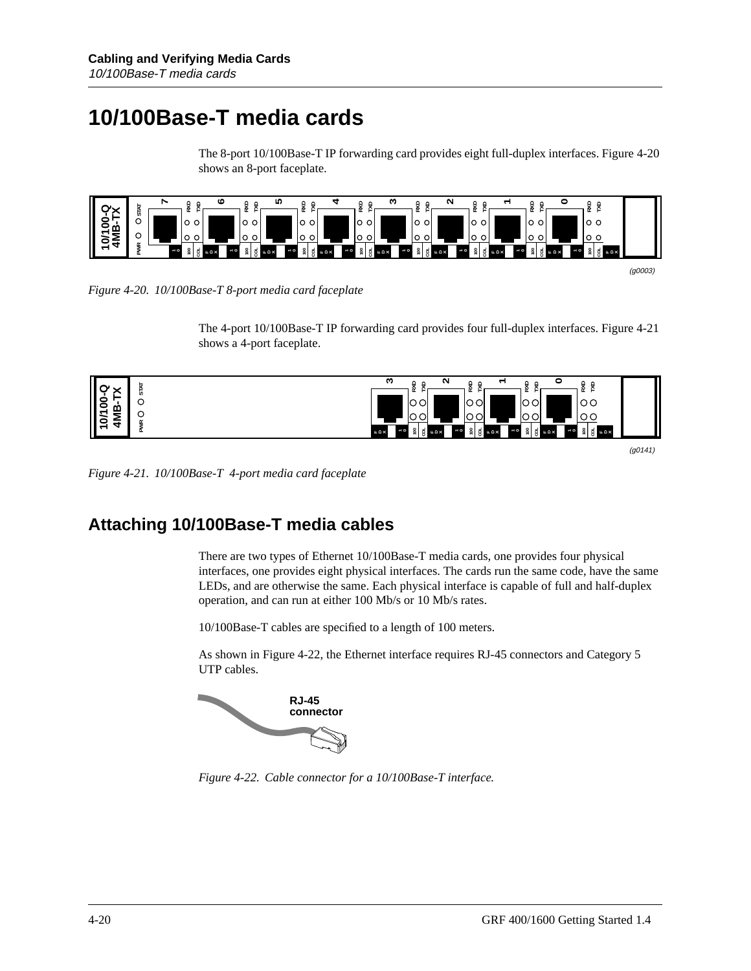## **10/100Base-T media cards**

The 8-port 10/100Base-T IP forwarding card provides eight full-duplex interfaces. Figure 4-20 shows an 8-port faceplate.



*Figure 4-20. 10/100Base-T 8-port media card faceplate*

The 4-port 10/100Base-T IP forwarding card provides four full-duplex interfaces. Figure 4-21 shows a 4-port faceplate.



(g0141)

*Figure 4-21. 10/100Base-T 4-port media card faceplate*

## **Attaching 10/100Base-T media cables**

There are two types of Ethernet 10/100Base-T media cards, one provides four physical interfaces, one provides eight physical interfaces. The cards run the same code, have the same LEDs, and are otherwise the same. Each physical interface is capable of full and half-duplex operation, and can run at either 100 Mb/s or 10 Mb/s rates.

10/100Base-T cables are specified to a length of 100 meters.

As shown in Figure 4-22, the Ethernet interface requires RJ-45 connectors and Category 5 UTP cables.



*Figure 4-22. Cable connector for a 10/100Base-T interface.*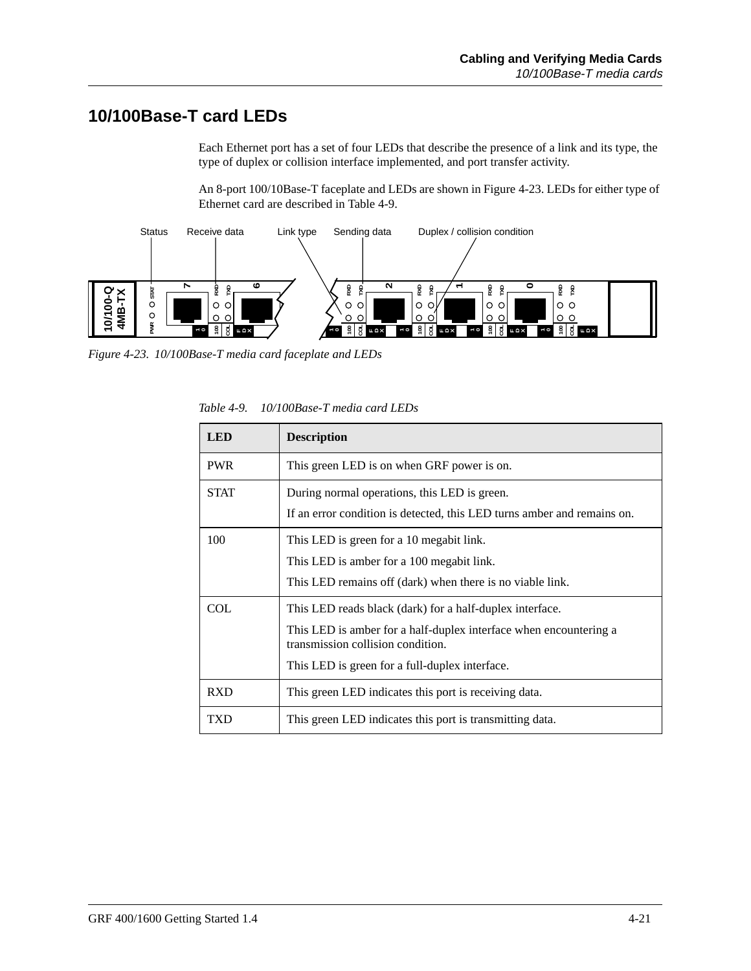## **10/100Base-T card LEDs**

Each Ethernet port has a set of four LEDs that describe the presence of a link and its type, the type of duplex or collision interface implemented, and port transfer activity.

An 8-port 100/10Base-T faceplate and LEDs are shown in Figure 4-23. LEDs for either type of Ethernet card are described in Table 4-9.



*Figure 4-23. 10/100Base-T media card faceplate and LEDs*

| <b>LED</b>  | <b>Description</b>                                                                                                                                                                                                   |  |
|-------------|----------------------------------------------------------------------------------------------------------------------------------------------------------------------------------------------------------------------|--|
| <b>PWR</b>  | This green LED is on when GRF power is on.                                                                                                                                                                           |  |
| <b>STAT</b> | During normal operations, this LED is green.<br>If an error condition is detected, this LED turns amber and remains on.                                                                                              |  |
| 100         | This LED is green for a 10 megabit link.<br>This LED is amber for a 100 megabit link.<br>This LED remains off (dark) when there is no viable link.                                                                   |  |
| COL         | This LED reads black (dark) for a half-duplex interface.<br>This LED is amber for a half-duplex interface when encountering a<br>transmission collision condition.<br>This LED is green for a full-duplex interface. |  |
| <b>RXD</b>  | This green LED indicates this port is receiving data.                                                                                                                                                                |  |
| <b>TXD</b>  | This green LED indicates this port is transmitting data.                                                                                                                                                             |  |

*Table 4-9. 10/100Base-T media card LEDs*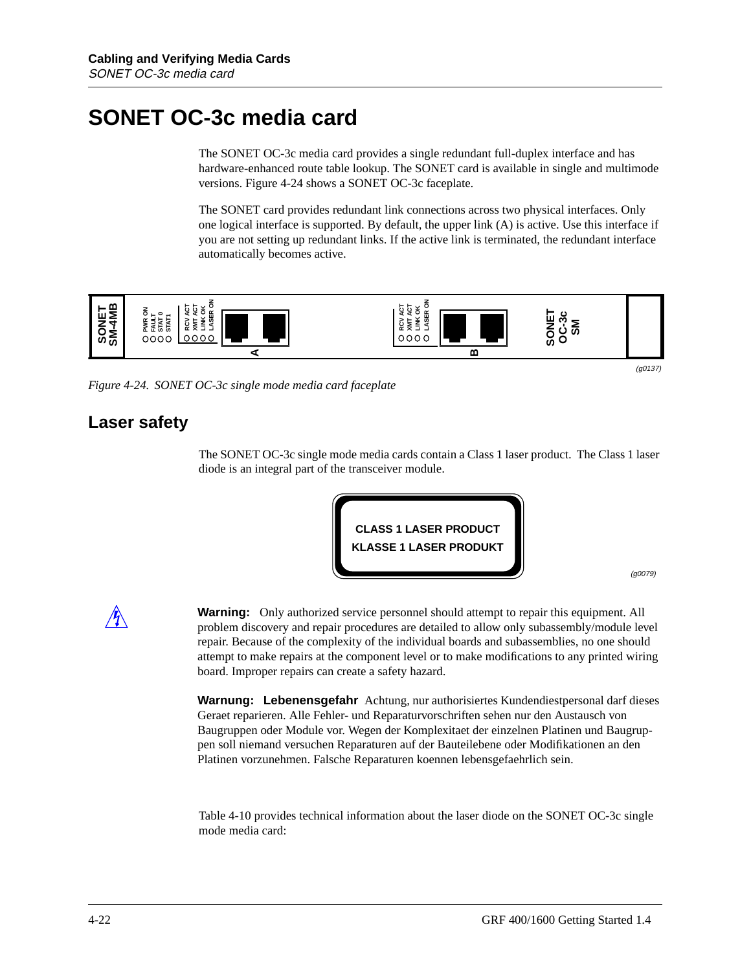## **SONET OC-3c media card**

The SONET OC-3c media card provides a single redundant full-duplex interface and has hardware-enhanced route table lookup. The SONET card is available in single and multimode versions. Figure 4-24 shows a SONET OC-3c faceplate.

The SONET card provides redundant link connections across two physical interfaces. Only one logical interface is supported. By default, the upper link (A) is active. Use this interface if you are not setting up redundant links. If the active link is terminated, the redundant interface automatically becomes active.



*Figure 4-24. SONET OC-3c single mode media card faceplate*

## **Laser safety**

The SONET OC-3c single mode media cards contain a Class 1 laser product. The Class 1 laser diode is an integral part of the transceiver module.



(g0079)

**Warning:** Only authorized service personnel should attempt to repair this equipment. All problem discovery and repair procedures are detailed to allow only subassembly/module level repair. Because of the complexity of the individual boards and subassemblies, no one should attempt to make repairs at the component level or to make modifications to any printed wiring board. Improper repairs can create a safety hazard.

**Warnung: Lebenensgefahr** Achtung, nur authorisiertes Kundendiestpersonal darf dieses Geraet reparieren. Alle Fehler- und Reparaturvorschriften sehen nur den Austausch von Baugruppen oder Module vor. Wegen der Komplexitaet der einzelnen Platinen und Baugruppen soll niemand versuchen Reparaturen auf der Bauteilebene oder Modifikationen an den Platinen vorzunehmen. Falsche Reparaturen koennen lebensgefaehrlich sein.

[Table 4-10](#page-98-0) provides technical information about the laser diode on the SONET OC-3c single mode media card: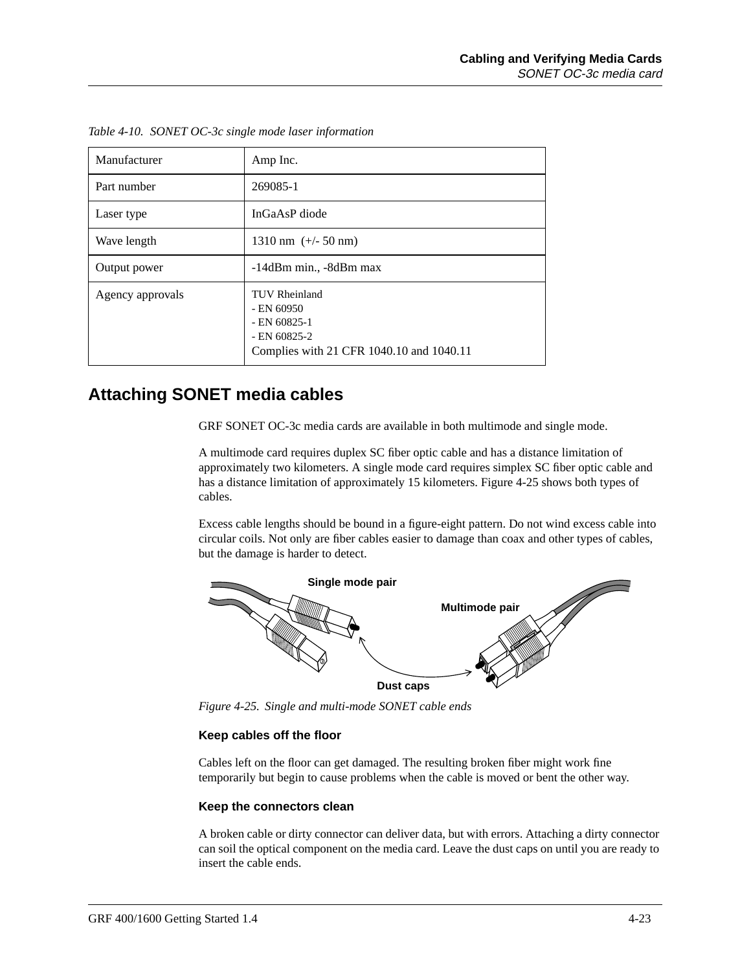| Manufacturer     | Amp Inc.                                                                                                             |
|------------------|----------------------------------------------------------------------------------------------------------------------|
| Part number      | 269085-1                                                                                                             |
| Laser type       | InGaAsP diode                                                                                                        |
| Wave length      | 1310 nm $(+/- 50$ nm)                                                                                                |
| Output power     | $-14$ d $Bm$ min., $-8$ d $Bm$ max                                                                                   |
| Agency approvals | <b>TUV Rheinland</b><br>$-$ EN 60950<br>$-$ EN 60825-1<br>$-$ EN 60825-2<br>Complies with 21 CFR 1040.10 and 1040.11 |

<span id="page-98-0"></span>*Table 4-10. SONET OC-3c single mode laser information*

## **Attaching SONET media cables**

GRF SONET OC-3c media cards are available in both multimode and single mode.

A multimode card requires duplex SC fiber optic cable and has a distance limitation of approximately two kilometers. A single mode card requires simplex SC fiber optic cable and has a distance limitation of approximately 15 kilometers. Figure 4-25 shows both types of cables.

Excess cable lengths should be bound in a figure-eight pattern. Do not wind excess cable into circular coils. Not only are fiber cables easier to damage than coax and other types of cables, but the damage is harder to detect.



*Figure 4-25. Single and multi-mode SONET cable ends*

#### **Keep cables off the floor**

Cables left on the floor can get damaged. The resulting broken fiber might work fine temporarily but begin to cause problems when the cable is moved or bent the other way.

#### **Keep the connectors clean**

A broken cable or dirty connector can deliver data, but with errors. Attaching a dirty connector can soil the optical component on the media card. Leave the dust caps on until you are ready to insert the cable ends.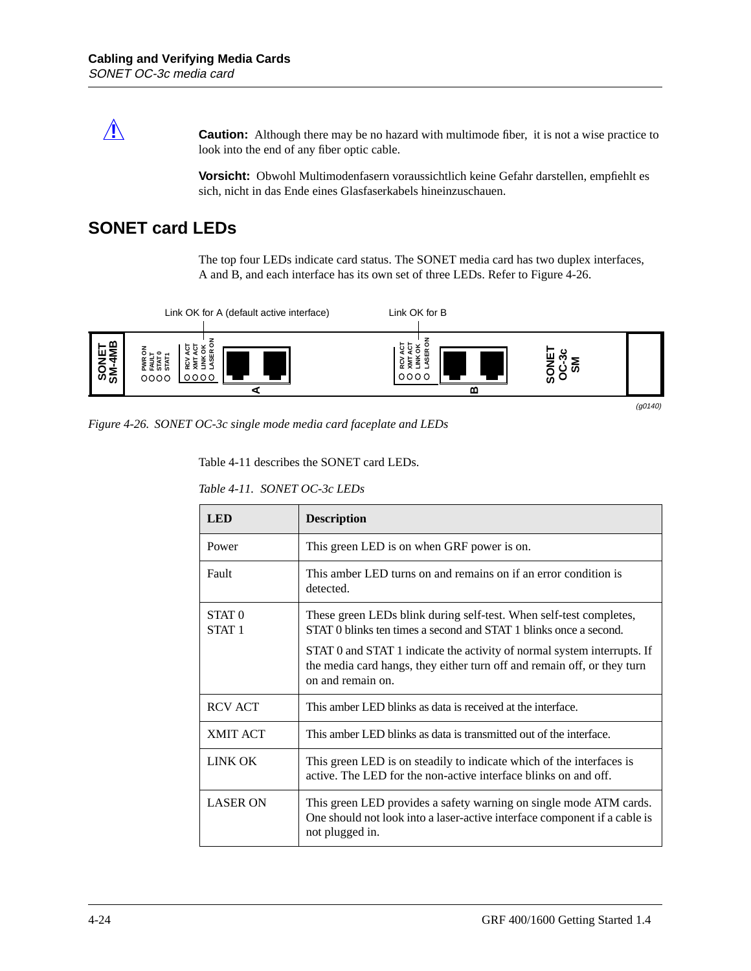**Caution:** Although there may be no hazard with multimode fiber, it is not a wise practice to look into the end of any fiber optic cable.

> **Vorsicht:** Obwohl Multimodenfasern voraussichtlich keine Gefahr darstellen, empfiehlt es sich, nicht in das Ende eines Glasfaserkabels hineinzuschauen.

## **SONET card LEDs**

The top four LEDs indicate card status. The SONET media card has two duplex interfaces, A and B, and each interface has its own set of three LEDs. Refer to Figure 4-26.



*Figure 4-26. SONET OC-3c single mode media card faceplate and LEDs*

Table 4-11 describes the SONET card LEDs.

*Table 4-11. SONET OC-3c LEDs*

| <b>LED</b>                             | <b>Description</b>                                                                                                                                                      |
|----------------------------------------|-------------------------------------------------------------------------------------------------------------------------------------------------------------------------|
| Power                                  | This green LED is on when GRF power is on.                                                                                                                              |
| Fault                                  | This amber LED turns on and remains on if an error condition is<br>detected.                                                                                            |
| STAT <sub>0</sub><br>STAT <sub>1</sub> | These green LEDs blink during self-test. When self-test completes,<br>STAT 0 blinks ten times a second and STAT 1 blinks once a second.                                 |
|                                        | STAT 0 and STAT 1 indicate the activity of normal system interrupts. If<br>the media card hangs, they either turn off and remain off, or they turn<br>on and remain on. |
| <b>RCV ACT</b>                         | This amber LED blinks as data is received at the interface.                                                                                                             |
| <b>XMIT ACT</b>                        | This amber LED blinks as data is transmitted out of the interface.                                                                                                      |
| LINK OK                                | This green LED is on steadily to indicate which of the interfaces is<br>active. The LED for the non-active interface blinks on and off.                                 |
| <b>LASER ON</b>                        | This green LED provides a safety warning on single mode ATM cards.<br>One should not look into a laser-active interface component if a cable is<br>not plugged in.      |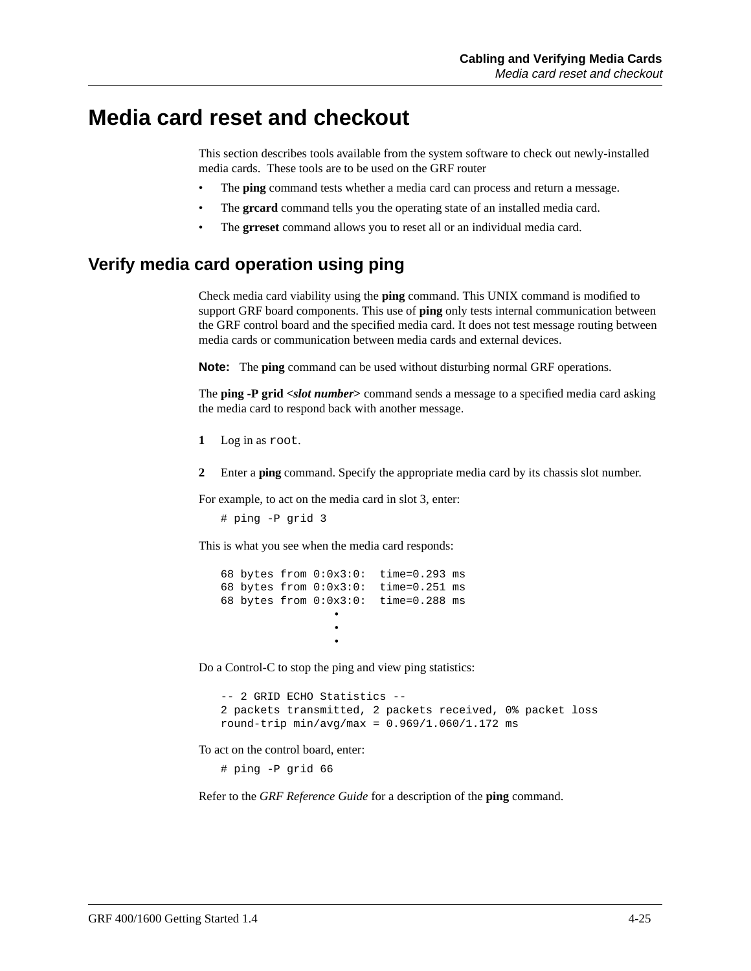## **Media card reset and checkout**

This section describes tools available from the system software to check out newly-installed media cards. These tools are to be used on the GRF router

- The **ping** command tests whether a media card can process and return a message.
- The **greard** command tells you the operating state of an installed media card.
- The **grreset** command allows you to reset all or an individual media card.

## **Verify media card operation using ping**

Check media card viability using the **ping** command. This UNIX command is modified to support GRF board components. This use of **ping** only tests internal communication between the GRF control board and the specified media card. It does not test message routing between media cards or communication between media cards and external devices.

**Note:** The **ping** command can be used without disturbing normal GRF operations.

The **ping -P grid <***slot number***>** command sends a message to a specified media card asking the media card to respond back with another message.

- **1** Log in as root.
- **2** Enter a **ping** command. Specify the appropriate media card by its chassis slot number.

For example, to act on the media card in slot 3, enter:

```
# ping -P grid 3
```
This is what you see when the media card responds:

```
68 bytes from 0:0x3:0: time=0.293 ms
68 bytes from 0:0x3:0: time=0.251 ms
68 bytes from 0:0x3:0: time=0.288 ms
 •
 •
 •
```
Do a Control-C to stop the ping and view ping statistics:

```
-- 2 GRID ECHO Statistics --
2 packets transmitted, 2 packets received, 0% packet loss
round-trip min/avg/max = 0.969/1.060/1.172 ms
```
To act on the control board, enter:

# ping -P grid 66

Refer to the *GRF Reference Guide* for a description of the **ping** command.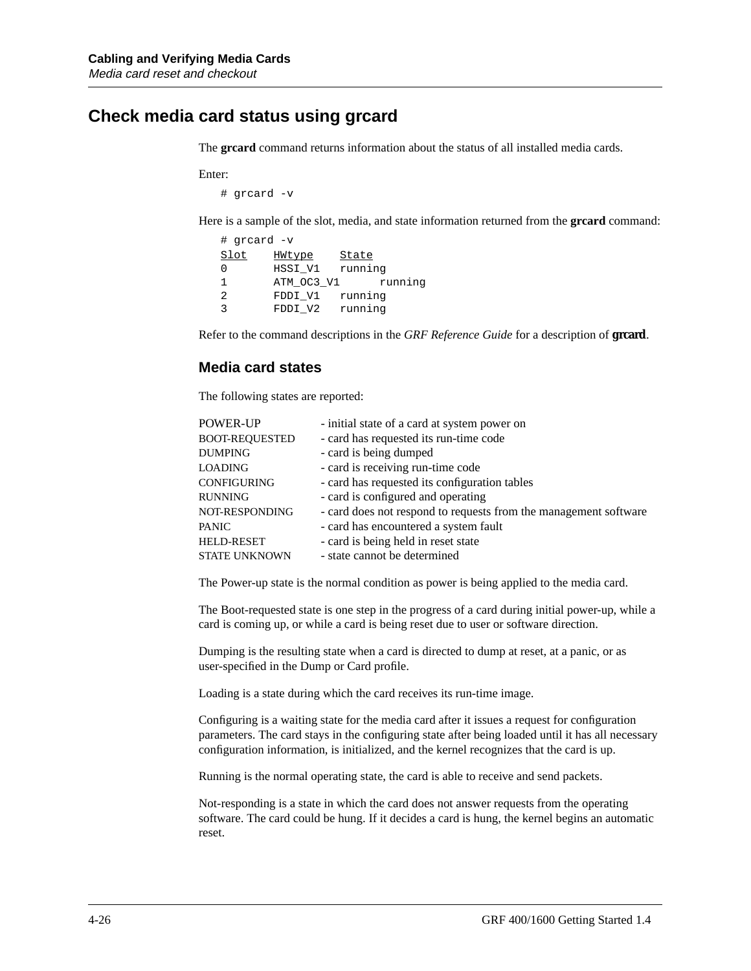## **Check media card status using grcard**

The **grcard** command returns information about the status of all installed media cards.

Enter:

# grcard -v

Here is a sample of the slot, media, and state information returned from the **grcard** command:

| # grcard -v |            |         |         |
|-------------|------------|---------|---------|
| Slot        | HWtype     | State   |         |
|             | HSSI V1    | running |         |
|             | ATM OC3_V1 |         | running |
| 2           | FDDI V1    | running |         |
| ς           | FDDI V2    | running |         |

Refer to the command descriptions in the *GRF Reference Guide* for a description of **grcard**.

#### **Media card states**

The following states are reported:

| - initial state of a card at system power on                     |
|------------------------------------------------------------------|
| - card has requested its run-time code                           |
| - card is being dumped                                           |
| - card is receiving run-time code                                |
| - card has requested its configuration tables                    |
| - card is configured and operating                               |
| - card does not respond to requests from the management software |
| - card has encountered a system fault                            |
| - card is being held in reset state                              |
| - state cannot be determined                                     |
|                                                                  |

The Power-up state is the normal condition as power is being applied to the media card.

The Boot-requested state is one step in the progress of a card during initial power-up, while a card is coming up, or while a card is being reset due to user or software direction.

Dumping is the resulting state when a card is directed to dump at reset, at a panic, or as user-specified in the Dump or Card profile.

Loading is a state during which the card receives its run-time image.

Configuring is a waiting state for the media card after it issues a request for configuration parameters. The card stays in the configuring state after being loaded until it has all necessary configuration information, is initialized, and the kernel recognizes that the card is up.

Running is the normal operating state, the card is able to receive and send packets.

Not-responding is a state in which the card does not answer requests from the operating software. The card could be hung. If it decides a card is hung, the kernel begins an automatic reset.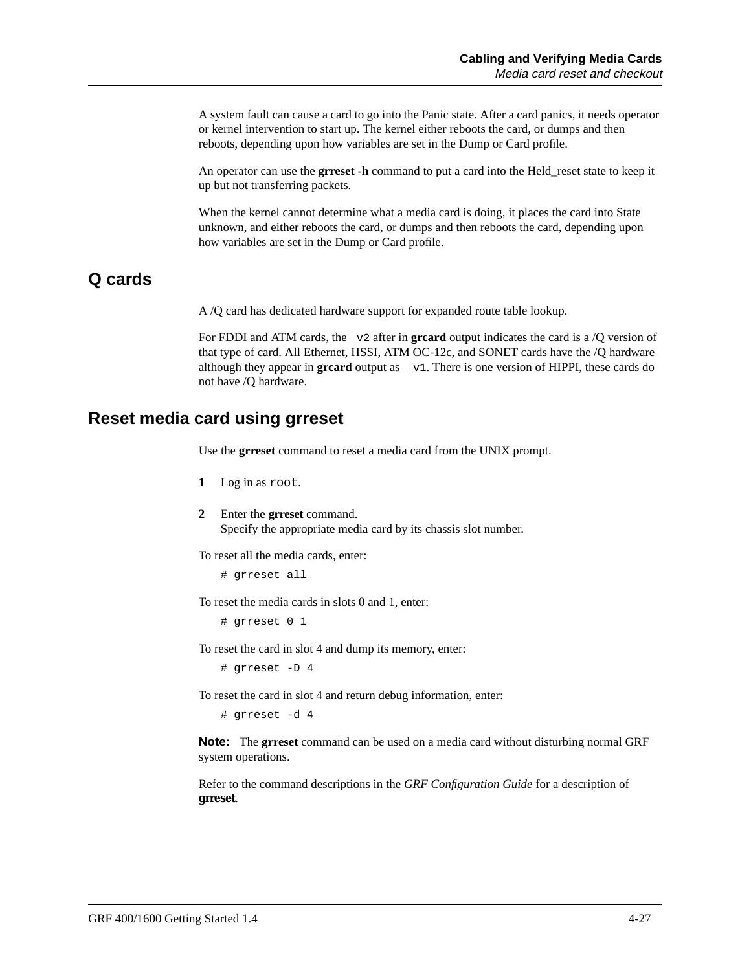A system fault can cause a card to go into the Panic state. After a card panics, it needs operator or kernel intervention to start up. The kernel either reboots the card, or dumps and then reboots, depending upon how variables are set in the Dump or Card profile.

An operator can use the **grreset -h** command to put a card into the Held\_reset state to keep it up but not transferring packets.

When the kernel cannot determine what a media card is doing, it places the card into State unknown, and either reboots the card, or dumps and then reboots the card, depending upon how variables are set in the Dump or Card profile.

## **Q cards**

A /Q card has dedicated hardware support for expanded route table lookup.

For FDDI and ATM cards, the \_v2 after in **grcard** output indicates the card is a /Q version of that type of card. All Ethernet, HSSI, ATM OC-12c, and SONET cards have the /Q hardware although they appear in **greard** output as  $\mathbf{v}_1$ . There is one version of HIPPI, these cards do not have /Q hardware.

### **Reset media card using grreset**

Use the **grreset** command to reset a media card from the UNIX prompt.

- **1** Log in as root.
- **2** Enter the **grreset** command. Specify the appropriate media card by its chassis slot number.

To reset all the media cards, enter:

# grreset all

To reset the media cards in slots 0 and 1, enter:

# grreset 0 1

To reset the card in slot 4 and dump its memory, enter:

# grreset -D 4

To reset the card in slot 4 and return debug information, enter:

# grreset -d 4

**Note:** The **grreset** command can be used on a media card without disturbing normal GRF system operations.

Refer to the command descriptions in the *GRF Configuration Guide* for a description of **grreset**.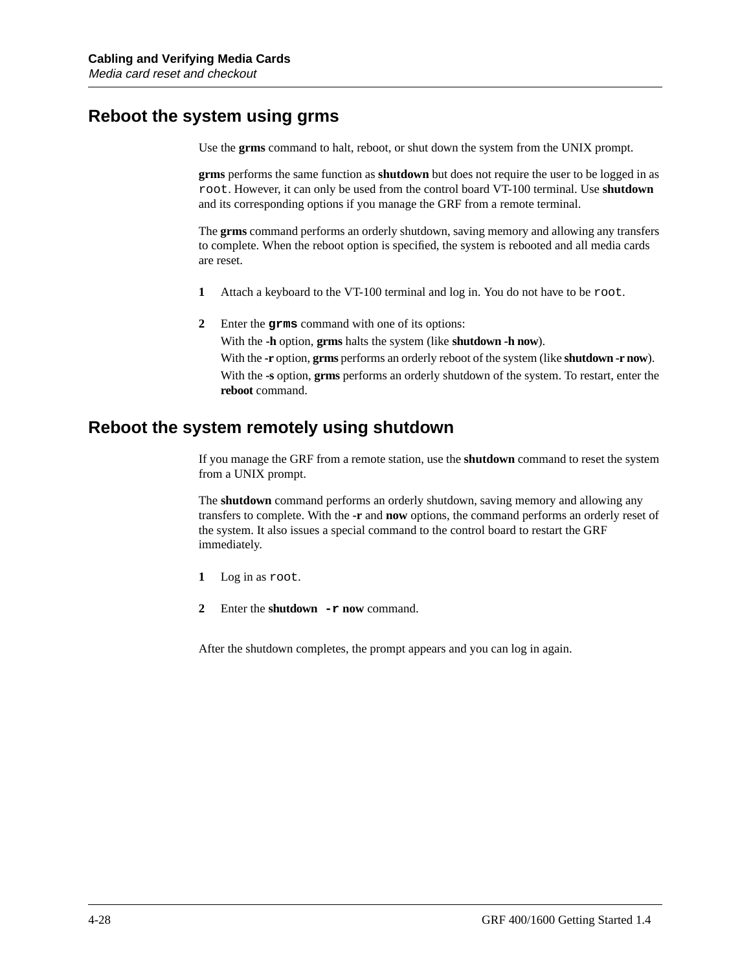## **Reboot the system using grms**

Use the **grms** command to halt, reboot, or shut down the system from the UNIX prompt.

**grms** performs the same function as **shutdown** but does not require the user to be logged in as root. However, it can only be used from the control board VT-100 terminal. Use **shutdown** and its corresponding options if you manage the GRF from a remote terminal.

The **grms** command performs an orderly shutdown, saving memory and allowing any transfers to complete. When the reboot option is specified, the system is rebooted and all media cards are reset.

- **1** Attach a keyboard to the VT-100 terminal and log in. You do not have to be root.
- **2** Enter the **grms** command with one of its options:

With the **-h** option, **grms** halts the system (like **shutdown -h now**). With the **-r** option, **grms** performs an orderly reboot of the system (like **shutdown -r now**). With the **-s** option, **grms** performs an orderly shutdown of the system. To restart, enter the **reboot** command.

## **Reboot the system remotely using shutdown**

If you manage the GRF from a remote station, use the **shutdown** command to reset the system from a UNIX prompt.

The **shutdown** command performs an orderly shutdown, saving memory and allowing any transfers to complete. With the **-r** and **now** options, the command performs an orderly reset of the system. It also issues a special command to the control board to restart the GRF immediately.

- **1** Log in as root.
- **2** Enter the **shutdown -r now** command.

After the shutdown completes, the prompt appears and you can log in again.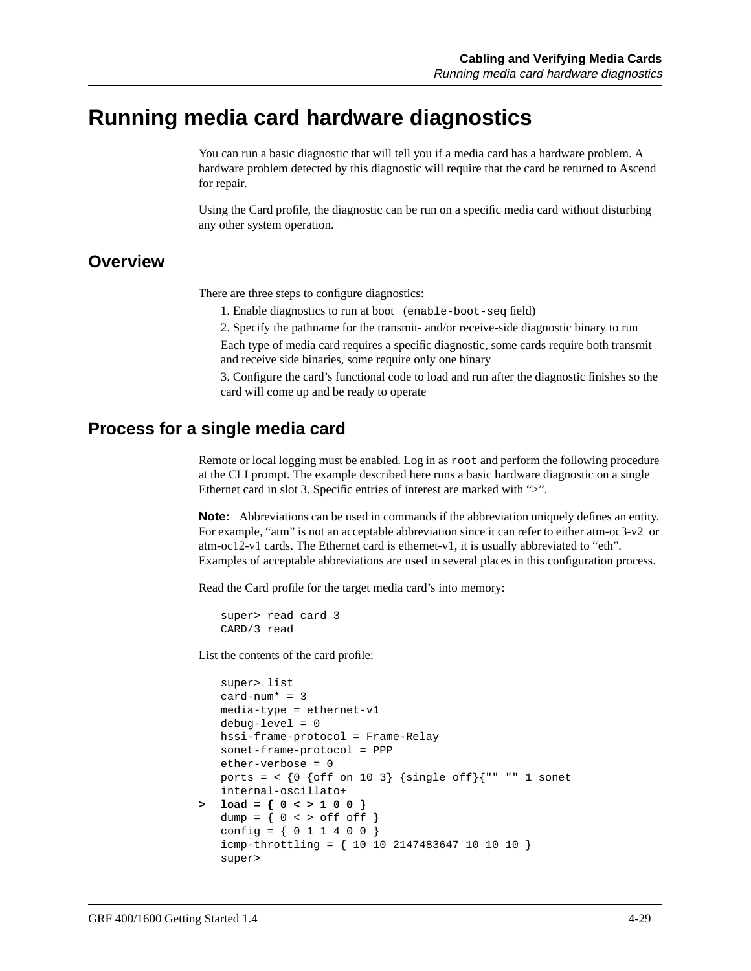## **Running media card hardware diagnostics**

You can run a basic diagnostic that will tell you if a media card has a hardware problem. A hardware problem detected by this diagnostic will require that the card be returned to Ascend for repair.

Using the Card profile, the diagnostic can be run on a specific media card without disturbing any other system operation.

#### **Overview**

There are three steps to configure diagnostics:

1. Enable diagnostics to run at boot (enable-boot-seq field)

2. Specify the pathname for the transmit- and/or receive-side diagnostic binary to run Each type of media card requires a specific diagnostic, some cards require both transmit and receive side binaries, some require only one binary

3. Configure the card's functional code to load and run after the diagnostic finishes so the card will come up and be ready to operate

### **Process for a single media card**

Remote or local logging must be enabled. Log in as root and perform the following procedure at the CLI prompt. The example described here runs a basic hardware diagnostic on a single Ethernet card in slot 3. Specific entries of interest are marked with ">".

**Note:** Abbreviations can be used in commands if the abbreviation uniquely defines an entity. For example, "atm" is not an acceptable abbreviation since it can refer to either atm-oc3-v2 or atm-oc12-v1 cards. The Ethernet card is ethernet-v1, it is usually abbreviated to "eth". Examples of acceptable abbreviations are used in several places in this configuration process.

Read the Card profile for the target media card's into memory:

super> read card 3 CARD/3 read

List the contents of the card profile:

```
super> list
   card-num* = 3media-type = ethernet-v1
   debug-level = 0
   hssi-frame-protocol = Frame-Relay
   sonet-frame-protocol = PPP
   ether-verbose = 0
   ports = \langle (0 \text{ of } f \text{ on } 103) {single off}{"" "" 1 sonet
   internal-oscillato+
> load = { 0 < > 1 0 0 }
   dump = \{ 0 \leq x \leq 0 \leq f \leq 0 \}config = \{ 0 1 1 4 0 0 \}icmp-throttling = { 10 10 2147483647 10 10 10 }
   super>
```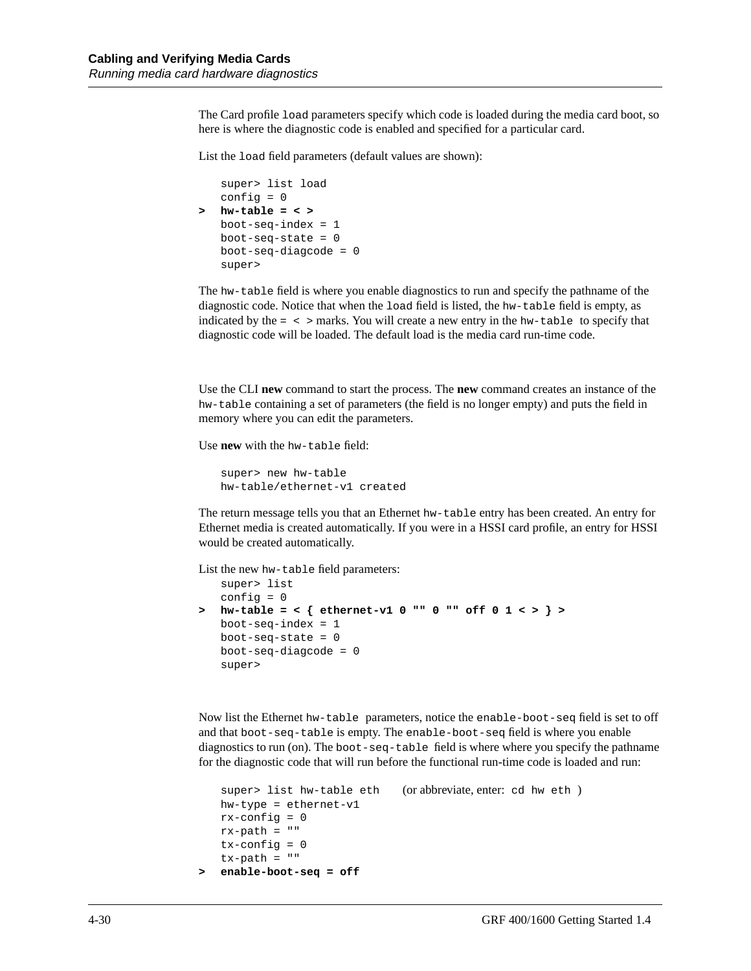The Card profile load parameters specify which code is loaded during the media card boot, so here is where the diagnostic code is enabled and specified for a particular card.

List the load field parameters (default values are shown):

```
super> list load
   config = 0> hw-table = < >
   boot-seq-index = 1boot-seq-state = 0boot-seq-diagcode = 0
   super>
```
The hw-table field is where you enable diagnostics to run and specify the pathname of the diagnostic code. Notice that when the load field is listed, the hw-table field is empty, as indicated by the  $=$   $\lt$   $>$  marks. You will create a new entry in the hw-table to specify that diagnostic code will be loaded. The default load is the media card run-time code.

Use the CLI **new** command to start the process. The **new** command creates an instance of the hw-table containing a set of parameters (the field is no longer empty) and puts the field in memory where you can edit the parameters.

Use **new** with the hw-table field:

```
super> new hw-table
hw-table/ethernet-v1 created
```
The return message tells you that an Ethernet hw-table entry has been created. An entry for Ethernet media is created automatically. If you were in a HSSI card profile, an entry for HSSI would be created automatically.

List the new hw-table field parameters:

```
super> list
   config = 0> hw-table = < { ethernet-v1 0 "" 0 "" off 0 1 < > } >
   boot-seq-index = 1
   boot-seq-state = 0boot-seq-diagcode = 0
   super>
```
Now list the Ethernet hw-table parameters, notice the enable-boot-seq field is set to off and that boot-seq-table is empty. The enable-boot-seq field is where you enable diagnostics to run (on). The boot-seq-table field is where where you specify the pathname for the diagnostic code that will run before the functional run-time code is loaded and run:

```
super> list hw-table eth (or abbreviate, enter: cd hw eth )
   hw-type = ethernet-v1
   rx-config = 0rx-path = ""
   tx-config = 0tx-path = "> enable-boot-seq = off
```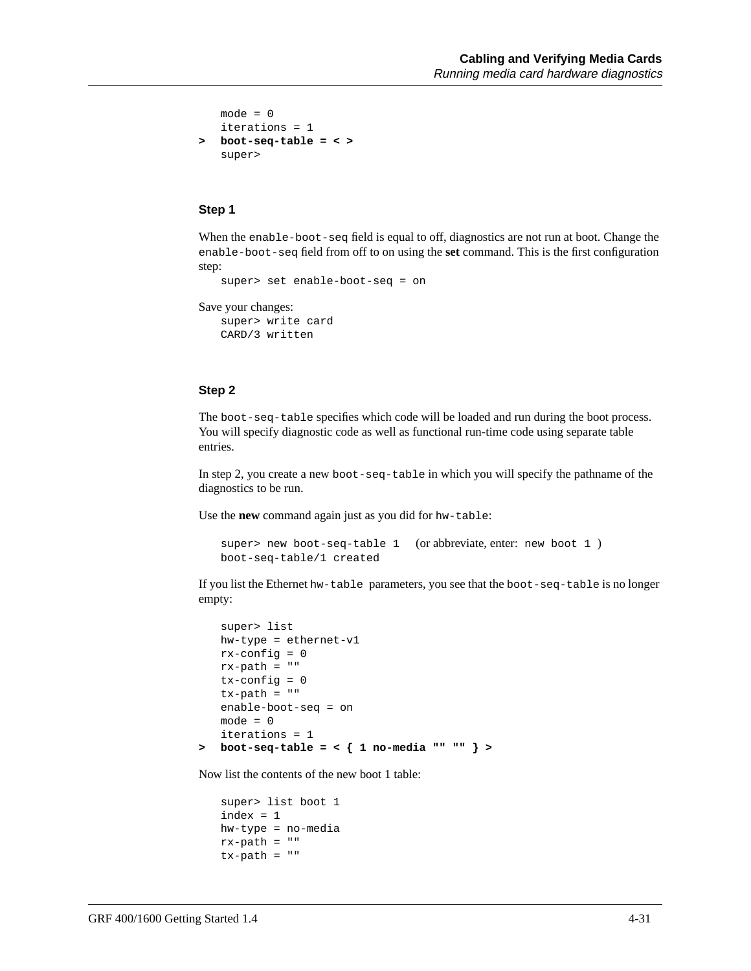```
mode = 0iterations = 1
> boot-seq-table = < >
   super>
```
#### **Step 1**

When the enable-boot-seq field is equal to off, diagnostics are not run at boot. Change the enable-boot-seq field from off to on using the **set** command. This is the first configuration step:

```
super> set enable-boot-seq = on
```

```
Save your changes:
```
super> write card CARD/3 written

#### **Step 2**

The boot-seq-table specifies which code will be loaded and run during the boot process. You will specify diagnostic code as well as functional run-time code using separate table entries.

In step 2, you create a new boot-seq-table in which you will specify the pathname of the diagnostics to be run.

Use the **new** command again just as you did for hw-table:

```
super> new boot-seq-table 1 (or abbreviate, enter: new boot 1 )
boot-seq-table/1 created
```
If you list the Ethernet hw-table parameters, you see that the boot-seq-table is no longer empty:

```
super> list
   hw-type = ethernet-v1
   rx-config = 0rx-path = ""
   tx-config = 0tx-path = "enable-boot-seq = on
   mode = 0iterations = 1
> boot-seq-table = < { 1 no-media "" "" } >
```
Now list the contents of the new boot 1 table:

super> list boot 1 index = 1 hw-type = no-media rx-path = ""  $tx-path = ""$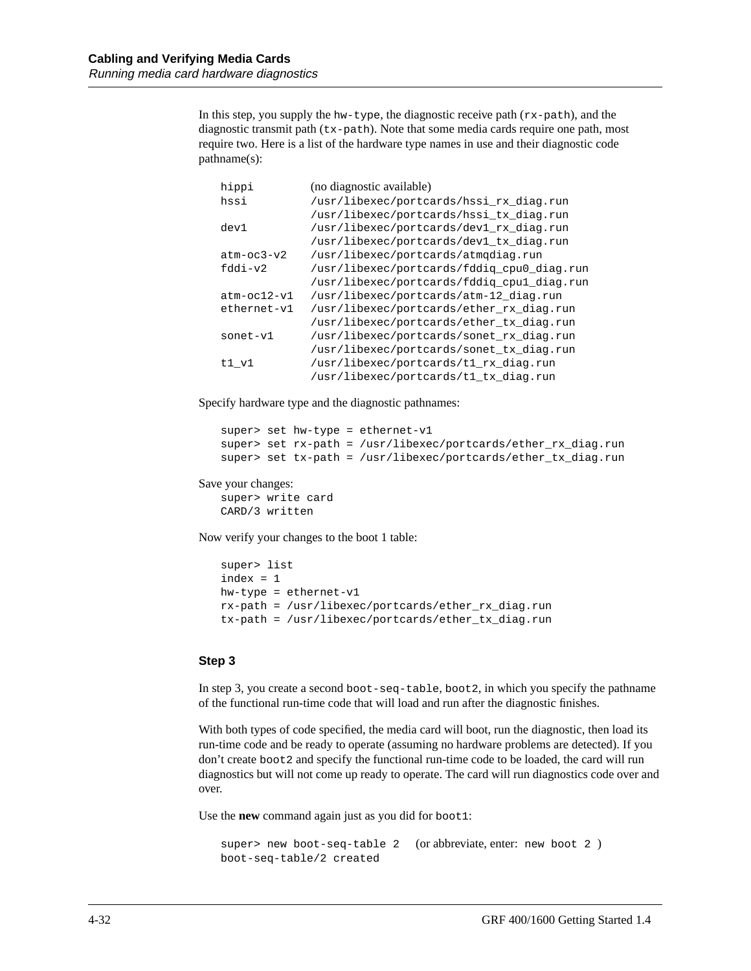In this step, you supply the hw-type, the diagnostic receive path (rx-path), and the diagnostic transmit path  $(\forall x$ -path). Note that some media cards require one path, most require two. Here is a list of the hardware type names in use and their diagnostic code pathname(s):

| hippi         | (no diagnostic available)                  |
|---------------|--------------------------------------------|
| hssi          | /usr/libexec/portcards/hssi rx diag.run    |
|               | /usr/libexec/portcards/hssi tx diag.run    |
| dev1          | /usr/libexec/portcards/devl_rx_diag.run    |
|               | /usr/libexec/portcards/dev1 tx diag.run    |
| $atm-oc3-v2$  | /usr/libexec/portcards/atmqdiaq.run        |
| fddi-v2       | /usr/libexec/portcards/fddiq_cpu0_diag.run |
|               | /usr/libexec/portcards/fddig_cpul_diag.run |
| $atm-oc12-v1$ | /usr/libexec/portcards/atm-12 diag.run     |
| ethernet-v1   | /usr/libexec/portcards/ether rx diag.run   |
|               | /usr/libexec/portcards/ether_tx_diag.run   |
| sonet-v1      | /usr/libexec/portcards/sonet_rx_diag.run   |
|               | /usr/libexec/portcards/sonet tx diag.run   |
| $t1$ $v1$     | /usr/libexec/portcards/t1 rx diag.run      |
|               | /usr/libexec/portcards/t1 tx diag.run      |

Specify hardware type and the diagnostic pathnames:

```
super> set hw-type = ethernet-v1
super> set rx-path = /usr/libexec/portcards/ether_rx_diag.run
super> set tx-path = /usr/libexec/portcards/ether_tx_diag.run
```
#### Save your changes:

```
super> write card
CARD/3 written
```
Now verify your changes to the boot 1 table:

```
super> list
index = 1
hw-type = ethernet-v1
rx-path = /usr/libexec/portcards/ether_rx_diag.run
tx-path = /usr/libexec/portcards/ether_tx_diag.run
```
#### **Step 3**

In step 3, you create a second boot-seq-table, boot2, in which you specify the pathname of the functional run-time code that will load and run after the diagnostic finishes.

With both types of code specified, the media card will boot, run the diagnostic, then load its run-time code and be ready to operate (assuming no hardware problems are detected). If you don't create boot2 and specify the functional run-time code to be loaded, the card will run diagnostics but will not come up ready to operate. The card will run diagnostics code over and over.

Use the **new** command again just as you did for boot1:

```
super> new boot-seq-table 2 (or abbreviate, enter: new boot 2 )
boot-seq-table/2 created
```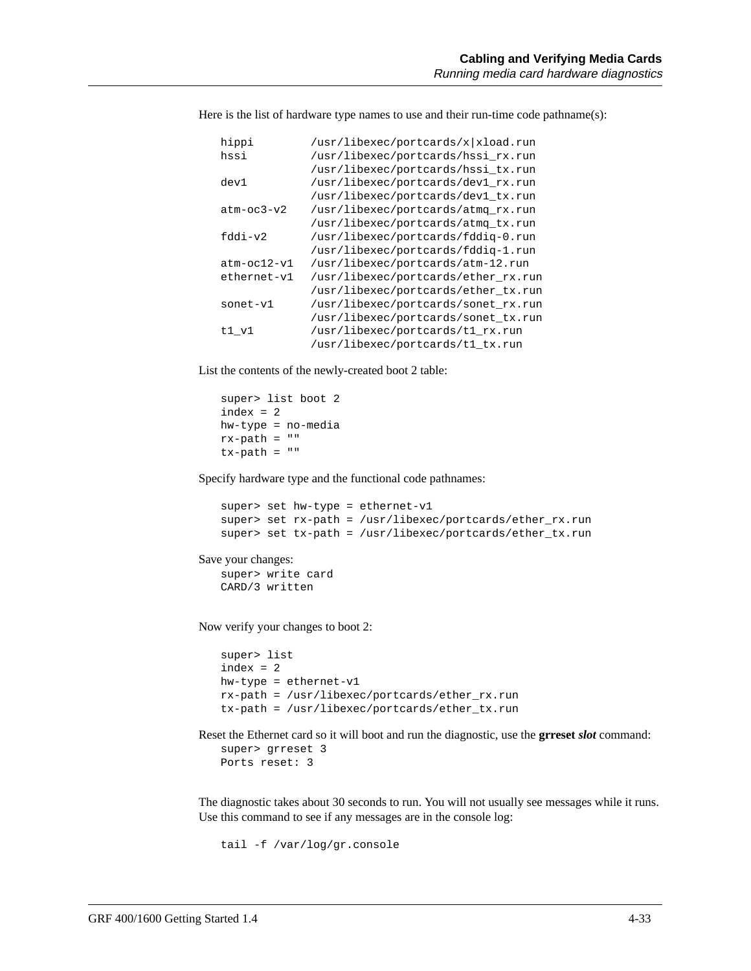Here is the list of hardware type names to use and their run-time code pathname(s):

| hippi         | /usr/libexec/portcards/x xload.run  |
|---------------|-------------------------------------|
| hssi          | /usr/libexec/portcards/hssi rx.run  |
|               | /usr/libexec/portcards/hssi_tx.run  |
| dev1          | /usr/libexec/portcards/dev1 rx.run  |
|               | /usr/libexec/portcards/dev1 tx.run  |
| $atm-oc3-v2$  | /usr/libexec/portcards/atmq rx.run  |
|               | /usr/libexec/portcards/atmg tx.run  |
| $fddi-v2$     | /usr/libexec/portcards/fddiq-0.run  |
|               | /usr/libexec/portcards/fddig-1.run  |
| $atm-oc12-v1$ | /usr/libexec/portcards/atm-12.run   |
| ethernet-v1   | /usr/libexec/portcards/ether_rx.run |
|               | /usr/libexec/portcards/ether_tx.run |
| $sonet-v1$    | /usr/libexec/portcards/sonet rx.run |
|               | /usr/libexec/portcards/sonet tx.run |
| t1 v1         | /usr/libexec/portcards/t1_rx.run    |
|               | /usr/libexec/portcards/t1 tx.run    |

List the contents of the newly-created boot 2 table:

super> list boot 2  $index = 2$ hw-type = no-media rx-path = ""  $tx$ -path =  $"$ 

Specify hardware type and the functional code pathnames:

```
super> set hw-type = ethernet-v1
super> set rx-path = /usr/libexec/portcards/ether_rx.run
super> set tx-path = /usr/libexec/portcards/ether_tx.run
```

```
Save your changes:
```

```
super> write card
CARD/3 written
```
Now verify your changes to boot 2:

```
super> list
index = 2
hw-type = ethernet-v1
rx-path = /usr/libexec/portcards/ether_rx.run
tx-path = /usr/libexec/portcards/ether_tx.run
```
Reset the Ethernet card so it will boot and run the diagnostic, use the **grreset** *slot* command:

```
super> grreset 3
Ports reset: 3
```
The diagnostic takes about 30 seconds to run. You will not usually see messages while it runs. Use this command to see if any messages are in the console log:

```
tail -f /var/log/gr.console
```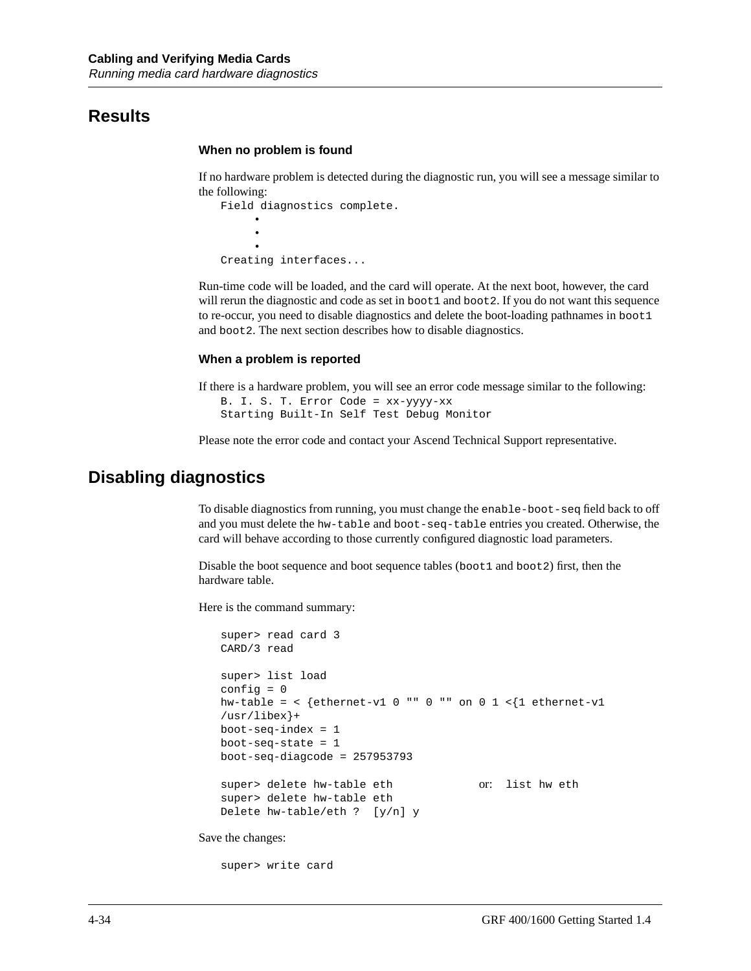#### **Results**

#### **When no problem is found**

If no hardware problem is detected during the diagnostic run, you will see a message similar to the following:

```
Field diagnostics complete.
 •
 •
 •
Creating interfaces...
```
Run-time code will be loaded, and the card will operate. At the next boot, however, the card will rerun the diagnostic and code as set in boot1 and boot2. If you do not want this sequence to re-occur, you need to disable diagnostics and delete the boot-loading pathnames in boot1 and boot2. The next section describes how to disable diagnostics.

#### **When a problem is reported**

If there is a hardware problem, you will see an error code message similar to the following: B. I. S. T. Error Code = xx-yyyy-xx Starting Built-In Self Test Debug Monitor

Please note the error code and contact your Ascend Technical Support representative.

#### **Disabling diagnostics**

To disable diagnostics from running, you must change the enable-boot-seq field back to off and you must delete the hw-table and boot-seq-table entries you created. Otherwise, the card will behave according to those currently configured diagnostic load parameters.

Disable the boot sequence and boot sequence tables (boot1 and boot2) first, then the hardware table.

Here is the command summary:

```
super> read card 3
   CARD/3 read
   super> list load
   config = 0hw-table = < {ethernet-v1 0 "" 0 "" on 0 1 <{1 ethernet-v1
   /usr/libex}+
   boot-seq-index = 1
   boot-seq-state = 1
   boot-seq-diagcode = 257953793
   super> delete hw-table eth or: list hw eth
   super> delete hw-table eth
   Delete hw-table/eth ? [y/n] y
Save the changes:
```
super> write card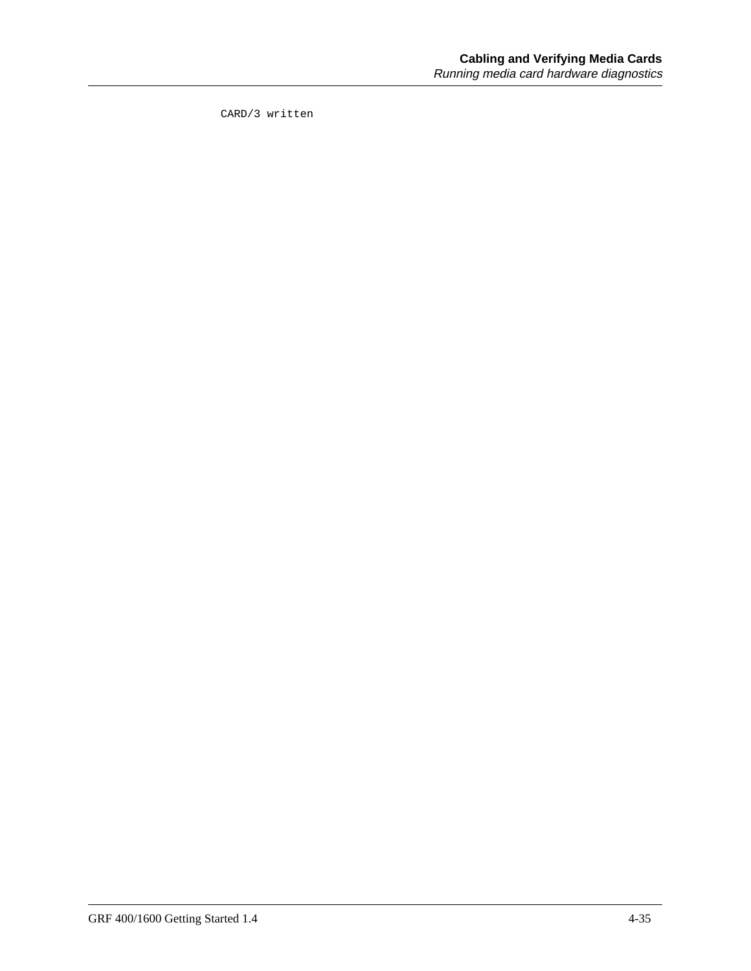CARD/3 written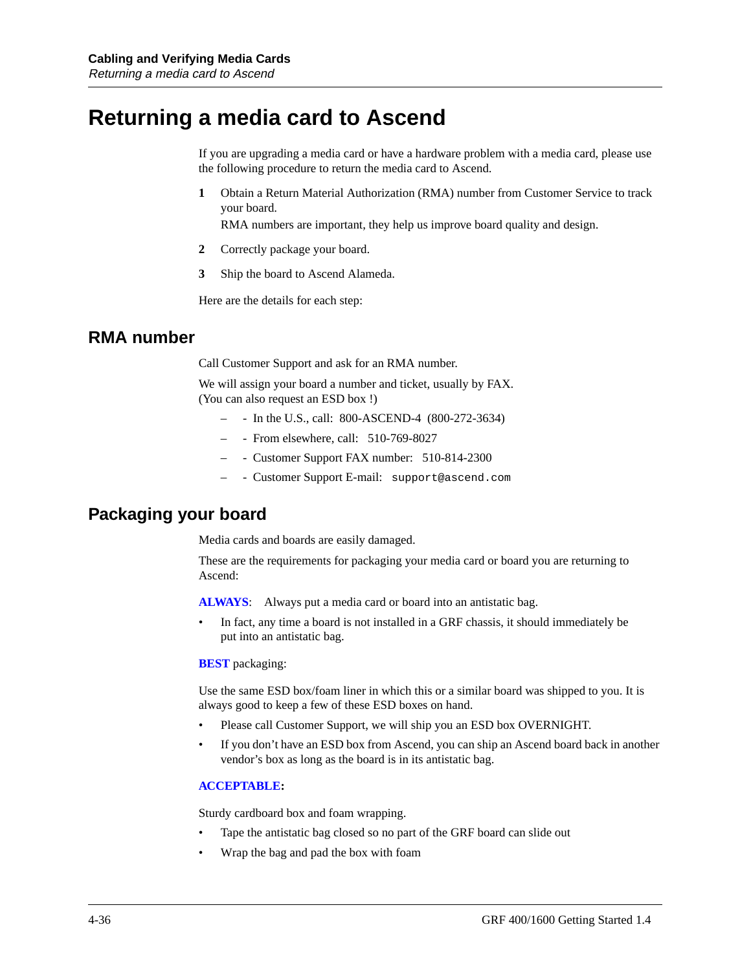### **Returning a media card to Ascend**

If you are upgrading a media card or have a hardware problem with a media card, please use the following procedure to return the media card to Ascend.

**1** Obtain a Return Material Authorization (RMA) number from Customer Service to track your board.

RMA numbers are important, they help us improve board quality and design.

- **2** Correctly package your board.
- **3** Ship the board to Ascend Alameda.

Here are the details for each step:

#### **RMA number**

Call Customer Support and ask for an RMA number.

We will assign your board a number and ticket, usually by FAX. (You can also request an ESD box !)

- - In the U.S., call: 800-ASCEND-4 (800-272-3634)
- - From elsewhere, call: 510-769-8027
- - Customer Support FAX number: 510-814-2300
- - Customer Support E-mail: support@ascend.com

#### **Packaging your board**

Media cards and boards are easily damaged.

These are the requirements for packaging your media card or board you are returning to Ascend:

**ALWAYS**: Always put a media card or board into an antistatic bag.

• In fact, any time a board is not installed in a GRF chassis, it should immediately be put into an antistatic bag.

#### **BEST** packaging:

Use the same ESD box/foam liner in which this or a similar board was shipped to you. It is always good to keep a few of these ESD boxes on hand.

- Please call Customer Support, we will ship you an ESD box OVERNIGHT.
- If you don't have an ESD box from Ascend, you can ship an Ascend board back in another vendor's box as long as the board is in its antistatic bag.

#### **ACCEPTABLE:**

Sturdy cardboard box and foam wrapping.

- Tape the antistatic bag closed so no part of the GRF board can slide out
- Wrap the bag and pad the box with foam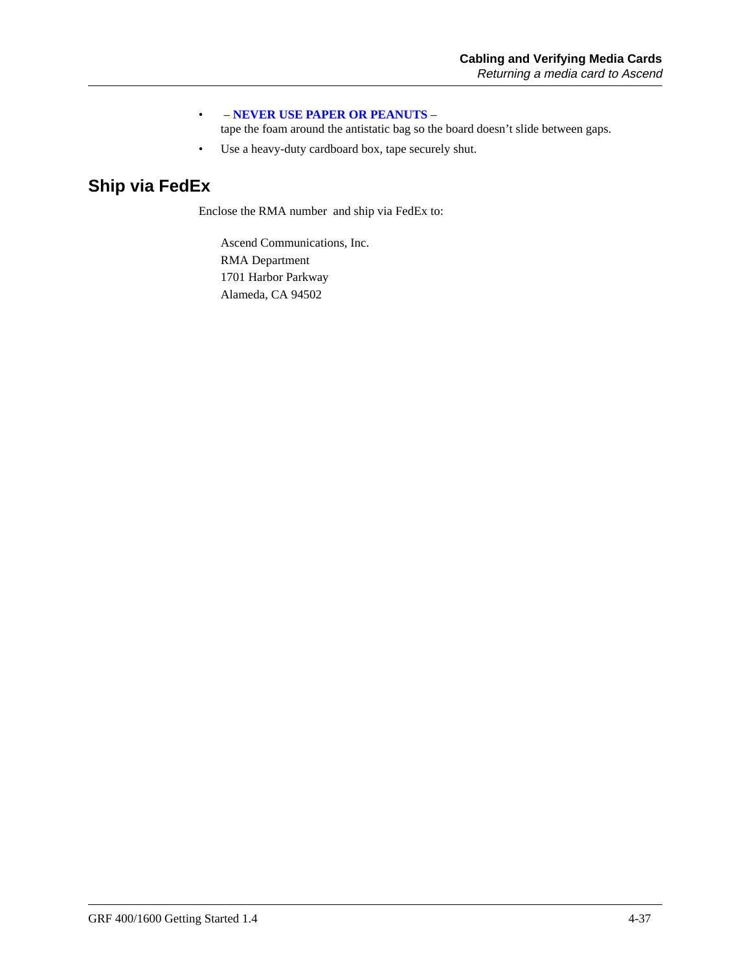#### • – **NEVER USE PAPER OR PEANUTS** –

tape the foam around the antistatic bag so the board doesn't slide between gaps.

• Use a heavy-duty cardboard box, tape securely shut.

### **Ship via FedEx**

Enclose the RMA number and ship via FedEx to:

Ascend Communications, Inc. RMA Department 1701 Harbor Parkway Alameda, CA 94502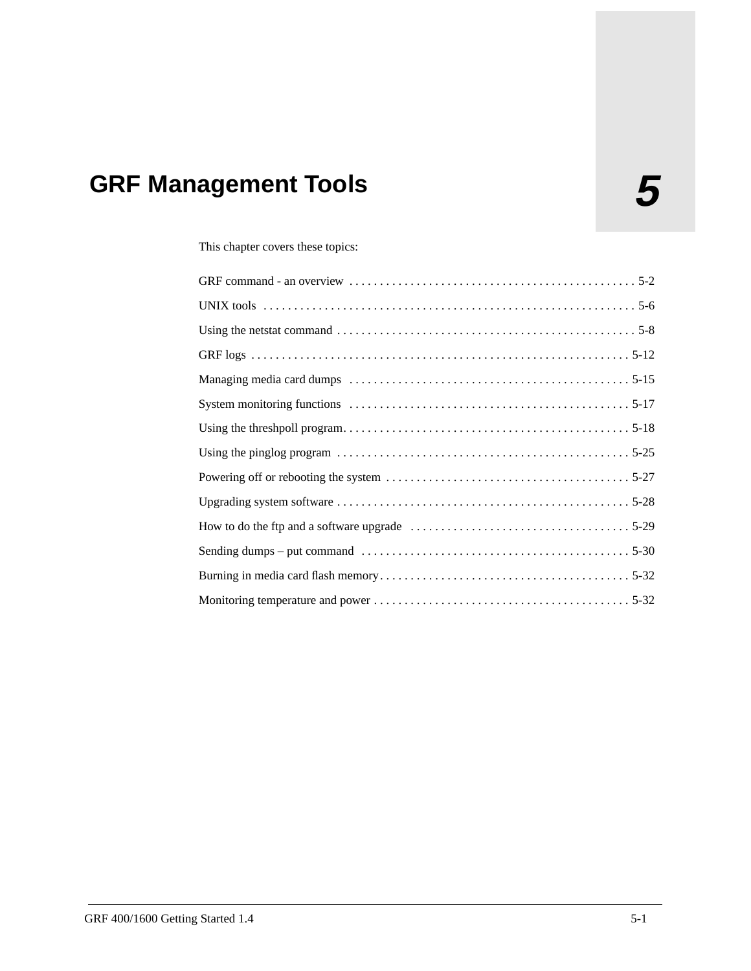# **5 GRF Management Tools**

This chapter covers these topics: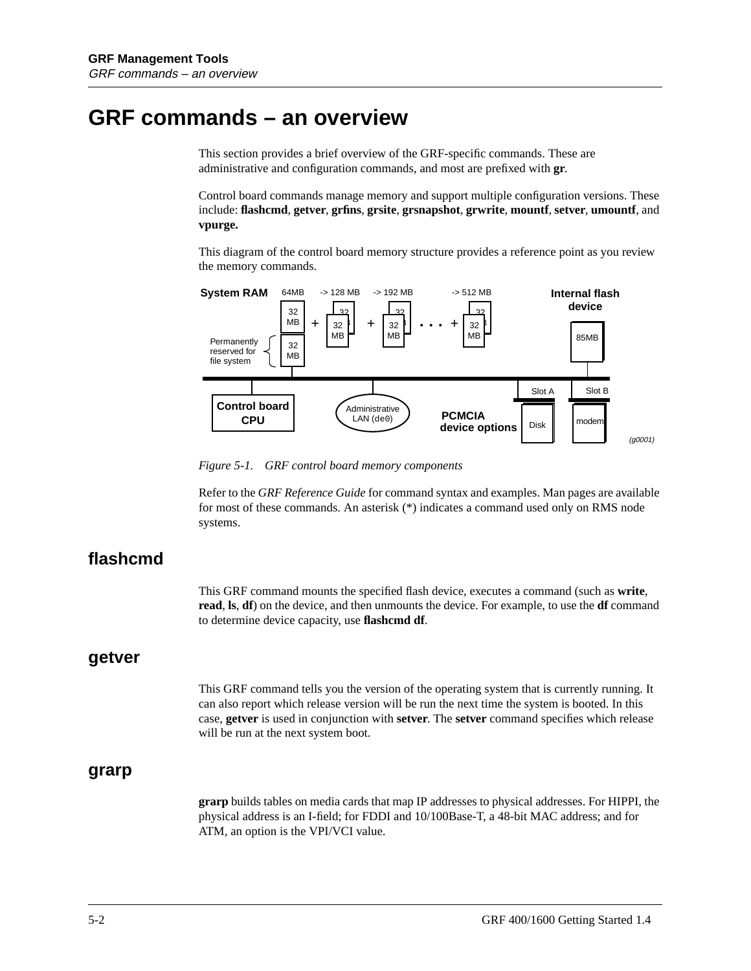### **GRF commands – an overview**

This section provides a brief overview of the GRF-specific commands. These are administrative and configuration commands, and most are prefixed with **gr**.

Control board commands manage memory and support multiple configuration versions. These include: **flashcmd**, **getver**, **grfins**, **grsite**, **grsnapshot**, **grwrite**, **mountf**, **setver**, **umountf**, and **vpurge.**

This diagram of the control board memory structure provides a reference point as you review the memory commands.



*Figure 5-1. GRF control board memory components*

Refer to the *GRF Reference Guide* for command syntax and examples. Man pages are available for most of these commands. An asterisk (\*) indicates a command used only on RMS node systems.

#### **flashcmd**

This GRF command mounts the specified flash device, executes a command (such as **write**, **read**, **ls**, **df**) on the device, and then unmounts the device. For example, to use the **df** command to determine device capacity, use **flashcmd df**.

#### **getver**

This GRF command tells you the version of the operating system that is currently running. It can also report which release version will be run the next time the system is booted. In this case, **getver** is used in conjunction with **setver**. The **setver** command specifies which release will be run at the next system boot.

#### **grarp**

**grarp** builds tables on media cards that map IP addresses to physical addresses. For HIPPI, the physical address is an I-field; for FDDI and 10/100Base-T, a 48-bit MAC address; and for ATM, an option is the VPI/VCI value.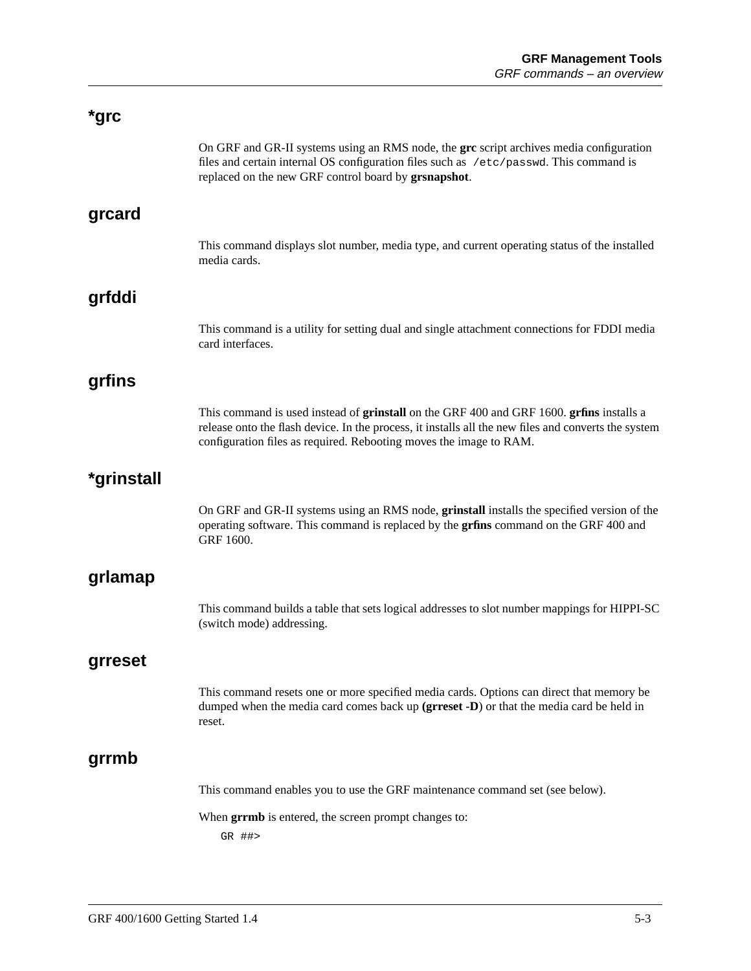| *grc       |                                                                                                                                                                                                                                                                       |
|------------|-----------------------------------------------------------------------------------------------------------------------------------------------------------------------------------------------------------------------------------------------------------------------|
|            | On GRF and GR-II systems using an RMS node, the grc script archives media configuration<br>files and certain internal OS configuration files such as /etc/passwd. This command is<br>replaced on the new GRF control board by grsnapshot.                             |
| grcard     |                                                                                                                                                                                                                                                                       |
|            | This command displays slot number, media type, and current operating status of the installed<br>media cards.                                                                                                                                                          |
| grfddi     |                                                                                                                                                                                                                                                                       |
|            | This command is a utility for setting dual and single attachment connections for FDDI media<br>card interfaces.                                                                                                                                                       |
| grfins     |                                                                                                                                                                                                                                                                       |
|            | This command is used instead of grinstall on the GRF 400 and GRF 1600. grins installs a<br>release onto the flash device. In the process, it installs all the new files and converts the system<br>configuration files as required. Rebooting moves the image to RAM. |
| *grinstall |                                                                                                                                                                                                                                                                       |
|            | On GRF and GR-II systems using an RMS node, grinstall installs the specified version of the<br>operating software. This command is replaced by the grfins command on the GRF 400 and<br>GRF 1600.                                                                     |
| grlamap    |                                                                                                                                                                                                                                                                       |
|            | This command builds a table that sets logical addresses to slot number mappings for HIPPI-SC<br>(switch mode) addressing.                                                                                                                                             |
| grreset    |                                                                                                                                                                                                                                                                       |
|            | This command resets one or more specified media cards. Options can direct that memory be<br>dumped when the media card comes back up (grreset -D) or that the media card be held in<br>reset.                                                                         |
| grrmb      |                                                                                                                                                                                                                                                                       |
|            | This command enables you to use the GRF maintenance command set (see below).                                                                                                                                                                                          |
|            | When grrmb is entered, the screen prompt changes to:<br>GR ##>                                                                                                                                                                                                        |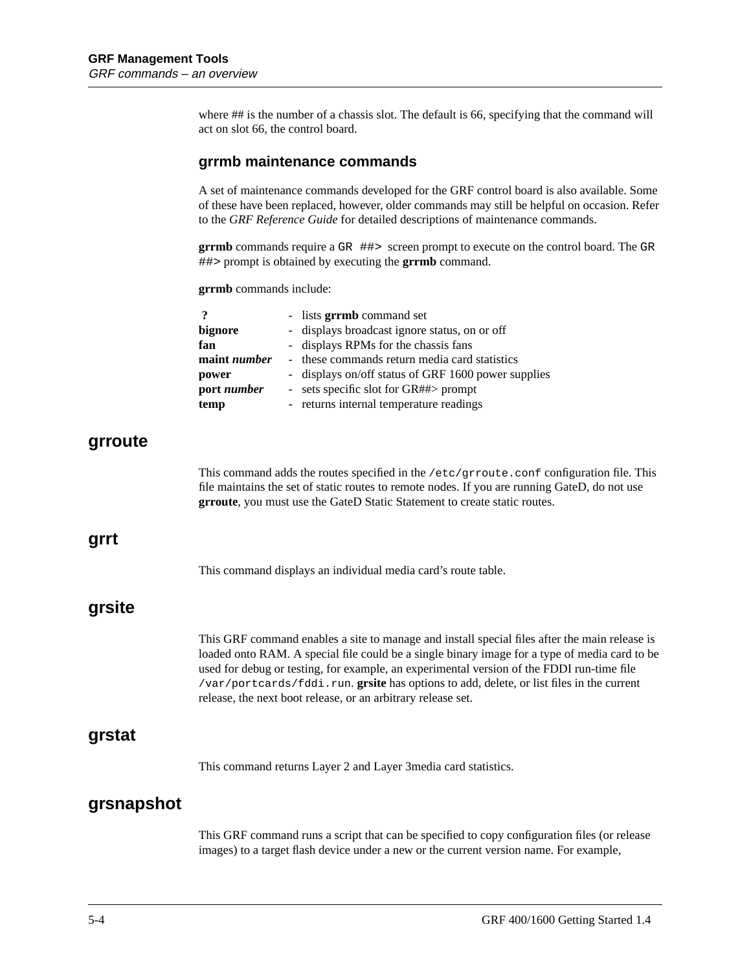where ## is the number of a chassis slot. The default is 66, specifying that the command will act on slot 66, the control board.

#### **grrmb maintenance commands**

A set of maintenance commands developed for the GRF control board is also available. Some of these have been replaced, however, older commands may still be helpful on occasion. Refer to the *GRF Reference Guide* for detailed descriptions of maintenance commands.

**grrmb** commands require a GR ##> screen prompt to execute on the control board. The GR ##> prompt is obtained by executing the **grrmb** command.

**grrmb** commands include:

| $\boldsymbol{?}$    | - lists <b>grrmb</b> command set                                                                                                                                                                                                                                         |
|---------------------|--------------------------------------------------------------------------------------------------------------------------------------------------------------------------------------------------------------------------------------------------------------------------|
| bignore             | displays broadcast ignore status, on or off                                                                                                                                                                                                                              |
| fan                 | displays RPMs for the chassis fans                                                                                                                                                                                                                                       |
| maint <i>number</i> | these commands return media card statistics                                                                                                                                                                                                                              |
| power               | displays on/off status of GRF 1600 power supplies                                                                                                                                                                                                                        |
| port number         | - sets specific slot for $GR# \# >$ prompt                                                                                                                                                                                                                               |
| temp                | - returns internal temperature readings                                                                                                                                                                                                                                  |
|                     | This command adds the routes specified in the $/etc/grroute.comf$ configuration file. This<br>file maintains the set of static routes to remote nodes. If you are running GateD, do not use<br>grroute, you must use the GateD Static Statement to create static routes. |
|                     |                                                                                                                                                                                                                                                                          |
|                     | This command displays an individual media card's route table.                                                                                                                                                                                                            |

loaded onto RAM. A special file could be a single binary image for a type of media card to be used for debug or testing, for example, an experimental version of the FDDI run-time file /var/portcards/fddi.run. **grsite** has options to add, delete, or list files in the current release, the next boot release, or an arbitrary release set.

#### **grstat**

**grroute**

**grrt**

**grsite**

This command returns Layer 2 and Layer 3media card statistics.

#### **grsnapshot**

This GRF command runs a script that can be specified to copy configuration files (or release images) to a target flash device under a new or the current version name. For example,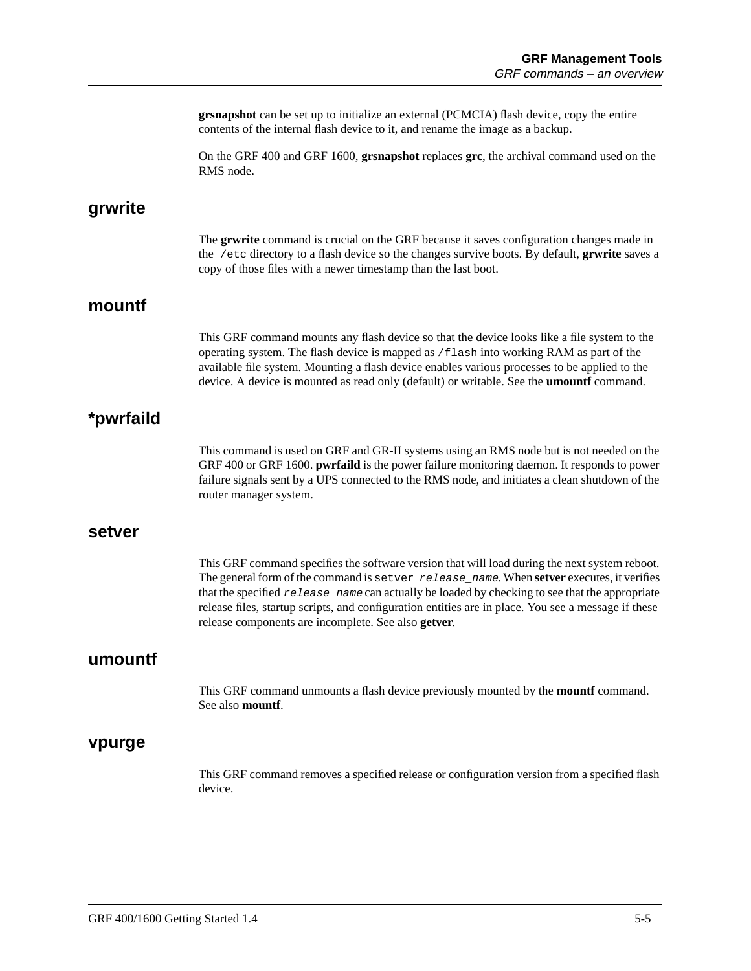**grsnapshot** can be set up to initialize an external (PCMCIA) flash device, copy the entire contents of the internal flash device to it, and rename the image as a backup.

On the GRF 400 and GRF 1600, **grsnapshot** replaces **grc**, the archival command used on the RMS node.

#### **grwrite**

The **grwrite** command is crucial on the GRF because it saves configuration changes made in the /etc directory to a flash device so the changes survive boots. By default, **grwrite** saves a copy of those files with a newer timestamp than the last boot.

#### **mountf**

This GRF command mounts any flash device so that the device looks like a file system to the operating system. The flash device is mapped as /flash into working RAM as part of the available file system. Mounting a flash device enables various processes to be applied to the device. A device is mounted as read only (default) or writable. See the **umountf** command.

#### **\*pwrfaild**

This command is used on GRF and GR-II systems using an RMS node but is not needed on the GRF 400 or GRF 1600. **pwrfaild** is the power failure monitoring daemon. It responds to power failure signals sent by a UPS connected to the RMS node, and initiates a clean shutdown of the router manager system.

#### **setver**

This GRF command specifies the software version that will load during the next system reboot. The general form of the command is setver release name. When **setver** executes, it verifies that the specified  $release\_name$  can actually be loaded by checking to see that the appropriate release files, startup scripts, and configuration entities are in place. You see a message if these release components are incomplete. See also **getver**.

#### **umountf**

This GRF command unmounts a flash device previously mounted by the **mountf** command. See also **mountf**.

#### **vpurge**

This GRF command removes a specified release or configuration version from a specified flash device.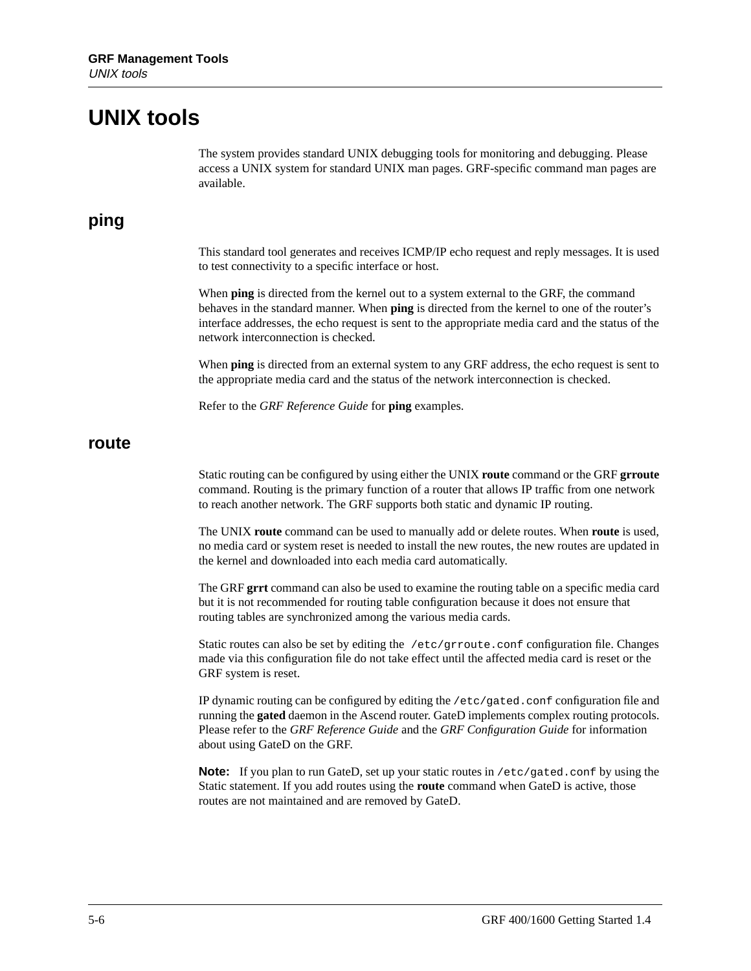### **UNIX tools**

The system provides standard UNIX debugging tools for monitoring and debugging. Please access a UNIX system for standard UNIX man pages. GRF-specific command man pages are available.

#### **ping**

This standard tool generates and receives ICMP/IP echo request and reply messages. It is used to test connectivity to a specific interface or host.

When **ping** is directed from the kernel out to a system external to the GRF, the command behaves in the standard manner. When **ping** is directed from the kernel to one of the router's interface addresses, the echo request is sent to the appropriate media card and the status of the network interconnection is checked.

When **ping** is directed from an external system to any GRF address, the echo request is sent to the appropriate media card and the status of the network interconnection is checked.

Refer to the *GRF Reference Guide* for **ping** examples.

#### **route**

Static routing can be configured by using either the UNIX **route** command or the GRF **grroute** command. Routing is the primary function of a router that allows IP traffic from one network to reach another network. The GRF supports both static and dynamic IP routing.

The UNIX **route** command can be used to manually add or delete routes. When **route** is used, no media card or system reset is needed to install the new routes, the new routes are updated in the kernel and downloaded into each media card automatically.

The GRF **grrt** command can also be used to examine the routing table on a specific media card but it is not recommended for routing table configuration because it does not ensure that routing tables are synchronized among the various media cards.

Static routes can also be set by editing the /etc/grroute.conf configuration file. Changes made via this configuration file do not take effect until the affected media card is reset or the GRF system is reset.

IP dynamic routing can be configured by editing the /etc/gated.conf configuration file and running the **gated** daemon in the Ascend router. GateD implements complex routing protocols. Please refer to the *GRF Reference Guide* and the *GRF Configuration Guide* for information about using GateD on the GRF.

**Note:** If you plan to run GateD, set up your static routes in /etc/gated.conf by using the Static statement. If you add routes using the **route** command when GateD is active, those routes are not maintained and are removed by GateD.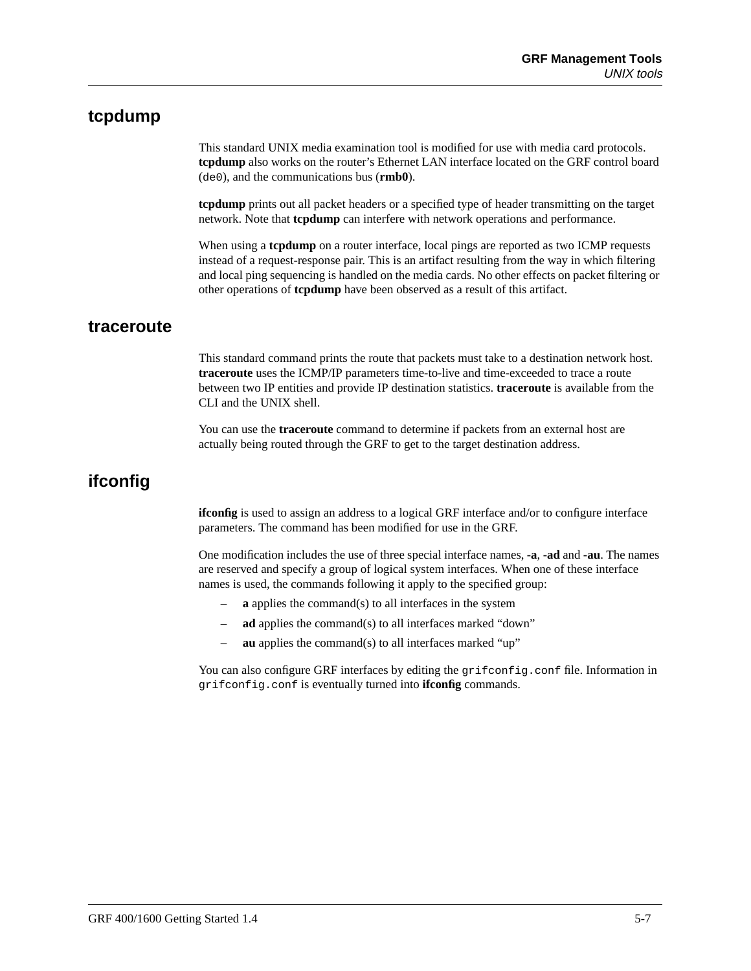#### **tcpdump**

This standard UNIX media examination tool is modified for use with media card protocols. **tcpdump** also works on the router's Ethernet LAN interface located on the GRF control board (de0), and the communications bus (**rmb0**).

**tcpdump** prints out all packet headers or a specified type of header transmitting on the target network. Note that **tcpdump** can interfere with network operations and performance.

When using a **tcpdump** on a router interface, local pings are reported as two ICMP requests instead of a request-response pair. This is an artifact resulting from the way in which filtering and local ping sequencing is handled on the media cards. No other effects on packet filtering or other operations of **tcpdump** have been observed as a result of this artifact.

#### **traceroute**

This standard command prints the route that packets must take to a destination network host. **traceroute** uses the ICMP/IP parameters time-to-live and time-exceeded to trace a route between two IP entities and provide IP destination statistics. **traceroute** is available from the CLI and the UNIX shell.

You can use the **traceroute** command to determine if packets from an external host are actually being routed through the GRF to get to the target destination address.

#### **ifconfig**

**ifconfig** is used to assign an address to a logical GRF interface and/or to configure interface parameters. The command has been modified for use in the GRF.

One modification includes the use of three special interface names, **-a**, **-ad** and **-au**. The names are reserved and specify a group of logical system interfaces. When one of these interface names is used, the commands following it apply to the specified group:

- **a** applies the command(s) to all interfaces in the system
- **ad** applies the command(s) to all interfaces marked "down"
- **au** applies the command(s) to all interfaces marked "up"

You can also configure GRF interfaces by editing the grifconfig.conf file. Information in grifconfig.conf is eventually turned into **ifconfig** commands.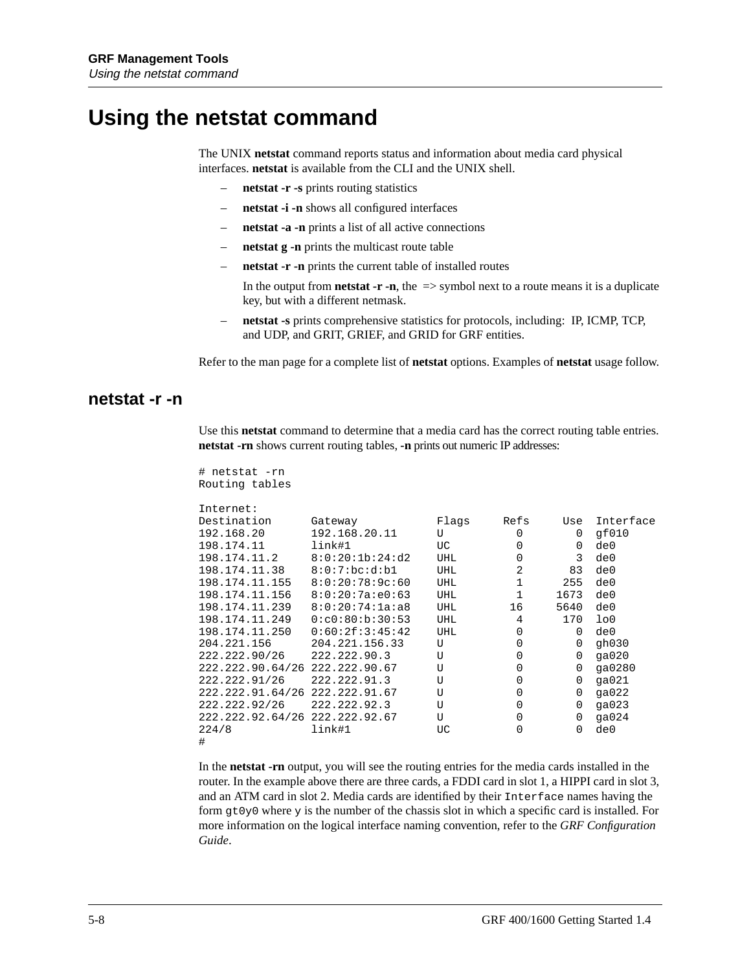### **Using the netstat command**

# netstat -rn

The UNIX **netstat** command reports status and information about media card physical interfaces. **netstat** is available from the CLI and the UNIX shell.

- **netstat -r -s** prints routing statistics
- **netstat -i -n** shows all configured interfaces
- **netstat -a -n** prints a list of all active connections
- **netstat g -n** prints the multicast route table
- **netstat -r -n** prints the current table of installed routes

In the output from **netstat -r -n**, the  $\Rightarrow$  symbol next to a route means it is a duplicate key, but with a different netmask.

– **netstat -s** prints comprehensive statistics for protocols, including: IP, ICMP, TCP, and UDP, and GRIT, GRIEF, and GRID for GRF entities.

Refer to the man page for a complete list of **netstat** options. Examples of **netstat** usage follow.

#### **netstat -r -n**

Use this **netstat** command to determine that a media card has the correct routing table entries. **netstat -rn** shows current routing tables, **-n** prints out numeric IP addresses:

| Routing tables                     |                  |            |              |          |                |
|------------------------------------|------------------|------------|--------------|----------|----------------|
| Internet:                          |                  |            |              |          |                |
| Destination                        | Gateway          | Flags      | Refs         | Use      | Interface      |
| 192.168.20                         | 192.168.20.11    | U          | $\Omega$     | $\Omega$ | qf010          |
| 198.174.11                         | link#1           | UC         | $\Omega$     | $\Omega$ | de0            |
| 198.174.11.2                       | 8:0:20:1b:24:02  | <b>UHL</b> | 0            | 3        | de0            |
| 198.174.11.38                      | 8:0:7:bc:d:b1    | <b>UHL</b> | 2            | 83       | de0            |
| 198.174.11.155 8:0:20:78:9c:60     |                  | <b>UHL</b> | $\mathbf{1}$ | 255      | de0            |
| 198.174.11.156                     | 8:0:20:7a:e0:63  | <b>UHL</b> | $\mathbf{1}$ | 1673     | de0            |
| $198.174.11.239$ $8:0:20:74:1a:a8$ |                  | <b>UHL</b> | 16           | 5640     | de0            |
| 198.174.11.249                     | 0: c0:80:b:30:53 | UHL        | 4            | 170      | 1 <sub>0</sub> |
| 198.174.11.250                     | 0:60:2f:3:45:42  | <b>UHL</b> | $\Omega$     | $\Omega$ | de0            |
| 204.221.156                        | 204.221.156.33   | U          | $\mathbf 0$  | $\Omega$ | qh030          |
| 222.222.90/26                      | 222.222.90.3     | U          | 0            | $\Omega$ | qa020          |
| 222.222.90.64/26 222.222.90.67     |                  | U          | 0            | 0        | ga0280         |
| 222.222.91/26                      | 222.222.91.3     | U          | 0            | 0        | qa021          |
| 222.222.91.64/26 222.222.91.67     |                  | U          | $\mathbf 0$  | 0        | qa022          |
| 222.222.92/26                      | 222.222.92.3     | U          | $\Omega$     | $\Omega$ | qa $023$       |
| 222.222.92.64/26 222.222.92.67     |                  | U          | 0            | $\Omega$ | qa024          |
| 224/8                              | link#1           | UC         | 0            | 0        | de0            |
| #                                  |                  |            |              |          |                |

In the **netstat -rn** output, you will see the routing entries for the media cards installed in the router. In the example above there are three cards, a FDDI card in slot 1, a HIPPI card in slot 3, and an ATM card in slot 2. Media cards are identified by their Interface names having the form gt0y0 where y is the number of the chassis slot in which a specific card is installed. For more information on the logical interface naming convention, refer to the *GRF Configuration Guide*.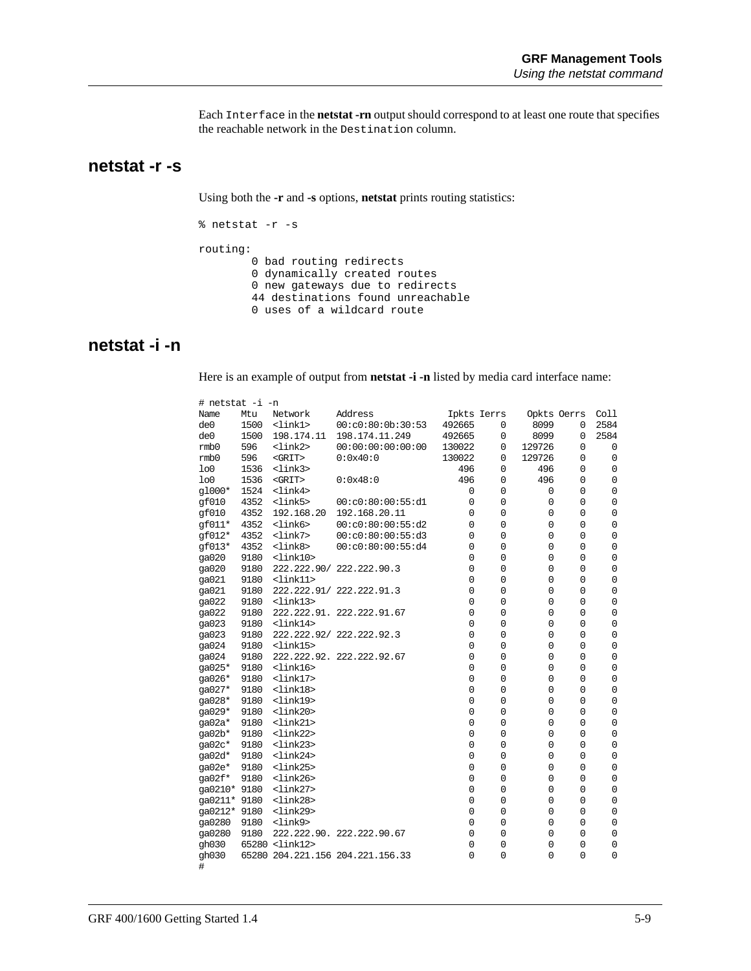Each Interface in the **netstat -rn** output should correspond to at least one route that specifies the reachable network in the Destination column.

#### **netstat -r -s**

Using both the **-r** and **-s** options, **netstat** prints routing statistics:

```
% netstat -r -s
routing:
 0 bad routing redirects
 0 dynamically created routes
 0 new gateways due to redirects
        44 destinations found unreachable
        0 uses of a wildcard route
```
#### **netstat -i -n**

Here is an example of output from **netstat -i -n** listed by media card interface name:

| # netstat -i -n |      |                         |                                  |             |             |             |             |             |
|-----------------|------|-------------------------|----------------------------------|-------------|-------------|-------------|-------------|-------------|
| Name            | Mtu  | Network                 | Address                          | Ipkts Ierrs |             | Opkts Oerrs |             | Coll        |
| de0             | 1500 | <link1></link1>         | 00: c0:80:0b:30:53               | 492665      | 0           | 8099        | $\mathbf 0$ | 2584        |
| de0             | 1500 | 198.174.11              | 198.174.11.249                   | 492665      | 0           | 8099        | $\mathbf 0$ | 2584        |
| rmb0            | 596  | <link2></link2>         | 00:00:00:00:00:00                | 130022      | 0           | 129726      | 0           | 0           |
| rmb0            | 596  | $<$ GRIT>               | 0:0x40:0                         | 130022      | 0           | 129726      | 0           | 0           |
| 1 <sub>0</sub>  | 1536 | <link3></link3>         |                                  | 496         | 0           | 496         | 0           | $\mathsf 0$ |
| 1 <sub>0</sub>  | 1536 | $<$ GRIT>               | 0:0x48:0                         | 496         | 0           | 496         | $\mathbf 0$ | 0           |
| g1000*          | 1524 | <link4></link4>         |                                  | 0           | 0           | 0           | 0           | 0           |
| gf010           | 4352 | <link5></link5>         | 00: c0:80:00:55: d1              | 0           | 0           | $\mathsf 0$ | $\mathsf 0$ | $\mathsf 0$ |
| gf010           | 4352 | 192.168.20              | 192.168.20.11                    | 0           | $\mathsf 0$ | 0           | $\mathbf 0$ | $\mathsf 0$ |
| $qf011*$        | 4352 | <link6></link6>         | 00: c0:80:00:55: d2              | 0           | $\mathbf 0$ | $\mathbf 0$ | 0           | $\mathbf 0$ |
| gf012*          | 4352 | <link7></link7>         | 00: c0:80:00:55: d3              | 0           | $\mathsf 0$ | $\mathbf 0$ | 0           | $\mathbf 0$ |
| $qf013*$        | 4352 | <link8></link8>         | 00: c0:80:00:55: d4              | 0           | 0           | 0           | 0           | $\mathsf 0$ |
| qa020           | 9180 | $<$ lin $k10$ >         |                                  | 0           | 0           | 0           | 0           | $\mathsf 0$ |
| ga020           | 9180 | 222.222.90/             | 222.222.90.3                     | $\mathbf 0$ | $\mathbf 0$ | 0           | $\mathbf 0$ | $\mathbf 0$ |
| ga021           | 9180 | $<$ lin $k11$ >         |                                  | 0           | 0           | 0           | $\mathsf 0$ | $\mathsf 0$ |
| qa021           | 9180 | 222.222.91/             | 222.222.91.3                     | 0           | 0           | 0           | 0           | $\mathbf 0$ |
| ga022           | 9180 | <link13></link13>       |                                  | $\mathbf 0$ | $\mathbf 0$ | $\mathbf 0$ | 0           | $\mathsf 0$ |
| ga022           | 9180 | 222.222.91.             | 222.222.91.67                    | $\mathbf 0$ | $\mathbf 0$ | 0           | $\mathbf 0$ | $\mathbf 0$ |
| ga023           | 9180 | $<$ lin $k14>$          |                                  | 0           | 0           | 0           | 0           | 0           |
| ga023           | 9180 | 222.222.92/             | 222.222.92.3                     | $\mathbf 0$ | $\mathbf 0$ | 0           | 0           | $\mathsf 0$ |
| ga024           | 9180 | <link15></link15>       |                                  | $\mathbf 0$ | $\mathbf 0$ | $\mathbf 0$ | $\mathbf 0$ | $\mathsf 0$ |
| ga024           | 9180 | 222.222.92.             | 222.222.92.67                    | 0           | 0           | 0           | 0           | 0           |
| qa025*          | 9180 | <link16></link16>       |                                  | $\mathbf 0$ | $\mathsf 0$ | $\mathbf 0$ | $\mathbf 0$ | $\mathsf 0$ |
| ga026*          | 9180 | <link17></link17>       |                                  | $\mathbf 0$ | $\mathbf 0$ | $\mathbf 0$ | 0           | $\mathsf 0$ |
| ga027*          | 9180 | $<$ lin $k18$           |                                  | 0           | 0           | 0           | 0           | $\mathbf 0$ |
| ga028*          | 9180 | $<$ lin $k$ 19>         |                                  | 0           | $\mathsf 0$ | 0           | 0           | 0           |
| ga029*          | 9180 | <link20></link20>       |                                  | $\mathbf 0$ | $\mathbf 0$ | 0           | 0           | $\mathbf 0$ |
| $qa02a*$        | 9180 | $<$ lin $k21$ >         |                                  | $\mathbf 0$ | 0           | 0           | 0           | $\mathsf 0$ |
| ga02b*          | 9180 | $<$ lin $k22>$          |                                  | 0           | 0           | 0           | 0           | 0           |
| $ga02c*$        | 9180 | <link23></link23>       |                                  | 0           | $\mathsf 0$ | 0           | $\mathsf 0$ | 0           |
| $qa02d*$        | 9180 | <link24></link24>       |                                  | $\mathbf 0$ | 0           | 0           | $\mathbf 0$ | $\mathsf 0$ |
| ga02e*          | 9180 | <link25></link25>       |                                  | 0           | 0           | 0           | 0           | 0           |
| ga02f*          | 9180 | <link26></link26>       |                                  | 0           | $\mathbf 0$ | 0           | 0           | 0           |
| ga0210* 9180    |      | <link27></link27>       |                                  | $\mathbf 0$ | $\mathsf 0$ | 0           | $\mathsf 0$ | $\mathsf 0$ |
| qa0211* 9180    |      | $<$ lin $k28$           |                                  | 0           | 0           | 0           | 0           | $\mathsf 0$ |
| qa0212* 9180    |      | <link29></link29>       |                                  | 0           | 0           | 0           | 0           | 0           |
| ga0280          | 9180 | <link9></link9>         |                                  | 0           | $\mathsf 0$ | $\mathbf 0$ | 0           | 0           |
| ga0280          | 9180 |                         | 222.222.90. 222.222.90.67        | 0           | 0           | 0           | 0           | $\mathsf 0$ |
| qh030           |      | 65280 <link12></link12> |                                  | 0           | 0           | 0           | 0           | 0           |
| gh030           |      |                         | 65280 204.221.156 204.221.156.33 | $\Omega$    | $\mathbf 0$ | 0           | $\Omega$    | $\Omega$    |
| $\#$            |      |                         |                                  |             |             |             |             |             |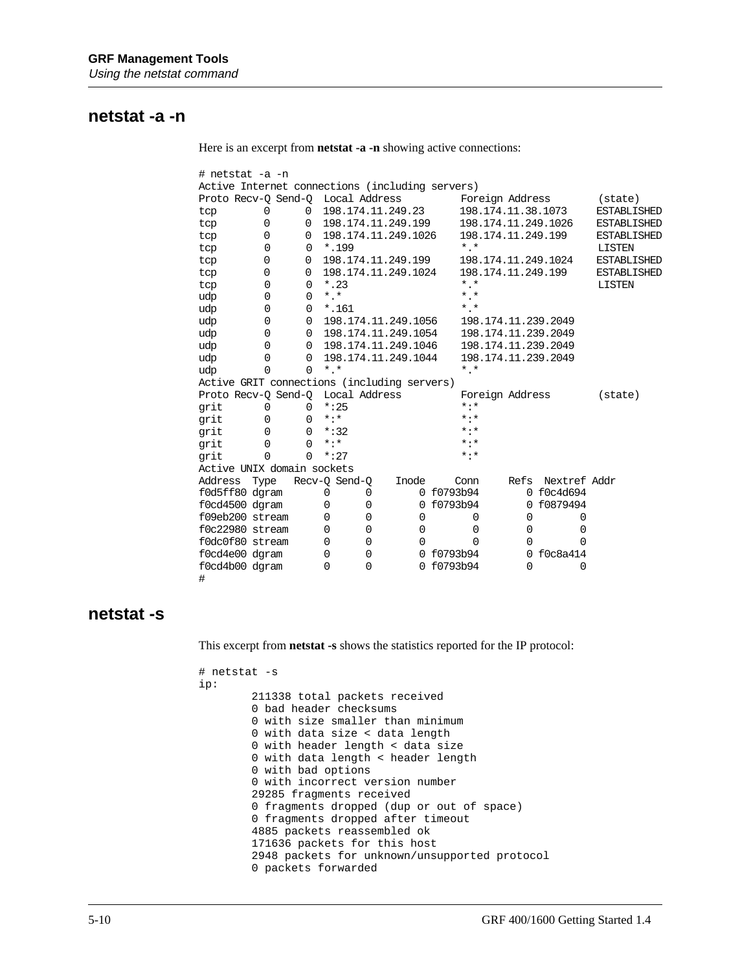#### **netstat -a -n**

Here is an excerpt from **netstat -a -n** showing active connections:

| # netstat -a -n                                 |                |             |             |                |          |                     |            |                 |                 |      |             |                     |   |                    |
|-------------------------------------------------|----------------|-------------|-------------|----------------|----------|---------------------|------------|-----------------|-----------------|------|-------------|---------------------|---|--------------------|
| Active Internet connections (including servers) |                |             |             |                |          |                     |            |                 |                 |      |             |                     |   |                    |
| Proto Recv-Q Send-Q Local Address               |                |             |             |                |          |                     |            | Foreign Address |                 |      |             |                     |   | (state)            |
| tcp                                             | 0              | $\Omega$    |             |                |          | 198.174.11.249.23   |            |                 |                 |      |             | 198.174.11.38.1073  |   | <b>ESTABLISHED</b> |
| tcp                                             | $\Omega$       | $\Omega$    |             |                |          | 198.174.11.249.199  |            |                 |                 |      |             | 198.174.11.249.1026 |   | <b>ESTABLISHED</b> |
| tcp                                             | 0              | 0           |             |                |          | 198.174.11.249.1026 |            |                 |                 |      |             | 198.174.11.249.199  |   | <b>ESTABLISHED</b> |
| tcp                                             | 0              | 0           |             | *.199          |          |                     |            | $*$ , $*$       |                 |      |             |                     |   | <b>LISTEN</b>      |
| tcp                                             | 0              | 0           |             |                |          | 198.174.11.249.199  |            |                 |                 |      |             | 198.174.11.249.1024 |   | <b>ESTABLISHED</b> |
| tcp                                             | 0              | 0           |             |                |          | 198.174.11.249.1024 |            |                 |                 |      |             | 198.174.11.249.199  |   | <b>ESTABLISHED</b> |
| tcp                                             | $\Omega$       | $\mathbf 0$ |             | $*$ , 23       |          |                     |            | $*$ , $*$       |                 |      |             |                     |   | <b>LISTEN</b>      |
| udp                                             | $\Omega$       | $\mathbf 0$ | $*$ , $*$   |                |          |                     |            | $*$ $*$         |                 |      |             |                     |   |                    |
| udp                                             | $\Omega$       | $\mathbf 0$ |             | $^{\star}.161$ |          |                     |            | $*$ , $*$       |                 |      |             |                     |   |                    |
| udp                                             | $\Omega$       | $\mathbf 0$ |             |                |          | 198.174.11.249.1056 |            |                 |                 |      |             | 198.174.11.239.2049 |   |                    |
| udp                                             | $\Omega$       | 0           |             |                |          | 198.174.11.249.1054 |            |                 |                 |      |             | 198.174.11.239.2049 |   |                    |
| udp                                             | 0              | 0           |             |                |          | 198.174.11.249.1046 |            |                 |                 |      |             | 198.174.11.239.2049 |   |                    |
| udp                                             | $\Omega$       | $\Omega$    |             |                |          | 198.174.11.249.1044 |            |                 |                 |      |             | 198.174.11.239.2049 |   |                    |
| udp                                             | 0              | $\Omega$    | $*$ , $*$   |                |          |                     |            | $*$ , $*$       |                 |      |             |                     |   |                    |
| Active GRIT connections (including servers)     |                |             |             |                |          |                     |            |                 |                 |      |             |                     |   |                    |
| Proto Recv-O Send-O Local Address               |                |             |             |                |          |                     |            |                 | Foreign Address |      |             |                     |   | $(\text{state})$   |
| grit                                            | 0              | $\mathbf 0$ |             | $*:25$         |          |                     |            | $* : *$         |                 |      |             |                     |   |                    |
| qrit                                            | 0              | 0           | $*$ : $*$   |                |          |                     |            | $* : *$         |                 |      |             |                     |   |                    |
| grit                                            | 0              | $\mathbf 0$ |             | $*:32$         |          |                     |            | $* : *$         |                 |      |             |                     |   |                    |
| qrit                                            | $\Omega$       | $\Omega$    | $* : *$     |                |          |                     |            | $* : *$         |                 |      |             |                     |   |                    |
| grit                                            | $\overline{0}$ | $\Omega$    |             | $*:27$         |          |                     |            | $* : *$         |                 |      |             |                     |   |                    |
| Active UNIX domain sockets                      |                |             |             |                |          |                     |            |                 |                 |      |             |                     |   |                    |
| Address                                         | Type           |             |             | Recv-Q Send-Q  |          | Inode               |            | Conn            |                 | Refs |             | Nextref Addr        |   |                    |
| f0d5ff80 dgram                                  |                |             | 0           |                | 0        |                     | 0 f0793b94 |                 |                 |      |             | 0 f0c4d694          |   |                    |
| f0cd4500 dgram                                  |                |             | 0           |                | 0        | 0                   | f0793b94   |                 |                 |      |             | 0 f0879494          |   |                    |
| f09eb200 stream                                 |                |             | 0           |                | 0        | $\mathbf 0$         |            | 0               |                 |      | $\mathbf 0$ | 0                   |   |                    |
| f0c22980 stream                                 |                |             | $\Omega$    |                | 0        | 0                   |            | $\Omega$        |                 |      | $\Omega$    | 0                   |   |                    |
| f0dc0f80 stream                                 |                |             | $\mathbf 0$ |                | $\Omega$ | 0                   |            | 0               |                 |      | $\Omega$    | $\Omega$            |   |                    |
| f0cd4e00 dgram                                  |                |             | $\Omega$    |                | 0        |                     | 0 f0793b94 |                 |                 |      | $\Omega$    | f0c8a414            |   |                    |
| f0cd4b00 dqram                                  |                |             | $\Omega$    |                | 0        | $\Omega$            | f0793b94   |                 |                 |      | $\Omega$    |                     | 0 |                    |
| #                                               |                |             |             |                |          |                     |            |                 |                 |      |             |                     |   |                    |

#### **netstat -s**

This excerpt from **netstat -s** shows the statistics reported for the IP protocol:

```
# netstat -s
ip:
         211338 total packets received
         0 bad header checksums
         0 with size smaller than minimum
         0 with data size < data length
         0 with header length < data size
         0 with data length < header length
         0 with bad options
         0 with incorrect version number
         29285 fragments received
         0 fragments dropped (dup or out of space)
         0 fragments dropped after timeout
         4885 packets reassembled ok
         171636 packets for this host
         2948 packets for unknown/unsupported protocol
         0 packets forwarded
```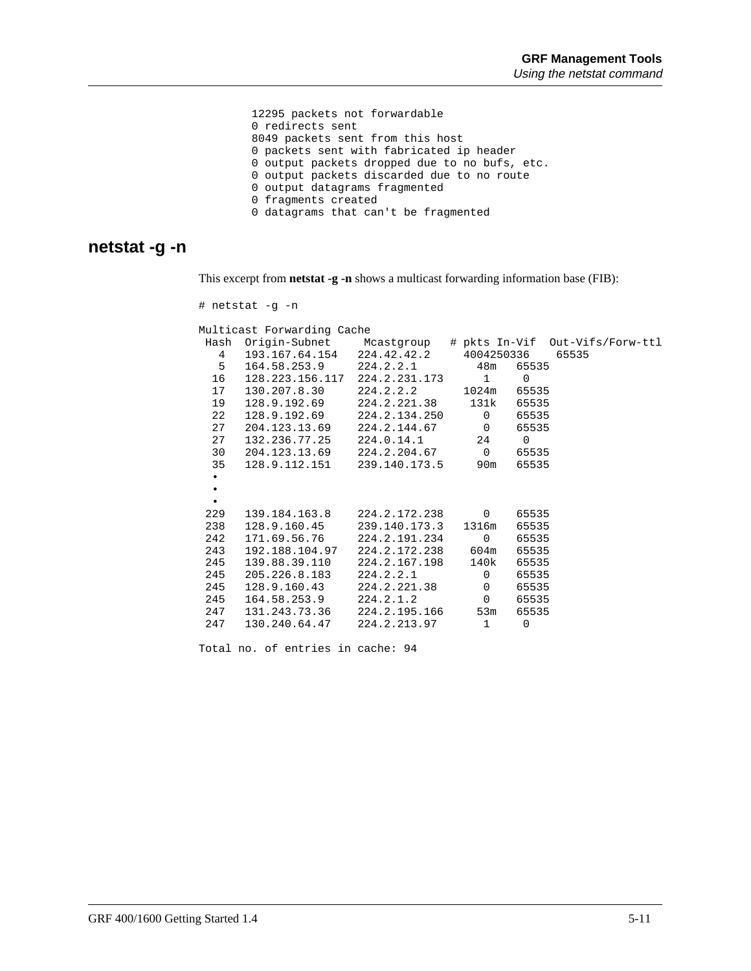12295 packets not forwardable 0 redirects sent 8049 packets sent from this host 0 packets sent with fabricated ip header 0 output packets dropped due to no bufs, etc. 0 output packets discarded due to no route 0 output datagrams fragmented 0 fragments created 0 datagrams that can't be fragmented

#### **netstat -g -n**

This excerpt from **netstat -g -n** shows a multicast forwarding information base (FIB):

|           | # netstat -q -n                             |                       |                   |          |                                                               |
|-----------|---------------------------------------------|-----------------------|-------------------|----------|---------------------------------------------------------------|
|           | Multicast Forwarding Cache                  |                       |                   |          |                                                               |
|           |                                             |                       |                   |          | Hash Origin-Subnet Mcastgroup # pkts In-Vif Out-Vifs/Forw-ttl |
| $4 \quad$ | 193.167.64.154 224.42.42.2 4004250336 65535 |                       |                   |          |                                                               |
| $5 -$     | 164.58.253.9 224.2.2.1 48m 65535            |                       |                   |          |                                                               |
| 16        | 128.223.156.117 224.2.231.173 1 0           |                       |                   |          |                                                               |
| 17        | 130.207.8.30                                | 224.2.2.2 1024m 65535 |                   |          |                                                               |
| 19        | 128.9.192.69 224.2.221.38 131k 65535        |                       |                   |          |                                                               |
| 22        | 128.9.192.69 224.2.134.250 0 65535          |                       |                   |          |                                                               |
| 27        | 204.123.13.69                               | 224.2.144.67          | 0 65535           |          |                                                               |
| 27        | $132.236.77.25$ $224.0.14.1$ $24$ 0         |                       |                   |          |                                                               |
| 30        | 204.123.13.69  224.2.204.67  0  65535       |                       |                   |          |                                                               |
| 35        | 128.9.112.151  239.140.173.5  90m           |                       |                   | 65535    |                                                               |
| $\bullet$ |                                             |                       |                   |          |                                                               |
| $\bullet$ |                                             |                       |                   |          |                                                               |
| $\bullet$ |                                             |                       |                   |          |                                                               |
| 229       | 139.184.163.8 224.2.172.238 0 65535         |                       |                   |          |                                                               |
| 238       | $128.9.160.45$ $239.140.173.3$              |                       | 1316m 65535       |          |                                                               |
| 242       | 171.69.56.76 224.2.191.234                  |                       | $0 \qquad \qquad$ | 65535    |                                                               |
| 243       | 192.188.104.97 224.2.172.238                |                       | 604m 65535        |          |                                                               |
| 245       | 139.88.39.110                               | 224.2.167.198         | 140k 65535        |          |                                                               |
| 245       | 205.226.8.183                               | 224.2.2.1             | $0 \qquad \qquad$ | 65535    |                                                               |
| 245       | 128.9.160.43 224.2.221.38                   |                       |                   | 0 65535  |                                                               |
| 245       | 164.58.253.9                                | 224.2.1.2             |                   | 0 65535  |                                                               |
| 247       | 131.243.73.36 224.2.195.166                 |                       | 53m               | 65535    |                                                               |
| 247       | 130.240.64.47 224.2.213.97                  |                       | 1                 | $\Omega$ |                                                               |
|           |                                             |                       |                   |          |                                                               |

Total no. of entries in cache: 94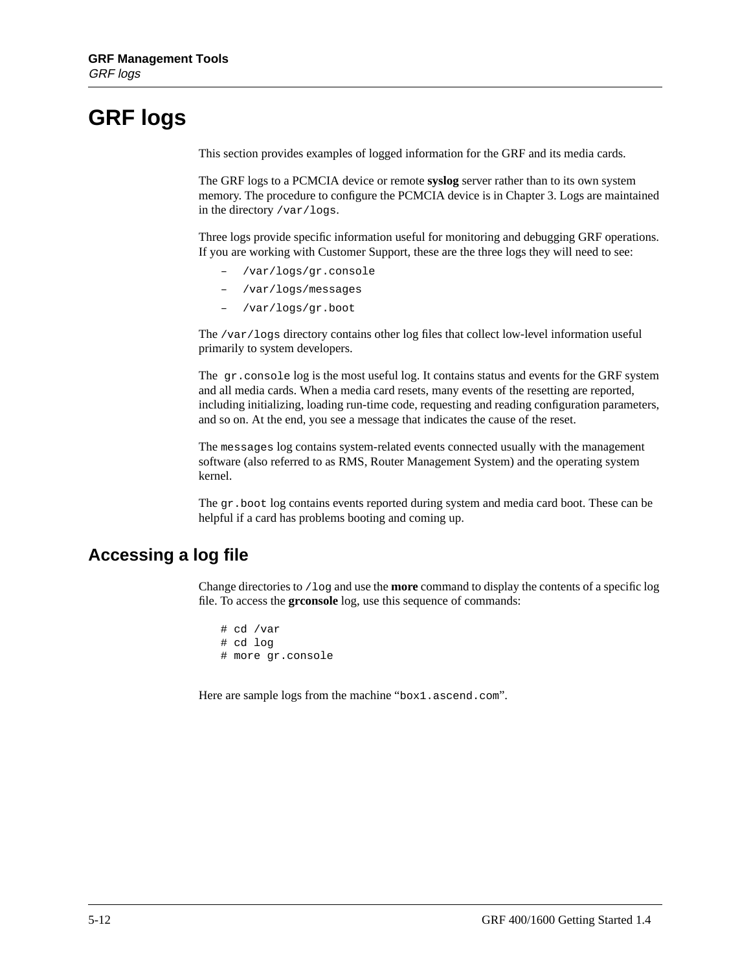## **GRF logs**

This section provides examples of logged information for the GRF and its media cards.

The GRF logs to a PCMCIA device or remote **syslog** server rather than to its own system memory. The procedure to configure the PCMCIA device is in Chapter 3. Logs are maintained in the directory /var/logs.

Three logs provide specific information useful for monitoring and debugging GRF operations. If you are working with Customer Support, these are the three logs they will need to see:

- /var/logs/gr.console
- /var/logs/messages
- /var/logs/gr.boot

The /var/logs directory contains other log files that collect low-level information useful primarily to system developers.

The gr.console log is the most useful log. It contains status and events for the GRF system and all media cards. When a media card resets, many events of the resetting are reported, including initializing, loading run-time code, requesting and reading configuration parameters, and so on. At the end, you see a message that indicates the cause of the reset.

The messages log contains system-related events connected usually with the management software (also referred to as RMS, Router Management System) and the operating system kernel.

The gr. boot log contains events reported during system and media card boot. These can be helpful if a card has problems booting and coming up.

#### **Accessing a log file**

Change directories to /log and use the **more** command to display the contents of a specific log file. To access the **grconsole** log, use this sequence of commands:

# cd /var # cd log # more gr.console

Here are sample logs from the machine "box1.ascend.com".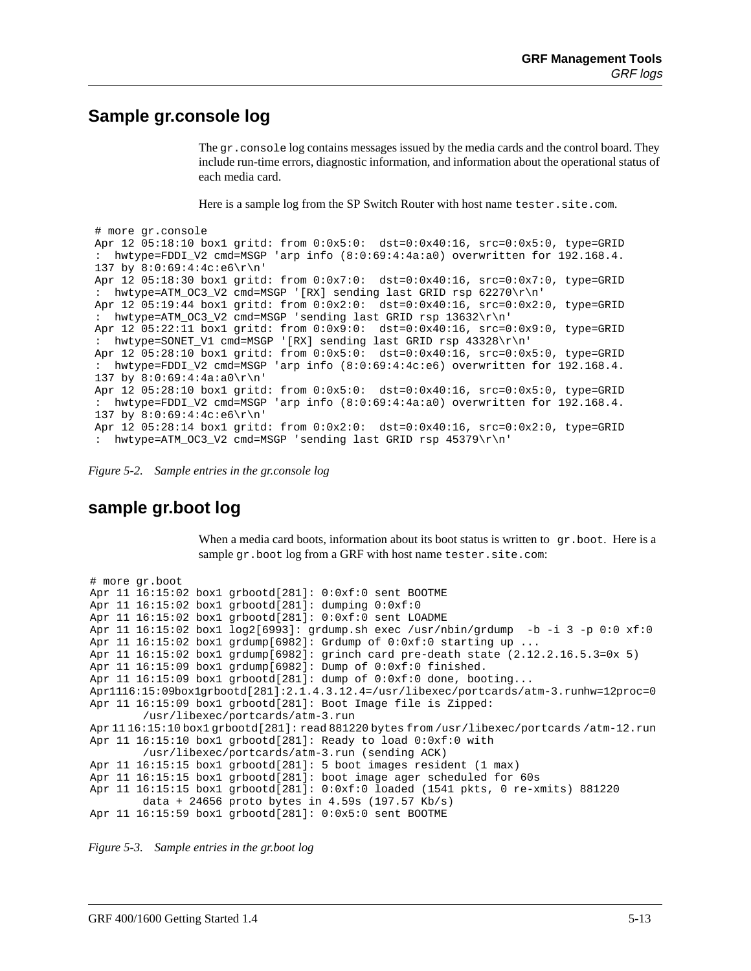#### **Sample gr.console log**

The gr.console log contains messages issued by the media cards and the control board. They include run-time errors, diagnostic information, and information about the operational status of each media card.

Here is a sample log from the SP Switch Router with host name tester.site.com.

```
# more gr.console
Apr 12 05:18:10 box1 gritd: from 0:0x5:0: dst=0:0x40:16, src=0:0x5:0, type=GRID
: hwtype=FDDI_V2 cmd=MSGP 'arp info (8:0:69:4:4a:a0) overwritten for 192.168.4.
137 by 8:0:69:4:4c:e6\r\n'
Apr 12 05:18:30 box1 gritd: from 0:0x7:0: dst=0:0x40:16, src=0:0x7:0, type=GRID
: hwtype=ATM_OC3_V2 cmd=MSGP '[RX] sending last GRID rsp 62270\r\n'
Apr 12 05:19:44 box1 gritd: from 0:0x2:0: dst=0:0x40:16, src=0:0x2:0, type=GRID
: hwtype=ATM_OC3_V2 cmd=MSGP 'sending last GRID rsp 13632\r\n'
Apr 12 05:22:11 box1 gritd: from 0:0x9:0: dst=0:0x40:16, src=0:0x9:0, type=GRID
: hwtype=SONET_V1 cmd=MSGP '[RX] sending last GRID rsp 43328\r\n'
Apr 12 05:28:10 box1 gritd: from 0:0x5:0: dst=0:0x40:16, src=0:0x5:0, type=GRID
: hwtype=FDDI_V2 cmd=MSGP 'arp info (8:0:69:4:4c:e6) overwritten for 192.168.4.
137 by 8:0:69:4:4a:a0\r\n\n\cdotsApr 12 05:28:10 box1 gritd: from 0:0x5:0: dst=0:0x40:16, src=0:0x5:0, type=GRID
: hwtype=FDDI_V2 cmd=MSGP 'arp info (8:0:69:4:4a:a0) overwritten for 192.168.4.
137 by 8:0:69:4:4c:e6\r\n'
Apr 12 05:28:14 box1 gritd: from 0:0x2:0: dst=0:0x40:16, src=0:0x2:0, type=GRID
: hwtype=ATM_OC3_V2 cmd=MSGP 'sending last GRID rsp 45379\r\n'
```
*Figure 5-2. Sample entries in the gr.console log*

#### **sample gr.boot log**

When a media card boots, information about its boot status is written to  $qr.$  boot. Here is a sample gr.boot log from a GRF with host name tester.site.com:

```
# more gr.boot
Apr 11 16:15:02 box1 grbootd[281]: 0:0xf:0 sent BOOTME
Apr 11 16:15:02 box1 grbootd[281]: dumping 0:0xf:0
Apr 11 16:15:02 box1 grbootd[281]: 0:0xf:0 sent LOADME
Apr 11 16:15:02 box1 log2[6993]: grdump.sh exec /usr/nbin/grdump -b -i 3 -p 0:0 xf:0
Apr 11 16:15:02 box1 grdump[6982]: Grdump of 0:0xf:0 starting up ...
Apr 11 16:15:02 box1 grdump[6982]: grinch card pre-death state (2.12.2.16.5.3=0x 5)
Apr 11 16:15:09 box1 grdump[6982]: Dump of 0:0xf:0 finished.
Apr 11 16:15:09 box1 grbootd[281]: dump of 0:0xf:0 done, booting...
Apr1116:15:09box1qrbootd[281]: 2.1.4.3.12.4=/usr/libexec/portcards/atm-3.runhw=12proc=0
Apr 11 16:15:09 box1 grbootd[281]: Boot Image file is Zipped:
         /usr/libexec/portcards/atm-3.run
Apr 11 16:15:10 box1 grbootd[281]: read 881220 bytes from /usr/libexec/portcards /atm-12.run
Apr 11 16:15:10 box1 grbootd[281]: Ready to load 0:0xf:0 with
         /usr/libexec/portcards/atm-3.run (sending ACK)
Apr 11 16:15:15 box1 grbootd[281]: 5 boot images resident (1 max)
Apr 11 16:15:15 box1 grbootd[281]: boot image ager scheduled for 60s
Apr 11 16:15:15 box1 grbootd[281]: 0:0xf:0 loaded (1541 pkts, 0 re-xmits) 881220
         data + 24656 proto bytes in 4.59s (197.57 Kb/s)
Apr 11 16:15:59 box1 grbootd[281]: 0:0x5:0 sent BOOTME
```
*Figure 5-3. Sample entries in the gr.boot log*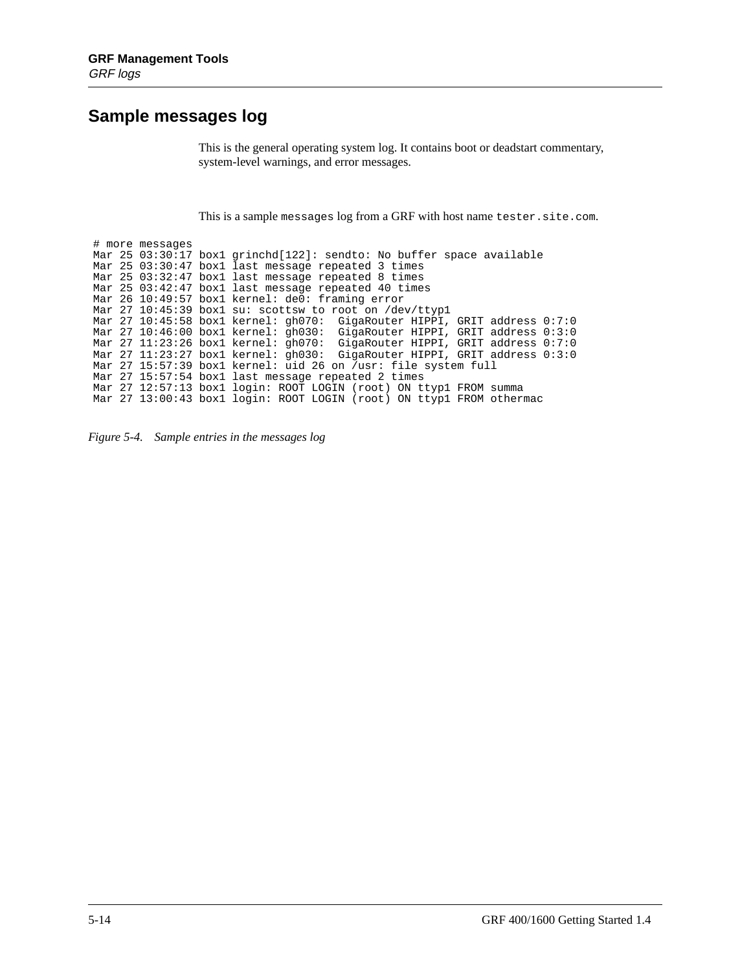#### **Sample messages log**

This is the general operating system log. It contains boot or deadstart commentary, system-level warnings, and error messages.

This is a sample messages log from a GRF with host name tester.site.com.

# more messages Mar 25 03:30:17 box1 grinchd[122]: sendto: No buffer space available Mar 25 03:30:47 box1 last message repeated 3 times Mar 25 03:32:47 box1 last message repeated 8 times Mar 25 03:42:47 box1 last message repeated 40 times Mar 26 10:49:57 box1 kernel: de0: framing error Mar 27 10:45:39 box1 su: scottsw to root on /dev/ttyp1 Mar 27 10:45:58 box1 kernel: gh070: GigaRouter HIPPI, GRIT address 0:7:0 Mar 27 10:46:00 box1 kernel: gh030: GigaRouter HIPPI, GRIT address 0:3:0 Mar 27 11:23:26 box1 kernel: gh070: GigaRouter HIPPI, GRIT address 0:7:0 Mar 27 11:23:27 box1 kernel: gh030: GigaRouter HIPPI, GRIT address 0:3:0 Mar 27 15:57:39 box1 kernel: uid 26 on /usr: file system full Mar 27 15:57:54 box1 last message repeated 2 times Mar 27 12:57:13 box1 login: ROOT LOGIN (root) ON ttyp1 FROM summa Mar 27 13:00:43 box1 login: ROOT LOGIN (root) ON ttyp1 FROM othermac

*Figure 5-4. Sample entries in the messages log*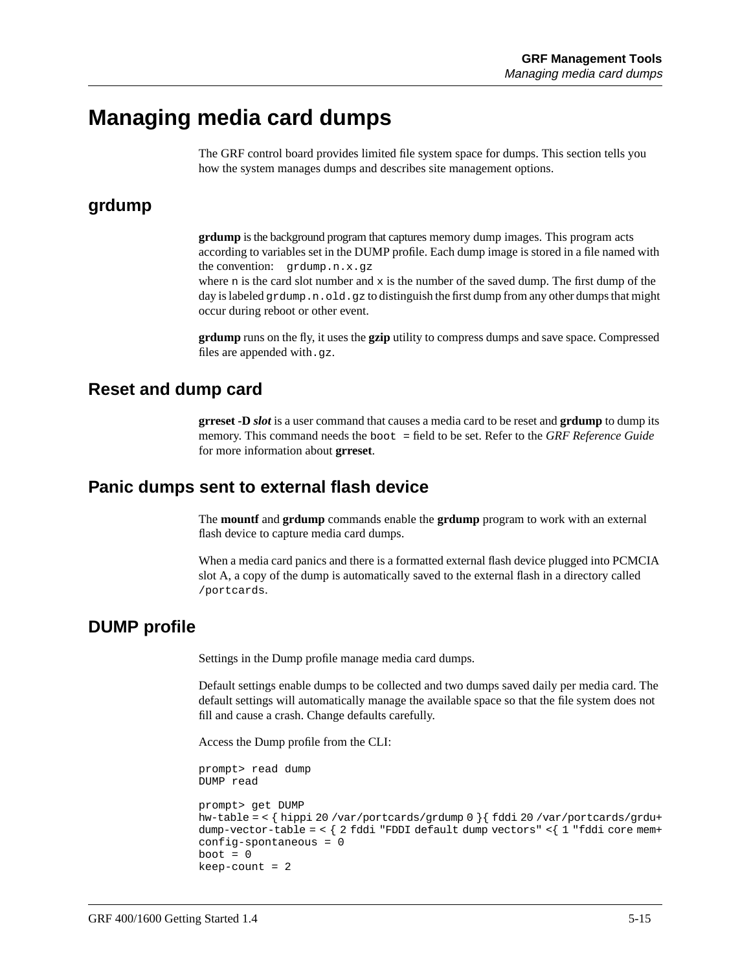### **Managing media card dumps**

The GRF control board provides limited file system space for dumps. This section tells you how the system manages dumps and describes site management options.

#### **grdump**

**grdump** is the background program that captures memory dump images. This program acts according to variables set in the DUMP profile. Each dump image is stored in a file named with the convention: grdump.n.x.gz

where n is the card slot number and  $x$  is the number of the saved dump. The first dump of the day is labeled grdump.n.old.gz to distinguish the first dump from any other dumps that might occur during reboot or other event.

**grdump** runs on the fly, it uses the **gzip** utility to compress dumps and save space. Compressed files are appended with  $.9z$ .

#### **Reset and dump card**

**grreset -D** *slot* is a user command that causes a media card to be reset and **grdump** to dump its memory. This command needs the boot = field to be set. Refer to the *GRF Reference Guide* for more information about **grreset**.

#### **Panic dumps sent to external flash device**

The **mountf** and **grdump** commands enable the **grdump** program to work with an external flash device to capture media card dumps.

When a media card panics and there is a formatted external flash device plugged into PCMCIA slot A, a copy of the dump is automatically saved to the external flash in a directory called /portcards.

#### **DUMP profile**

Settings in the Dump profile manage media card dumps.

Default settings enable dumps to be collected and two dumps saved daily per media card. The default settings will automatically manage the available space so that the file system does not fill and cause a crash. Change defaults carefully.

Access the Dump profile from the CLI:

```
prompt> read dump
DUMP read
prompt> get DUMP
hw-table = < { hippi 20 /var/portcards/grdump 0 }{ fddi 20 /var/portcards/grdu+
dump-vector-table = < { 2 fddi "FDDI default dump vectors" <{ 1 "fddi core mem+
config-spontaneous = 0
boot = 0keep-count = 2
```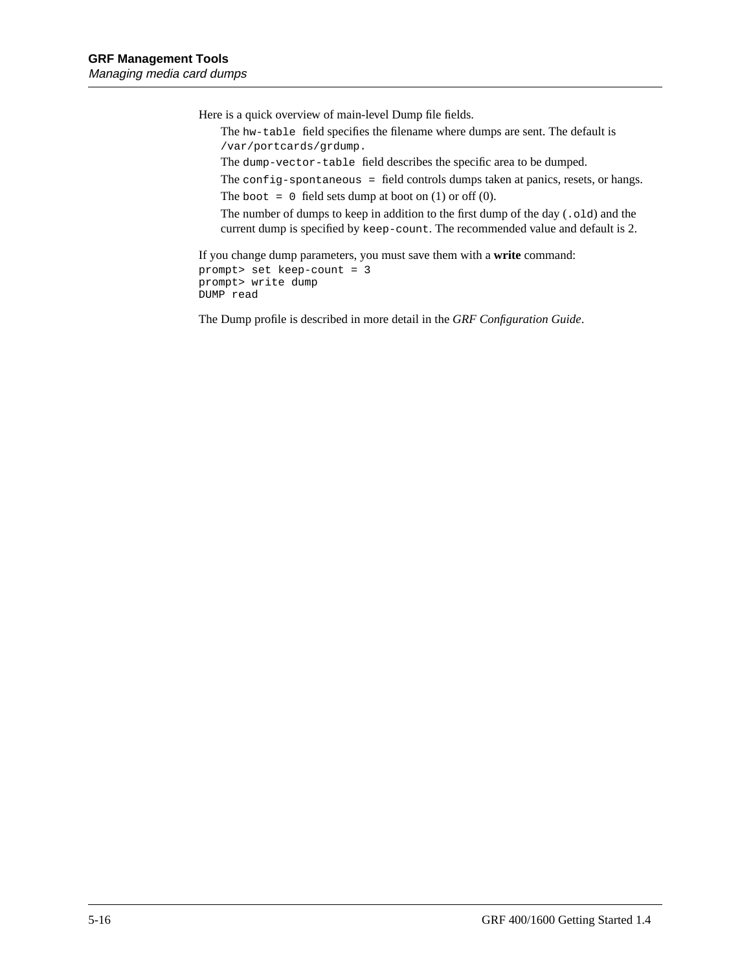Here is a quick overview of main-level Dump file fields.

The hw-table field specifies the filename where dumps are sent. The default is /var/portcards/grdump.

The dump-vector-table field describes the specific area to be dumped.

The config-spontaneous = field controls dumps taken at panics, resets, or hangs.

The boot = 0 field sets dump at boot on  $(1)$  or off  $(0)$ .

The number of dumps to keep in addition to the first dump of the day (.old) and the current dump is specified by keep-count. The recommended value and default is 2.

If you change dump parameters, you must save them with a **write** command: prompt> set keep-count = 3 prompt> write dump DUMP read

The Dump profile is described in more detail in the *GRF Configuration Guide*.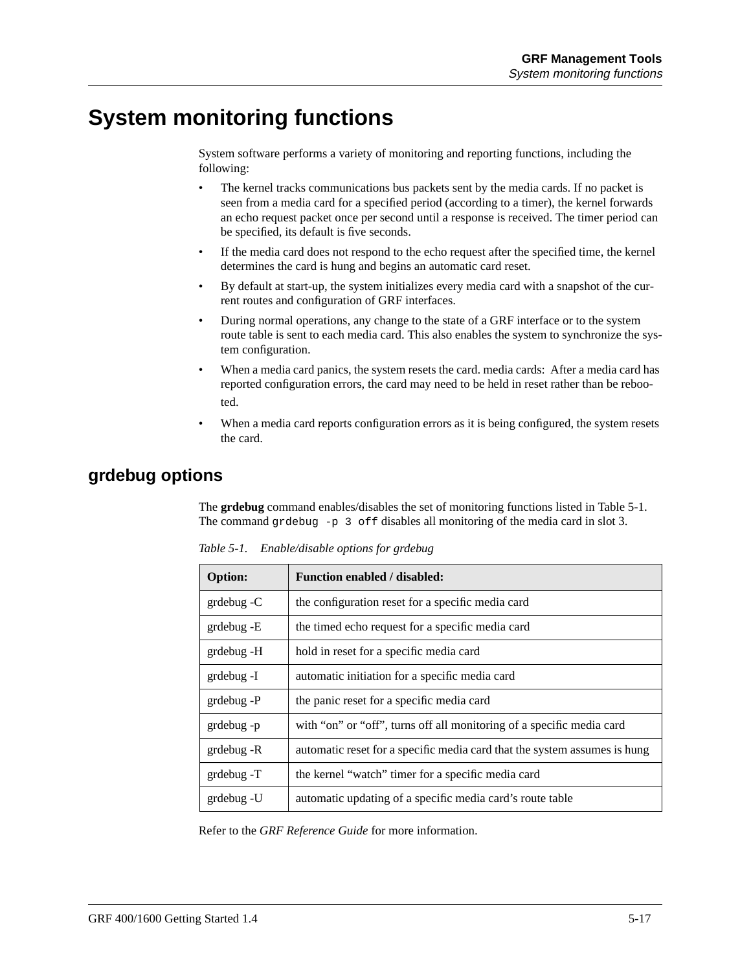### **System monitoring functions**

System software performs a variety of monitoring and reporting functions, including the following:

- The kernel tracks communications bus packets sent by the media cards. If no packet is seen from a media card for a specified period (according to a timer), the kernel forwards an echo request packet once per second until a response is received. The timer period can be specified, its default is five seconds.
- If the media card does not respond to the echo request after the specified time, the kernel determines the card is hung and begins an automatic card reset.
- By default at start-up, the system initializes every media card with a snapshot of the current routes and configuration of GRF interfaces.
- During normal operations, any change to the state of a GRF interface or to the system route table is sent to each media card. This also enables the system to synchronize the system configuration.
- When a media card panics, the system resets the card. media cards: After a media card has reported configuration errors, the card may need to be held in reset rather than be rebooted.
- When a media card reports configuration errors as it is being configured, the system resets the card.

#### **grdebug options**

The **grdebug** command enables/disables the set of monitoring functions listed in Table 5-1. The command grdebug -p 3 of f disables all monitoring of the media card in slot 3.

| <b>Option:</b> | <b>Function enabled / disabled:</b>                                       |
|----------------|---------------------------------------------------------------------------|
| $grdebug - C$  | the configuration reset for a specific media card                         |
| $grdebug - E$  | the timed echo request for a specific media card                          |
| grdebug -H     | hold in reset for a specific media card                                   |
| grdebug -I     | automatic initiation for a specific media card                            |
| grdebug -P     | the panic reset for a specific media card                                 |
| grdebug -p     | with "on" or "off", turns off all monitoring of a specific media card     |
| grdebug -R     | automatic reset for a specific media card that the system assumes is hung |
| $grdebug - T$  | the kernel "watch" timer for a specific media card                        |
| grdebug -U     | automatic updating of a specific media card's route table                 |

*Table 5-1. Enable/disable options for grdebug*

Refer to the *GRF Reference Guide* for more information.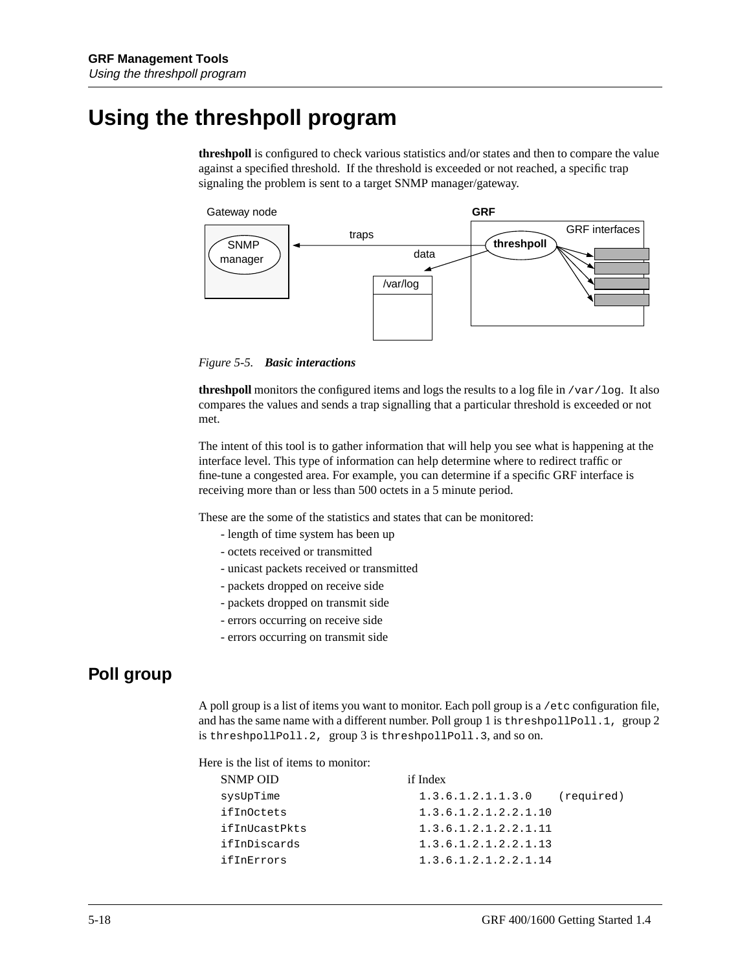## **Using the threshpoll program**

**threshpoll** is configured to check various statistics and/or states and then to compare the value against a specified threshold. If the threshold is exceeded or not reached, a specific trap signaling the problem is sent to a target SNMP manager/gateway.



*Figure 5-5. Basic interactions*

**threshpoll** monitors the configured items and logs the results to a log file in /var/log. It also compares the values and sends a trap signalling that a particular threshold is exceeded or not met.

The intent of this tool is to gather information that will help you see what is happening at the interface level. This type of information can help determine where to redirect traffic or fine-tune a congested area. For example, you can determine if a specific GRF interface is receiving more than or less than 500 octets in a 5 minute period.

These are the some of the statistics and states that can be monitored:

- length of time system has been up
- octets received or transmitted
- unicast packets received or transmitted
- packets dropped on receive side
- packets dropped on transmit side
- errors occurring on receive side
- errors occurring on transmit side

#### **Poll group**

A poll group is a list of items you want to monitor. Each poll group is a /etc configuration file, and has the same name with a different number. Poll group 1 is threshpollPoll.1, group 2 is threshpollPoll.2, group 3 is threshpollPoll.3, and so on.

Here is the list of items to monitor:

| SNMP OID      | if Index             |            |
|---------------|----------------------|------------|
| sysUpTime     | 1.3.6.1.2.1.1.3.0    | (required) |
| ifInOctets    | 1.3.6.1.2.1.2.2.1.10 |            |
| ifInUcastPkts | 1.3.6.1.2.1.2.2.1.11 |            |
| ifInDiscards  | 1.3.6.1.2.1.2.2.1.13 |            |
| ifInErrors    | 1.3.6.1.2.1.2.2.1.14 |            |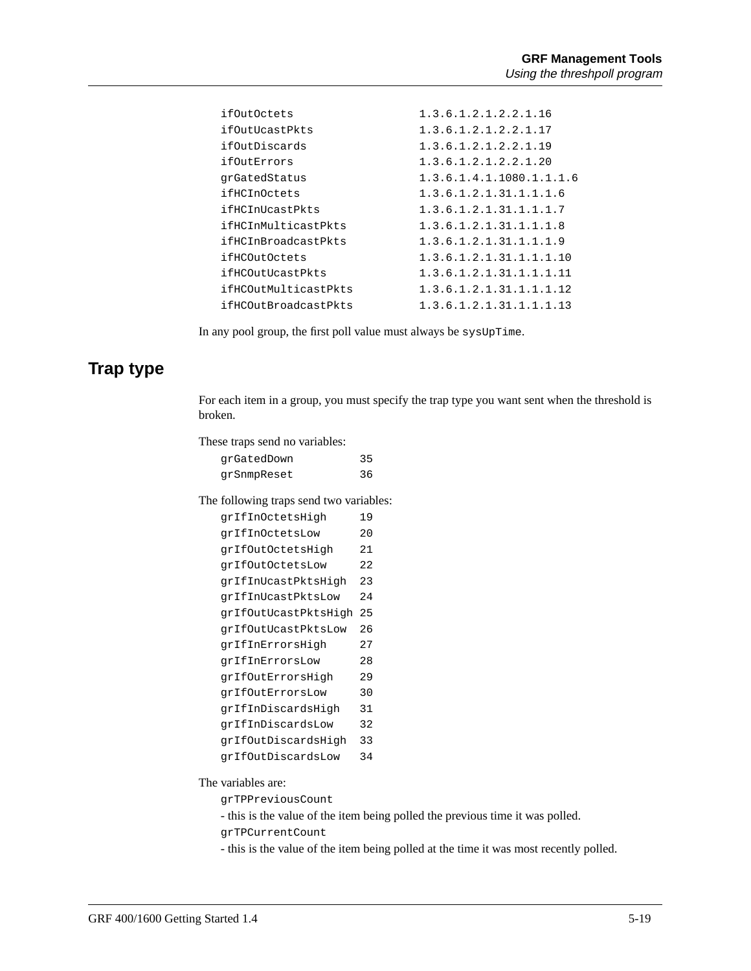| ifOutOctets          | 1, 3, 6, 1, 2, 1, 2, 2, 1, 16 |
|----------------------|-------------------------------|
| ifOutUcastPkts       | 1.3.6.1.2.1.2.2.1.17          |
| ifOutDiscards        | 1.3.6.1.2.1.2.2.1.19          |
| ifOutErrors          | 1.3.6.1.2.1.2.2.1.20          |
| qrGatedStatus        | 1.3.6.1.4.1.1080.1.1.1.6      |
| ifHCInOctets         | 1.3.6.1.2.1.31.1.1.1.6        |
| ifHCInUcastPkts      | 1.3.6.1.2.1.31.1.1.1.7        |
| ifHCInMulticastPkts  | 1.3.6.1.2.1.31.1.1.1.8        |
| ifHCInBroadcastPkts  | 1.3.6.1.2.1.31.1.1.1.9        |
| ifHCOutOctets        | 1.3.6.1.2.1.31.1.1.1.10       |
| ifHCOutUcastPkts     | 1.3.6.1.2.1.31.1.1.1.1        |
| ifHCOutMulticastPkts | 1.3.6.1.2.1.31.1.1.1.12       |
| ifHCOutBroadcastPkts | 1.3.6.1.2.1.31.1.1.1.1.3      |
|                      |                               |

In any pool group, the first poll value must always be sysUpTime.

#### **Trap type**

For each item in a group, you must specify the trap type you want sent when the threshold is broken.

These traps send no variables:

| qrGatedDown | 35 |
|-------------|----|
| grSnmpReset | 36 |

The following traps send two variables:

| grIfInOctetsHigh     | 19  |
|----------------------|-----|
| qrIfInOctetsLow      | 20  |
| qrIfOutOctetsHigh    | 21  |
| grIfOutOctetsLow     | 2.2 |
| qrIfInUcastPktsHiqh  | 23  |
| qrIfInUcastPktsLow   | 24  |
| qrIfOutUcastPktsHiqh | 25  |
| qrIfOutUcastPktsLow  | 26  |
| qrIfInErrorsHiqh     | 27  |
| grIfInErrorsLow      | 28  |
| qrIfOutErrorsHiqh    | 29  |
| qrIfOutErrorsLow     | 30  |
| qrIfInDiscardsHiqh   | 31  |
| qrIfInDiscardsLow    | 32  |
| qrIfOutDiscardsHigh  | 33  |
| qrIfOutDiscardsLow   | 34  |

The variables are:

grTPPreviousCount

- this is the value of the item being polled the previous time it was polled.

grTPCurrentCount

- this is the value of the item being polled at the time it was most recently polled.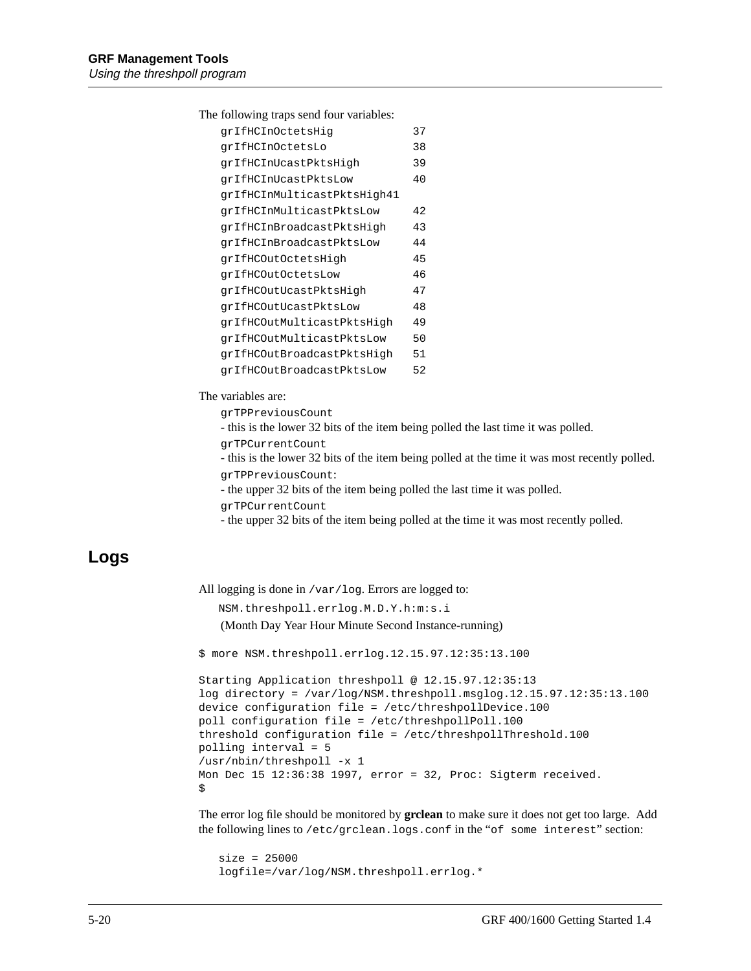The following traps send four variables:

| qrIfHCInOctetsHiq           | 37 |
|-----------------------------|----|
| qrIfHCInOctetsLo            | 38 |
| qrIfHCInUcastPktsHiqh       | 39 |
| qrIfHCInUcastPktsLow        | 40 |
| qrIfHCInMulticastPktsHiqh41 |    |
| qrIfHCInMulticastPktsLow    | 42 |
| qrIfHCInBroadcastPktsHiqh   | 43 |
| qrIfHCInBroadcastPktsLow    | 44 |
| qrIfHCOutOctetsHigh         | 45 |
| grIfHCOutOctetsLow          | 46 |
| qrIfHCOutUcastPktsHiqh      | 47 |
| qrIfHCOutUcastPktsLow       | 48 |
| qrIfHCOutMulticastPktsHiqh  | 49 |
| qrIfHCOutMulticastPktsLow   | 50 |
| qrIfHCOutBroadcastPktsHiqh  | 51 |
| qrIfHCOutBroadcastPktsLow   | 52 |

The variables are:

grTPPreviousCount

- this is the lower 32 bits of the item being polled the last time it was polled.

```
grTPCurrentCount
```
- this is the lower 32 bits of the item being polled at the time it was most recently polled.

```
grTPPreviousCount:
```
- the upper 32 bits of the item being polled the last time it was polled.

```
grTPCurrentCount
```
- the upper 32 bits of the item being polled at the time it was most recently polled.

#### **Logs**

All logging is done in /var/log. Errors are logged to:

NSM.threshpoll.errlog.M.D.Y.h:m:s.i

(Month Day Year Hour Minute Second Instance-running)

\$ more NSM.threshpoll.errlog.12.15.97.12:35:13.100

```
Starting Application threshpoll @ 12.15.97.12:35:13
log directory = /var/log/NSM.threshpoll.msglog.12.15.97.12:35:13.100
device configuration file = /etc/threshpollDevice.100
poll configuration file = /etc/threshpollPoll.100
threshold configuration file = /etc/threshpollThreshold.100
polling interval = 5
/usr/nbin/threshpoll -x 1
Mon Dec 15 12:36:38 1997, error = 32, Proc: Sigterm received.
$
```
The error log file should be monitored by **grclean** to make sure it does not get too large. Add the following lines to /etc/grclean.logs.conf in the "of some interest" section:

 size = 25000 logfile=/var/log/NSM.threshpoll.errlog.\*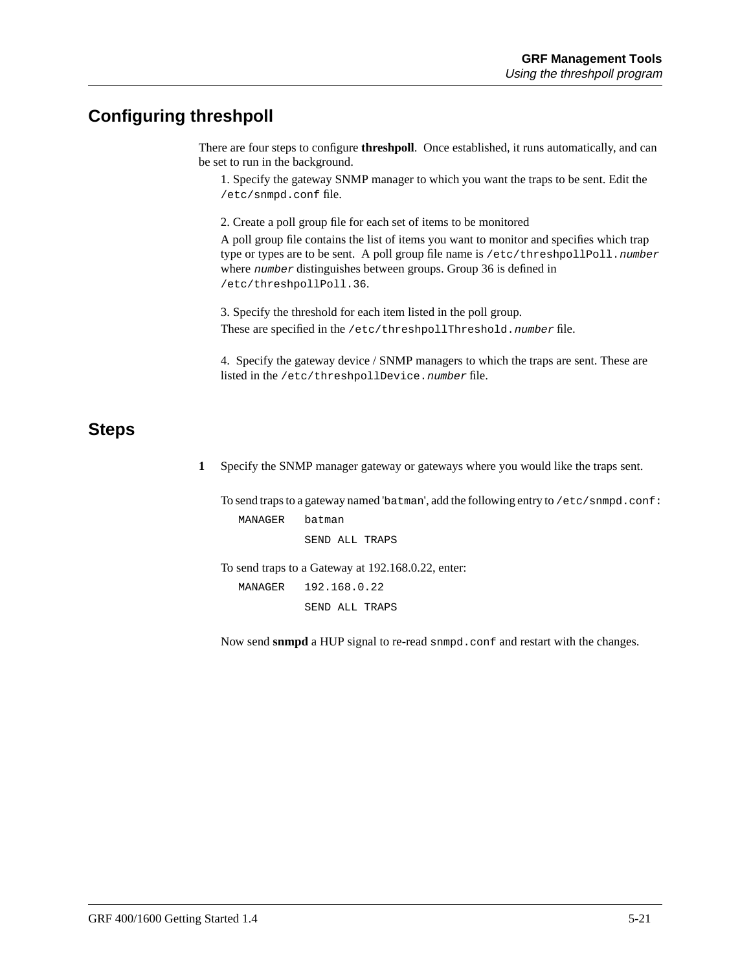#### **Configuring threshpoll**

There are four steps to configure **threshpoll**. Once established, it runs automatically, and can be set to run in the background.

1. Specify the gateway SNMP manager to which you want the traps to be sent. Edit the /etc/snmpd.conf file.

2. Create a poll group file for each set of items to be monitored

A poll group file contains the list of items you want to monitor and specifies which trap type or types are to be sent. A poll group file name is /etc/threshpollPoll.number where number distinguishes between groups. Group 36 is defined in /etc/threshpollPoll.36.

3. Specify the threshold for each item listed in the poll group. These are specified in the /etc/threshpollThreshold.number file.

4. Specify the gateway device / SNMP managers to which the traps are sent. These are listed in the /etc/threshpollDevice.number file.

#### **Steps**

**1** Specify the SNMP manager gateway or gateways where you would like the traps sent.

To send traps to a gateway named 'batman', add the following entry to /etc/snmpd.conf: MANAGER batman

SEND ALL TRAPS

To send traps to a Gateway at 192.168.0.22, enter:

 MANAGER 192.168.0.22 SEND ALL TRAPS

Now send **snmpd** a HUP signal to re-read snmpd.conf and restart with the changes.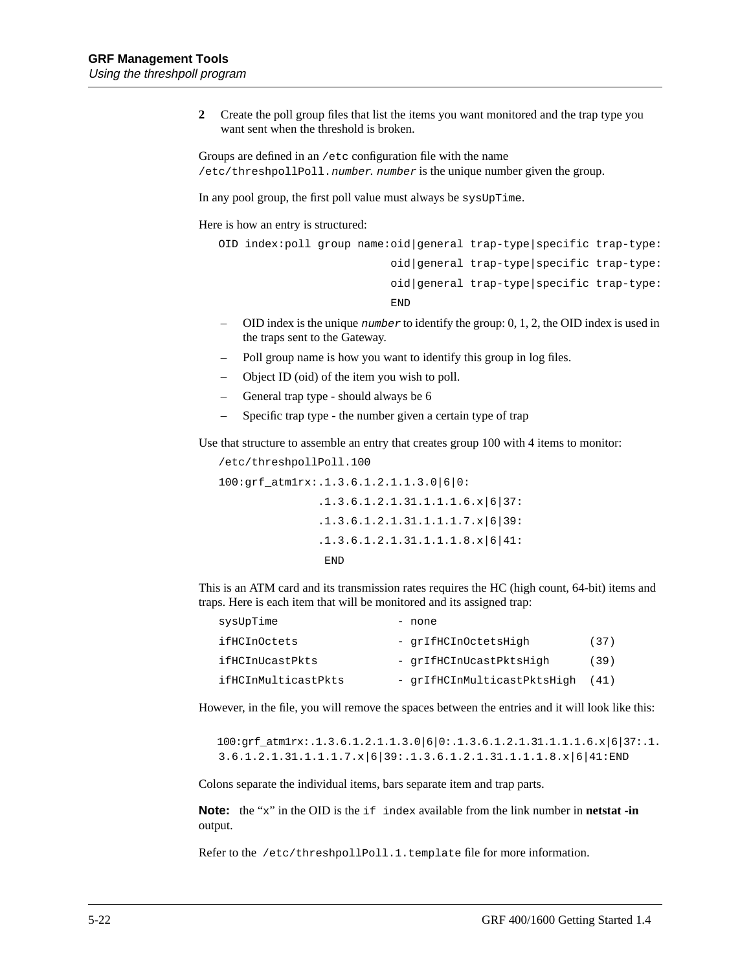**2** Create the poll group files that list the items you want monitored and the trap type you want sent when the threshold is broken.

Groups are defined in an /etc configuration file with the name /etc/threshpollPoll.number. number is the unique number given the group.

In any pool group, the first poll value must always be sysUpTime.

Here is how an entry is structured:

```
 OID index:poll group name:oid|general trap-type|specific trap-type:
                          oid|general trap-type|specific trap-type:
                          oid|general trap-type|specific trap-type:
 END
```
- OID index is the unique number to identify the group: 0, 1, 2, the OID index is used in the traps sent to the Gateway.
- Poll group name is how you want to identify this group in log files.
- Object ID (oid) of the item you wish to poll.
- General trap type should always be 6
- Specific trap type the number given a certain type of trap

Use that structure to assemble an entry that creates group 100 with 4 items to monitor:

 /etc/threshpollPoll.100 100:grf\_atm1rx:.1.3.6.1.2.1.1.3.0|6|0: .1.3.6.1.2.1.31.1.1.1.6.x|6|37: .1.3.6.1.2.1.31.1.1.1.7.x|6|39: .1.3.6.1.2.1.31.1.1.1.8.x|6|41: END

This is an ATM card and its transmission rates requires the HC (high count, 64-bit) items and traps. Here is each item that will be monitored and its assigned trap:

| sysUpTime           | - none                      |      |
|---------------------|-----------------------------|------|
| ifHCInOctets        | - grIfHCInOctetsHigh        | (37) |
| ifHCInUcastPkts     | - qrIfHCInUcastPktsHigh     | (39) |
| ifHCInMulticastPkts | - qrIfHCInMulticastPktsHigh | (41) |

However, in the file, you will remove the spaces between the entries and it will look like this:

100:grf\_atm1rx:.1.3.6.1.2.1.1.3.0|6|0:.1.3.6.1.2.1.31.1.1.1.6.x|6|37:.1. 3.6.1.2.1.31.1.1.1.7.x|6|39:.1.3.6.1.2.1.31.1.1.1.8.x|6|41:END

Colons separate the individual items, bars separate item and trap parts.

**Note:** the "x" in the OID is the if index available from the link number in **netstat -in** output.

Refer to the /etc/threshpollPoll.1.template file for more information.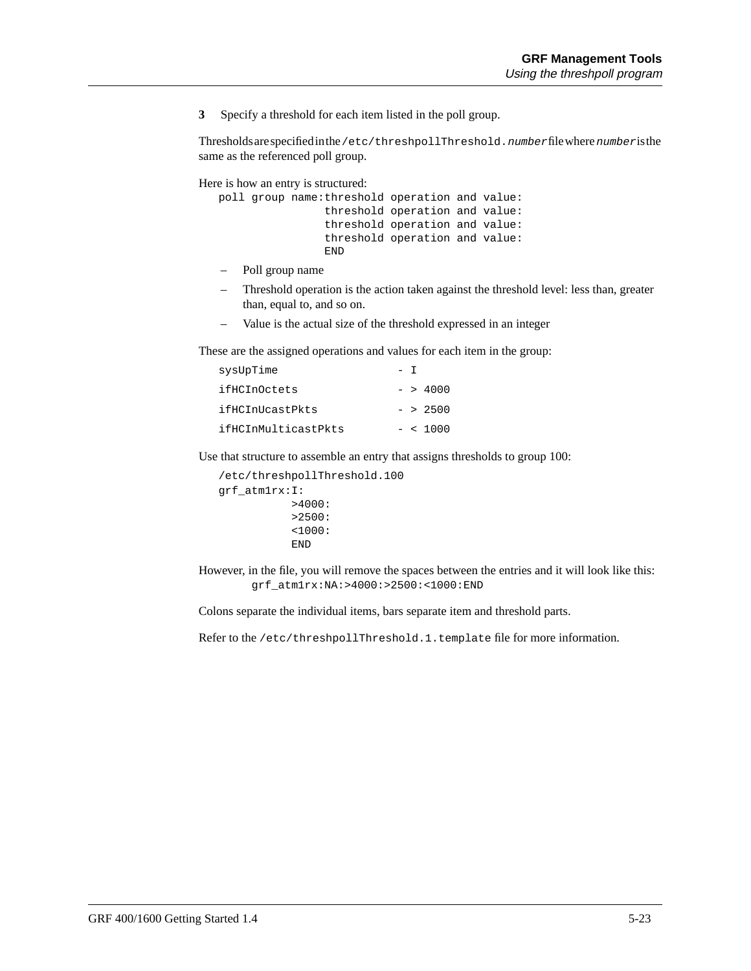**3** Specify a threshold for each item listed in the poll group.

Thresholds are specified in the /etc/threshpollThreshold.number file where number is the same as the referenced poll group.

Here is how an entry is structured:

```
 poll group name:threshold operation and value:
                 threshold operation and value:
                 threshold operation and value:
                 threshold operation and value:
                 END
```
- Poll group name
- Threshold operation is the action taken against the threshold level: less than, greater than, equal to, and so on.
- Value is the actual size of the threshold expressed in an integer

These are the assigned operations and values for each item in the group:

| sysUpTime           |  |            |
|---------------------|--|------------|
| ifHCInOctets        |  | $-$ > 4000 |
| ifHCInUcastPkts     |  | $-$ > 2500 |
| ifHCInMulticastPkts |  | $-$ < 1000 |

Use that structure to assemble an entry that assigns thresholds to group 100:

```
 /etc/threshpollThreshold.100
 grf_atm1rx:I:
             >4000:
             >2500:
             <1000:
             END
```
However, in the file, you will remove the spaces between the entries and it will look like this: grf\_atm1rx:NA:>4000:>2500:<1000:END

Colons separate the individual items, bars separate item and threshold parts.

Refer to the /etc/threshpollThreshold.1.template file for more information.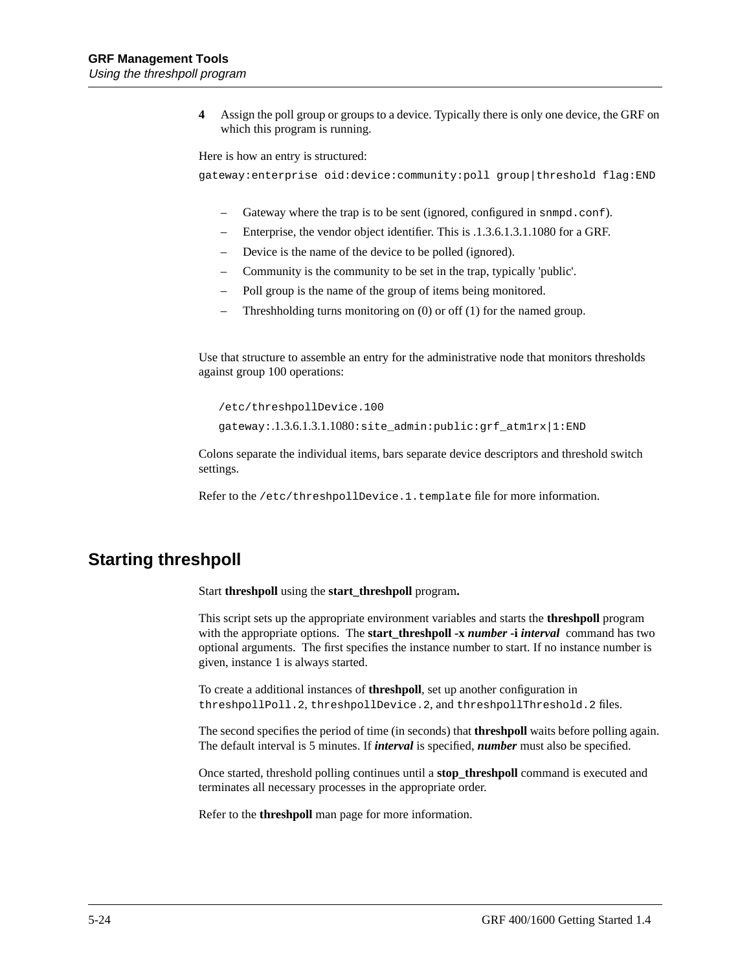**4** Assign the poll group or groups to a device. Typically there is only one device, the GRF on which this program is running.

Here is how an entry is structured:

gateway:enterprise oid:device:community:poll group|threshold flag:END

- Gateway where the trap is to be sent (ignored, configured in snmpd.conf).
- Enterprise, the vendor object identifier. This is .1.3.6.1.3.1.1080 for a GRF.
- Device is the name of the device to be polled (ignored).
- Community is the community to be set in the trap, typically 'public'.
- Poll group is the name of the group of items being monitored.
- Threshholding turns monitoring on (0) or off (1) for the named group.

Use that structure to assemble an entry for the administrative node that monitors thresholds against group 100 operations:

/etc/threshpollDevice.100

gateway:.1.3.6.1.3.1.1080:site\_admin:public:grf\_atm1rx|1:END

Colons separate the individual items, bars separate device descriptors and threshold switch settings.

Refer to the /etc/threshpollDevice.1.template file for more information.

#### **Starting threshpoll**

Start **threshpoll** using the **start\_threshpoll** program**.**

This script sets up the appropriate environment variables and starts the **threshpoll** program with the appropriate options. The **start\_threshpoll -x** *number* **-i** *interval* command has two optional arguments. The first specifies the instance number to start. If no instance number is given, instance 1 is always started.

To create a additional instances of **threshpoll**, set up another configuration in threshpollPoll.2, threshpollDevice.2, and threshpollThreshold.2 files.

The second specifies the period of time (in seconds) that **threshpoll** waits before polling again. The default interval is 5 minutes. If *interval* is specified, *number* must also be specified.

Once started, threshold polling continues until a **stop\_threshpoll** command is executed and terminates all necessary processes in the appropriate order.

Refer to the **threshpoll** man page for more information.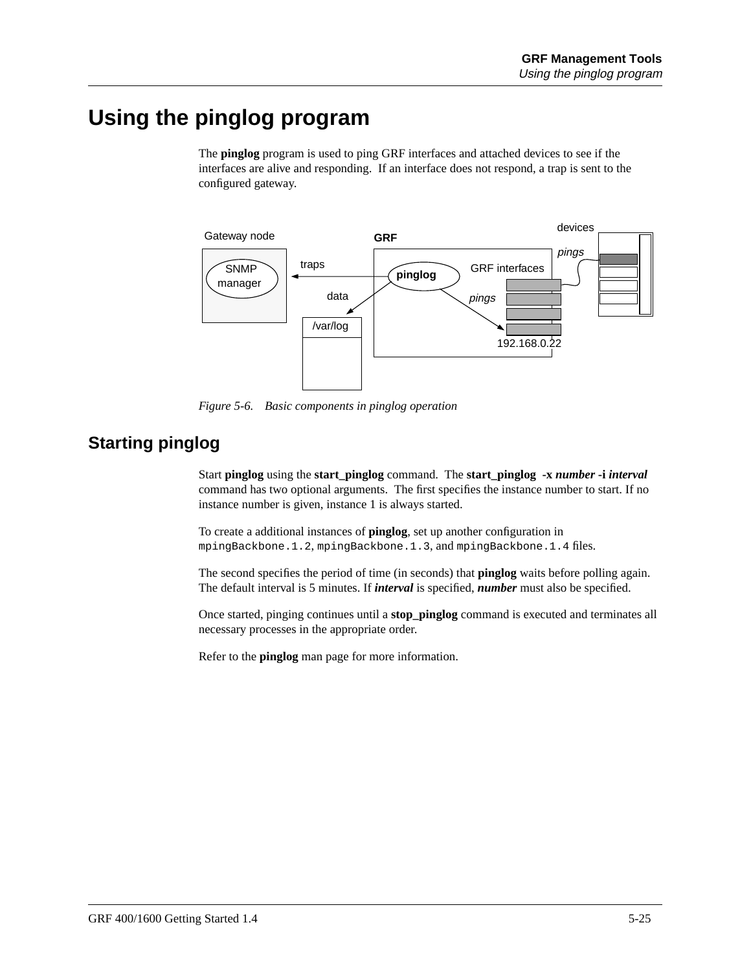## **Using the pinglog program**

The **pinglog** program is used to ping GRF interfaces and attached devices to see if the interfaces are alive and responding. If an interface does not respond, a trap is sent to the configured gateway.



*Figure 5-6. Basic components in pinglog operation*

#### **Starting pinglog**

Start **pinglog** using the **start\_pinglog** command. The **start\_pinglog -x** *number* **-i** *interval* command has two optional arguments. The first specifies the instance number to start. If no instance number is given, instance 1 is always started.

To create a additional instances of **pinglog**, set up another configuration in mpingBackbone.1.2, mpingBackbone.1.3, and mpingBackbone.1.4 files.

The second specifies the period of time (in seconds) that **pinglog** waits before polling again. The default interval is 5 minutes. If *interval* is specified, *number* must also be specified.

Once started, pinging continues until a **stop\_pinglog** command is executed and terminates all necessary processes in the appropriate order.

Refer to the **pinglog** man page for more information.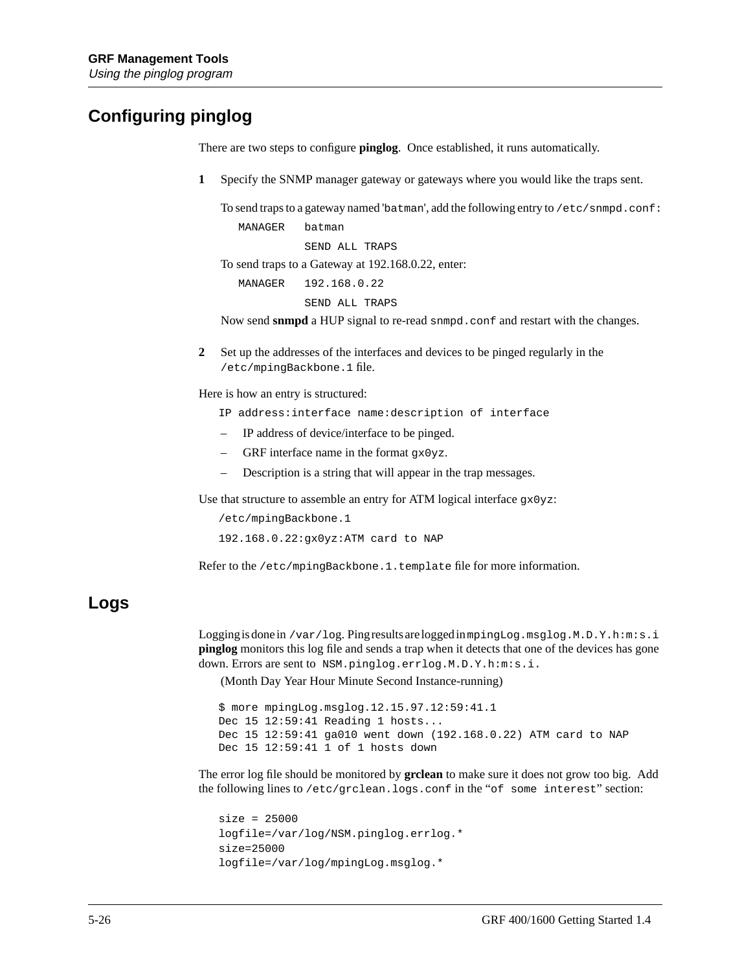### **Configuring pinglog**

There are two steps to configure **pinglog**. Once established, it runs automatically.

**1** Specify the SNMP manager gateway or gateways where you would like the traps sent.

To send traps to a gateway named 'batman', add the following entry to  $/etc/sm\text{vol}$ .conf: MANAGER batman

SEND ALL TRAPS

To send traps to a Gateway at 192.168.0.22, enter:

MANAGER 192.168.0.22

SEND ALL TRAPS

Now send **snmpd** a HUP signal to re-read snmpd.conf and restart with the changes.

**2** Set up the addresses of the interfaces and devices to be pinged regularly in the /etc/mpingBackbone.1 file.

Here is how an entry is structured:

- IP address:interface name:description of interface
- IP address of device/interface to be pinged.
- GRF interface name in the format  $gx0yz$ .
- Description is a string that will appear in the trap messages.

Use that structure to assemble an entry for ATM logical interface gx0yz:

 /etc/mpingBackbone.1 192.168.0.22:gx0yz:ATM card to NAP

Refer to the /etc/mpingBackbone.1.template file for more information.

#### **Logs**

Logging is done in /var/log. Ping results are logged inmpingLog.msglog.M.D.Y.h:m:s.i **pinglog** monitors this log file and sends a trap when it detects that one of the devices has gone down. Errors are sent to NSM.pinglog.errlog.M.D.Y.h:m:s.i.

(Month Day Year Hour Minute Second Instance-running)

```
 $ more mpingLog.msglog.12.15.97.12:59:41.1
 Dec 15 12:59:41 Reading 1 hosts...
 Dec 15 12:59:41 ga010 went down (192.168.0.22) ATM card to NAP
 Dec 15 12:59:41 1 of 1 hosts down
```
The error log file should be monitored by **grclean** to make sure it does not grow too big. Add the following lines to /etc/grclean.logs.conf in the "of some interest" section:

```
 size = 25000
 logfile=/var/log/NSM.pinglog.errlog.*
 size=25000
 logfile=/var/log/mpingLog.msglog.*
```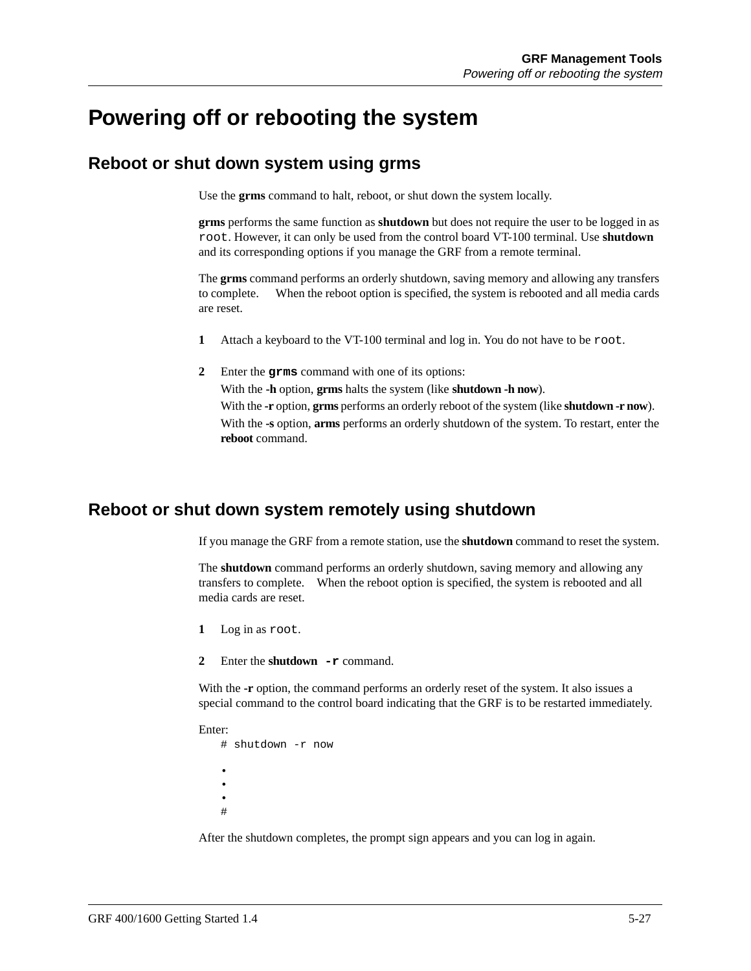### **Powering off or rebooting the system**

#### **Reboot or shut down system using grms**

Use the **grms** command to halt, reboot, or shut down the system locally.

**grms** performs the same function as **shutdown** but does not require the user to be logged in as root. However, it can only be used from the control board VT-100 terminal. Use **shutdown** and its corresponding options if you manage the GRF from a remote terminal.

The **grms** command performs an orderly shutdown, saving memory and allowing any transfers to complete. When the reboot option is specified, the system is rebooted and all media cards are reset.

- **1** Attach a keyboard to the VT-100 terminal and log in. You do not have to be root.
- **2** Enter the **grms** command with one of its options: With the **-h** option, **grms** halts the system (like **shutdown -h now**). With the **-r** option, **grms** performs an orderly reboot of the system (like **shutdown -r now**). With the **-s** option, **arms** performs an orderly shutdown of the system. To restart, enter the **reboot** command.

#### **Reboot or shut down system remotely using shutdown**

If you manage the GRF from a remote station, use the **shutdown** command to reset the system.

The **shutdown** command performs an orderly shutdown, saving memory and allowing any transfers to complete. When the reboot option is specified, the system is rebooted and all media cards are reset.

- **1** Log in as root.
- **2** Enter the **shutdown -r** command.

With the **-r** option, the command performs an orderly reset of the system. It also issues a special command to the control board indicating that the GRF is to be restarted immediately.

Enter: # shutdown -r now • • • #

After the shutdown completes, the prompt sign appears and you can log in again.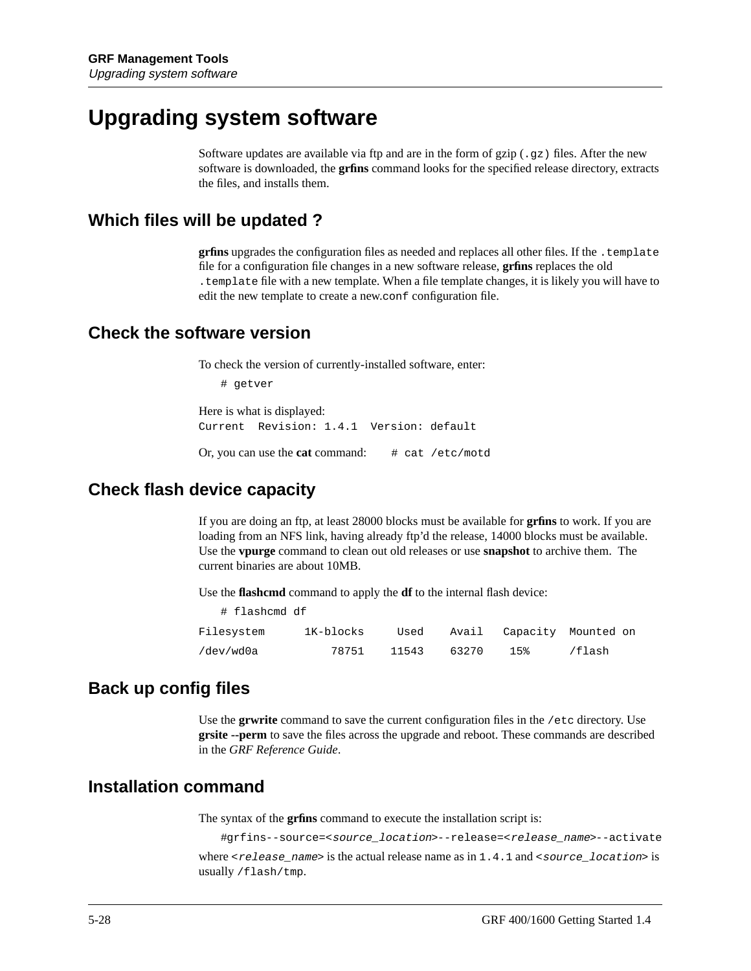### **Upgrading system software**

Software updates are available via ftp and are in the form of gzip  $(.qz)$  files. After the new software is downloaded, the **grfins** command looks for the specified release directory, extracts the files, and installs them.

#### **Which files will be updated ?**

**grfins** upgrades the configuration files as needed and replaces all other files. If the .template file for a configuration file changes in a new software release, **grfins** replaces the old .template file with a new template. When a file template changes, it is likely you will have to edit the new template to create a new.conf configuration file.

#### **Check the software version**

To check the version of currently-installed software, enter:

```
# getver
```
Here is what is displayed: Current Revision: 1.4.1 Version: default

Or, you can use the **cat** command: # cat /etc/motd

#### **Check flash device capacity**

If you are doing an ftp, at least 28000 blocks must be available for **grfins** to work. If you are loading from an NFS link, having already ftp'd the release, 14000 blocks must be available. Use the **vpurge** command to clean out old releases or use **snapshot** to archive them. The current binaries are about 10MB.

Use the **flashcmd** command to apply the **df** to the internal flash device:

| # flashcmd df |           |       |       |     |                           |
|---------------|-----------|-------|-------|-----|---------------------------|
| Filesystem    | 1K-blocks | Used  |       |     | Avail Capacity Mounted on |
| /dev/wd0a     | 78751     | 11543 | 63270 | 15% | /flash                    |

#### **Back up config files**

Use the **grwrite** command to save the current configuration files in the /etc directory. Use **grsite --perm** to save the files across the upgrade and reboot. These commands are described in the *GRF Reference Guide*.

#### **Installation command**

The syntax of the **grfins** command to execute the installation script is:

#grfins--source=<source\_location>--release=<release\_name>--activate where  $\le$ release\_name> is the actual release name as in 1.4.1 and  $\le$ source\_location> is usually /flash/tmp.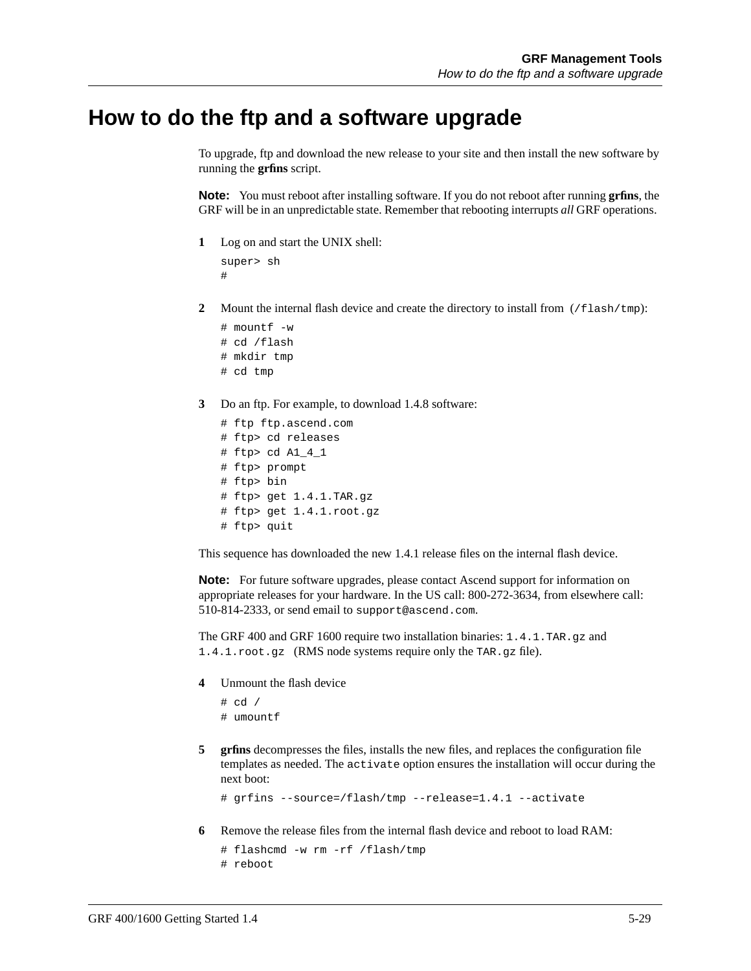### **How to do the ftp and a software upgrade**

To upgrade, ftp and download the new release to your site and then install the new software by running the **grfins** script.

**Note:** You must reboot after installing software. If you do not reboot after running **grfins**, the GRF will be in an unpredictable state. Remember that rebooting interrupts *all* GRF operations.

**1** Log on and start the UNIX shell:

```
super> sh
#
```
**2** Mount the internal flash device and create the directory to install from  $//\text{float}/\text{tmp})$ :

```
# mountf -w
# cd /flash
# mkdir tmp
# cd tmp
```
- 
- **3** Do an ftp. For example, to download 1.4.8 software:

```
# ftp ftp.ascend.com
# ftp> cd releases
# ftp> cd A1_4_1
# ftp> prompt
# ftp> bin
# ftp> get 1.4.1.TAR.gz
# ftp> get 1.4.1.root.gz
# ftp> quit
```
This sequence has downloaded the new 1.4.1 release files on the internal flash device.

**Note:** For future software upgrades, please contact Ascend support for information on appropriate releases for your hardware. In the US call: 800-272-3634, from elsewhere call: 510-814-2333, or send email to support@ascend.com.

The GRF 400 and GRF 1600 require two installation binaries: 1.4.1.TAR.gz and 1.4.1.root.gz (RMS node systems require only the TAR.gz file).

**4** Unmount the flash device

```
# cd /
# umountf
```
**5** grins decompresses the files, installs the new files, and replaces the configuration file templates as needed. The activate option ensures the installation will occur during the next boot:

```
# grfins --source=/flash/tmp --release=1.4.1 --activate
```
**6** Remove the release files from the internal flash device and reboot to load RAM:

```
# flashcmd -w rm -rf /flash/tmp
# reboot
```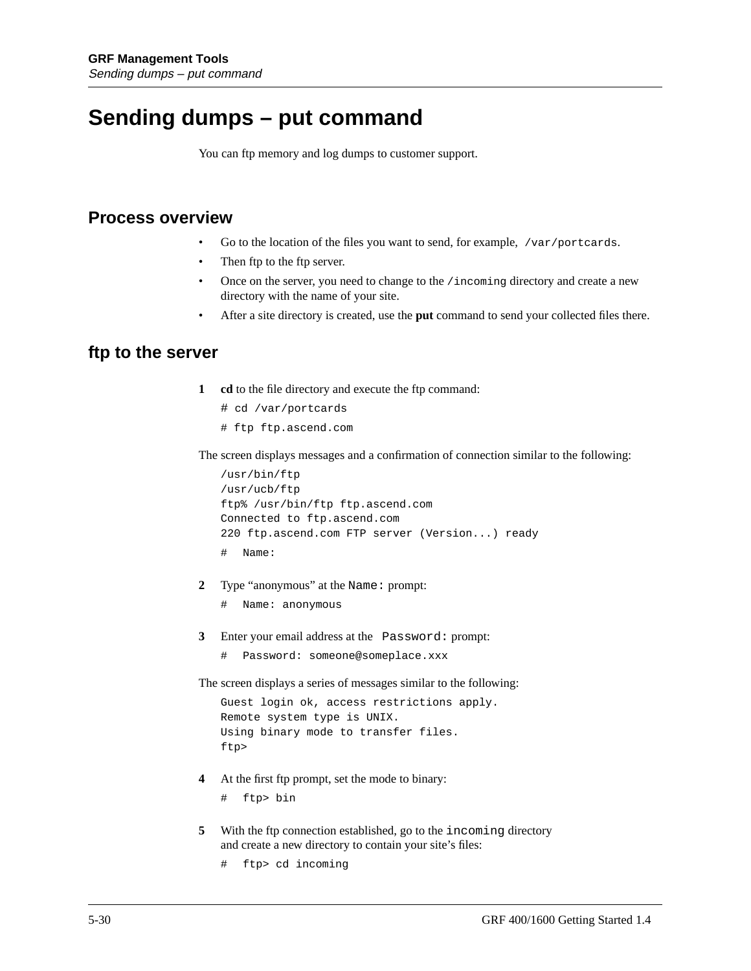### **Sending dumps – put command**

You can ftp memory and log dumps to customer support.

#### **Process overview**

- Go to the location of the files you want to send, for example, /var/portcards.
- Then ftp to the ftp server.
- Once on the server, you need to change to the /incoming directory and create a new directory with the name of your site.
- After a site directory is created, use the **put** command to send your collected files there.

#### **ftp to the server**

- **1 cd** to the file directory and execute the ftp command:
	- # cd /var/portcards
	- # ftp ftp.ascend.com

The screen displays messages and a confirmation of connection similar to the following:

```
/usr/bin/ftp
/usr/ucb/ftp
ftp% /usr/bin/ftp ftp.ascend.com
Connected to ftp.ascend.com
220 ftp.ascend.com FTP server (Version...) ready
# Name:
```
- **2** Type "anonymous" at the Name: prompt:
	- # Name: anonymous
- **3** Enter your email address at the Password: prompt:
	- # Password: someone@someplace.xxx

The screen displays a series of messages similar to the following:

```
Guest login ok, access restrictions apply.
Remote system type is UNIX.
Using binary mode to transfer files.
ftp>
```
**4** At the first ftp prompt, set the mode to binary:

# ftp> bin

- **5** With the ftp connection established, go to the incoming directory and create a new directory to contain your site's files:
	- # ftp> cd incoming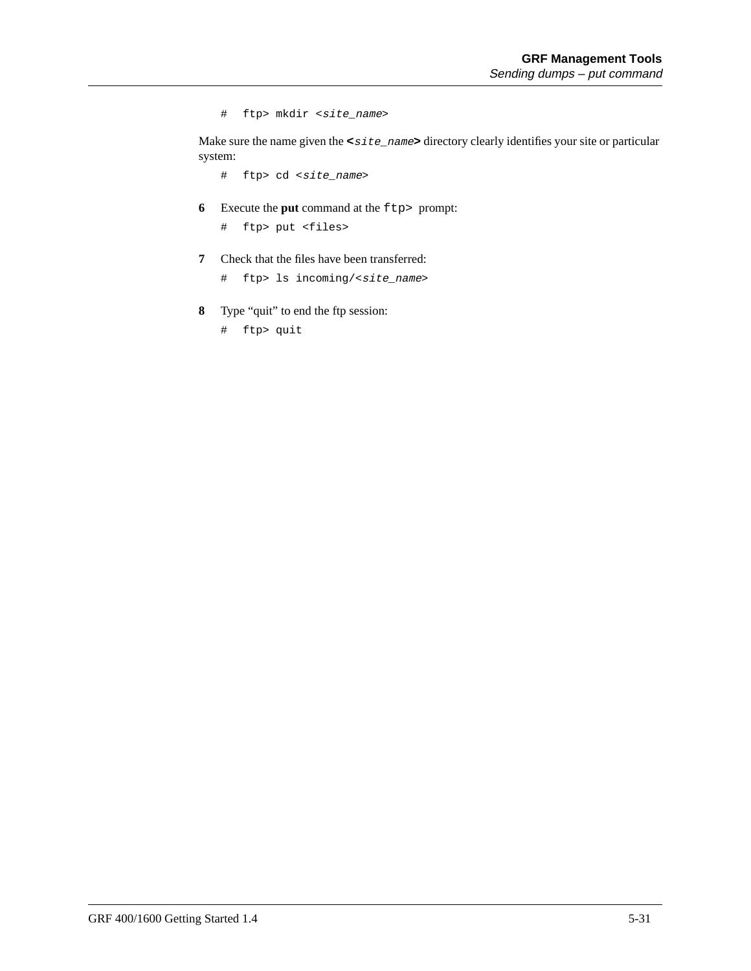# ftp> mkdir <site\_name>

Make sure the name given the **<**site\_name**>** directory clearly identifies your site or particular system:

# ftp> cd <site\_name>

**6** Execute the **put** command at the  $ftp$  prompt:

# ftp> put <files>

- **7** Check that the files have been transferred:
	- # ftp> ls incoming/<site\_name>
- **8** Type "quit" to end the ftp session:

# ftp> quit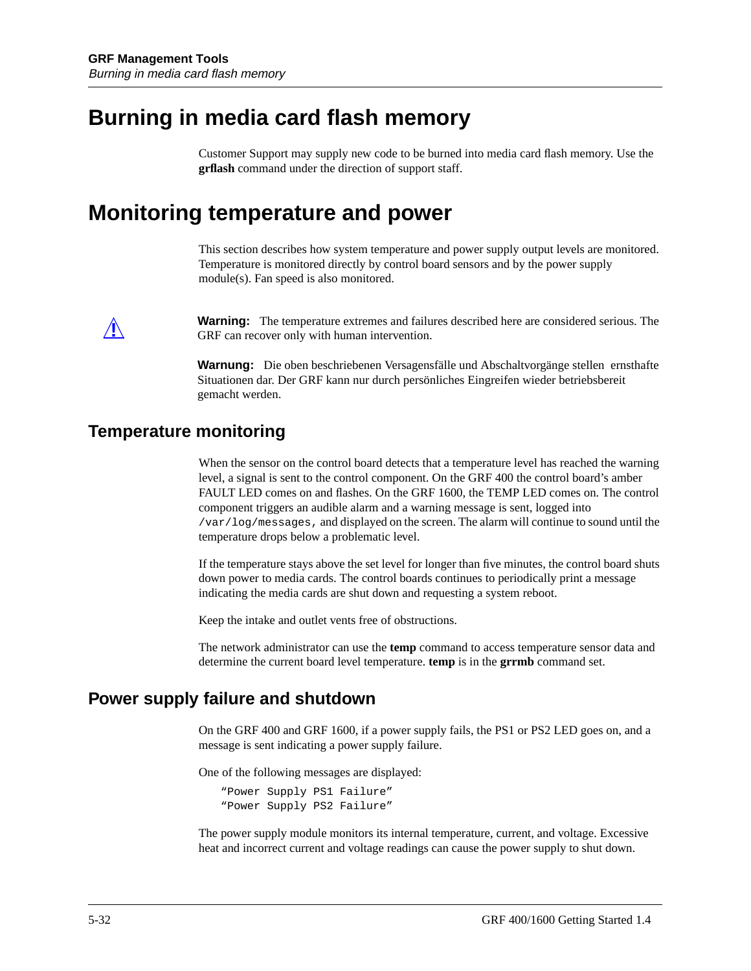# <span id="page-145-0"></span>**Burning in media card flash memory**

Customer Support may supply new code to be burned into media card flash memory. Use the **grflash** command under the direction of support staff.

# **Monitoring temperature and power**

This section describes how system temperature and power supply output levels are monitored. Temperature is monitored directly by control board sensors and by the power supply module(s). Fan speed is also monitored.

**Warning:** The temperature extremes and failures described here are considered serious. The CBE can receive able with human intermediate GRF can recover only with human intervention.

> **Warnung:** Die oben beschriebenen Versagensfälle und Abschaltvorgänge stellen ernsthafte Situationen dar. Der GRF kann nur durch persönliches Eingreifen wieder betriebsbereit gemacht werden.

### **Temperature monitoring**

When the sensor on the control board detects that a temperature level has reached the warning level, a signal is sent to the control component. On the GRF 400 the control board's amber FAULT LED comes on and flashes. On the GRF 1600, the TEMP LED comes on. The control component triggers an audible alarm and a warning message is sent, logged into /var/log/messages, and displayed on the screen. The alarm will continue to sound until the temperature drops below a problematic level.

If the temperature stays above the set level for longer than five minutes, the control board shuts down power to media cards. The control boards continues to periodically print a message indicating the media cards are shut down and requesting a system reboot.

Keep the intake and outlet vents free of obstructions.

The network administrator can use the **temp** command to access temperature sensor data and determine the current board level temperature. **temp** is in the **grrmb** command set.

### **Power supply failure and shutdown**

On the GRF 400 and GRF 1600, if a power supply fails, the PS1 or PS2 LED goes on, and a message is sent indicating a power supply failure.

One of the following messages are displayed:

"Power Supply PS1 Failure" "Power Supply PS2 Failure"

The power supply module monitors its internal temperature, current, and voltage. Excessive heat and incorrect current and voltage readings can cause the power supply to shut down.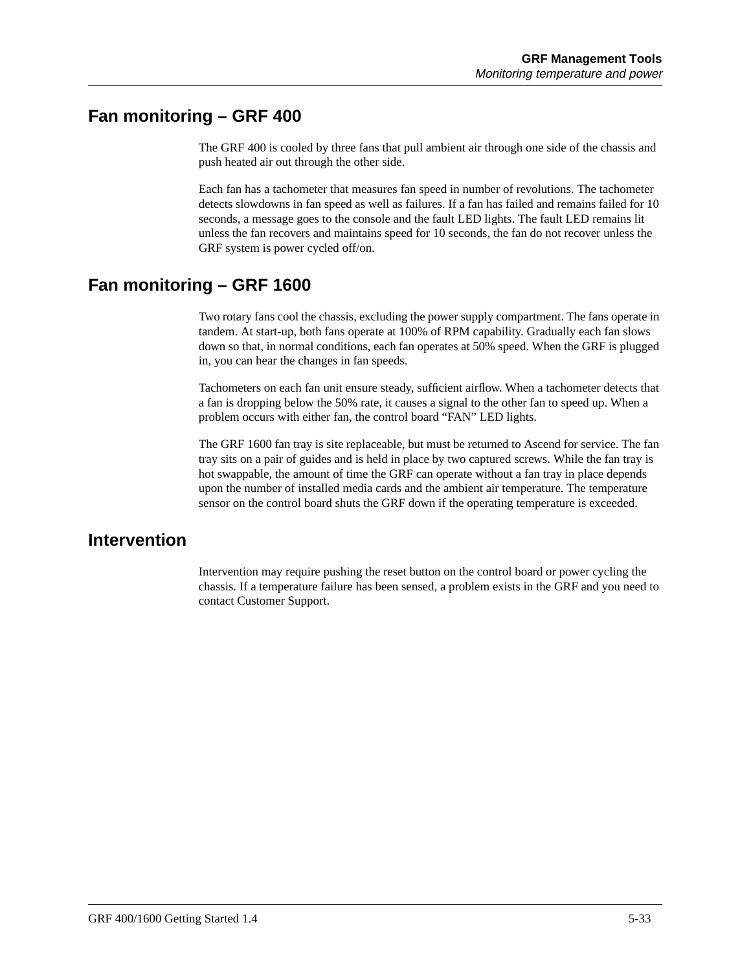### <span id="page-146-0"></span>**Fan monitoring – GRF 400**

The GRF 400 is cooled by three fans that pull ambient air through one side of the chassis and push heated air out through the other side.

Each fan has a tachometer that measures fan speed in number of revolutions. The tachometer detects slowdowns in fan speed as well as failures. If a fan has failed and remains failed for 10 seconds, a message goes to the console and the fault LED lights. The fault LED remains lit unless the fan recovers and maintains speed for 10 seconds, the fan do not recover unless the GRF system is power cycled off/on.

### **Fan monitoring – GRF 1600**

Two rotary fans cool the chassis, excluding the power supply compartment. The fans operate in tandem. At start-up, both fans operate at 100% of RPM capability. Gradually each fan slows down so that, in normal conditions, each fan operates at 50% speed. When the GRF is plugged in, you can hear the changes in fan speeds.

Tachometers on each fan unit ensure steady, sufficient airflow. When a tachometer detects that a fan is dropping below the 50% rate, it causes a signal to the other fan to speed up. When a problem occurs with either fan, the control board "FAN" LED lights.

The GRF 1600 fan tray is site replaceable, but must be returned to Ascend for service. The fan tray sits on a pair of guides and is held in place by two captured screws. While the fan tray is hot swappable, the amount of time the GRF can operate without a fan tray in place depends upon the number of installed media cards and the ambient air temperature. The temperature sensor on the control board shuts the GRF down if the operating temperature is exceeded.

### **Intervention**

Intervention may require pushing the reset button on the control board or power cycling the chassis. If a temperature failure has been sensed, a problem exists in the GRF and you need to contact Customer Support.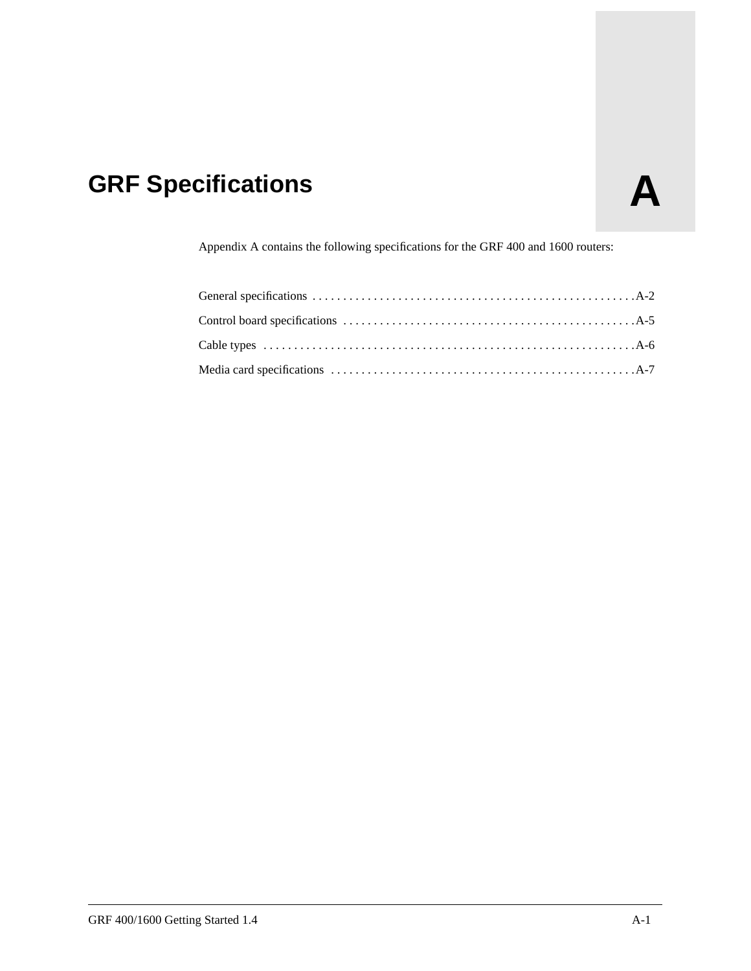# **GRF Specifications A**

Appendix A contains the following specifications for the GRF 400 and 1600 routers: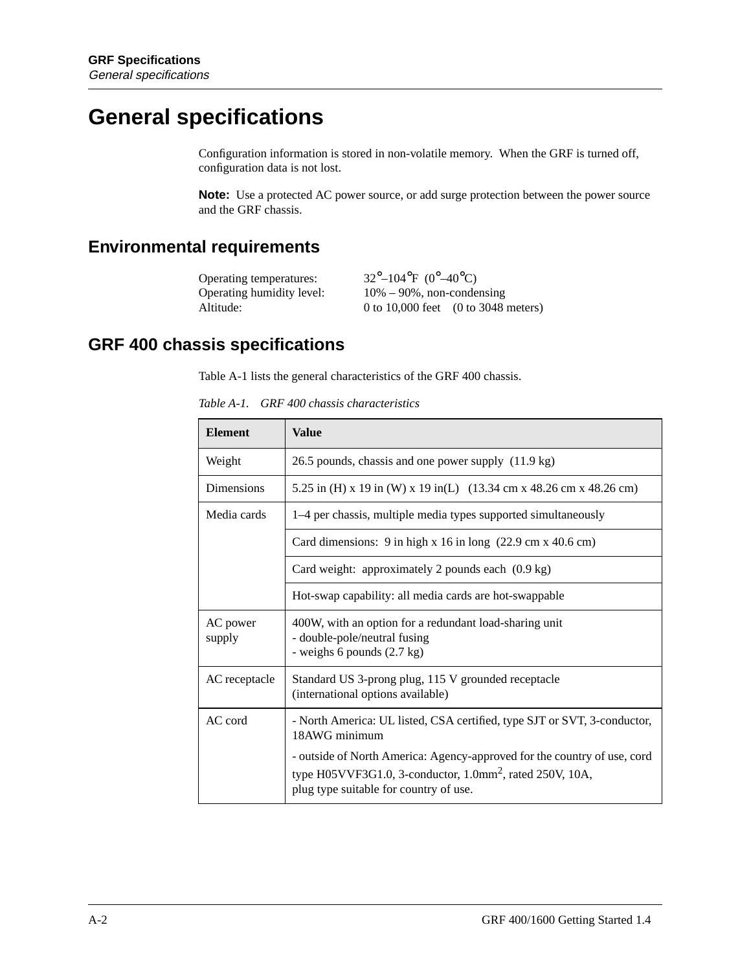# <span id="page-149-0"></span>**General specifications**

Configuration information is stored in non-volatile memory. When the GRF is turned off, configuration data is not lost.

**Note:** Use a protected AC power source, or add surge protection between the power source and the GRF chassis.

### **Environmental requirements**

| Operating temperatures:   | $32^{\circ} - 104^{\circ}F (0^{\circ} - 40^{\circ}C)$ |                                                        |
|---------------------------|-------------------------------------------------------|--------------------------------------------------------|
| Operating humidity level: | $10\% - 90\%$ , non-condensing                        |                                                        |
| Altitude:                 |                                                       | 0 to 10,000 feet $(0 \text{ to } 3048 \text{ meters})$ |

### **GRF 400 chassis specifications**

Table A-1 lists the general characteristics of the GRF 400 chassis.

*Table A-1. GRF 400 chassis characteristics*

| <b>Element</b>     | Value                                                                                                                                                                                         |
|--------------------|-----------------------------------------------------------------------------------------------------------------------------------------------------------------------------------------------|
| Weight             | 26.5 pounds, chassis and one power supply (11.9 kg)                                                                                                                                           |
| <b>Dimensions</b>  | 5.25 in (H) x 19 in (W) x 19 in (L) (13.34 cm x 48.26 cm x 48.26 cm)                                                                                                                          |
| Media cards        | 1–4 per chassis, multiple media types supported simultaneously                                                                                                                                |
|                    | Card dimensions: $9$ in high x 16 in long $(22.9 \text{ cm} \times 40.6 \text{ cm})$                                                                                                          |
|                    | Card weight: approximately 2 pounds each (0.9 kg)                                                                                                                                             |
|                    | Hot-swap capability: all media cards are hot-swappable                                                                                                                                        |
| AC power<br>supply | 400W, with an option for a redundant load-sharing unit<br>- double-pole/neutral fusing<br>- weighs 6 pounds (2.7 kg)                                                                          |
| AC receptacle      | Standard US 3-prong plug, 115 V grounded receptacle<br>(international options available)                                                                                                      |
| AC cord            | - North America: UL listed, CSA certified, type SJT or SVT, 3-conductor,<br>18AWG minimum                                                                                                     |
|                    | - outside of North America: Agency-approved for the country of use, cord<br>type H05VVF3G1.0, 3-conductor, $1.0$ mm <sup>2</sup> , rated 250V, 10A,<br>plug type suitable for country of use. |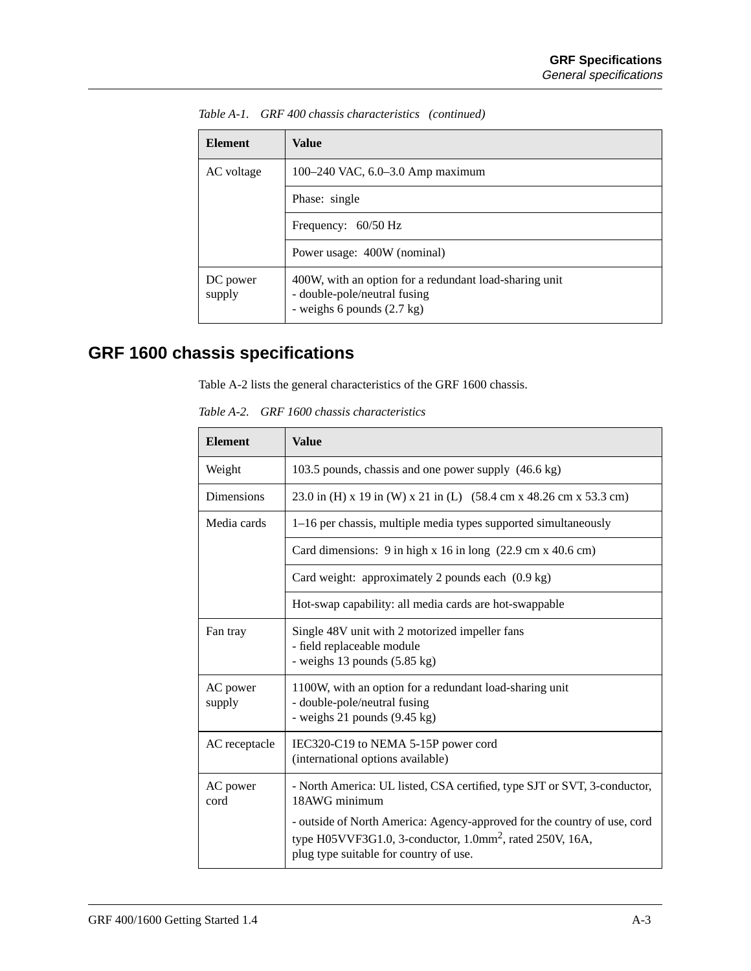| <b>Element</b>     | Value                                                                                                                          |
|--------------------|--------------------------------------------------------------------------------------------------------------------------------|
| AC voltage         | 100–240 VAC, 6.0–3.0 Amp maximum                                                                                               |
|                    | Phase: single                                                                                                                  |
|                    | Frequency: 60/50 Hz                                                                                                            |
|                    | Power usage: 400W (nominal)                                                                                                    |
| DC power<br>supply | 400W, with an option for a redundant load-sharing unit<br>- double-pole/neutral fusing<br>- weighs 6 pounds $(2.7 \text{ kg})$ |

<span id="page-150-0"></span>*Table A-1. GRF 400 chassis characteristics (continued)*

# **GRF 1600 chassis specifications**

Table A-2 lists the general characteristics of the GRF 1600 chassis.

*Table A-2. GRF 1600 chassis characteristics*

| <b>Element</b>     | <b>Value</b>                                                                                                                                                                                  |
|--------------------|-----------------------------------------------------------------------------------------------------------------------------------------------------------------------------------------------|
| Weight             | 103.5 pounds, chassis and one power supply (46.6 kg)                                                                                                                                          |
| Dimensions         | 23.0 in (H) x 19 in (W) x 21 in (L) (58.4 cm x 48.26 cm x 53.3 cm)                                                                                                                            |
| Media cards        | 1–16 per chassis, multiple media types supported simultaneously                                                                                                                               |
|                    | Card dimensions: $9$ in high x 16 in long $(22.9 \text{ cm} \times 40.6 \text{ cm})$                                                                                                          |
|                    | Card weight: approximately 2 pounds each (0.9 kg)                                                                                                                                             |
|                    | Hot-swap capability: all media cards are hot-swappable                                                                                                                                        |
| Fan tray           | Single 48V unit with 2 motorized impeller fans<br>- field replaceable module<br>- weighs $13$ pounds $(5.85 \text{ kg})$                                                                      |
| AC power<br>supply | 1100W, with an option for a redundant load-sharing unit<br>- double-pole/neutral fusing<br>- weighs $21$ pounds $(9.45 \text{ kg})$                                                           |
| AC receptacle      | IEC320-C19 to NEMA 5-15P power cord<br>(international options available)                                                                                                                      |
| AC power<br>cord   | - North America: UL listed, CSA certified, type SJT or SVT, 3-conductor,<br>18AWG minimum                                                                                                     |
|                    | - outside of North America: Agency-approved for the country of use, cord<br>type H05VVF3G1.0, 3-conductor, $1.0$ mm <sup>2</sup> , rated 250V, 16A,<br>plug type suitable for country of use. |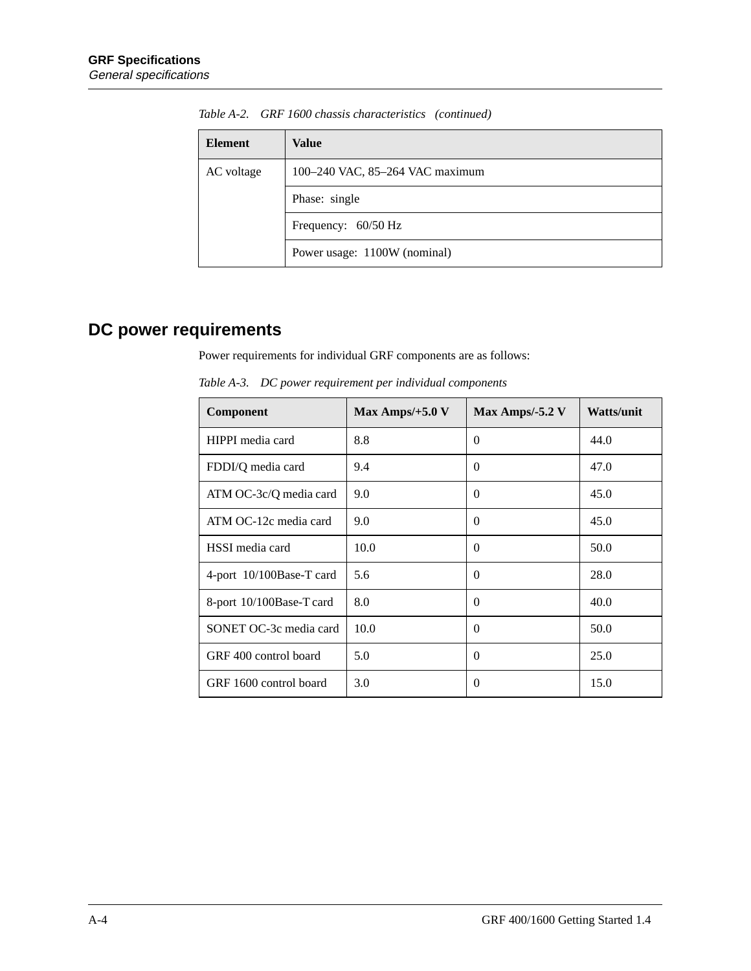| <b>Element</b> | Value                           |
|----------------|---------------------------------|
| AC voltage     | 100-240 VAC, 85-264 VAC maximum |
|                | Phase: single                   |
|                | Frequency: 60/50 Hz             |
|                | Power usage: 1100W (nominal)    |

<span id="page-151-0"></span>*Table A-2. GRF 1600 chassis characteristics (continued)*

# **DC power requirements**

Power requirements for individual GRF components are as follows:

| Component                | Max Amps/ $+5.0$ V | Max Amps/-5.2 $V$ | <b>Watts/unit</b> |
|--------------------------|--------------------|-------------------|-------------------|
| HIPPI media card         | 8.8                | $\Omega$          | 44.0              |
| FDDI/Q media card        | 9.4                | $\Omega$          | 47.0              |
| ATM OC-3c/Q media card   | 9.0                | $\Omega$          | 45.0              |
| ATM OC-12c media card    | 9.0                | $\Omega$          | 45.0              |
| HSSI media card          | 10.0               | $\Omega$          | 50.0              |
| 4-port 10/100Base-T card | 5.6                | $\Omega$          | 28.0              |
| 8-port 10/100Base-T card | 8.0                | $\Omega$          | 40.0              |
| SONET OC-3c media card   | 10.0               | $\Omega$          | 50.0              |
| GRF 400 control board    | 5.0                | $\Omega$          | 25.0              |
| GRF 1600 control board   | 3.0                | $\Omega$          | 15.0              |

*Table A-3. DC power requirement per individual components*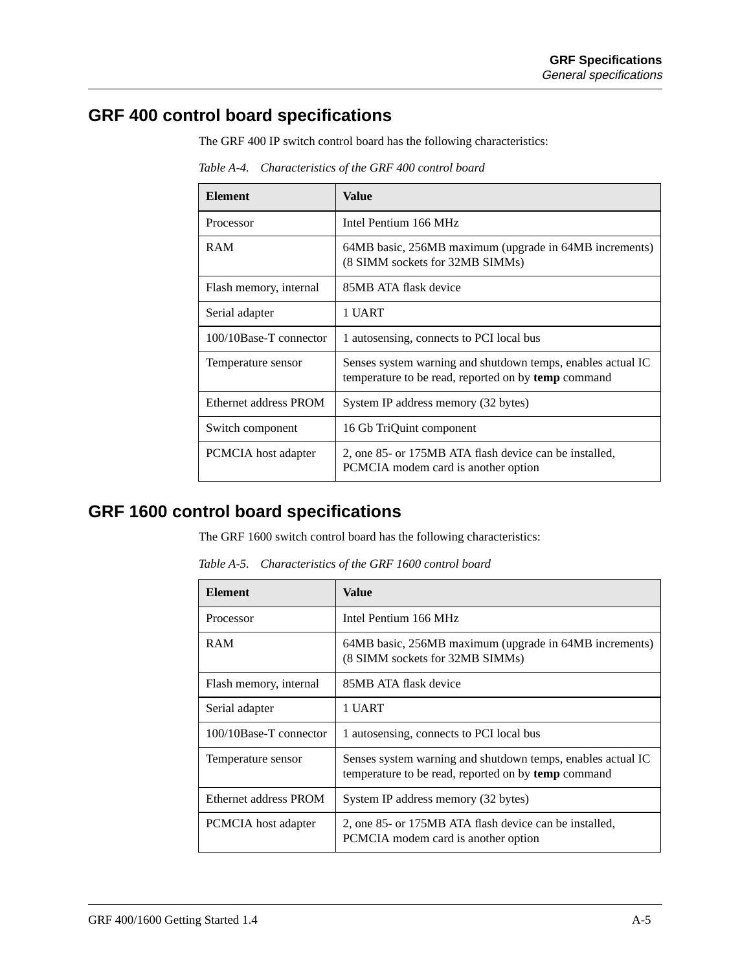### <span id="page-152-0"></span>**GRF 400 control board specifications**

The GRF 400 IP switch control board has the following characteristics:

| <b>Element</b>         | <b>Value</b>                                                                                                       |
|------------------------|--------------------------------------------------------------------------------------------------------------------|
| Processor              | Intel Pentium 166 MHz                                                                                              |
| <b>RAM</b>             | 64MB basic, 256MB maximum (upgrade in 64MB increments)<br>(8 SIMM sockets for 32MB SIMMs)                          |
| Flash memory, internal | 85MB ATA flask device                                                                                              |
| Serial adapter         | 1 UART                                                                                                             |
| 100/10Base-T connector | 1 autosensing, connects to PCI local bus                                                                           |
| Temperature sensor     | Senses system warning and shutdown temps, enables actual IC<br>temperature to be read, reported on by temp command |
| Ethernet address PROM  | System IP address memory (32 bytes)                                                                                |
| Switch component       | 16 Gb TriQuint component                                                                                           |
| PCMCIA host adapter    | 2, one 85- or 175MB ATA flash device can be installed,<br>PCMCIA modem card is another option                      |

*Table A-4. Characteristics of the GRF 400 control board*

## **GRF 1600 control board specifications**

The GRF 1600 switch control board has the following characteristics:

*Table A-5. Characteristics of the GRF 1600 control board*

| <b>Element</b>         | Value                                                                                                                     |
|------------------------|---------------------------------------------------------------------------------------------------------------------------|
| Processor              | Intel Pentium 166 MHz                                                                                                     |
| <b>RAM</b>             | 64MB basic, 256MB maximum (upgrade in 64MB increments)<br>(8 SIMM sockets for 32MB SIMMs)                                 |
| Flash memory, internal | 85MB ATA flask device                                                                                                     |
| Serial adapter         | 1 UART                                                                                                                    |
| 100/10Base-T connector | 1 autosensing, connects to PCI local bus                                                                                  |
| Temperature sensor     | Senses system warning and shutdown temps, enables actual IC<br>temperature to be read, reported on by <b>temp</b> command |
| Ethernet address PROM  | System IP address memory (32 bytes)                                                                                       |
| PCMCIA host adapter    | 2, one 85- or 175MB ATA flash device can be installed,<br>PCMCIA modem card is another option                             |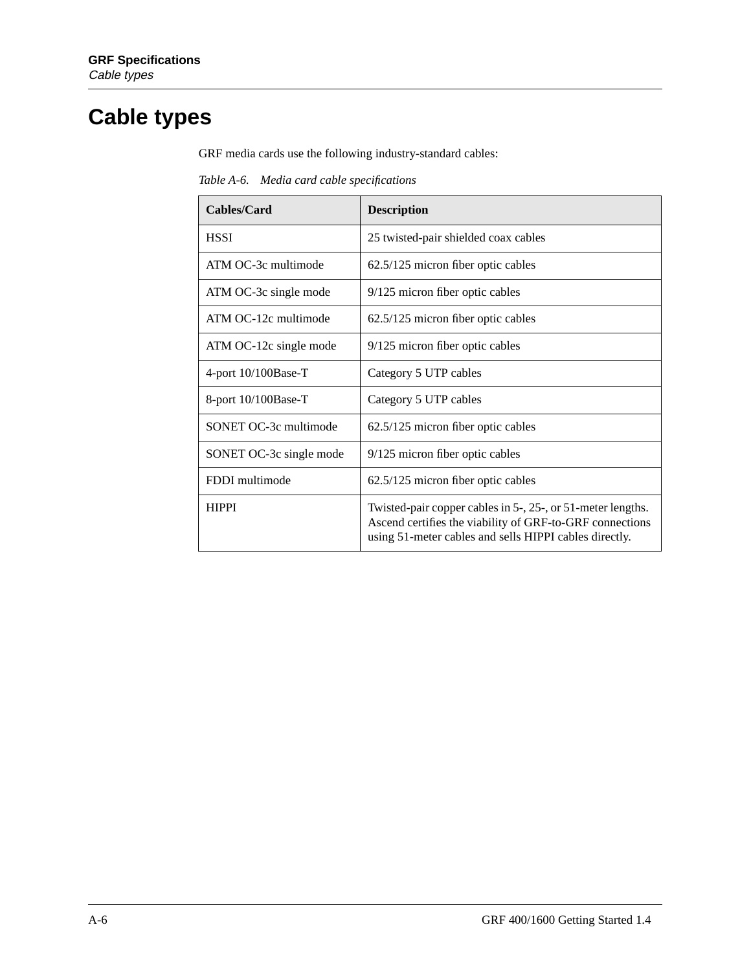# <span id="page-153-0"></span>**Cable types**

GRF media cards use the following industry-standard cables:

*Table A-6. Media card cable specifications*

| Cables/Card             | <b>Description</b>                                                                                                                                                                |
|-------------------------|-----------------------------------------------------------------------------------------------------------------------------------------------------------------------------------|
| <b>HSSI</b>             | 25 twisted-pair shielded coax cables                                                                                                                                              |
| ATM OC-3c multimode     | 62.5/125 micron fiber optic cables                                                                                                                                                |
| ATM OC-3c single mode   | 9/125 micron fiber optic cables                                                                                                                                                   |
| ATM OC-12c multimode    | 62.5/125 micron fiber optic cables                                                                                                                                                |
| ATM OC-12c single mode  | 9/125 micron fiber optic cables                                                                                                                                                   |
| 4-port 10/100Base-T     | Category 5 UTP cables                                                                                                                                                             |
| 8-port $10/100$ Base-T  | Category 5 UTP cables                                                                                                                                                             |
| SONET OC-3c multimode   | 62.5/125 micron fiber optic cables                                                                                                                                                |
| SONET OC-3c single mode | 9/125 micron fiber optic cables                                                                                                                                                   |
| FDDI multimode          | 62.5/125 micron fiber optic cables                                                                                                                                                |
| <b>HIPPI</b>            | Twisted-pair copper cables in 5-, 25-, or 51-meter lengths.<br>Ascend certifies the viability of GRF-to-GRF connections<br>using 51-meter cables and sells HIPPI cables directly. |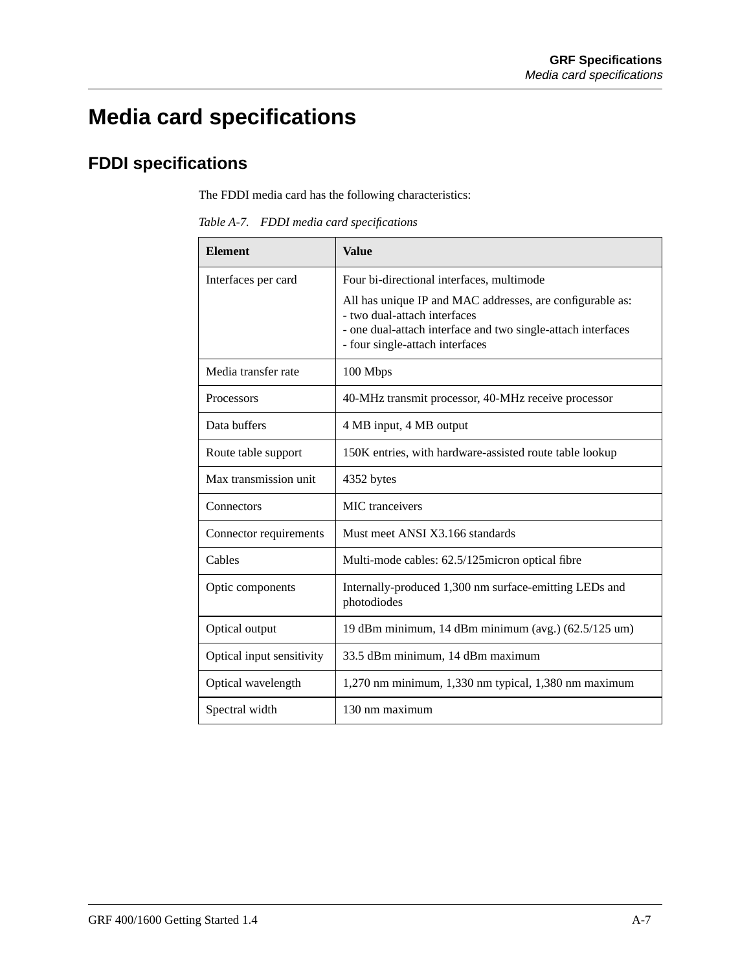# <span id="page-154-0"></span>**Media card specifications**

# **FDDI specifications**

The FDDI media card has the following characteristics:

*Table A-7. FDDI media card specifications*

| <b>Element</b>            | <b>Value</b>                                                                                                                                                                                 |
|---------------------------|----------------------------------------------------------------------------------------------------------------------------------------------------------------------------------------------|
| Interfaces per card       | Four bi-directional interfaces, multimode                                                                                                                                                    |
|                           | All has unique IP and MAC addresses, are configurable as:<br>- two dual-attach interfaces<br>- one dual-attach interface and two single-attach interfaces<br>- four single-attach interfaces |
| Media transfer rate       | 100 Mbps                                                                                                                                                                                     |
| Processors                | 40-MHz transmit processor, 40-MHz receive processor                                                                                                                                          |
| Data buffers              | 4 MB input, 4 MB output                                                                                                                                                                      |
| Route table support       | 150K entries, with hardware-assisted route table lookup                                                                                                                                      |
| Max transmission unit     | 4352 bytes                                                                                                                                                                                   |
| Connectors                | <b>MIC</b> tranceivers                                                                                                                                                                       |
| Connector requirements    | Must meet ANSI X3.166 standards                                                                                                                                                              |
| Cables                    | Multi-mode cables: 62.5/125micron optical fibre                                                                                                                                              |
| Optic components          | Internally-produced 1,300 nm surface-emitting LEDs and<br>photodiodes                                                                                                                        |
| Optical output            | 19 dBm minimum, 14 dBm minimum (avg.) $(62.5/125 \text{ um})$                                                                                                                                |
| Optical input sensitivity | 33.5 dBm minimum, 14 dBm maximum                                                                                                                                                             |
| Optical wavelength        | $1,270$ nm minimum, $1,330$ nm typical, $1,380$ nm maximum                                                                                                                                   |
| Spectral width            | 130 nm maximum                                                                                                                                                                               |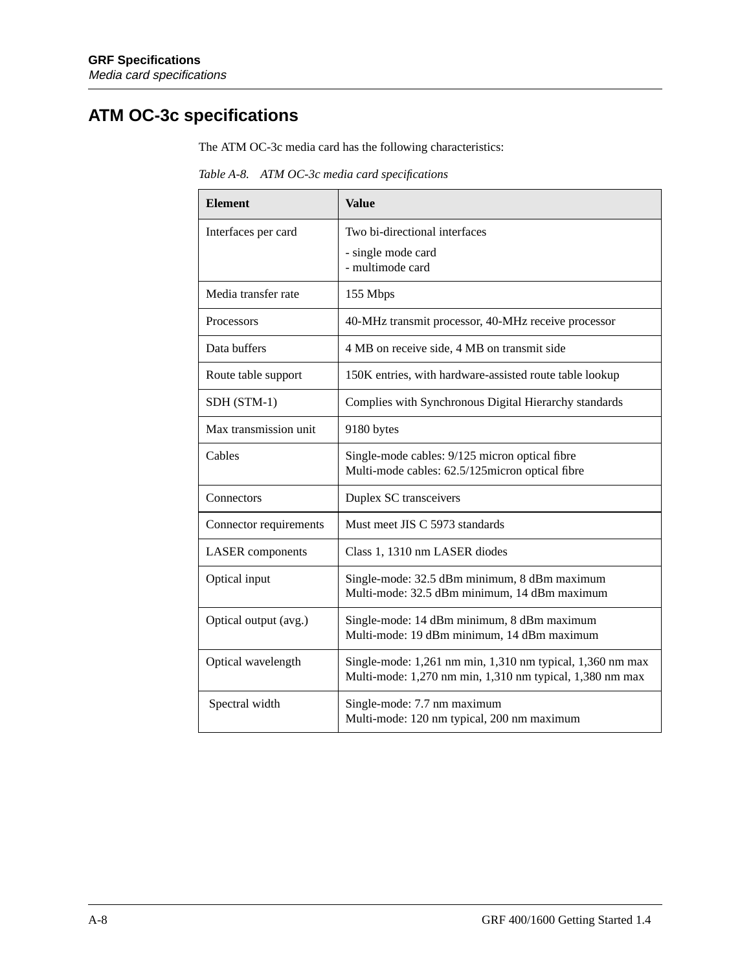# <span id="page-155-0"></span>**ATM OC-3c specifications**

The ATM OC-3c media card has the following characteristics:

*Table A-8. ATM OC-3c media card specifications*

| <b>Element</b>          | <b>Value</b>                                                                                                          |
|-------------------------|-----------------------------------------------------------------------------------------------------------------------|
| Interfaces per card     | Two bi-directional interfaces                                                                                         |
|                         | - single mode card<br>- multimode card                                                                                |
| Media transfer rate     | 155 Mbps                                                                                                              |
| Processors              | 40-MHz transmit processor, 40-MHz receive processor                                                                   |
| Data buffers            | 4 MB on receive side, 4 MB on transmit side                                                                           |
| Route table support     | 150K entries, with hardware-assisted route table lookup                                                               |
| SDH (STM-1)             | Complies with Synchronous Digital Hierarchy standards                                                                 |
| Max transmission unit   | 9180 bytes                                                                                                            |
| Cables                  | Single-mode cables: 9/125 micron optical fibre<br>Multi-mode cables: 62.5/125micron optical fibre                     |
| Connectors              | Duplex SC transceivers                                                                                                |
| Connector requirements  | Must meet JIS C 5973 standards                                                                                        |
| <b>LASER</b> components | Class 1, 1310 nm LASER diodes                                                                                         |
| Optical input           | Single-mode: 32.5 dBm minimum, 8 dBm maximum<br>Multi-mode: 32.5 dBm minimum, 14 dBm maximum                          |
| Optical output (avg.)   | Single-mode: 14 dBm minimum, 8 dBm maximum<br>Multi-mode: 19 dBm minimum, 14 dBm maximum                              |
| Optical wavelength      | Single-mode: 1,261 nm min, 1,310 nm typical, 1,360 nm max<br>Multi-mode: 1,270 nm min, 1,310 nm typical, 1,380 nm max |
| Spectral width          | Single-mode: 7.7 nm maximum<br>Multi-mode: 120 nm typical, 200 nm maximum                                             |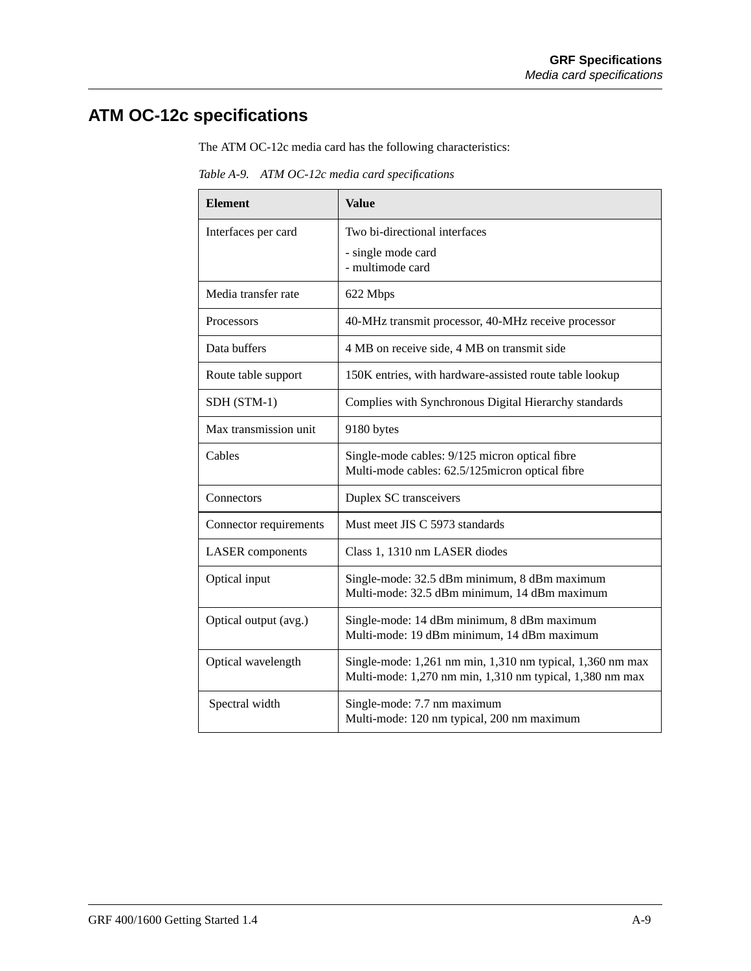# <span id="page-156-0"></span>**ATM OC-12c specifications**

The ATM OC-12c media card has the following characteristics:

*Table A-9. ATM OC-12c media card specifications*

| <b>Element</b>          | <b>Value</b>                                                                                                          |  |
|-------------------------|-----------------------------------------------------------------------------------------------------------------------|--|
| Interfaces per card     | Two bi-directional interfaces                                                                                         |  |
|                         | - single mode card<br>- multimode card                                                                                |  |
| Media transfer rate     | 622 Mbps                                                                                                              |  |
| <b>Processors</b>       | 40-MHz transmit processor, 40-MHz receive processor                                                                   |  |
| Data buffers            | 4 MB on receive side, 4 MB on transmit side                                                                           |  |
| Route table support     | 150K entries, with hardware-assisted route table lookup                                                               |  |
| SDH (STM-1)             | Complies with Synchronous Digital Hierarchy standards                                                                 |  |
| Max transmission unit   | 9180 bytes                                                                                                            |  |
| Cables                  | Single-mode cables: 9/125 micron optical fibre<br>Multi-mode cables: 62.5/125micron optical fibre                     |  |
| Connectors              | Duplex SC transceivers                                                                                                |  |
| Connector requirements  | Must meet JIS C 5973 standards                                                                                        |  |
| <b>LASER</b> components | Class 1, 1310 nm LASER diodes                                                                                         |  |
| Optical input           | Single-mode: 32.5 dBm minimum, 8 dBm maximum<br>Multi-mode: 32.5 dBm minimum, 14 dBm maximum                          |  |
| Optical output (avg.)   | Single-mode: 14 dBm minimum, 8 dBm maximum<br>Multi-mode: 19 dBm minimum, 14 dBm maximum                              |  |
| Optical wavelength      | Single-mode: 1,261 nm min, 1,310 nm typical, 1,360 nm max<br>Multi-mode: 1,270 nm min, 1,310 nm typical, 1,380 nm max |  |
| Spectral width          | Single-mode: 7.7 nm maximum<br>Multi-mode: 120 nm typical, 200 nm maximum                                             |  |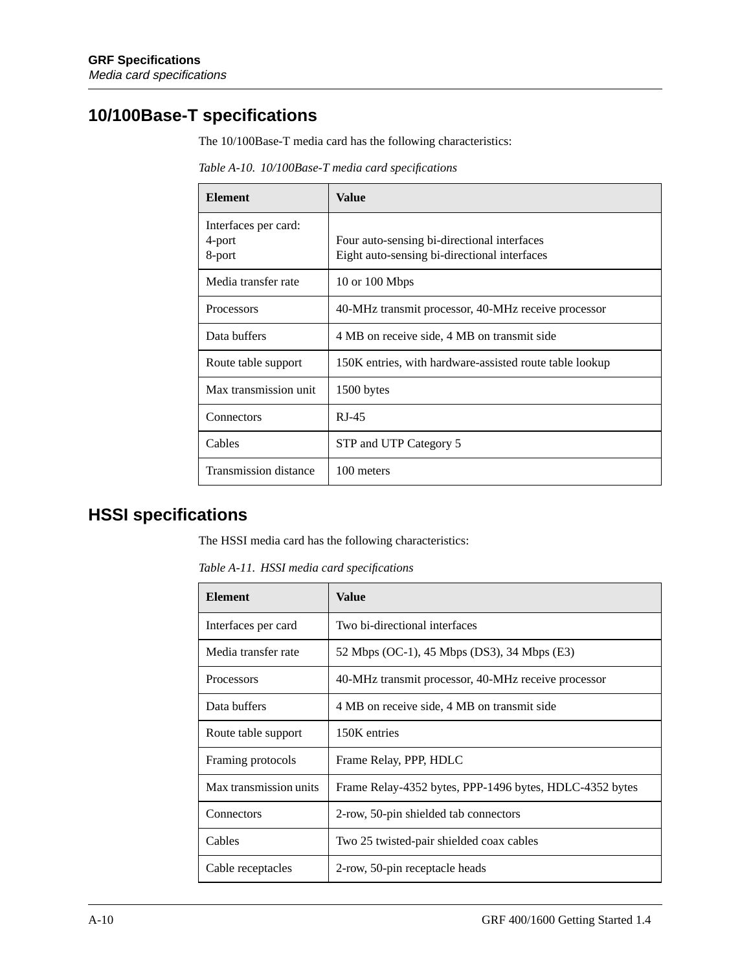### <span id="page-157-0"></span>**10/100Base-T specifications**

The 10/100Base-T media card has the following characteristics:

**Element Value** Interfaces per card: 4-port 8-port Four auto-sensing bi-directional interfaces Eight auto-sensing bi-directional interfaces Media transfer rate 10 or 100 Mbps Processors 40-MHz transmit processor, 40-MHz receive processor Data buffers  $4 \text{ MB}$  on receive side, 4 MB on transmit side Route table support 150K entries, with hardware-assisted route table lookup Max transmission unit | 1500 bytes Connectors RJ-45 Cables STP and UTP Category 5 Transmission distance 100 meters

*Table A-10. 10/100Base-T media card specifications*

### **HSSI specifications**

The HSSI media card has the following characteristics:

*Table A-11. HSSI media card specifications*

| <b>Element</b>         | Value                                                   |
|------------------------|---------------------------------------------------------|
| Interfaces per card    | Two bi-directional interfaces                           |
| Media transfer rate    | 52 Mbps (OC-1), 45 Mbps (DS3), 34 Mbps (E3)             |
| <b>Processors</b>      | 40-MHz transmit processor, 40-MHz receive processor     |
| Data buffers           | 4 MB on receive side, 4 MB on transmit side             |
| Route table support    | 150K entries                                            |
| Framing protocols      | Frame Relay, PPP, HDLC                                  |
| Max transmission units | Frame Relay-4352 bytes, PPP-1496 bytes, HDLC-4352 bytes |
| Connectors             | 2-row, 50-pin shielded tab connectors                   |
| Cables                 | Two 25 twisted-pair shielded coax cables                |
| Cable receptacles      | 2-row, 50-pin receptacle heads                          |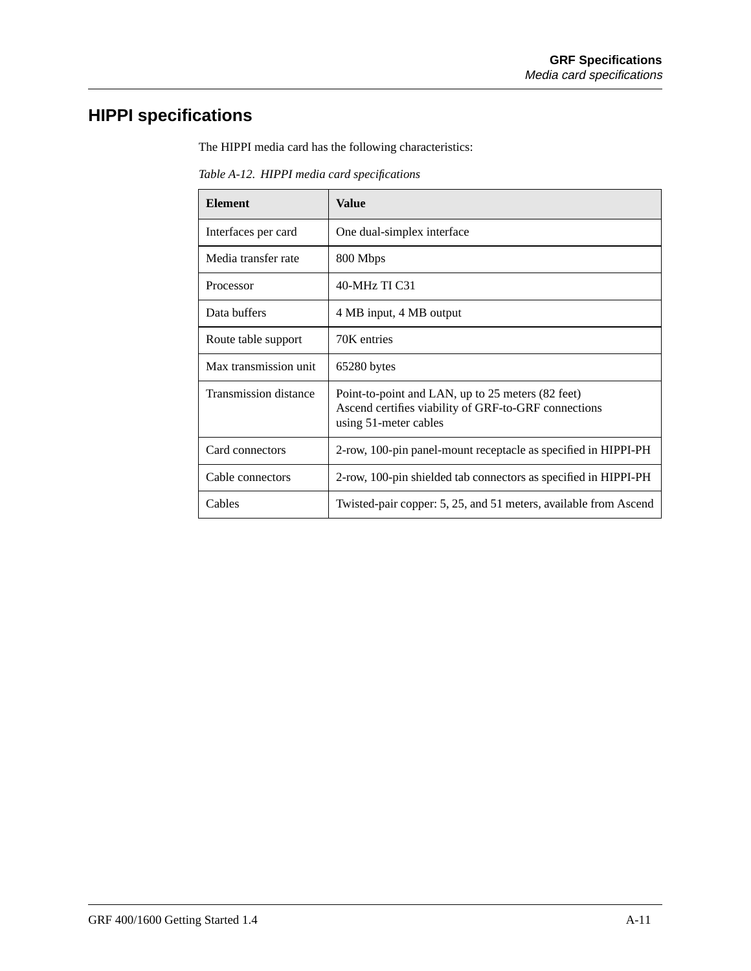# <span id="page-158-0"></span>**HIPPI specifications**

The HIPPI media card has the following characteristics:

*Table A-12. HIPPI media card specifications*

| <b>Element</b>               | Value                                                                                                                              |
|------------------------------|------------------------------------------------------------------------------------------------------------------------------------|
| Interfaces per card          | One dual-simplex interface                                                                                                         |
| Media transfer rate          | 800 Mbps                                                                                                                           |
| Processor                    | 40-MHz TI C31                                                                                                                      |
| Data buffers                 | 4 MB input, 4 MB output                                                                                                            |
| Route table support          | 70K entries                                                                                                                        |
| Max transmission unit        | 65280 bytes                                                                                                                        |
| <b>Transmission distance</b> | Point-to-point and LAN, up to 25 meters (82 feet)<br>Ascend certifies viability of GRF-to-GRF connections<br>using 51-meter cables |
| Card connectors              | 2-row, 100-pin panel-mount receptacle as specified in HIPPI-PH                                                                     |
| Cable connectors             | 2-row, 100-pin shielded tab connectors as specified in HIPPI-PH                                                                    |
| Cables                       | Twisted-pair copper: 5, 25, and 51 meters, available from Ascend                                                                   |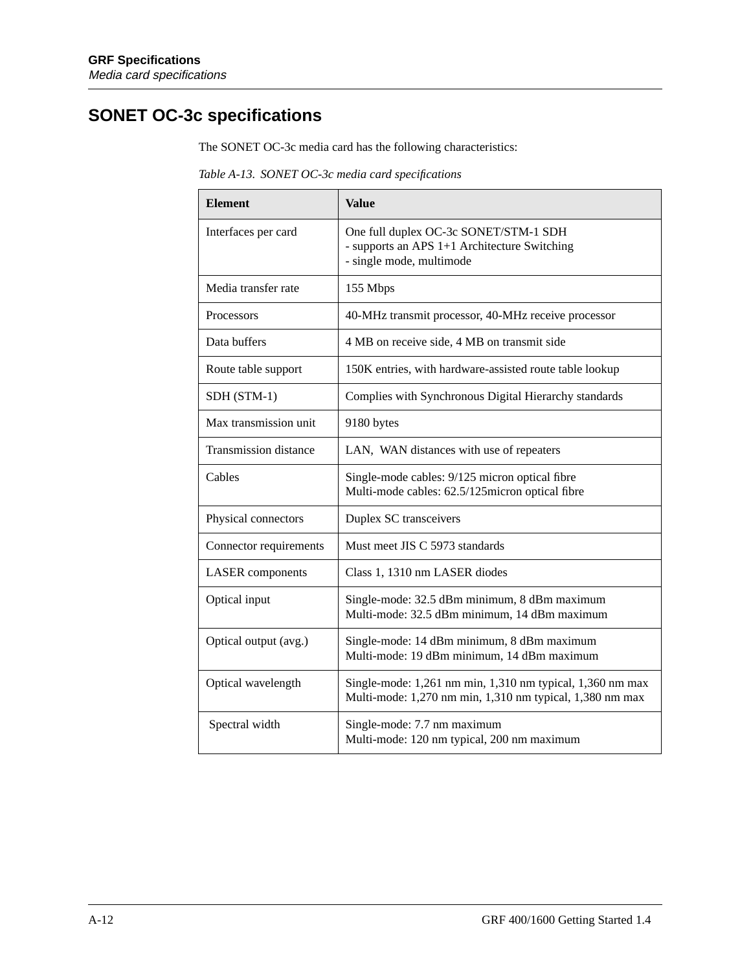# **SONET OC-3c specifications**

The SONET OC-3c media card has the following characteristics:

*Table A-13. SONET OC-3c media card specifications*

| <b>Element</b>               | <b>Value</b>                                                                                                          |  |
|------------------------------|-----------------------------------------------------------------------------------------------------------------------|--|
| Interfaces per card          | One full duplex OC-3c SONET/STM-1 SDH<br>- supports an APS 1+1 Architecture Switching<br>- single mode, multimode     |  |
| Media transfer rate          | 155 Mbps                                                                                                              |  |
| Processors                   | 40-MHz transmit processor, 40-MHz receive processor                                                                   |  |
| Data buffers                 | 4 MB on receive side, 4 MB on transmit side                                                                           |  |
| Route table support          | 150K entries, with hardware-assisted route table lookup                                                               |  |
| SDH (STM-1)                  | Complies with Synchronous Digital Hierarchy standards                                                                 |  |
| Max transmission unit        | 9180 bytes                                                                                                            |  |
| <b>Transmission</b> distance | LAN, WAN distances with use of repeaters                                                                              |  |
| Cables                       | Single-mode cables: 9/125 micron optical fibre<br>Multi-mode cables: 62.5/125micron optical fibre                     |  |
| Physical connectors          | Duplex SC transceivers                                                                                                |  |
| Connector requirements       | Must meet JIS C 5973 standards                                                                                        |  |
| <b>LASER</b> components      | Class 1, 1310 nm LASER diodes                                                                                         |  |
| Optical input                | Single-mode: 32.5 dBm minimum, 8 dBm maximum<br>Multi-mode: 32.5 dBm minimum, 14 dBm maximum                          |  |
| Optical output (avg.)        | Single-mode: 14 dBm minimum, 8 dBm maximum<br>Multi-mode: 19 dBm minimum, 14 dBm maximum                              |  |
| Optical wavelength           | Single-mode: 1,261 nm min, 1,310 nm typical, 1,360 nm max<br>Multi-mode: 1,270 nm min, 1,310 nm typical, 1,380 nm max |  |
| Spectral width               | Single-mode: 7.7 nm maximum<br>Multi-mode: 120 nm typical, 200 nm maximum                                             |  |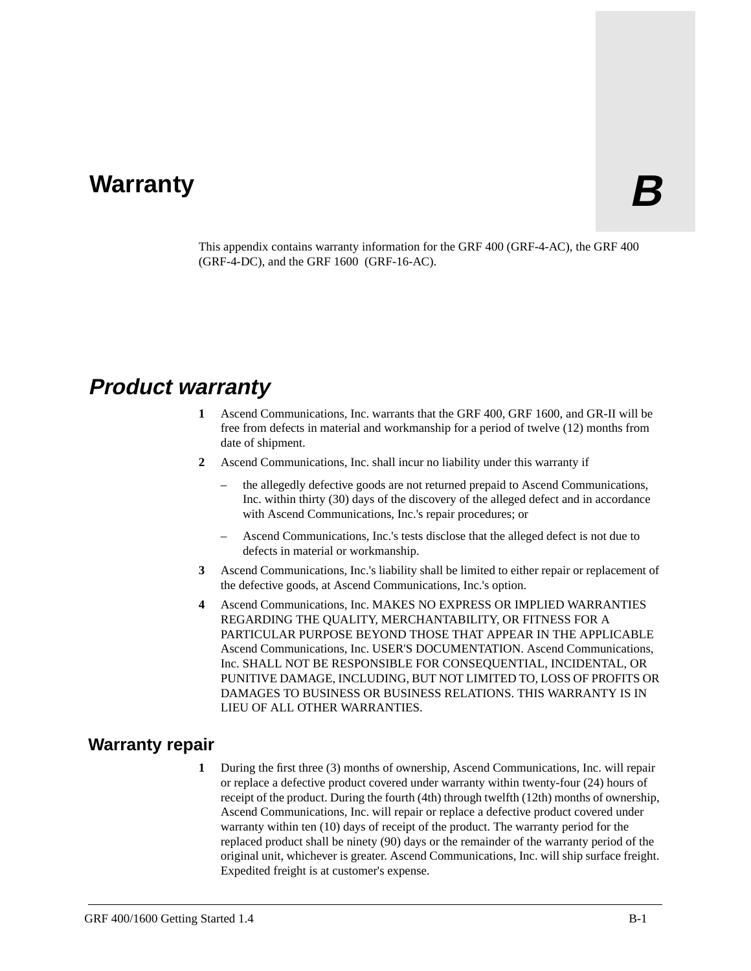# **Warranty B**

This appendix contains warranty information for the GRF 400 (GRF-4-AC), the GRF 400 (GRF-4-DC), and the GRF 1600 (GRF-16-AC).

# **Product warranty**

- **1** Ascend Communications, Inc. warrants that the GRF 400, GRF 1600, and GR-II will be free from defects in material and workmanship for a period of twelve (12) months from date of shipment.
- **2** Ascend Communications, Inc. shall incur no liability under this warranty if
	- the allegedly defective goods are not returned prepaid to Ascend Communications, Inc. within thirty (30) days of the discovery of the alleged defect and in accordance with Ascend Communications, Inc.'s repair procedures; or
	- Ascend Communications, Inc.'s tests disclose that the alleged defect is not due to defects in material or workmanship.
- **3** Ascend Communications, Inc.'s liability shall be limited to either repair or replacement of the defective goods, at Ascend Communications, Inc.'s option.
- **4** Ascend Communications, Inc. MAKES NO EXPRESS OR IMPLIED WARRANTIES REGARDING THE QUALITY, MERCHANTABILITY, OR FITNESS FOR A PARTICULAR PURPOSE BEYOND THOSE THAT APPEAR IN THE APPLICABLE Ascend Communications, Inc. USER'S DOCUMENTATION. Ascend Communications, Inc. SHALL NOT BE RESPONSIBLE FOR CONSEQUENTIAL, INCIDENTAL, OR PUNITIVE DAMAGE, INCLUDING, BUT NOT LIMITED TO, LOSS OF PROFITS OR DAMAGES TO BUSINESS OR BUSINESS RELATIONS. THIS WARRANTY IS IN LIEU OF ALL OTHER WARRANTIES.

### **Warranty repair**

**1** During the first three (3) months of ownership, Ascend Communications, Inc. will repair or replace a defective product covered under warranty within twenty-four (24) hours of receipt of the product. During the fourth (4th) through twelfth (12th) months of ownership, Ascend Communications, Inc. will repair or replace a defective product covered under warranty within ten (10) days of receipt of the product. The warranty period for the replaced product shall be ninety (90) days or the remainder of the warranty period of the original unit, whichever is greater. Ascend Communications, Inc. will ship surface freight. Expedited freight is at customer's expense.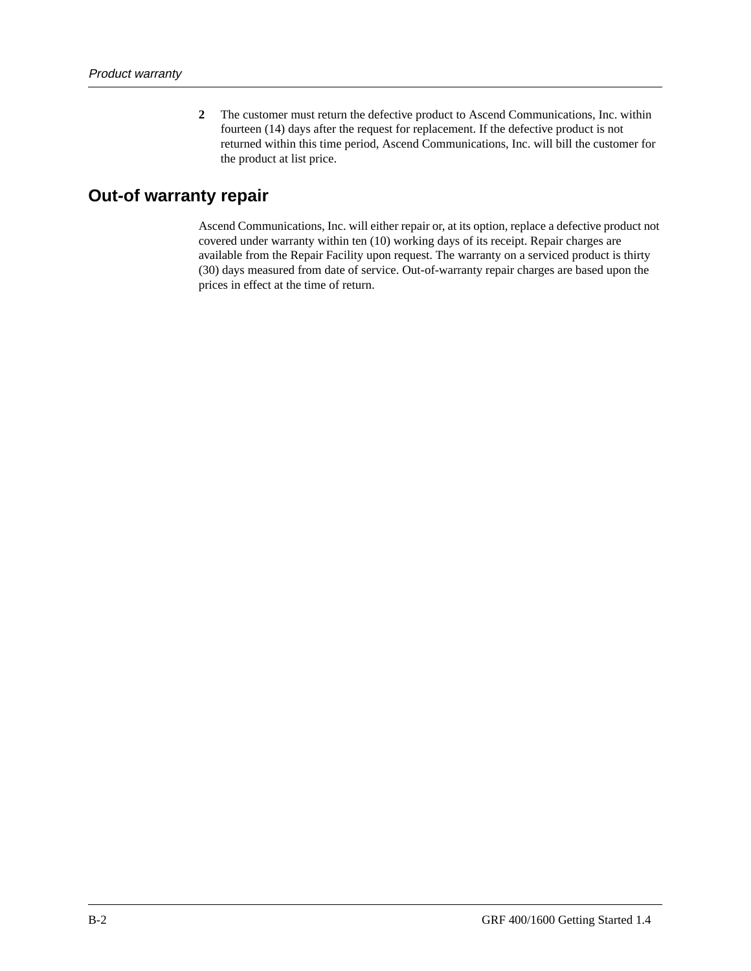**2** The customer must return the defective product to Ascend Communications, Inc. within fourteen (14) days after the request for replacement. If the defective product is not returned within this time period, Ascend Communications, Inc. will bill the customer for the product at list price.

### **Out-of warranty repair**

Ascend Communications, Inc. will either repair or, at its option, replace a defective product not covered under warranty within ten (10) working days of its receipt. Repair charges are available from the Repair Facility upon request. The warranty on a serviced product is thirty (30) days measured from date of service. Out-of-warranty repair charges are based upon the prices in effect at the time of return.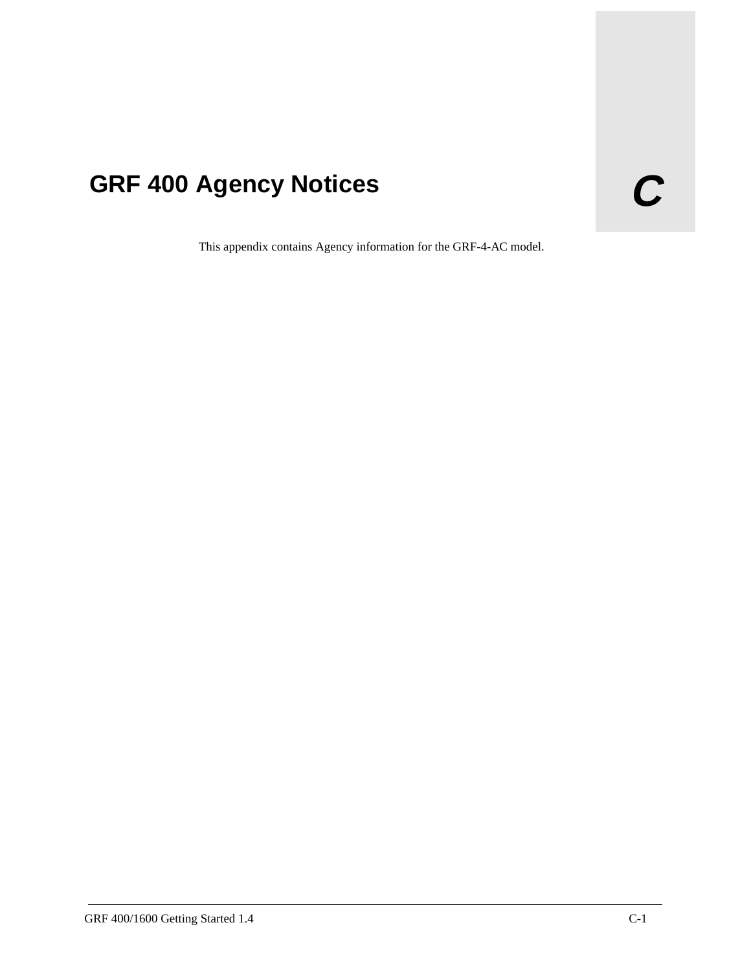# **GRF 400 Agency Notices C**

This appendix contains Agency information for the GRF-4-AC model.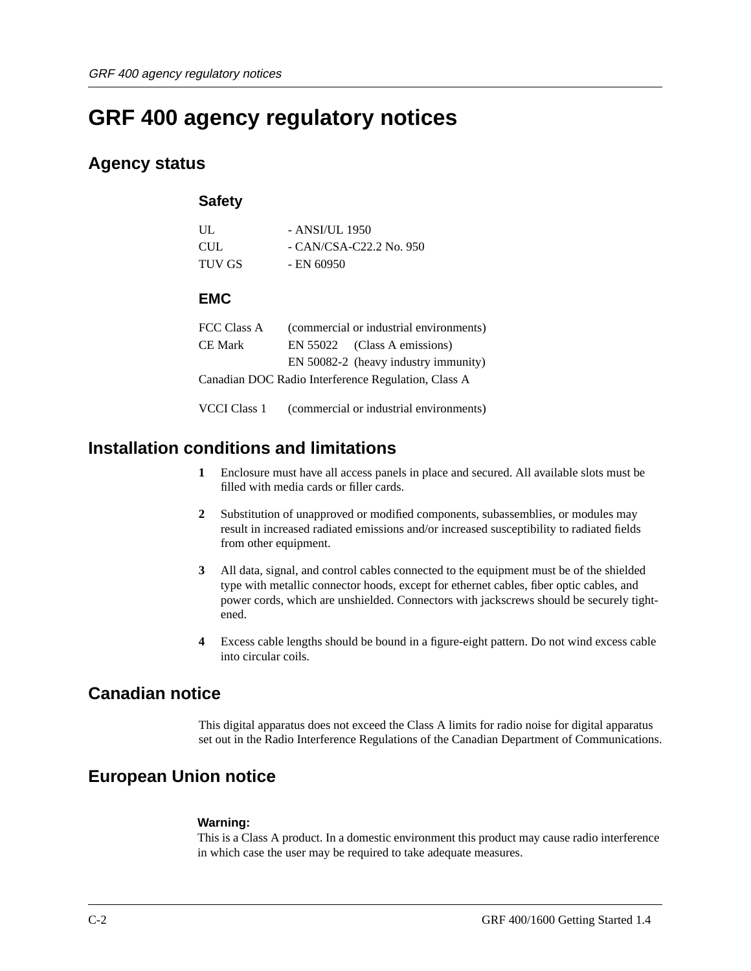# **GRF 400 agency regulatory notices**

### **Agency status**

### **Safety**

| UЦ.        | - ANSI/UL 1950           |
|------------|--------------------------|
| <b>CUL</b> | $-CAN/CSA-C22.2$ No. 950 |
| TUV GS     | - EN 60950               |

### **EMC**

| FCC Class A | (commercial or industrial environments)             |
|-------------|-----------------------------------------------------|
| CE Mark     | EN 55022 (Class A emissions)                        |
|             | EN 50082-2 (heavy industry immunity)                |
|             | Canadian DOC Radio Interference Regulation, Class A |

VCCI Class 1 (commercial or industrial environments)

### **Installation conditions and limitations**

- **1** Enclosure must have all access panels in place and secured. All available slots must be filled with media cards or filler cards.
- **2** Substitution of unapproved or modified components, subassemblies, or modules may result in increased radiated emissions and/or increased susceptibility to radiated fields from other equipment.
- **3** All data, signal, and control cables connected to the equipment must be of the shielded type with metallic connector hoods, except for ethernet cables, fiber optic cables, and power cords, which are unshielded. Connectors with jackscrews should be securely tightened.
- **4** Excess cable lengths should be bound in a figure-eight pattern. Do not wind excess cable into circular coils.

### **Canadian notice**

This digital apparatus does not exceed the Class A limits for radio noise for digital apparatus set out in the Radio Interference Regulations of the Canadian Department of Communications.

### **European Union notice**

### **Warning:**

This is a Class A product. In a domestic environment this product may cause radio interference in which case the user may be required to take adequate measures.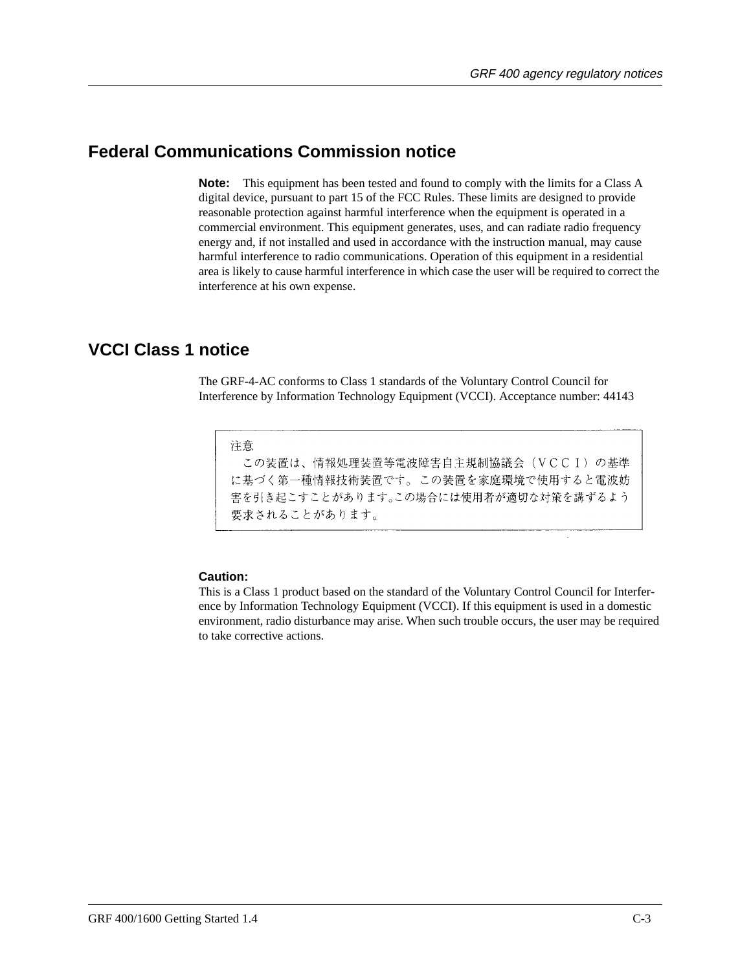### **Federal Communications Commission notice**

**Note:** This equipment has been tested and found to comply with the limits for a Class A digital device, pursuant to part 15 of the FCC Rules. These limits are designed to provide reasonable protection against harmful interference when the equipment is operated in a commercial environment. This equipment generates, uses, and can radiate radio frequency energy and, if not installed and used in accordance with the instruction manual, may cause harmful interference to radio communications. Operation of this equipment in a residential area is likely to cause harmful interference in which case the user will be required to correct the interference at his own expense.

### **VCCI Class 1 notice**

The GRF-4-AC conforms to Class 1 standards of the Voluntary Control Council for Interference by Information Technology Equipment (VCCI). Acceptance number: 44143

注意

この装置は、情報処理装置等電波障害自主規制協議会(VCCI)の基準 に基づく第一種情報技術装置です。この装置を家庭環境で使用すると電波妨 害を引き起こすことがあります。この場合には使用者が適切な対策を講ずるよう 要求されることがあります。

### **Caution:**

This is a Class 1 product based on the standard of the Voluntary Control Council for Interference by Information Technology Equipment (VCCI). If this equipment is used in a domestic environment, radio disturbance may arise. When such trouble occurs, the user may be required to take corrective actions.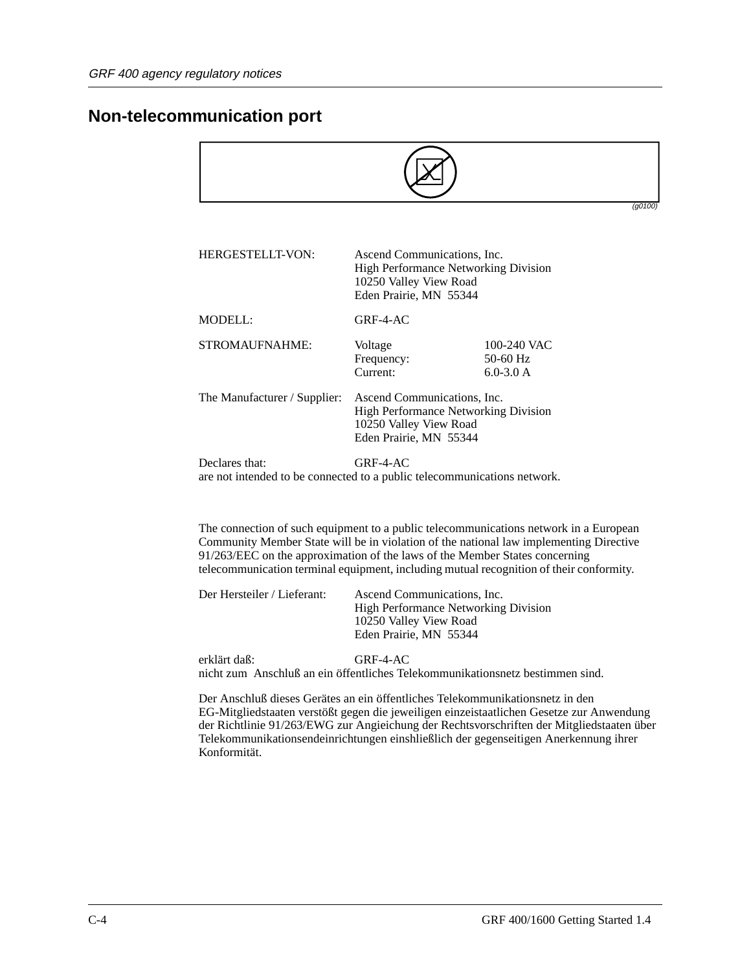### **Non-telecommunication port**

|                                                                                            |                                                                                                                                |                                            | (q0100) |
|--------------------------------------------------------------------------------------------|--------------------------------------------------------------------------------------------------------------------------------|--------------------------------------------|---------|
|                                                                                            |                                                                                                                                |                                            |         |
| <b>HERGESTELLT-VON:</b>                                                                    | Ascend Communications, Inc.<br><b>High Performance Networking Division</b><br>10250 Valley View Road<br>Eden Prairie, MN 55344 |                                            |         |
| MODELL:                                                                                    | $GRF-4-AC$                                                                                                                     |                                            |         |
| STROMAUFNAHME:                                                                             | Voltage<br>Frequency:<br>Current:                                                                                              | 100-240 VAC<br>$50-60$ Hz<br>$6.0 - 3.0 A$ |         |
| The Manufacturer / Supplier:                                                               | Ascend Communications, Inc.<br>High Performance Networking Division<br>10250 Valley View Road<br>Eden Prairie, MN 55344        |                                            |         |
| Declares that:<br>are not intended to be connected to a public telecommunications network. | $GRF-4-AC$                                                                                                                     |                                            |         |

The connection of such equipment to a public telecommunications network in a European Community Member State will be in violation of the national law implementing Directive 91/263/EEC on the approximation of the laws of the Member States concerning telecommunication terminal equipment, including mutual recognition of their conformity.

| <b>High Performance Networking Division</b><br>10250 Valley View Road<br>Eden Prairie, MN 55344 | Der Hersteiler / Lieferant: | Ascend Communications. Inc. |
|-------------------------------------------------------------------------------------------------|-----------------------------|-----------------------------|
|-------------------------------------------------------------------------------------------------|-----------------------------|-----------------------------|

erklärt daß: GRF-4-AC nicht zum Anschluß an ein öffentliches Telekommunikationsnetz bestimmen sind.

Der Anschluß dieses Gerätes an ein öffentliches Telekommunikationsnetz in den EG-Mitgliedstaaten verstößt gegen die jeweiligen einzeistaatlichen Gesetze zur Anwendung der Richtlinie 91/263/EWG zur Angieichung der Rechtsvorschriften der Mitgliedstaaten über Telekommunikationsendeinrichtungen einshließlich der gegenseitigen Anerkennung ihrer Konformität.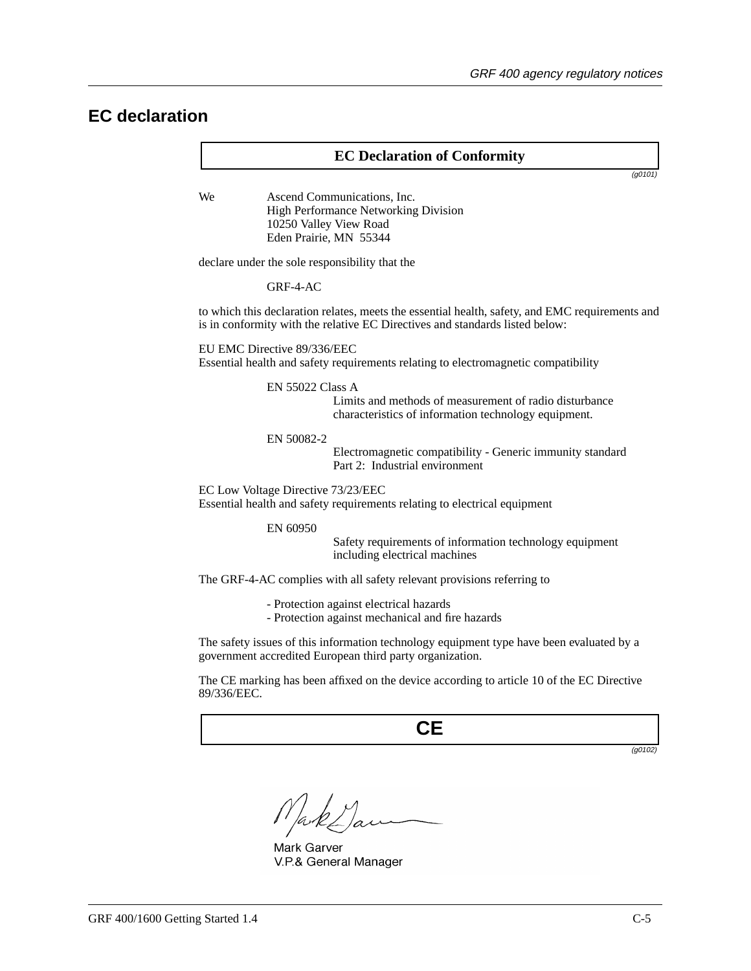### **EC declaration**

### **EC Declaration of Conformity**

(g0101)

We **Ascend Communications**, Inc. High Performance Networking Division 10250 Valley View Road Eden Prairie, MN 55344

declare under the sole responsibility that the

GRF-4-AC

to which this declaration relates, meets the essential health, safety, and EMC requirements and is in conformity with the relative EC Directives and standards listed below:

EU EMC Directive 89/336/EEC

Essential health and safety requirements relating to electromagnetic compatibility

EN 55022 Class A

Limits and methods of measurement of radio disturbance characteristics of information technology equipment.

#### EN 50082-2

Electromagnetic compatibility - Generic immunity standard Part 2: Industrial environment

EC Low Voltage Directive 73/23/EEC

Essential health and safety requirements relating to electrical equipment

EN 60950

Safety requirements of information technology equipment including electrical machines

The GRF-4-AC complies with all safety relevant provisions referring to

- Protection against electrical hazards
- Protection against mechanical and fire hazards

The safety issues of this information technology equipment type have been evaluated by a government accredited European third party organization.

The CE marking has been affixed on the device according to article 10 of the EC Directive 89/336/EEC.

**CE**

(g0102)

Mark Garver V.P.& General Manager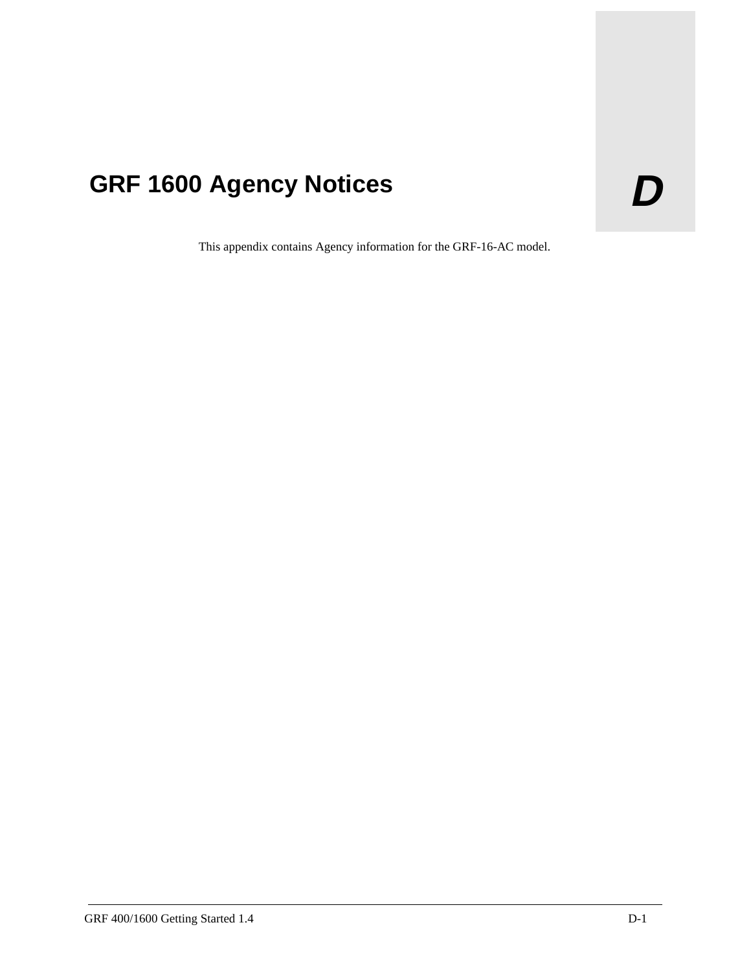# GRF 1600 Agency Notices **D**

This appendix contains Agency information for the GRF-16-AC model.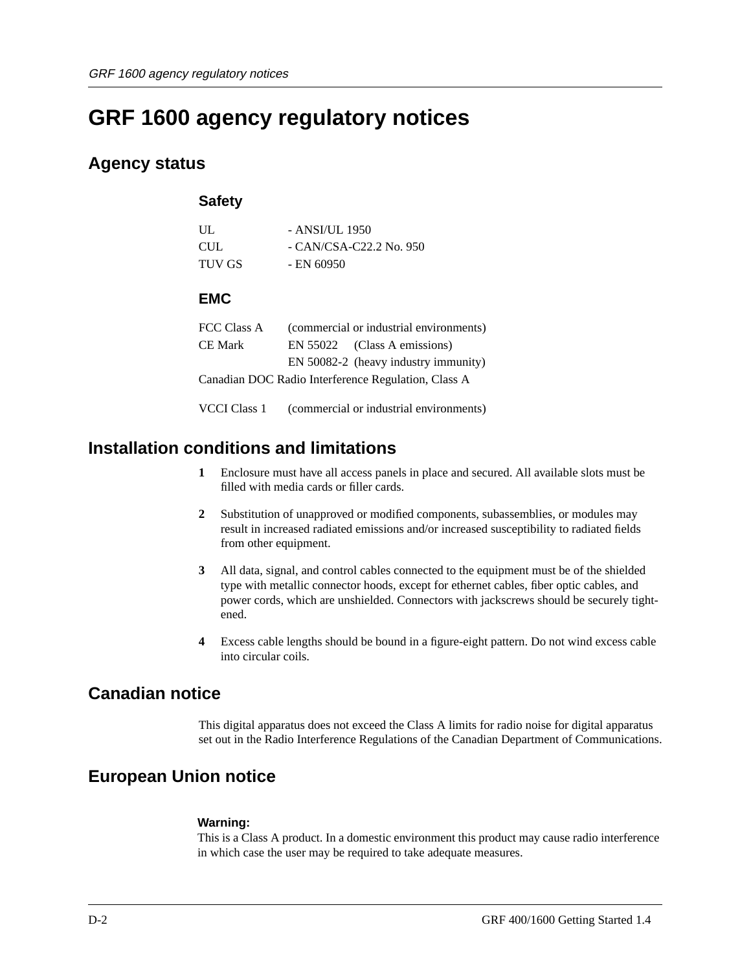# **GRF 1600 agency regulatory notices**

### **Agency status**

### **Safety**

| UЦ.        | - ANSI/UL 1950           |
|------------|--------------------------|
| <b>CUL</b> | $-CAN/CSA-C22.2$ No. 950 |
| TUV GS     | - EN 60950               |

### **EMC**

| FCC Class A | (commercial or industrial environments)             |
|-------------|-----------------------------------------------------|
| CE Mark     | EN 55022 (Class A emissions)                        |
|             | EN 50082-2 (heavy industry immunity)                |
|             | Canadian DOC Radio Interference Regulation, Class A |

VCCI Class 1 (commercial or industrial environments)

### **Installation conditions and limitations**

- **1** Enclosure must have all access panels in place and secured. All available slots must be filled with media cards or filler cards.
- **2** Substitution of unapproved or modified components, subassemblies, or modules may result in increased radiated emissions and/or increased susceptibility to radiated fields from other equipment.
- **3** All data, signal, and control cables connected to the equipment must be of the shielded type with metallic connector hoods, except for ethernet cables, fiber optic cables, and power cords, which are unshielded. Connectors with jackscrews should be securely tightened.
- **4** Excess cable lengths should be bound in a figure-eight pattern. Do not wind excess cable into circular coils.

### **Canadian notice**

This digital apparatus does not exceed the Class A limits for radio noise for digital apparatus set out in the Radio Interference Regulations of the Canadian Department of Communications.

### **European Union notice**

### **Warning:**

This is a Class A product. In a domestic environment this product may cause radio interference in which case the user may be required to take adequate measures.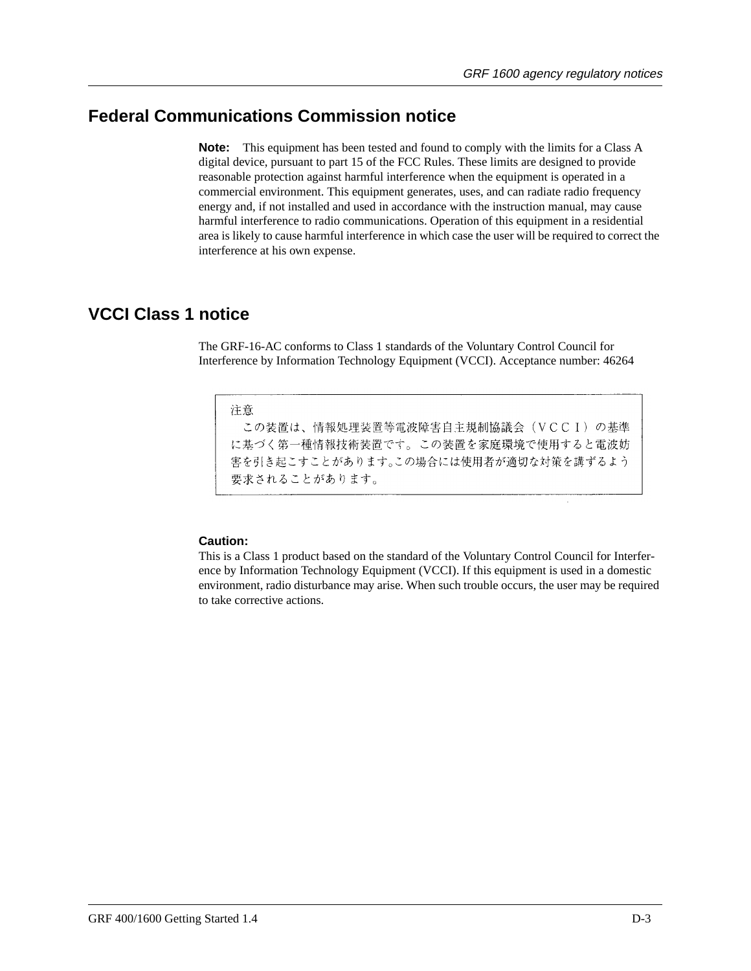### **Federal Communications Commission notice**

**Note:** This equipment has been tested and found to comply with the limits for a Class A digital device, pursuant to part 15 of the FCC Rules. These limits are designed to provide reasonable protection against harmful interference when the equipment is operated in a commercial environment. This equipment generates, uses, and can radiate radio frequency energy and, if not installed and used in accordance with the instruction manual, may cause harmful interference to radio communications. Operation of this equipment in a residential area is likely to cause harmful interference in which case the user will be required to correct the interference at his own expense.

### **VCCI Class 1 notice**

The GRF-16-AC conforms to Class 1 standards of the Voluntary Control Council for Interference by Information Technology Equipment (VCCI). Acceptance number: 46264

### 注意

この装置は、情報処理装置等電波障害自主規制協議会 (VCCI) の基準 に基づく第一種情報技術装置です。この装置を家庭環境で使用すると電波妨 害を引き起こすことがあります。この場合には使用者が適切な対策を講ずるよう 要求されることがあります。

### **Caution:**

This is a Class 1 product based on the standard of the Voluntary Control Council for Interference by Information Technology Equipment (VCCI). If this equipment is used in a domestic environment, radio disturbance may arise. When such trouble occurs, the user may be required to take corrective actions.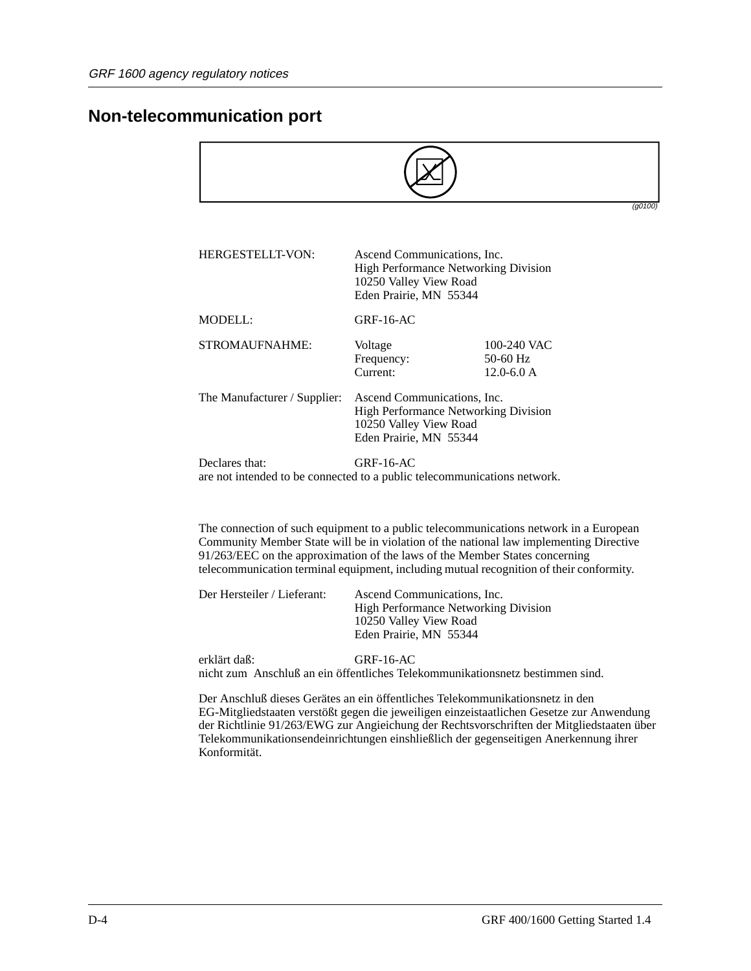### **Non-telecommunication port**

|                                                                                            |                                                                                                                                |                                           | (g0100) |
|--------------------------------------------------------------------------------------------|--------------------------------------------------------------------------------------------------------------------------------|-------------------------------------------|---------|
| HERGESTELLT-VON:                                                                           | Ascend Communications, Inc.<br><b>High Performance Networking Division</b><br>10250 Valley View Road<br>Eden Prairie, MN 55344 |                                           |         |
| MODELL                                                                                     | $GRF-16-AC$                                                                                                                    |                                           |         |
| STROMAUFNAHME:                                                                             | Voltage<br>Frequency:<br>Current:                                                                                              | 100-240 VAC<br>50-60 Hz<br>$12.0 - 6.0 A$ |         |
| The Manufacturer / Supplier:                                                               | Ascend Communications, Inc.<br><b>High Performance Networking Division</b><br>10250 Valley View Road<br>Eden Prairie, MN 55344 |                                           |         |
| Declares that:<br>are not intended to be connected to a public telecommunications network. | $GRF-16-AC$                                                                                                                    |                                           |         |

The connection of such equipment to a public telecommunications network in a European Community Member State will be in violation of the national law implementing Directive 91/263/EEC on the approximation of the laws of the Member States concerning telecommunication terminal equipment, including mutual recognition of their conformity.

| Ascend Communications, Inc.<br>Der Hersteiler / Lieferant:<br><b>High Performance Networking Division</b><br>10250 Valley View Road<br>Eden Prairie, MN 55344 |
|---------------------------------------------------------------------------------------------------------------------------------------------------------------|
|---------------------------------------------------------------------------------------------------------------------------------------------------------------|

erklärt daß: GRF-16-AC nicht zum Anschluß an ein öffentliches Telekommunikationsnetz bestimmen sind.

Der Anschluß dieses Gerätes an ein öffentliches Telekommunikationsnetz in den EG-Mitgliedstaaten verstößt gegen die jeweiligen einzeistaatlichen Gesetze zur Anwendung der Richtlinie 91/263/EWG zur Angieichung der Rechtsvorschriften der Mitgliedstaaten über Telekommunikationsendeinrichtungen einshließlich der gegenseitigen Anerkennung ihrer Konformität.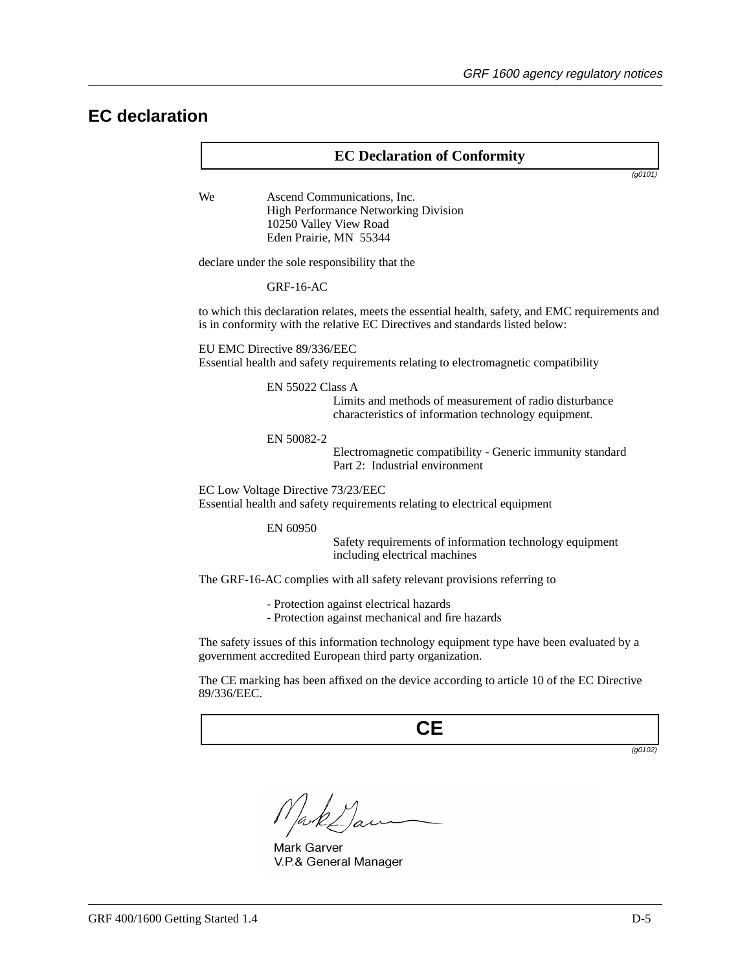### **EC declaration**

### **EC Declaration of Conformity**

(g0101)

We **Ascend Communications**, Inc. High Performance Networking Division 10250 Valley View Road Eden Prairie, MN 55344

declare under the sole responsibility that the

GRF-16-AC

to which this declaration relates, meets the essential health, safety, and EMC requirements and is in conformity with the relative EC Directives and standards listed below:

EU EMC Directive 89/336/EEC

Essential health and safety requirements relating to electromagnetic compatibility

EN 55022 Class A

Limits and methods of measurement of radio disturbance characteristics of information technology equipment.

#### EN 50082-2

Electromagnetic compatibility - Generic immunity standard Part 2: Industrial environment

EC Low Voltage Directive 73/23/EEC

Essential health and safety requirements relating to electrical equipment

EN 60950

Safety requirements of information technology equipment including electrical machines

The GRF-16-AC complies with all safety relevant provisions referring to

- Protection against electrical hazards
- Protection against mechanical and fire hazards

The safety issues of this information technology equipment type have been evaluated by a government accredited European third party organization.

The CE marking has been affixed on the device according to article 10 of the EC Directive 89/336/EEC.

**CE**

(g0102)

Mark Garver V.P.& General Manager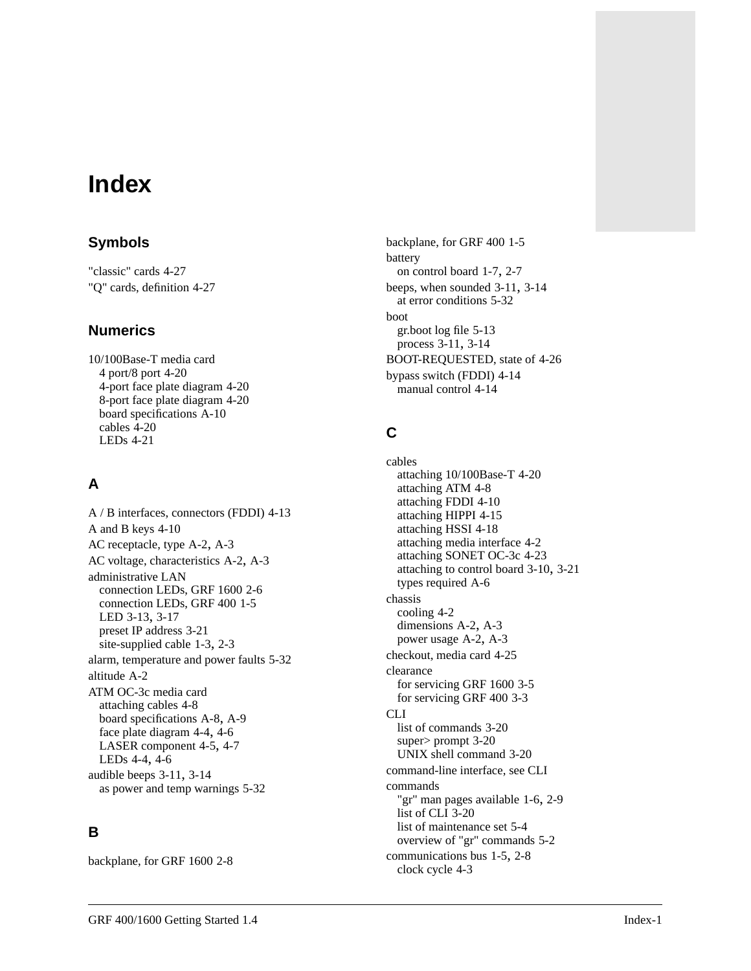# **Index**

### **Symbols**

"classic" cards [4-27](#page-102-0) "Q" cards, definition [4-27](#page-102-0)

### **Numerics**

10/100Base-T media card 4 port/8 port [4-20](#page-95-0) 4-port face plate diagram [4-20](#page-95-0) 8-port face plate diagram [4-20](#page-95-0) board specifications [A-10](#page-157-0) cables [4-20](#page-95-0) LEDs [4-21](#page-96-0)

## **A**

A / B interfaces, connectors (FDDI) [4-13](#page-88-0) A and B keys [4-10](#page-85-0) AC receptacle, type [A-2](#page-149-0), [A-3](#page-150-0) AC voltage, characteristics [A-2,](#page-149-0) [A-3](#page-150-0) administrative LAN connection LEDs, GRF 1600 [2-6](#page-35-0) connection LEDs, GRF 400 [1-5](#page-20-0) LED [3-13,](#page-56-0) [3-17](#page-60-0) preset IP address [3-21](#page-64-0) site-supplied cable [1-3](#page-18-0), [2-3](#page-32-0) alarm, temperature and power faults [5-32](#page-145-0) altitude [A-2](#page-149-0) ATM OC-3c media card attaching cables [4-8](#page-83-0) board specifications [A-8](#page-155-0), [A-9](#page-156-0) face plate diagram [4-4](#page-79-0), [4-6](#page-81-0) LASER component [4-5,](#page-80-0) [4-7](#page-82-0) LEDs [4-4,](#page-79-0) [4-6](#page-81-0) audible beeps [3-11](#page-54-0), [3-14](#page-57-0) as power and temp warnings [5-32](#page-145-0)

### **B**

backplane, for GRF 1600 [2-8](#page-37-0)

backplane, for GRF 400 [1-5](#page-20-0) battery on control board [1-7](#page-22-0), [2-7](#page-36-0) beeps, when sounded [3-11,](#page-54-0) [3-14](#page-57-0) at error conditions [5-32](#page-145-0) boot gr.boot log file [5-13](#page-126-0) process [3-11](#page-54-0), [3-14](#page-57-0) BOOT-REQUESTED, state of [4-26](#page-101-0) bypass switch (FDDI) [4-14](#page-89-0) manual control [4-14](#page-89-0)

## **C**

cables attaching 10/100Base-T [4-20](#page-95-0) attaching ATM [4-8](#page-83-0) attaching FDDI [4-10](#page-85-0) attaching HIPPI [4-15](#page-90-0) attaching HSSI [4-18](#page-93-0) attaching media interface [4-2](#page-77-0) attaching SONET OC-3c [4-23](#page-98-0) attaching to control board [3-10](#page-53-0), [3-21](#page-64-0) types required [A-6](#page-153-0) chassis cooling [4-2](#page-77-0) dimensions [A-2](#page-149-0), [A-3](#page-150-0) power usage [A-2,](#page-149-0) [A-3](#page-150-0) checkout, media card [4-25](#page-100-0) clearance for servicing GRF 1600 [3-5](#page-48-0) for servicing GRF 400 [3-3](#page-46-0) CLI list of commands [3-20](#page-63-0) super> prompt [3-20](#page-63-0) UNIX shell command [3-20](#page-63-0) [command-line interface, see CLI](#page-63-0) commands "gr" man pages available [1-6,](#page-21-0) [2-9](#page-38-0) list of CLI [3-20](#page-63-0) list of maintenance set [5-4](#page-117-0) overview of "gr" commands [5-2](#page-115-0) communications bus [1-5,](#page-20-0) [2-8](#page-37-0) clock cycle [4-3](#page-78-0)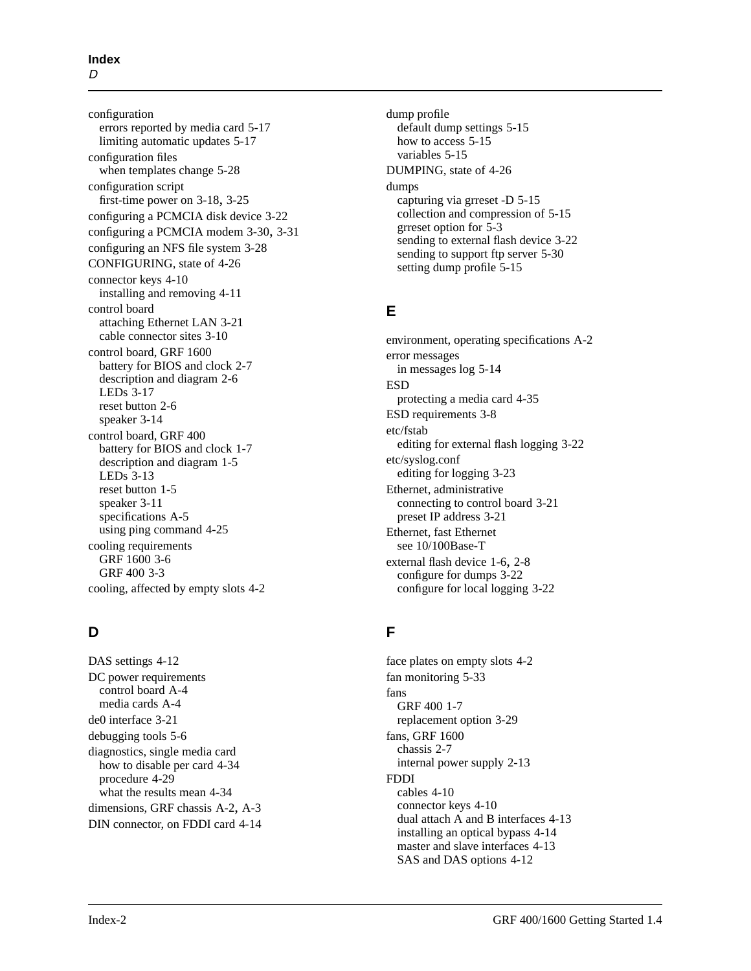configuration errors reported by media card [5-17](#page-130-0) limiting automatic updates [5-17](#page-130-0) configuration files when templates change [5-28](#page-141-0) configuration script first-time power on [3-18,](#page-61-0) [3-25](#page-68-0) configuring a PCMCIA disk device [3-22](#page-65-0) configuring a PCMCIA modem [3-30,](#page-73-0) [3-31](#page-74-0) configuring an NFS file system [3-28](#page-71-0) CONFIGURING, state of [4-26](#page-101-0) connector keys [4-10](#page-85-0) installing and removing [4-11](#page-86-0) control board attaching Ethernet LAN [3-21](#page-64-0) cable connector sites [3-10](#page-53-0) control board, GRF 1600 battery for BIOS and clock [2-7](#page-36-0) description and diagram [2-6](#page-35-0) LEDs [3-17](#page-60-0) reset button [2-6](#page-35-0) speaker [3-14](#page-57-0) control board, GRF 400 battery for BIOS and clock [1-7](#page-22-0) description and diagram [1-5](#page-20-0) LEDs [3-13](#page-56-0) reset button [1-5](#page-20-0) speaker [3-11](#page-54-0) specifications [A-5](#page-152-0) using ping command [4-25](#page-100-0) cooling requirements GRF 1600 [3-6](#page-49-0) GRF 400 [3-3](#page-46-0) cooling, affected by empty slots [4-2](#page-77-0)

### **D**

DAS settings [4-12](#page-87-0) DC power requirements control board [A-4](#page-151-0) media cards [A-4](#page-151-0) de0 interface [3-21](#page-64-0) debugging tools [5-6](#page-119-0) diagnostics, single media card how to disable per card [4-34](#page-109-0) procedure [4-29](#page-104-0) what the results mean [4-34](#page-109-0) dimensions, GRF chassis [A-2](#page-149-0), [A-3](#page-150-0) DIN connector, on FDDI card [4-14](#page-89-0) dump profile default dump settings [5-15](#page-128-0) how to access [5-15](#page-128-0) variables [5-15](#page-128-0) DUMPING, state of [4-26](#page-101-0) dumps capturing via grreset -D [5-15](#page-128-0) collection and compression of [5-15](#page-128-0) grreset option for [5-3](#page-116-0) sending to external flash device [3-22](#page-65-0) sending to support ftp server [5-30](#page-143-0) setting dump profile [5-15](#page-128-0)

### **E**

environment, operating specifications [A-2](#page-149-0) error messages in messages log [5-14](#page-127-0) ESD protecting a media card [4-35](#page-111-0) ESD requirements [3-8](#page-51-0) etc/fstab editing for external flash logging [3-22](#page-65-0) etc/syslog.conf editing for logging [3-23](#page-66-0) Ethernet, administrative connecting to control board [3-21](#page-64-0) preset IP address [3-21](#page-64-0) Ethernet, fast Ethernet [see 10/100Base-T](#page-96-0) external flash device [1-6](#page-21-0), [2-8](#page-37-0) configure for dumps [3-22](#page-65-0) configure for local logging [3-22](#page-65-0)

### **F**

face plates on empty slots [4-2](#page-77-0) fan monitoring [5-33](#page-146-0) fans GRF 400 [1-7](#page-22-0) replacement option [3-29](#page-72-0) fans, GRF 1600 chassis [2-7](#page-36-0) internal power supply [2-13](#page-42-0) FDDI cables [4-10](#page-85-0) connector keys [4-10](#page-85-0) dual attach A and B interfaces [4-13](#page-88-0) installing an optical bypass [4-14](#page-89-0) master and slave interfaces [4-13](#page-88-0) SAS and D[AS options](#page-78-0) [4-12](#page-87-0)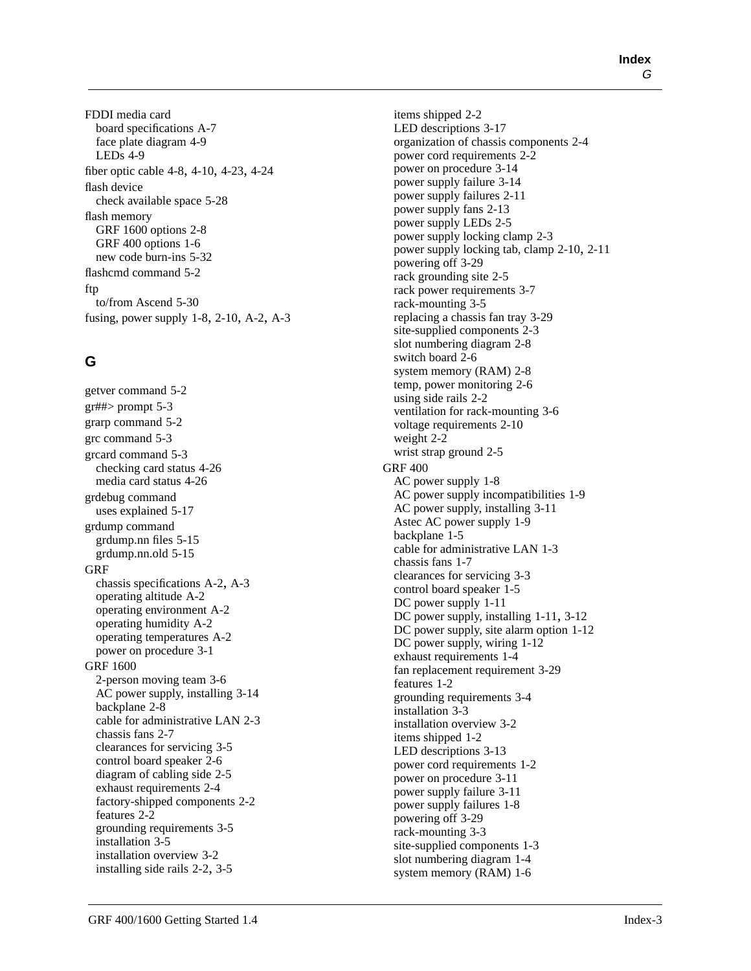FDDI media card board specifications [A-7](#page-154-0) face plate diagram [4-9](#page-84-0) LEDs [4-9](#page-84-0) fiber optic cable [4-8](#page-83-0), [4-10](#page-85-0), [4-23,](#page-98-0) [4-24](#page-99-0) flash device check available space [5-28](#page-141-0) flash memory GRF 1600 options [2-8](#page-37-0) GRF 400 options [1-6](#page-21-0) new code burn-ins [5-32](#page-145-0) flashcmd command [5-2](#page-115-0) ftp to/from Ascend [5-30](#page-143-0) fusing, power supply [1-8,](#page-23-0) [2-10,](#page-39-0) [A-2](#page-149-0), [A-3](#page-150-0)

### **G**

getver command [5-2](#page-115-0)  $gr##$ > prompt [5-3](#page-116-0) grarp command [5-2](#page-115-0) grc command [5-3](#page-116-0) grcard command [5-3](#page-116-0) checking card status [4-26](#page-101-0) media card status [4-26](#page-101-0) grdebug command uses explained [5-17](#page-130-0) grdump command grdump.nn files [5-15](#page-128-0) grdump.nn.old [5-15](#page-128-0) GRF chassis specifications [A-2](#page-149-0), [A-3](#page-150-0) operating altitude [A-2](#page-149-0) operating environment [A-2](#page-149-0) operating humidity [A-2](#page-149-0) operating temperatures [A-2](#page-149-0) power on procedure [3-1](#page-44-0) GRF 1600 2-person moving team [3-6](#page-49-0) AC power supply, installing [3-14](#page-57-0) backplane [2-8](#page-37-0) cable for administrative LAN [2-3](#page-32-0) chassis fans [2-7](#page-36-0) clearances for servicing [3-5](#page-48-0) control board speaker [2-6](#page-35-0) diagram of cabling side [2-5](#page-34-0) exhaust requirements [2-4](#page-33-0) factory-shipped components [2-2](#page-31-0) features [2-2](#page-31-0) grounding requirements [3-5](#page-48-0) installation [3-5](#page-48-0) installation overview [3-2](#page-45-0) installing side rails [2-2](#page-31-0), [3-5](#page-48-0)

items shipped [2-2](#page-31-0) LED descriptions [3-17](#page-60-0) organization of chassis components [2-4](#page-33-0) power cord requirements [2-2](#page-31-0) power on procedure [3-14](#page-57-0) power supply failure [3-14](#page-57-0) power supply failures [2-11](#page-40-0) power supply fans [2-13](#page-42-0) power supply LEDs [2-5](#page-34-0) power supply locking clamp [2-3](#page-32-0) power supply locking tab, clamp [2-10](#page-39-0), [2-11](#page-40-0) powering off [3-29](#page-72-0) rack grounding site [2-5](#page-34-0) rack power requirements [3-7](#page-50-0) rack-mounting [3-5](#page-48-0) replacing a chassis fan tray [3-29](#page-72-0) site-supplied components [2-3](#page-32-0) slot numbering diagram [2-8](#page-37-0) switch board [2-6](#page-35-0) system memory (RAM) [2-8](#page-37-0) temp, power monitoring [2-6](#page-35-0) using side rails [2-2](#page-31-0) ventilation for rack-mounting [3-6](#page-49-0) voltage requirements [2-10](#page-39-0) weight [2-2](#page-31-0) wrist strap ground [2-5](#page-34-0) GRF 400 AC power supply [1-8](#page-23-0) AC power supply incompatibilities [1-9](#page-24-0) AC power supply, installing [3-11](#page-54-0) Astec AC power supply [1-9](#page-24-0) backplane [1-5](#page-20-0) cable for administrative LAN [1-3](#page-18-0) chassis fans [1-7](#page-22-0) clearances for servicing [3-3](#page-46-0) control board speaker [1-5](#page-20-0) DC power supply [1-11](#page-26-0) DC power supply, installing [1-11](#page-26-0), [3-12](#page-55-0) DC power supply, site alarm option [1-12](#page-27-0) DC power supply, wiring [1-12](#page-27-0) exhaust requirements [1-4](#page-19-0) fan replacement requirement [3-29](#page-72-0) features [1-2](#page-17-0) grounding requirements [3-4](#page-47-0) installation [3-3](#page-46-0) installation overview [3-2](#page-45-0) items shipped [1-2](#page-17-0) LED descriptions [3-13](#page-56-0) power cord requirements [1-2](#page-17-0) power on procedure [3-11](#page-54-0) power supply failure [3-11](#page-54-0) power supply failures [1-8](#page-23-0) powering off [3-29](#page-72-0) rack-mounting [3-3](#page-46-0) site-supplied components [1-3](#page-18-0) slot numbering diagra[m 1-4](#page-87-0) system memory (RAM) [1-6](#page-21-0)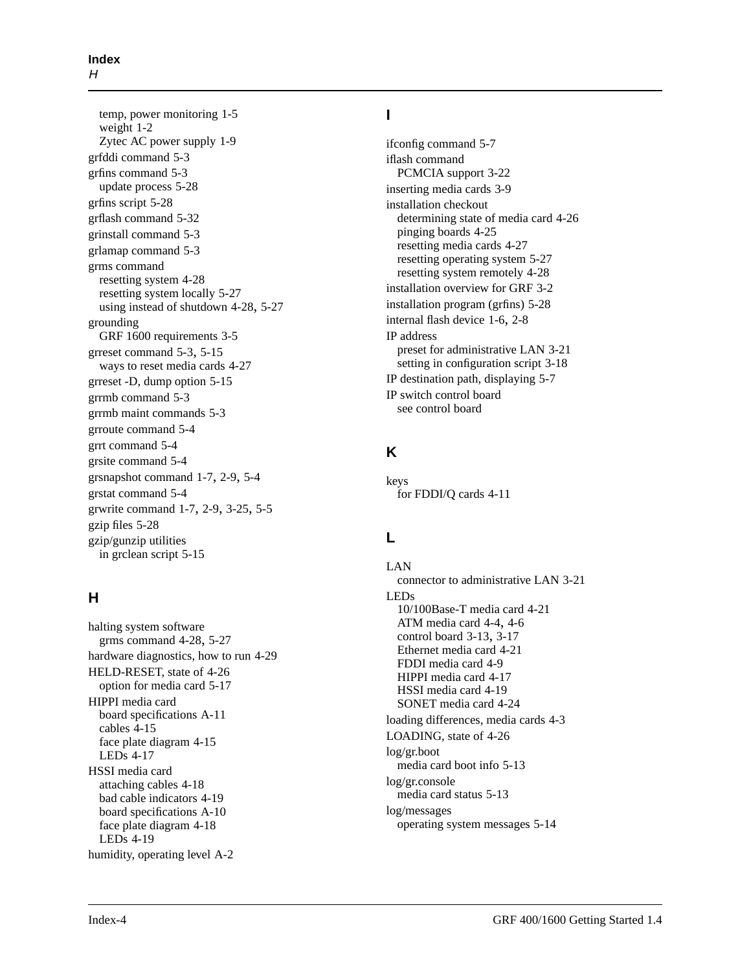temp, power monitoring [1-5](#page-20-0) weight [1-2](#page-17-0) Zytec AC power supply [1-9](#page-24-0) grfddi command [5-3](#page-116-0) grfins command [5-3](#page-116-0) update process [5-28](#page-141-0) grfins script [5-28](#page-141-0) grflash command [5-32](#page-145-0) grinstall command [5-3](#page-116-0) grlamap command [5-3](#page-116-0) grms command resetting system [4-28](#page-103-0) resetting system locally [5-27](#page-140-0) using instead of shutdown [4-28,](#page-103-0) [5-27](#page-140-0) grounding GRF 1600 requirements [3-5](#page-48-0) grreset command [5-3](#page-116-0), [5-15](#page-128-0) ways to reset media cards [4-27](#page-102-0) grreset -D, dump option [5-15](#page-128-0) grrmb command [5-3](#page-116-0) grrmb maint commands [5-3](#page-116-0) grroute command [5-4](#page-117-0) grrt command [5-4](#page-117-0) grsite command [5-4](#page-117-0) grsnapshot command [1-7,](#page-22-0) [2-9,](#page-38-0) [5-4](#page-117-0) grstat command [5-4](#page-117-0) grwrite command [1-7](#page-22-0), [2-9](#page-38-0), [3-25,](#page-68-0) [5-5](#page-118-0) gzip files [5-28](#page-141-0) gzip/gunzip utilities in grclean script [5-15](#page-128-0)

### **H**

halting system software grms command [4-28](#page-103-0), [5-27](#page-140-0) hardware diagnostics, how to run [4-29](#page-104-0) HELD-RESET, state of [4-26](#page-101-0) option for media card [5-17](#page-130-0) HIPPI media card board specifications [A-11](#page-158-0) cables [4-15](#page-90-0) face plate diagram [4-15](#page-90-0) LEDs [4-17](#page-92-0) HSSI media card attaching cables [4-18](#page-93-0) bad cable indicators [4-19](#page-94-0) board specifications [A-10](#page-157-0) face plate diagram [4-18](#page-93-0) LEDs [4-19](#page-94-0) humidity, operating level [A-2](#page-149-0)

### **I**

ifconfig command [5-7](#page-120-0) iflash command PCMCIA support [3-22](#page-65-0) inserting media cards [3-9](#page-52-0) installation checkout determining state of media card [4-26](#page-101-0) pinging boards [4-25](#page-100-0) resetting media cards [4-27](#page-102-0) resetting operating system [5-27](#page-140-0) resetting system remotely [4-28](#page-103-0) installation overview for GRF [3-2](#page-45-0) installation program (grfins) [5-28](#page-141-0) internal flash device [1-6,](#page-21-0) [2-8](#page-37-0) IP address preset for administrative LAN [3-21](#page-64-0) setting in configuration script [3-18](#page-61-0) IP destination path, displaying [5-7](#page-120-0) IP switch control board [see control board](#page-20-0)

### **K**

keys for FDDI/Q cards [4-11](#page-86-0)

## **L**

LAN connector to administrative LAN [3-21](#page-64-0) LEDs 10/100Base-T media card [4-21](#page-96-0) ATM media card [4-4](#page-79-0), [4-6](#page-81-0) control board [3-13,](#page-56-0) [3-17](#page-60-0) Ethernet media card [4-21](#page-96-0) FDDI media card [4-9](#page-84-0) HIPPI media card [4-17](#page-92-0) HSSI media card [4-19](#page-94-0) SONET media card [4-24](#page-99-0) loading differences, media cards [4-3](#page-78-0) LOADING, state of [4-26](#page-101-0) log/gr.boot media card boot info [5-13](#page-126-0) log/gr.console media card status [5-13](#page-126-0) log/messages operating system messages [5-14](#page-127-0)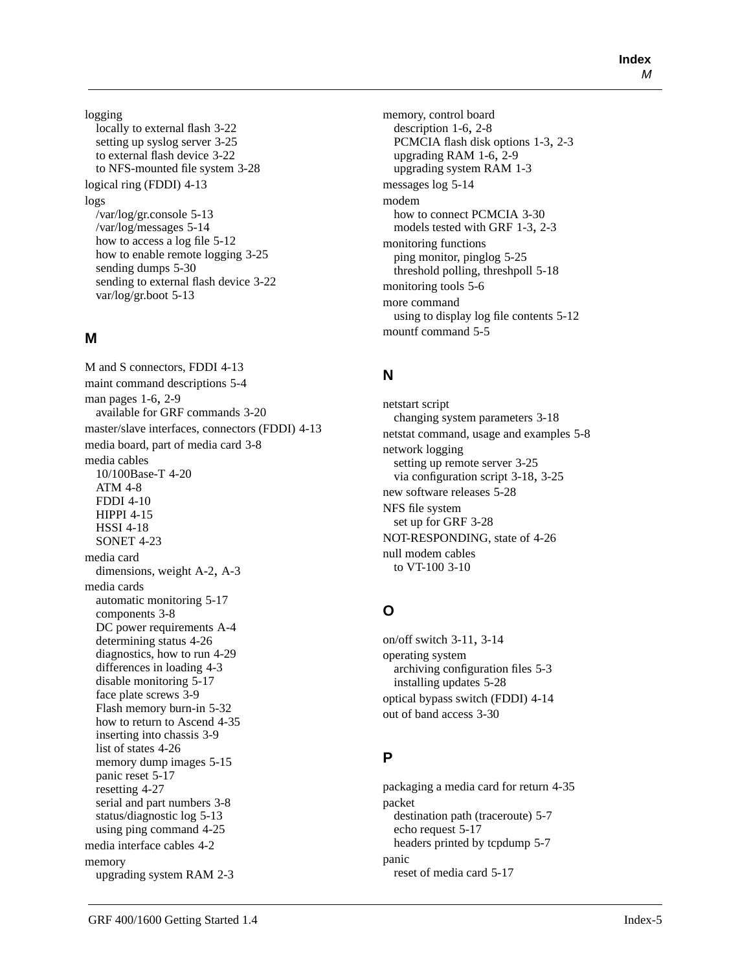logging locally to external flash [3-22](#page-65-0) setting up syslog server [3-25](#page-68-0) to external flash device [3-22](#page-65-0) to NFS-mounted file system [3-28](#page-71-0) logical ring (FDDI) [4-13](#page-88-0) logs /var/log/gr.console [5-13](#page-126-0) /var/log/messages [5-14](#page-127-0) how to access a log file [5-12](#page-125-0) how to enable remote logging [3-25](#page-68-0) sending dumps [5-30](#page-143-0) sending to external flash device [3-22](#page-65-0) var/log/gr.boot [5-13](#page-126-0)

### **M**

M and S connectors, FDDI [4-13](#page-88-0) maint command descriptions [5-4](#page-117-0) man pages [1-6](#page-21-0), [2-9](#page-38-0) available for GRF commands [3-20](#page-63-0) master/slave interfaces, connectors (FDDI) [4-13](#page-88-0) media board, part of media card [3-8](#page-51-0) media cables 10/100Base-T [4-20](#page-95-0) ATM [4-8](#page-83-0) FDDI [4-10](#page-85-0) HIPPI [4-15](#page-90-0) HSSI [4-18](#page-93-0) SONET [4-23](#page-98-0) media card dimensions, weight [A-2,](#page-149-0) [A-3](#page-150-0) media cards automatic monitoring [5-17](#page-130-0) components [3-8](#page-51-0) DC power requirements [A-4](#page-151-0) determining status [4-26](#page-101-0) diagnostics, how to run [4-29](#page-104-0) differences in loading [4-3](#page-78-0) disable monitoring [5-17](#page-130-0) face plate screws [3-9](#page-52-0) Flash memory burn-in [5-32](#page-145-0) how to return to Ascend [4-35](#page-111-0) inserting into chassis [3-9](#page-52-0) list of states [4-26](#page-101-0) memory dump images [5-15](#page-128-0) panic reset [5-17](#page-130-0) resetting [4-27](#page-102-0) serial and part numbers [3-8](#page-51-0) status/diagnostic log [5-13](#page-126-0) using ping command [4-25](#page-100-0) media interface cables [4-2](#page-77-0) memory upgrading system RAM [2-3](#page-32-0)

memory, control board description [1-6](#page-21-0), 2-8 PCMCIA flash [disk options](#page-37-0) [1-3](#page-18-0)[,](#page-37-0) [2-3](#page-32-0) upgrading RAM [1-6](#page-21-0), [2-9](#page-38-0) upgrading system RAM [1-3](#page-18-0) messages log [5-14](#page-127-0) modem how to connect PCMCIA [3-30](#page-73-0) models tested with GRF [1-3,](#page-18-0) [2-3](#page-32-0) monitoring functions ping monitor, pinglog [5-25](#page-138-0) threshold polling, threshpoll [5-18](#page-131-0) monitoring tools [5-6](#page-119-0) more command using to display log file contents [5-12](#page-125-0) mountf command [5-5](#page-118-0)

### **N**

netstart script changing system parameters [3-18](#page-61-0) netstat command, usage and examples [5-8](#page-121-0) network logging setting up remote server [3-25](#page-68-0) via configuration script [3-18](#page-61-0), [3-25](#page-68-0) new software releases [5-28](#page-141-0) NFS file system set up for GRF [3-28](#page-71-0) NOT-RESPONDING, state of [4-26](#page-101-0) null modem cables to VT-100 [3-10](#page-53-0)

### **O**

on/off switch [3-11](#page-54-0), [3-14](#page-57-0) operating system archiving configuration files [5-3](#page-116-0) installing updates [5-28](#page-141-0) optical bypass switch (FDDI) [4-14](#page-89-0) out of band access [3-30](#page-73-0)

## **P**

packaging a media card for return [4-35](#page-111-0) packet destination path (traceroute) [5-7](#page-120-0) echo request [5-17](#page-130-0) headers printed by tcpdump [5-7](#page-120-0) panic reset of media card [5-17](#page-130-0)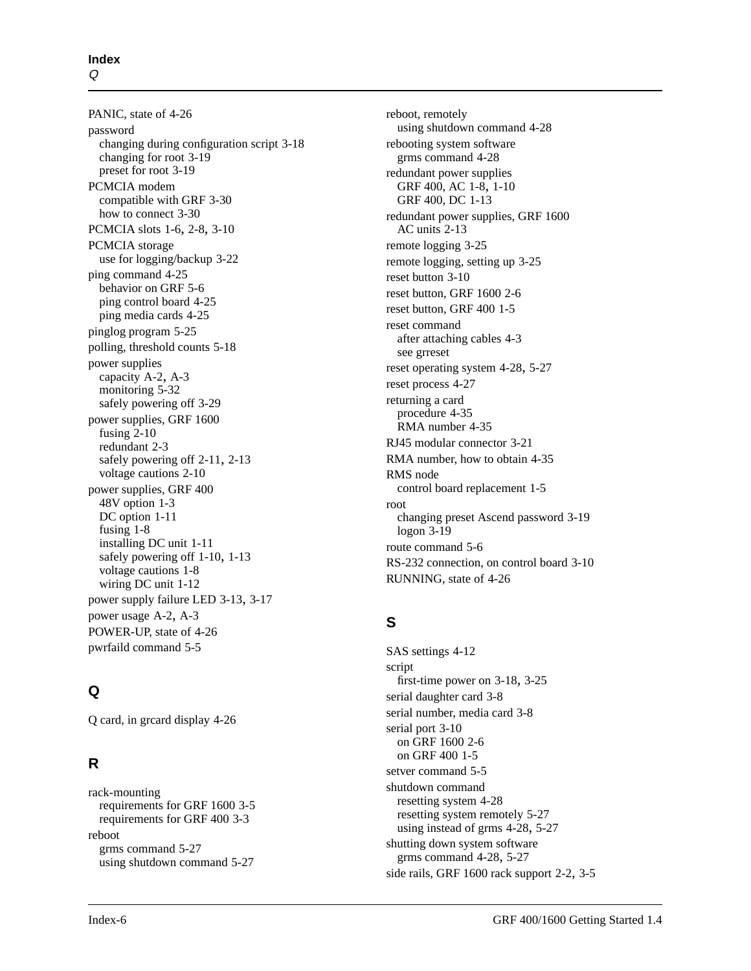PANIC, state of [4-26](#page-101-0) password changing during configuration script [3-18](#page-61-0) changing for root [3-19](#page-62-0) preset for root [3-19](#page-62-0) PCMCIA modem compatible with GRF [3-30](#page-73-0) how to connect [3-30](#page-73-0) PCMCIA slots [1-6,](#page-21-0) [2-8,](#page-37-0) [3-10](#page-53-0) PCMCIA storage use for logging/backup [3-22](#page-65-0) ping command [4-25](#page-100-0) behavior on GRF [5-6](#page-119-0) ping control board [4-25](#page-100-0) ping media cards [4-25](#page-100-0) pinglog program [5-25](#page-138-0) polling, threshold counts [5-18](#page-131-0) power supplies capacity [A-2,](#page-149-0) [A-3](#page-150-0) monitoring [5-32](#page-145-0) safely powering off [3-29](#page-72-0) power supplies, GRF 1600 fusing [2-10](#page-39-0) redundant 2-3 safely po[wering off](#page-32-0) [2-11](#page-40-0)[,](#page-32-0) [2-13](#page-42-0) voltage cautions [2-10](#page-39-0) power supplies, GRF 400 48V option [1-3](#page-18-0) DC option [1-11](#page-26-0) fusing [1-8](#page-23-0) installing DC unit [1-11](#page-26-0) safely powering off [1-10](#page-25-0), [1-13](#page-28-0) voltage cautions [1-8](#page-23-0) wiring DC unit [1-12](#page-27-0) power supply failure LED [3-13,](#page-56-0) [3-17](#page-60-0) power usage [A-2,](#page-149-0) [A-3](#page-150-0) POWER-UP, state of [4-26](#page-101-0) pwrfaild command [5-5](#page-118-0)

### **Q**

Q card, in grcard display [4-26](#page-101-0)

### **R**

rack-mounting requirements for GRF 1600 [3-5](#page-48-0) requirements for GRF 400 [3-3](#page-46-0) reboot grms command [5-27](#page-140-0) using shutdown command [5-27](#page-140-0)

reboot, remotely using shutdown command [4-28](#page-103-0) rebooting system software grms command [4-28](#page-103-0) redundant power supplies GRF 400, AC [1-8,](#page-23-0) [1-10](#page-25-0) GRF 400, DC [1-13](#page-28-0) redundant power supplies, GRF 1600 AC units [2-13](#page-42-0) remote logging [3-25](#page-68-0) remote logging, setting up [3-25](#page-68-0) reset button [3-10](#page-53-0) reset button, GRF 1600 [2-6](#page-35-0) reset button, GRF 400 [1-5](#page-20-0) reset command after attaching cables [4-3](#page-78-0) [see grreset](#page-102-0) reset operating system [4-28,](#page-103-0) [5-27](#page-140-0) reset process [4-27](#page-102-0) returning a card procedure [4-35](#page-111-0) RMA number [4-35](#page-111-0) RJ45 modular connector [3-21](#page-64-0) RMA number, how to obtain [4-35](#page-111-0) RMS node control board replacement [1-5](#page-20-0) root changing preset Ascend password [3-19](#page-62-0) logon [3-19](#page-62-0) route command [5-6](#page-119-0) RS-232 connection, on control board [3-10](#page-53-0) RUNNING, state of [4-26](#page-101-0)

### **S**

SAS settings [4-12](#page-87-0) script first-time power on [3-18,](#page-61-0) [3-25](#page-68-0) serial daughter card [3-8](#page-51-0) serial number, media card [3-8](#page-51-0) serial port [3-10](#page-53-0) on GRF 1600 [2-6](#page-35-0) on GRF 400 [1-5](#page-20-0) setver command [5-5](#page-118-0) shutdown command resetting system [4-28](#page-103-0) resetting system remotely [5-27](#page-140-0) using instead of grms [4-28](#page-103-0), [5-27](#page-140-0) shutting down system software grms command [4-28](#page-103-0), [5-27](#page-140-0) side rails, GRF 1600 [rack support 2-2,](#page-130-0) [3-5](#page-48-0)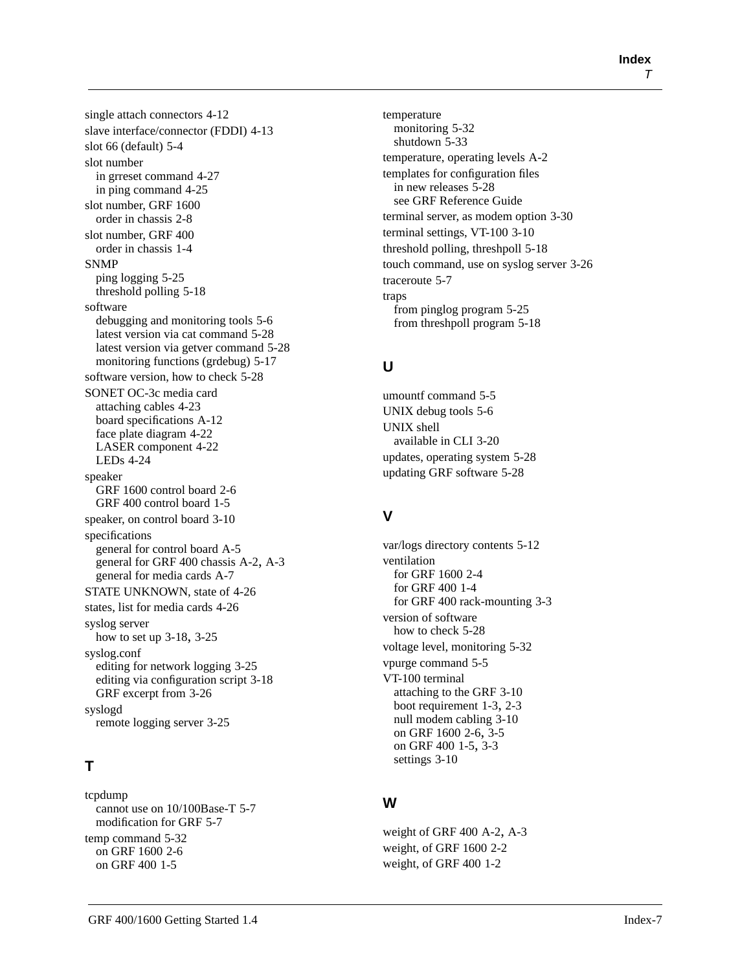single attach connectors [4-12](#page-87-0) slave interface/connector (FDDI) [4-13](#page-88-0) slot 66 (default) [5-4](#page-117-0) slot number in grreset command [4-27](#page-102-0) in ping command [4-25](#page-100-0) slot number, GRF 1600 order in chassis [2-8](#page-37-0) slot number, GRF 400 order in chassis [1-4](#page-19-0) **SNMP** ping logging [5-25](#page-138-0) threshold polling [5-18](#page-131-0) software debugging and monitoring tools [5-6](#page-119-0) latest version via cat command [5-28](#page-141-0) latest version via getver command [5-28](#page-141-0) monitoring functions (grdebug) [5-17](#page-130-0) software version, how to check [5-28](#page-141-0) SONET OC-3c media card attaching cables [4-23](#page-98-0) board specifications [A-12](#page-159-0) face plate diagram [4-22](#page-97-0) LASER component [4-22](#page-97-0) LEDs [4-24](#page-99-0) speaker GRF 1600 control board [2-6](#page-35-0) GRF 400 control board [1-5](#page-20-0) speaker, on control board [3-10](#page-53-0) specifications general for control board [A-5](#page-152-0) general for GRF 400 chassis [A-2,](#page-149-0) [A-3](#page-150-0) general for media cards [A-7](#page-154-0) STATE UNKNOWN, state of [4-26](#page-101-0) states, list for media cards [4-26](#page-101-0) syslog server how to set up [3-18,](#page-61-0) [3-25](#page-68-0) syslog.conf editing for network logging [3-25](#page-68-0) editing via configuration script [3-18](#page-61-0) GRF excerpt from [3-26](#page-69-0) syslogd remote logging server [3-25](#page-68-0)

## **T**

tcpdump cannot use on 10/100Base-T [5-7](#page-120-0) modification for GRF [5-7](#page-120-0) temp command [5-32](#page-145-0) on GRF 1600 [2-6](#page-35-0) on GRF 400 [1-5](#page-20-0)

temperature monitoring [5-32](#page-145-0) shutdown [5-33](#page-146-0) temperature, operating levels [A-2](#page-149-0) templates for configuration files in new releases [5-28](#page-141-0) [see GRF Reference Guide](#page-141-0) terminal server, as modem option [3-30](#page-73-0) terminal settings, VT-100 [3-10](#page-53-0) threshold polling, threshpoll [5-18](#page-131-0) touch command, use on syslog server [3-26](#page-69-0) traceroute [5-7](#page-120-0) traps from pinglog program [5-25](#page-138-0) from threshpoll program [5-18](#page-131-0)

## **U**

umountf command [5-5](#page-118-0) UNIX debug tools [5-6](#page-119-0) UNIX shell available in CLI [3-20](#page-63-0) updates, operating system [5-28](#page-141-0) updating GRF software [5-28](#page-141-0)

## **V**

var/logs directory contents [5-12](#page-125-0) ventilation for GRF 1600 [2-4](#page-33-0) for GRF 400 [1-4](#page-19-0) for GRF 400 rack-mounting [3-3](#page-46-0) version of software how to check [5-28](#page-141-0) voltage level, monitoring [5-32](#page-145-0) vpurge command [5-5](#page-118-0) VT-100 terminal attaching to the GRF [3-10](#page-53-0) boot requirement [1-3](#page-18-0), [2-3](#page-32-0) null modem cabling [3-10](#page-53-0) on GRF 1600 [2-6](#page-35-0), [3-5](#page-48-0) on GRF 400 [1-5](#page-20-0), [3-3](#page-46-0) settings [3-10](#page-53-0)

## **W**

weight of GRF 400 [A-2](#page-149-0), [A-3](#page-150-0) weight, of GRF 1600 [2-2](#page-31-0) weight, of GRF 400 [1-2](#page-17-0)